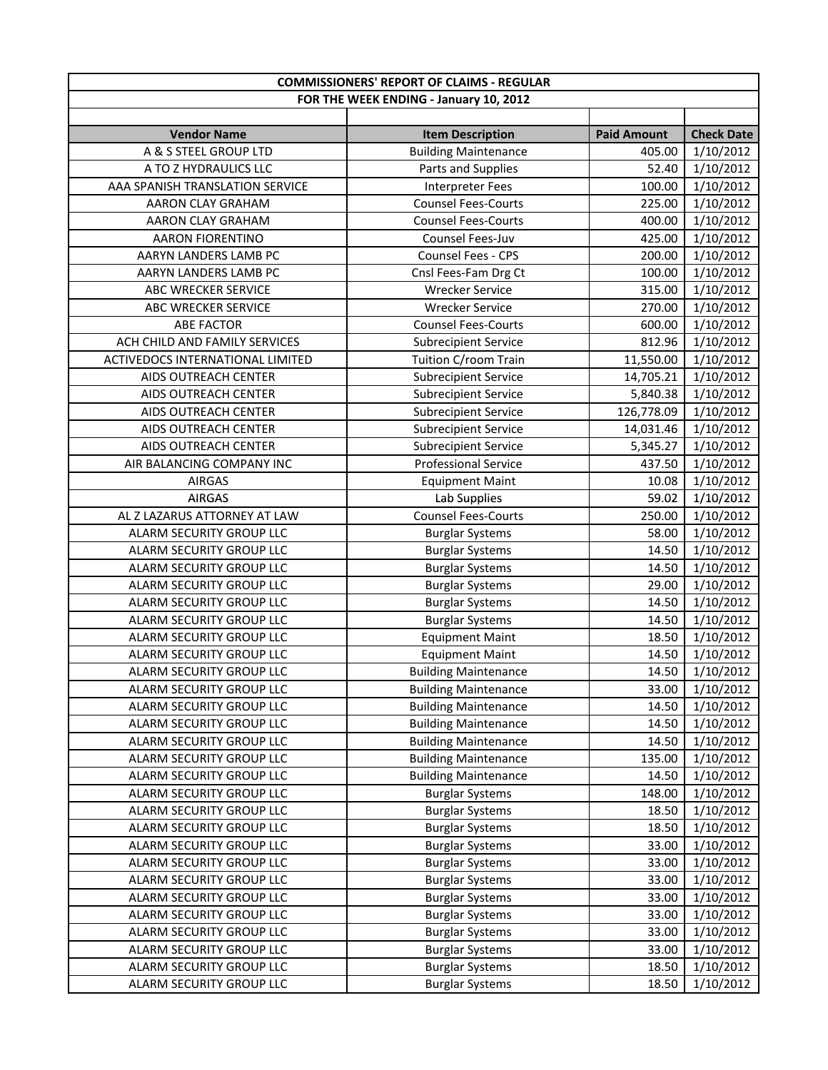| <b>COMMISSIONERS' REPORT OF CLAIMS - REGULAR</b> |                                                            |                    |                   |
|--------------------------------------------------|------------------------------------------------------------|--------------------|-------------------|
| FOR THE WEEK ENDING - January 10, 2012           |                                                            |                    |                   |
|                                                  |                                                            |                    |                   |
| <b>Vendor Name</b>                               | <b>Item Description</b>                                    | <b>Paid Amount</b> | <b>Check Date</b> |
| A & S STEEL GROUP LTD                            | <b>Building Maintenance</b>                                | 405.00             | 1/10/2012         |
| A TO Z HYDRAULICS LLC                            | Parts and Supplies                                         | 52.40              | 1/10/2012         |
| AAA SPANISH TRANSLATION SERVICE                  | <b>Interpreter Fees</b>                                    | 100.00             | 1/10/2012         |
| AARON CLAY GRAHAM                                | <b>Counsel Fees-Courts</b>                                 | 225.00             | 1/10/2012         |
| AARON CLAY GRAHAM                                | <b>Counsel Fees-Courts</b>                                 | 400.00             | 1/10/2012         |
| <b>AARON FIORENTINO</b>                          | Counsel Fees-Juv                                           | 425.00             | 1/10/2012         |
| AARYN LANDERS LAMB PC                            | Counsel Fees - CPS                                         | 200.00             | 1/10/2012         |
| AARYN LANDERS LAMB PC                            | Cnsl Fees-Fam Drg Ct                                       | 100.00             | 1/10/2012         |
| ABC WRECKER SERVICE                              | <b>Wrecker Service</b>                                     | 315.00             | 1/10/2012         |
| ABC WRECKER SERVICE                              | <b>Wrecker Service</b>                                     | 270.00             | 1/10/2012         |
| <b>ABE FACTOR</b>                                | <b>Counsel Fees-Courts</b>                                 | 600.00             | 1/10/2012         |
| ACH CHILD AND FAMILY SERVICES                    | <b>Subrecipient Service</b>                                | 812.96             | 1/10/2012         |
| ACTIVEDOCS INTERNATIONAL LIMITED                 | Tuition C/room Train                                       | 11,550.00          | 1/10/2012         |
| AIDS OUTREACH CENTER                             | <b>Subrecipient Service</b>                                | 14,705.21          | 1/10/2012         |
| AIDS OUTREACH CENTER                             | <b>Subrecipient Service</b>                                | 5,840.38           | 1/10/2012         |
| AIDS OUTREACH CENTER                             | <b>Subrecipient Service</b>                                | 126,778.09         | 1/10/2012         |
| AIDS OUTREACH CENTER                             | <b>Subrecipient Service</b>                                | 14,031.46          | 1/10/2012         |
| AIDS OUTREACH CENTER                             | <b>Subrecipient Service</b>                                | 5,345.27           | 1/10/2012         |
| AIR BALANCING COMPANY INC                        | <b>Professional Service</b>                                | 437.50             | 1/10/2012         |
| <b>AIRGAS</b>                                    | <b>Equipment Maint</b>                                     | 10.08              | 1/10/2012         |
| <b>AIRGAS</b>                                    | Lab Supplies                                               | 59.02              | 1/10/2012         |
| AL Z LAZARUS ATTORNEY AT LAW                     | <b>Counsel Fees-Courts</b>                                 | 250.00             | 1/10/2012         |
| ALARM SECURITY GROUP LLC                         | <b>Burglar Systems</b>                                     | 58.00              | 1/10/2012         |
| ALARM SECURITY GROUP LLC                         | <b>Burglar Systems</b>                                     | 14.50              | 1/10/2012         |
| ALARM SECURITY GROUP LLC                         | <b>Burglar Systems</b>                                     | 14.50              | 1/10/2012         |
| ALARM SECURITY GROUP LLC                         | <b>Burglar Systems</b>                                     | 29.00              | 1/10/2012         |
| ALARM SECURITY GROUP LLC                         | <b>Burglar Systems</b>                                     | 14.50              | 1/10/2012         |
| ALARM SECURITY GROUP LLC                         | <b>Burglar Systems</b>                                     | 14.50              | 1/10/2012         |
| ALARM SECURITY GROUP LLC                         | <b>Equipment Maint</b>                                     | 18.50              | 1/10/2012         |
| ALARM SECURITY GROUP LLC                         | <b>Equipment Maint</b>                                     | 14.50              | 1/10/2012         |
| ALARM SECURITY GROUP LLC                         | <b>Building Maintenance</b>                                | 14.50              | 1/10/2012         |
| ALARM SECURITY GROUP LLC                         | <b>Building Maintenance</b>                                | 33.00              | 1/10/2012         |
| ALARM SECURITY GROUP LLC                         | <b>Building Maintenance</b>                                | 14.50              | 1/10/2012         |
| ALARM SECURITY GROUP LLC                         | <b>Building Maintenance</b>                                | 14.50              | 1/10/2012         |
| ALARM SECURITY GROUP LLC                         |                                                            |                    |                   |
| ALARM SECURITY GROUP LLC                         | <b>Building Maintenance</b><br><b>Building Maintenance</b> | 14.50              | 1/10/2012         |
|                                                  |                                                            | 135.00             | 1/10/2012         |
| ALARM SECURITY GROUP LLC                         | <b>Building Maintenance</b>                                | 14.50              | 1/10/2012         |
| ALARM SECURITY GROUP LLC                         | <b>Burglar Systems</b>                                     | 148.00             | 1/10/2012         |
| ALARM SECURITY GROUP LLC                         | <b>Burglar Systems</b>                                     | 18.50              | 1/10/2012         |
| ALARM SECURITY GROUP LLC                         | <b>Burglar Systems</b>                                     | 18.50              | 1/10/2012         |
| ALARM SECURITY GROUP LLC                         | <b>Burglar Systems</b>                                     | 33.00              | 1/10/2012         |
| ALARM SECURITY GROUP LLC                         | <b>Burglar Systems</b>                                     | 33.00              | 1/10/2012         |
| ALARM SECURITY GROUP LLC                         | <b>Burglar Systems</b>                                     | 33.00              | 1/10/2012         |
| ALARM SECURITY GROUP LLC                         | <b>Burglar Systems</b>                                     | 33.00              | 1/10/2012         |
| ALARM SECURITY GROUP LLC                         | <b>Burglar Systems</b>                                     | 33.00              | 1/10/2012         |
| ALARM SECURITY GROUP LLC                         | <b>Burglar Systems</b>                                     | 33.00              | 1/10/2012         |
| ALARM SECURITY GROUP LLC                         | <b>Burglar Systems</b>                                     | 33.00              | 1/10/2012         |
| ALARM SECURITY GROUP LLC                         | <b>Burglar Systems</b>                                     | 18.50              | 1/10/2012         |
| ALARM SECURITY GROUP LLC                         | <b>Burglar Systems</b>                                     | 18.50              | 1/10/2012         |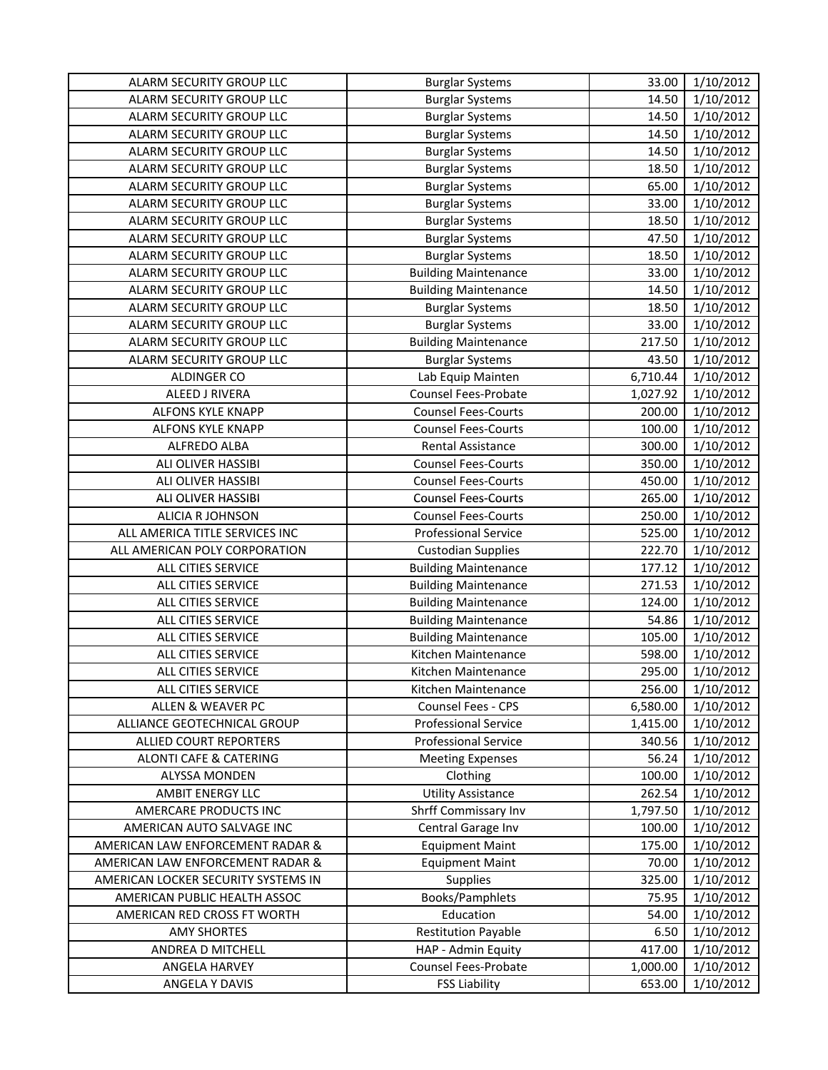| ALARM SECURITY GROUP LLC            | <b>Burglar Systems</b>      | 33.00    | 1/10/2012 |
|-------------------------------------|-----------------------------|----------|-----------|
| ALARM SECURITY GROUP LLC            | <b>Burglar Systems</b>      | 14.50    | 1/10/2012 |
| ALARM SECURITY GROUP LLC            | <b>Burglar Systems</b>      | 14.50    | 1/10/2012 |
| ALARM SECURITY GROUP LLC            | <b>Burglar Systems</b>      | 14.50    | 1/10/2012 |
| ALARM SECURITY GROUP LLC            | <b>Burglar Systems</b>      | 14.50    | 1/10/2012 |
| ALARM SECURITY GROUP LLC            | <b>Burglar Systems</b>      | 18.50    | 1/10/2012 |
| ALARM SECURITY GROUP LLC            | <b>Burglar Systems</b>      | 65.00    | 1/10/2012 |
| ALARM SECURITY GROUP LLC            | <b>Burglar Systems</b>      | 33.00    | 1/10/2012 |
| ALARM SECURITY GROUP LLC            | <b>Burglar Systems</b>      | 18.50    | 1/10/2012 |
| ALARM SECURITY GROUP LLC            | <b>Burglar Systems</b>      | 47.50    | 1/10/2012 |
| ALARM SECURITY GROUP LLC            | <b>Burglar Systems</b>      | 18.50    | 1/10/2012 |
| ALARM SECURITY GROUP LLC            | <b>Building Maintenance</b> | 33.00    | 1/10/2012 |
| ALARM SECURITY GROUP LLC            | <b>Building Maintenance</b> | 14.50    | 1/10/2012 |
| ALARM SECURITY GROUP LLC            | <b>Burglar Systems</b>      | 18.50    | 1/10/2012 |
| ALARM SECURITY GROUP LLC            | <b>Burglar Systems</b>      | 33.00    | 1/10/2012 |
| ALARM SECURITY GROUP LLC            | <b>Building Maintenance</b> | 217.50   | 1/10/2012 |
| ALARM SECURITY GROUP LLC            | <b>Burglar Systems</b>      | 43.50    | 1/10/2012 |
| ALDINGER CO                         | Lab Equip Mainten           | 6,710.44 | 1/10/2012 |
| ALEED J RIVERA                      | <b>Counsel Fees-Probate</b> | 1,027.92 | 1/10/2012 |
| ALFONS KYLE KNAPP                   | <b>Counsel Fees-Courts</b>  | 200.00   | 1/10/2012 |
| ALFONS KYLE KNAPP                   | <b>Counsel Fees-Courts</b>  | 100.00   | 1/10/2012 |
| ALFREDO ALBA                        | Rental Assistance           | 300.00   | 1/10/2012 |
| ALI OLIVER HASSIBI                  | <b>Counsel Fees-Courts</b>  | 350.00   | 1/10/2012 |
| ALI OLIVER HASSIBI                  | <b>Counsel Fees-Courts</b>  | 450.00   | 1/10/2012 |
| ALI OLIVER HASSIBI                  | <b>Counsel Fees-Courts</b>  | 265.00   | 1/10/2012 |
| ALICIA R JOHNSON                    | <b>Counsel Fees-Courts</b>  | 250.00   | 1/10/2012 |
| ALL AMERICA TITLE SERVICES INC      | <b>Professional Service</b> | 525.00   | 1/10/2012 |
| ALL AMERICAN POLY CORPORATION       | <b>Custodian Supplies</b>   | 222.70   | 1/10/2012 |
| ALL CITIES SERVICE                  | <b>Building Maintenance</b> | 177.12   | 1/10/2012 |
| ALL CITIES SERVICE                  | <b>Building Maintenance</b> | 271.53   | 1/10/2012 |
| ALL CITIES SERVICE                  | <b>Building Maintenance</b> | 124.00   | 1/10/2012 |
| ALL CITIES SERVICE                  | <b>Building Maintenance</b> | 54.86    | 1/10/2012 |
| ALL CITIES SERVICE                  | <b>Building Maintenance</b> | 105.00   | 1/10/2012 |
| ALL CITIES SERVICE                  | Kitchen Maintenance         | 598.00   | 1/10/2012 |
| <b>ALL CITIES SERVICE</b>           | Kitchen Maintenance         | 295.00   | 1/10/2012 |
| ALL CITIES SERVICE                  | Kitchen Maintenance         | 256.00   | 1/10/2012 |
| ALLEN & WEAVER PC                   | <b>Counsel Fees - CPS</b>   | 6,580.00 | 1/10/2012 |
| ALLIANCE GEOTECHNICAL GROUP         | <b>Professional Service</b> | 1,415.00 | 1/10/2012 |
| ALLIED COURT REPORTERS              | <b>Professional Service</b> | 340.56   | 1/10/2012 |
| <b>ALONTI CAFE &amp; CATERING</b>   | <b>Meeting Expenses</b>     | 56.24    | 1/10/2012 |
| ALYSSA MONDEN                       | Clothing                    | 100.00   | 1/10/2012 |
| <b>AMBIT ENERGY LLC</b>             | <b>Utility Assistance</b>   | 262.54   | 1/10/2012 |
| AMERCARE PRODUCTS INC               | Shrff Commissary Inv        | 1,797.50 | 1/10/2012 |
| AMERICAN AUTO SALVAGE INC           | Central Garage Inv          | 100.00   | 1/10/2012 |
| AMERICAN LAW ENFORCEMENT RADAR &    | <b>Equipment Maint</b>      | 175.00   | 1/10/2012 |
| AMERICAN LAW ENFORCEMENT RADAR &    | <b>Equipment Maint</b>      | 70.00    | 1/10/2012 |
| AMERICAN LOCKER SECURITY SYSTEMS IN | <b>Supplies</b>             | 325.00   | 1/10/2012 |
| AMERICAN PUBLIC HEALTH ASSOC        | Books/Pamphlets             | 75.95    | 1/10/2012 |
| AMERICAN RED CROSS FT WORTH         | Education                   | 54.00    | 1/10/2012 |
| <b>AMY SHORTES</b>                  | <b>Restitution Payable</b>  | 6.50     | 1/10/2012 |
| ANDREA D MITCHELL                   | HAP - Admin Equity          | 417.00   | 1/10/2012 |
| ANGELA HARVEY                       | Counsel Fees-Probate        | 1,000.00 | 1/10/2012 |
| ANGELA Y DAVIS                      | <b>FSS Liability</b>        | 653.00   | 1/10/2012 |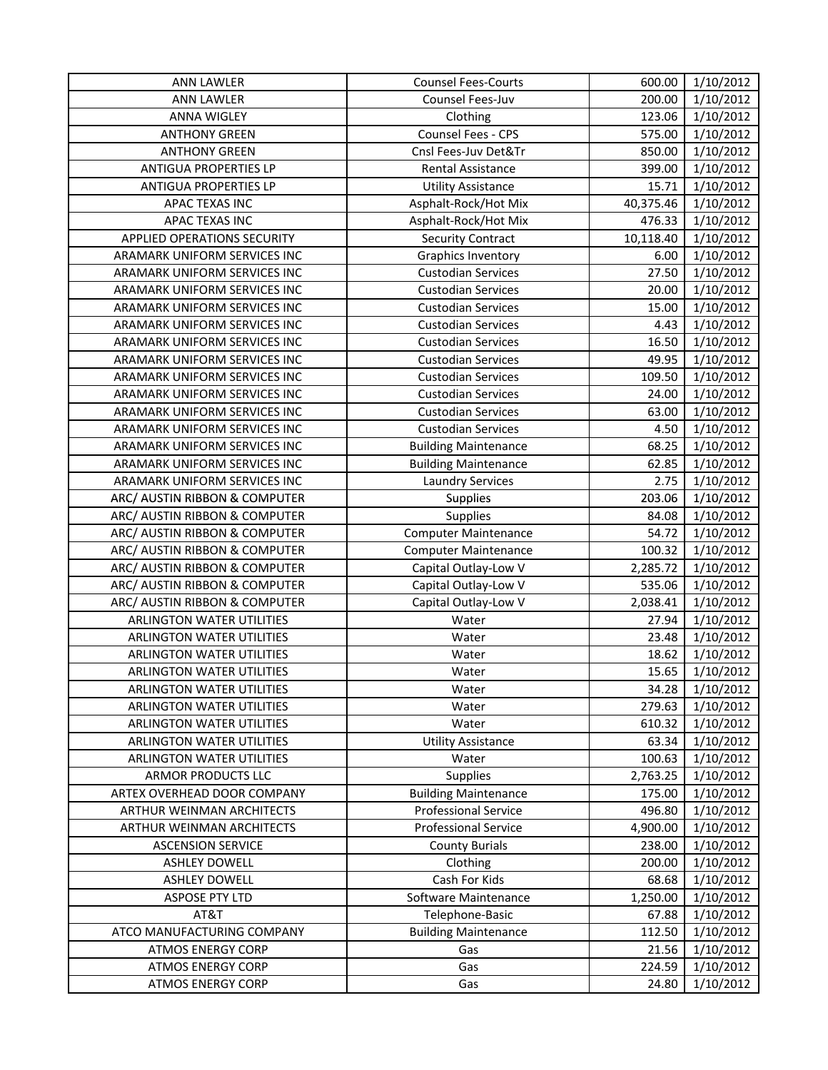| <b>ANN LAWLER</b>                  | <b>Counsel Fees-Courts</b>  | 600.00    | 1/10/2012 |
|------------------------------------|-----------------------------|-----------|-----------|
| <b>ANN LAWLER</b>                  | Counsel Fees-Juv            | 200.00    | 1/10/2012 |
| <b>ANNA WIGLEY</b>                 | Clothing                    | 123.06    | 1/10/2012 |
| <b>ANTHONY GREEN</b>               | Counsel Fees - CPS          | 575.00    | 1/10/2012 |
| <b>ANTHONY GREEN</b>               | Cnsl Fees-Juv Det&Tr        | 850.00    | 1/10/2012 |
| <b>ANTIGUA PROPERTIES LP</b>       | <b>Rental Assistance</b>    | 399.00    | 1/10/2012 |
| ANTIGUA PROPERTIES LP              | <b>Utility Assistance</b>   | 15.71     | 1/10/2012 |
| APAC TEXAS INC                     | Asphalt-Rock/Hot Mix        | 40,375.46 | 1/10/2012 |
| APAC TEXAS INC                     | Asphalt-Rock/Hot Mix        | 476.33    | 1/10/2012 |
| <b>APPLIED OPERATIONS SECURITY</b> | <b>Security Contract</b>    | 10,118.40 | 1/10/2012 |
| ARAMARK UNIFORM SERVICES INC       | Graphics Inventory          | 6.00      | 1/10/2012 |
| ARAMARK UNIFORM SERVICES INC       | <b>Custodian Services</b>   | 27.50     | 1/10/2012 |
| ARAMARK UNIFORM SERVICES INC       | <b>Custodian Services</b>   | 20.00     | 1/10/2012 |
| ARAMARK UNIFORM SERVICES INC       | <b>Custodian Services</b>   | 15.00     | 1/10/2012 |
| ARAMARK UNIFORM SERVICES INC       | <b>Custodian Services</b>   | 4.43      | 1/10/2012 |
| ARAMARK UNIFORM SERVICES INC       | <b>Custodian Services</b>   | 16.50     | 1/10/2012 |
| ARAMARK UNIFORM SERVICES INC       | <b>Custodian Services</b>   | 49.95     | 1/10/2012 |
| ARAMARK UNIFORM SERVICES INC       | <b>Custodian Services</b>   | 109.50    | 1/10/2012 |
| ARAMARK UNIFORM SERVICES INC       | <b>Custodian Services</b>   | 24.00     | 1/10/2012 |
| ARAMARK UNIFORM SERVICES INC       | <b>Custodian Services</b>   | 63.00     | 1/10/2012 |
| ARAMARK UNIFORM SERVICES INC       | <b>Custodian Services</b>   | 4.50      | 1/10/2012 |
| ARAMARK UNIFORM SERVICES INC       | <b>Building Maintenance</b> | 68.25     | 1/10/2012 |
| ARAMARK UNIFORM SERVICES INC       | <b>Building Maintenance</b> | 62.85     | 1/10/2012 |
| ARAMARK UNIFORM SERVICES INC       | <b>Laundry Services</b>     | 2.75      | 1/10/2012 |
| ARC/ AUSTIN RIBBON & COMPUTER      | <b>Supplies</b>             | 203.06    | 1/10/2012 |
| ARC/ AUSTIN RIBBON & COMPUTER      | <b>Supplies</b>             | 84.08     | 1/10/2012 |
| ARC/ AUSTIN RIBBON & COMPUTER      | Computer Maintenance        | 54.72     | 1/10/2012 |
| ARC/ AUSTIN RIBBON & COMPUTER      | <b>Computer Maintenance</b> | 100.32    | 1/10/2012 |
| ARC/ AUSTIN RIBBON & COMPUTER      | Capital Outlay-Low V        | 2,285.72  | 1/10/2012 |
| ARC/ AUSTIN RIBBON & COMPUTER      | Capital Outlay-Low V        | 535.06    | 1/10/2012 |
| ARC/ AUSTIN RIBBON & COMPUTER      | Capital Outlay-Low V        | 2,038.41  | 1/10/2012 |
| <b>ARLINGTON WATER UTILITIES</b>   | Water                       | 27.94     | 1/10/2012 |
| <b>ARLINGTON WATER UTILITIES</b>   | Water                       | 23.48     | 1/10/2012 |
| ARLINGTON WATER UTILITIES          | Water                       | 18.62     | 1/10/2012 |
| <b>ARLINGTON WATER UTILITIES</b>   | Water                       | 15.65     | 1/10/2012 |
| ARLINGTON WATER UTILITIES          | Water                       | 34.28     | 1/10/2012 |
| ARLINGTON WATER UTILITIES          | Water                       | 279.63    | 1/10/2012 |
| <b>ARLINGTON WATER UTILITIES</b>   | Water                       | 610.32    | 1/10/2012 |
| <b>ARLINGTON WATER UTILITIES</b>   | <b>Utility Assistance</b>   | 63.34     | 1/10/2012 |
| ARLINGTON WATER UTILITIES          | Water                       | 100.63    | 1/10/2012 |
| ARMOR PRODUCTS LLC                 | Supplies                    | 2,763.25  | 1/10/2012 |
| ARTEX OVERHEAD DOOR COMPANY        | <b>Building Maintenance</b> | 175.00    | 1/10/2012 |
| ARTHUR WEINMAN ARCHITECTS          | <b>Professional Service</b> | 496.80    | 1/10/2012 |
| ARTHUR WEINMAN ARCHITECTS          | <b>Professional Service</b> | 4,900.00  | 1/10/2012 |
| <b>ASCENSION SERVICE</b>           | <b>County Burials</b>       | 238.00    | 1/10/2012 |
| <b>ASHLEY DOWELL</b>               | Clothing                    | 200.00    | 1/10/2012 |
| <b>ASHLEY DOWELL</b>               | Cash For Kids               | 68.68     | 1/10/2012 |
| <b>ASPOSE PTY LTD</b>              | Software Maintenance        | 1,250.00  | 1/10/2012 |
| AT&T                               | Telephone-Basic             | 67.88     | 1/10/2012 |
| ATCO MANUFACTURING COMPANY         | <b>Building Maintenance</b> | 112.50    | 1/10/2012 |
| <b>ATMOS ENERGY CORP</b>           | Gas                         | 21.56     | 1/10/2012 |
| <b>ATMOS ENERGY CORP</b>           | Gas                         | 224.59    | 1/10/2012 |
| <b>ATMOS ENERGY CORP</b>           | Gas                         | 24.80     | 1/10/2012 |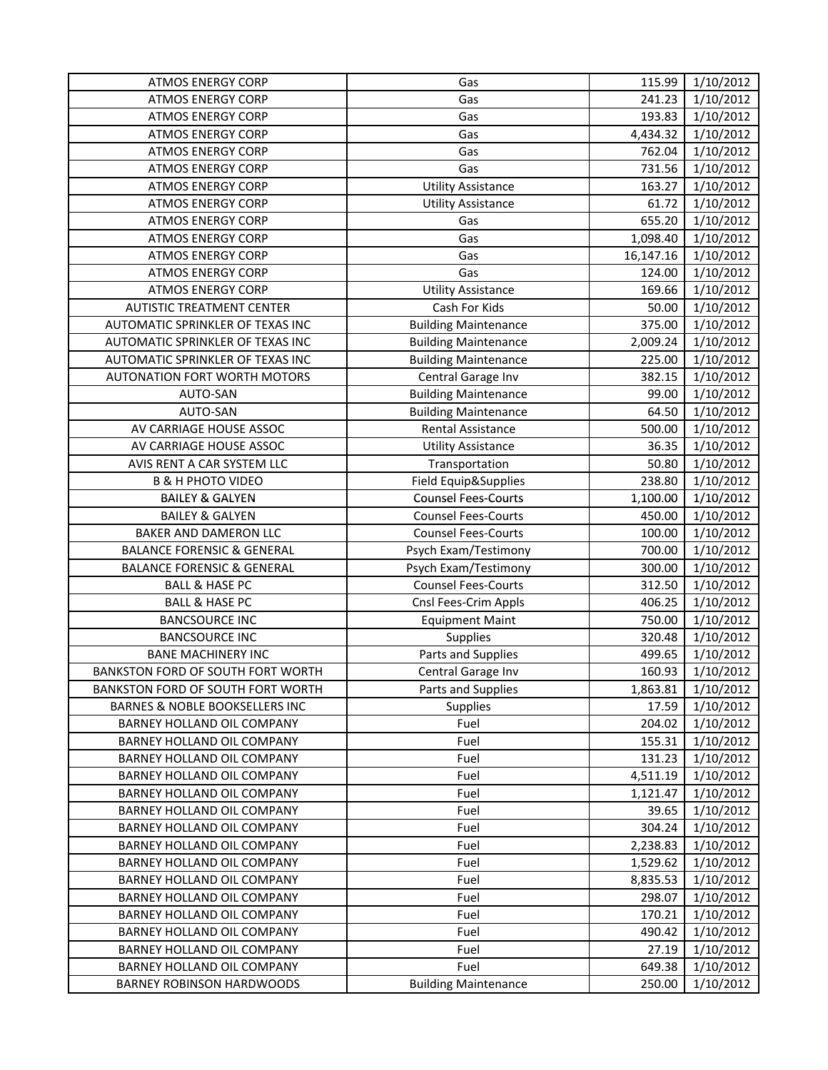| <b>ATMOS ENERGY CORP</b>                  | Gas                         | 115.99    | 1/10/2012 |
|-------------------------------------------|-----------------------------|-----------|-----------|
| <b>ATMOS ENERGY CORP</b>                  | Gas                         | 241.23    | 1/10/2012 |
| <b>ATMOS ENERGY CORP</b>                  | Gas                         | 193.83    | 1/10/2012 |
| <b>ATMOS ENERGY CORP</b>                  | Gas                         | 4,434.32  | 1/10/2012 |
| <b>ATMOS ENERGY CORP</b>                  | Gas                         | 762.04    | 1/10/2012 |
| <b>ATMOS ENERGY CORP</b>                  | Gas                         | 731.56    | 1/10/2012 |
| <b>ATMOS ENERGY CORP</b>                  | <b>Utility Assistance</b>   | 163.27    | 1/10/2012 |
| <b>ATMOS ENERGY CORP</b>                  | <b>Utility Assistance</b>   | 61.72     | 1/10/2012 |
| <b>ATMOS ENERGY CORP</b>                  | Gas                         | 655.20    | 1/10/2012 |
| <b>ATMOS ENERGY CORP</b>                  | Gas                         | 1,098.40  | 1/10/2012 |
| <b>ATMOS ENERGY CORP</b>                  | Gas                         | 16,147.16 | 1/10/2012 |
| <b>ATMOS ENERGY CORP</b>                  | Gas                         | 124.00    | 1/10/2012 |
| <b>ATMOS ENERGY CORP</b>                  | <b>Utility Assistance</b>   | 169.66    | 1/10/2012 |
| <b>AUTISTIC TREATMENT CENTER</b>          | Cash For Kids               | 50.00     | 1/10/2012 |
| AUTOMATIC SPRINKLER OF TEXAS INC          | <b>Building Maintenance</b> | 375.00    | 1/10/2012 |
| AUTOMATIC SPRINKLER OF TEXAS INC          | <b>Building Maintenance</b> | 2,009.24  | 1/10/2012 |
| AUTOMATIC SPRINKLER OF TEXAS INC          | <b>Building Maintenance</b> | 225.00    | 1/10/2012 |
| <b>AUTONATION FORT WORTH MOTORS</b>       | Central Garage Inv          | 382.15    | 1/10/2012 |
| AUTO-SAN                                  | <b>Building Maintenance</b> | 99.00     | 1/10/2012 |
| AUTO-SAN                                  | <b>Building Maintenance</b> | 64.50     | 1/10/2012 |
| AV CARRIAGE HOUSE ASSOC                   | <b>Rental Assistance</b>    | 500.00    | 1/10/2012 |
| AV CARRIAGE HOUSE ASSOC                   | <b>Utility Assistance</b>   | 36.35     | 1/10/2012 |
| AVIS RENT A CAR SYSTEM LLC                | Transportation              | 50.80     | 1/10/2012 |
| <b>B &amp; H PHOTO VIDEO</b>              | Field Equip&Supplies        | 238.80    | 1/10/2012 |
| <b>BAILEY &amp; GALYEN</b>                | <b>Counsel Fees-Courts</b>  | 1,100.00  | 1/10/2012 |
| <b>BAILEY &amp; GALYEN</b>                | <b>Counsel Fees-Courts</b>  | 450.00    | 1/10/2012 |
| BAKER AND DAMERON LLC                     | <b>Counsel Fees-Courts</b>  | 100.00    | 1/10/2012 |
| <b>BALANCE FORENSIC &amp; GENERAL</b>     | Psych Exam/Testimony        | 700.00    | 1/10/2012 |
| <b>BALANCE FORENSIC &amp; GENERAL</b>     | Psych Exam/Testimony        | 300.00    | 1/10/2012 |
| <b>BALL &amp; HASE PC</b>                 | <b>Counsel Fees-Courts</b>  | 312.50    | 1/10/2012 |
| <b>BALL &amp; HASE PC</b>                 | Cnsl Fees-Crim Appls        | 406.25    | 1/10/2012 |
| <b>BANCSOURCE INC</b>                     | <b>Equipment Maint</b>      | 750.00    | 1/10/2012 |
| <b>BANCSOURCE INC</b>                     | <b>Supplies</b>             | 320.48    | 1/10/2012 |
| <b>BANE MACHINERY INC</b>                 | Parts and Supplies          | 499.65    | 1/10/2012 |
| BANKSTON FORD OF SOUTH FORT WORTH         | Central Garage Inv          | 160.93    | 1/10/2012 |
| BANKSTON FORD OF SOUTH FORT WORTH         | Parts and Supplies          | 1,863.81  | 1/10/2012 |
| <b>BARNES &amp; NOBLE BOOKSELLERS INC</b> | <b>Supplies</b>             | 17.59     | 1/10/2012 |
| BARNEY HOLLAND OIL COMPANY                | Fuel                        | 204.02    | 1/10/2012 |
| BARNEY HOLLAND OIL COMPANY                | Fuel                        | 155.31    | 1/10/2012 |
| BARNEY HOLLAND OIL COMPANY                | Fuel                        | 131.23    | 1/10/2012 |
| BARNEY HOLLAND OIL COMPANY                | Fuel                        | 4,511.19  | 1/10/2012 |
| BARNEY HOLLAND OIL COMPANY                | Fuel                        | 1,121.47  | 1/10/2012 |
| BARNEY HOLLAND OIL COMPANY                | Fuel                        | 39.65     | 1/10/2012 |
| BARNEY HOLLAND OIL COMPANY                | Fuel                        | 304.24    | 1/10/2012 |
| BARNEY HOLLAND OIL COMPANY                | Fuel                        | 2,238.83  | 1/10/2012 |
| BARNEY HOLLAND OIL COMPANY                | Fuel                        | 1,529.62  | 1/10/2012 |
| BARNEY HOLLAND OIL COMPANY                | Fuel                        | 8,835.53  | 1/10/2012 |
| BARNEY HOLLAND OIL COMPANY                | Fuel                        | 298.07    | 1/10/2012 |
| BARNEY HOLLAND OIL COMPANY                | Fuel                        | 170.21    | 1/10/2012 |
| BARNEY HOLLAND OIL COMPANY                | Fuel                        | 490.42    | 1/10/2012 |
| BARNEY HOLLAND OIL COMPANY                | Fuel                        | 27.19     | 1/10/2012 |
| BARNEY HOLLAND OIL COMPANY                | Fuel                        | 649.38    | 1/10/2012 |
| <b>BARNEY ROBINSON HARDWOODS</b>          | <b>Building Maintenance</b> | 250.00    | 1/10/2012 |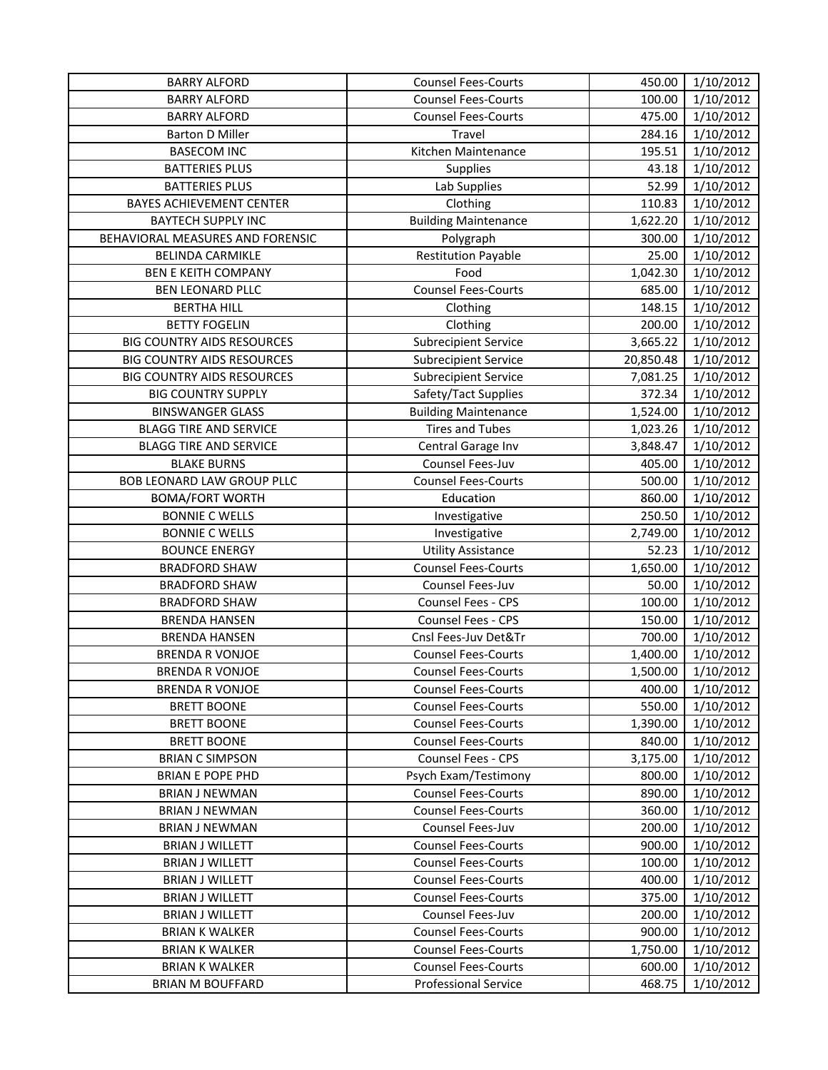| <b>BARRY ALFORD</b>               | <b>Counsel Fees-Courts</b>  | 450.00    | 1/10/2012 |
|-----------------------------------|-----------------------------|-----------|-----------|
| <b>BARRY ALFORD</b>               | <b>Counsel Fees-Courts</b>  | 100.00    | 1/10/2012 |
| <b>BARRY ALFORD</b>               | <b>Counsel Fees-Courts</b>  | 475.00    | 1/10/2012 |
| <b>Barton D Miller</b>            | Travel                      | 284.16    | 1/10/2012 |
| <b>BASECOM INC</b>                | Kitchen Maintenance         | 195.51    | 1/10/2012 |
| <b>BATTERIES PLUS</b>             | Supplies                    | 43.18     | 1/10/2012 |
| <b>BATTERIES PLUS</b>             | Lab Supplies                | 52.99     | 1/10/2012 |
| <b>BAYES ACHIEVEMENT CENTER</b>   | Clothing                    | 110.83    | 1/10/2012 |
| <b>BAYTECH SUPPLY INC</b>         | <b>Building Maintenance</b> | 1,622.20  | 1/10/2012 |
| BEHAVIORAL MEASURES AND FORENSIC  | Polygraph                   | 300.00    | 1/10/2012 |
| <b>BELINDA CARMIKLE</b>           | <b>Restitution Payable</b>  | 25.00     | 1/10/2012 |
| <b>BEN E KEITH COMPANY</b>        | Food                        | 1,042.30  | 1/10/2012 |
| <b>BEN LEONARD PLLC</b>           | <b>Counsel Fees-Courts</b>  | 685.00    | 1/10/2012 |
| <b>BERTHA HILL</b>                | Clothing                    | 148.15    | 1/10/2012 |
| <b>BETTY FOGELIN</b>              | Clothing                    | 200.00    | 1/10/2012 |
| <b>BIG COUNTRY AIDS RESOURCES</b> | <b>Subrecipient Service</b> | 3,665.22  | 1/10/2012 |
| <b>BIG COUNTRY AIDS RESOURCES</b> | <b>Subrecipient Service</b> | 20,850.48 | 1/10/2012 |
| <b>BIG COUNTRY AIDS RESOURCES</b> | <b>Subrecipient Service</b> | 7,081.25  | 1/10/2012 |
| <b>BIG COUNTRY SUPPLY</b>         | Safety/Tact Supplies        | 372.34    | 1/10/2012 |
| <b>BINSWANGER GLASS</b>           | <b>Building Maintenance</b> | 1,524.00  | 1/10/2012 |
| <b>BLAGG TIRE AND SERVICE</b>     | <b>Tires and Tubes</b>      | 1,023.26  | 1/10/2012 |
| <b>BLAGG TIRE AND SERVICE</b>     | Central Garage Inv          | 3,848.47  | 1/10/2012 |
| <b>BLAKE BURNS</b>                | Counsel Fees-Juv            | 405.00    | 1/10/2012 |
| <b>BOB LEONARD LAW GROUP PLLC</b> | <b>Counsel Fees-Courts</b>  | 500.00    | 1/10/2012 |
| <b>BOMA/FORT WORTH</b>            | Education                   | 860.00    | 1/10/2012 |
| <b>BONNIE C WELLS</b>             | Investigative               | 250.50    | 1/10/2012 |
| <b>BONNIE C WELLS</b>             | Investigative               | 2,749.00  | 1/10/2012 |
| <b>BOUNCE ENERGY</b>              | <b>Utility Assistance</b>   | 52.23     | 1/10/2012 |
| <b>BRADFORD SHAW</b>              | <b>Counsel Fees-Courts</b>  | 1,650.00  | 1/10/2012 |
| <b>BRADFORD SHAW</b>              | Counsel Fees-Juv            | 50.00     | 1/10/2012 |
| <b>BRADFORD SHAW</b>              | Counsel Fees - CPS          | 100.00    | 1/10/2012 |
| <b>BRENDA HANSEN</b>              | Counsel Fees - CPS          | 150.00    | 1/10/2012 |
| <b>BRENDA HANSEN</b>              | Cnsl Fees-Juv Det&Tr        | 700.00    | 1/10/2012 |
| <b>BRENDA R VONJOE</b>            | <b>Counsel Fees-Courts</b>  | 1,400.00  | 1/10/2012 |
| <b>BRENDA R VONJOE</b>            | <b>Counsel Fees-Courts</b>  | 1,500.00  | 1/10/2012 |
| <b>BRENDA R VONJOE</b>            | <b>Counsel Fees-Courts</b>  | 400.00    | 1/10/2012 |
| <b>BRETT BOONE</b>                | <b>Counsel Fees-Courts</b>  | 550.00    | 1/10/2012 |
| <b>BRETT BOONE</b>                | <b>Counsel Fees-Courts</b>  | 1,390.00  | 1/10/2012 |
| <b>BRETT BOONE</b>                | <b>Counsel Fees-Courts</b>  | 840.00    | 1/10/2012 |
| <b>BRIAN C SIMPSON</b>            | Counsel Fees - CPS          | 3,175.00  | 1/10/2012 |
| <b>BRIAN E POPE PHD</b>           | Psych Exam/Testimony        | 800.00    | 1/10/2012 |
| <b>BRIAN J NEWMAN</b>             | <b>Counsel Fees-Courts</b>  | 890.00    | 1/10/2012 |
| <b>BRIAN J NEWMAN</b>             | <b>Counsel Fees-Courts</b>  | 360.00    | 1/10/2012 |
| <b>BRIAN J NEWMAN</b>             | Counsel Fees-Juv            | 200.00    | 1/10/2012 |
| <b>BRIAN J WILLETT</b>            | <b>Counsel Fees-Courts</b>  | 900.00    | 1/10/2012 |
| <b>BRIAN J WILLETT</b>            | <b>Counsel Fees-Courts</b>  | 100.00    | 1/10/2012 |
| <b>BRIAN J WILLETT</b>            | <b>Counsel Fees-Courts</b>  | 400.00    | 1/10/2012 |
| <b>BRIAN J WILLETT</b>            | <b>Counsel Fees-Courts</b>  | 375.00    | 1/10/2012 |
| <b>BRIAN J WILLETT</b>            | Counsel Fees-Juv            | 200.00    | 1/10/2012 |
| <b>BRIAN K WALKER</b>             | <b>Counsel Fees-Courts</b>  | 900.00    | 1/10/2012 |
| <b>BRIAN K WALKER</b>             | <b>Counsel Fees-Courts</b>  | 1,750.00  | 1/10/2012 |
| <b>BRIAN K WALKER</b>             | <b>Counsel Fees-Courts</b>  | 600.00    | 1/10/2012 |
| <b>BRIAN M BOUFFARD</b>           | <b>Professional Service</b> | 468.75    | 1/10/2012 |
|                                   |                             |           |           |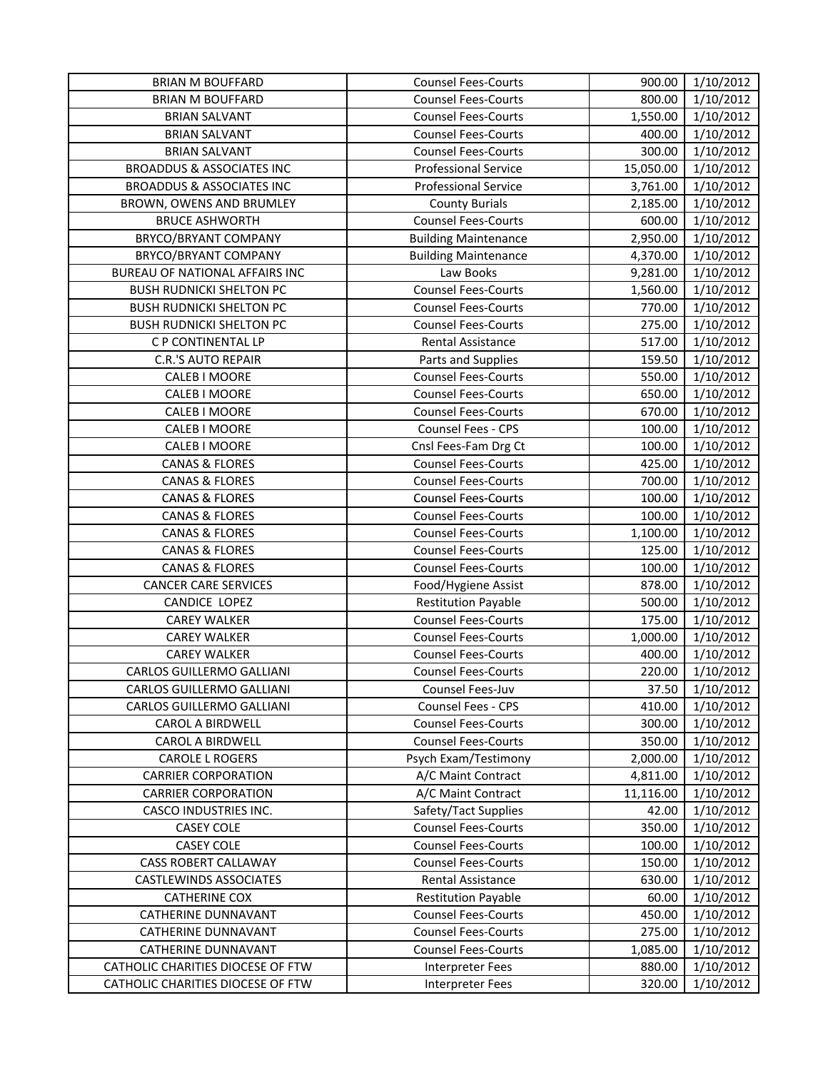| <b>Counsel Fees-Courts</b><br>800.00<br>1/10/2012<br><b>BRIAN M BOUFFARD</b><br>1,550.00<br>1/10/2012<br><b>Counsel Fees-Courts</b><br><b>BRIAN SALVANT</b><br><b>BRIAN SALVANT</b><br><b>Counsel Fees-Courts</b><br>400.00<br>1/10/2012<br>300.00<br>1/10/2012<br><b>BRIAN SALVANT</b><br><b>Counsel Fees-Courts</b><br><b>BROADDUS &amp; ASSOCIATES INC</b><br>1/10/2012<br><b>Professional Service</b><br>15,050.00<br>1/10/2012<br><b>BROADDUS &amp; ASSOCIATES INC</b><br><b>Professional Service</b><br>3,761.00<br><b>County Burials</b><br>1/10/2012<br>BROWN, OWENS AND BRUMLEY<br>2,185.00<br><b>Counsel Fees-Courts</b><br><b>BRUCE ASHWORTH</b><br>600.00<br>1/10/2012<br>2,950.00<br>1/10/2012<br>BRYCO/BRYANT COMPANY<br><b>Building Maintenance</b><br>BRYCO/BRYANT COMPANY<br>4,370.00<br>1/10/2012<br><b>Building Maintenance</b><br>BUREAU OF NATIONAL AFFAIRS INC<br>9,281.00<br>1/10/2012<br>Law Books<br><b>Counsel Fees-Courts</b><br>1/10/2012<br><b>BUSH RUDNICKI SHELTON PC</b><br>1,560.00<br>1/10/2012<br><b>BUSH RUDNICKI SHELTON PC</b><br>770.00<br><b>Counsel Fees-Courts</b><br><b>BUSH RUDNICKI SHELTON PC</b><br>275.00<br>1/10/2012<br><b>Counsel Fees-Courts</b><br>517.00<br>1/10/2012<br>C P CONTINENTAL LP<br>Rental Assistance<br><b>C.R.'S AUTO REPAIR</b><br>Parts and Supplies<br>159.50<br>1/10/2012<br><b>CALEB I MOORE</b><br><b>Counsel Fees-Courts</b><br>550.00<br>1/10/2012<br><b>Counsel Fees-Courts</b><br>650.00<br>1/10/2012<br><b>CALEB I MOORE</b><br>670.00<br>1/10/2012<br>CALEB I MOORE<br><b>Counsel Fees-Courts</b><br>CALEB I MOORE<br>Counsel Fees - CPS<br>100.00<br>1/10/2012<br>CALEB I MOORE<br>Cnsl Fees-Fam Drg Ct<br>100.00<br>1/10/2012<br>1/10/2012<br><b>CANAS &amp; FLORES</b><br><b>Counsel Fees-Courts</b><br>425.00<br><b>CANAS &amp; FLORES</b><br><b>Counsel Fees-Courts</b><br>700.00<br>1/10/2012<br><b>CANAS &amp; FLORES</b><br><b>Counsel Fees-Courts</b><br>100.00<br>1/10/2012<br>100.00<br>1/10/2012<br><b>CANAS &amp; FLORES</b><br><b>Counsel Fees-Courts</b><br><b>CANAS &amp; FLORES</b><br>1,100.00<br>1/10/2012<br><b>Counsel Fees-Courts</b><br><b>CANAS &amp; FLORES</b><br>125.00<br>1/10/2012<br><b>Counsel Fees-Courts</b><br>100.00<br>1/10/2012<br><b>CANAS &amp; FLORES</b><br><b>Counsel Fees-Courts</b><br>1/10/2012<br><b>CANCER CARE SERVICES</b><br>Food/Hygiene Assist<br>878.00<br>CANDICE LOPEZ<br><b>Restitution Payable</b><br>500.00<br>1/10/2012<br><b>Counsel Fees-Courts</b><br>175.00<br>1/10/2012<br><b>CAREY WALKER</b><br>1,000.00<br><b>CAREY WALKER</b><br><b>Counsel Fees-Courts</b><br>1/10/2012<br>1/10/2012<br><b>CAREY WALKER</b><br><b>Counsel Fees-Courts</b><br>400.00<br>1/10/2012<br>220.00<br>CARLOS GUILLERMO GALLIANI<br><b>Counsel Fees-Courts</b><br>1/10/2012<br>CARLOS GUILLERMO GALLIANI<br>Counsel Fees-Juv<br>37.50<br>Counsel Fees - CPS<br>410.00<br>1/10/2012<br>CARLOS GUILLERMO GALLIANI<br><b>CAROL A BIRDWELL</b><br><b>Counsel Fees-Courts</b><br>300.00<br>1/10/2012<br>CAROL A BIRDWELL<br><b>Counsel Fees-Courts</b><br>350.00<br>1/10/2012 |
|-----------------------------------------------------------------------------------------------------------------------------------------------------------------------------------------------------------------------------------------------------------------------------------------------------------------------------------------------------------------------------------------------------------------------------------------------------------------------------------------------------------------------------------------------------------------------------------------------------------------------------------------------------------------------------------------------------------------------------------------------------------------------------------------------------------------------------------------------------------------------------------------------------------------------------------------------------------------------------------------------------------------------------------------------------------------------------------------------------------------------------------------------------------------------------------------------------------------------------------------------------------------------------------------------------------------------------------------------------------------------------------------------------------------------------------------------------------------------------------------------------------------------------------------------------------------------------------------------------------------------------------------------------------------------------------------------------------------------------------------------------------------------------------------------------------------------------------------------------------------------------------------------------------------------------------------------------------------------------------------------------------------------------------------------------------------------------------------------------------------------------------------------------------------------------------------------------------------------------------------------------------------------------------------------------------------------------------------------------------------------------------------------------------------------------------------------------------------------------------------------------------------------------------------------------------------------------------------------------------------------------------------------------------------------------------------------------------------------------------------------------------------------------------------------------------------------------------------------------------------------------------------------------------------------------------------------------------------------------------------------------------------------------------------------------------------------------------------------------|
|                                                                                                                                                                                                                                                                                                                                                                                                                                                                                                                                                                                                                                                                                                                                                                                                                                                                                                                                                                                                                                                                                                                                                                                                                                                                                                                                                                                                                                                                                                                                                                                                                                                                                                                                                                                                                                                                                                                                                                                                                                                                                                                                                                                                                                                                                                                                                                                                                                                                                                                                                                                                                                                                                                                                                                                                                                                                                                                                                                                                                                                                                                     |
|                                                                                                                                                                                                                                                                                                                                                                                                                                                                                                                                                                                                                                                                                                                                                                                                                                                                                                                                                                                                                                                                                                                                                                                                                                                                                                                                                                                                                                                                                                                                                                                                                                                                                                                                                                                                                                                                                                                                                                                                                                                                                                                                                                                                                                                                                                                                                                                                                                                                                                                                                                                                                                                                                                                                                                                                                                                                                                                                                                                                                                                                                                     |
|                                                                                                                                                                                                                                                                                                                                                                                                                                                                                                                                                                                                                                                                                                                                                                                                                                                                                                                                                                                                                                                                                                                                                                                                                                                                                                                                                                                                                                                                                                                                                                                                                                                                                                                                                                                                                                                                                                                                                                                                                                                                                                                                                                                                                                                                                                                                                                                                                                                                                                                                                                                                                                                                                                                                                                                                                                                                                                                                                                                                                                                                                                     |
|                                                                                                                                                                                                                                                                                                                                                                                                                                                                                                                                                                                                                                                                                                                                                                                                                                                                                                                                                                                                                                                                                                                                                                                                                                                                                                                                                                                                                                                                                                                                                                                                                                                                                                                                                                                                                                                                                                                                                                                                                                                                                                                                                                                                                                                                                                                                                                                                                                                                                                                                                                                                                                                                                                                                                                                                                                                                                                                                                                                                                                                                                                     |
|                                                                                                                                                                                                                                                                                                                                                                                                                                                                                                                                                                                                                                                                                                                                                                                                                                                                                                                                                                                                                                                                                                                                                                                                                                                                                                                                                                                                                                                                                                                                                                                                                                                                                                                                                                                                                                                                                                                                                                                                                                                                                                                                                                                                                                                                                                                                                                                                                                                                                                                                                                                                                                                                                                                                                                                                                                                                                                                                                                                                                                                                                                     |
|                                                                                                                                                                                                                                                                                                                                                                                                                                                                                                                                                                                                                                                                                                                                                                                                                                                                                                                                                                                                                                                                                                                                                                                                                                                                                                                                                                                                                                                                                                                                                                                                                                                                                                                                                                                                                                                                                                                                                                                                                                                                                                                                                                                                                                                                                                                                                                                                                                                                                                                                                                                                                                                                                                                                                                                                                                                                                                                                                                                                                                                                                                     |
|                                                                                                                                                                                                                                                                                                                                                                                                                                                                                                                                                                                                                                                                                                                                                                                                                                                                                                                                                                                                                                                                                                                                                                                                                                                                                                                                                                                                                                                                                                                                                                                                                                                                                                                                                                                                                                                                                                                                                                                                                                                                                                                                                                                                                                                                                                                                                                                                                                                                                                                                                                                                                                                                                                                                                                                                                                                                                                                                                                                                                                                                                                     |
|                                                                                                                                                                                                                                                                                                                                                                                                                                                                                                                                                                                                                                                                                                                                                                                                                                                                                                                                                                                                                                                                                                                                                                                                                                                                                                                                                                                                                                                                                                                                                                                                                                                                                                                                                                                                                                                                                                                                                                                                                                                                                                                                                                                                                                                                                                                                                                                                                                                                                                                                                                                                                                                                                                                                                                                                                                                                                                                                                                                                                                                                                                     |
|                                                                                                                                                                                                                                                                                                                                                                                                                                                                                                                                                                                                                                                                                                                                                                                                                                                                                                                                                                                                                                                                                                                                                                                                                                                                                                                                                                                                                                                                                                                                                                                                                                                                                                                                                                                                                                                                                                                                                                                                                                                                                                                                                                                                                                                                                                                                                                                                                                                                                                                                                                                                                                                                                                                                                                                                                                                                                                                                                                                                                                                                                                     |
|                                                                                                                                                                                                                                                                                                                                                                                                                                                                                                                                                                                                                                                                                                                                                                                                                                                                                                                                                                                                                                                                                                                                                                                                                                                                                                                                                                                                                                                                                                                                                                                                                                                                                                                                                                                                                                                                                                                                                                                                                                                                                                                                                                                                                                                                                                                                                                                                                                                                                                                                                                                                                                                                                                                                                                                                                                                                                                                                                                                                                                                                                                     |
|                                                                                                                                                                                                                                                                                                                                                                                                                                                                                                                                                                                                                                                                                                                                                                                                                                                                                                                                                                                                                                                                                                                                                                                                                                                                                                                                                                                                                                                                                                                                                                                                                                                                                                                                                                                                                                                                                                                                                                                                                                                                                                                                                                                                                                                                                                                                                                                                                                                                                                                                                                                                                                                                                                                                                                                                                                                                                                                                                                                                                                                                                                     |
|                                                                                                                                                                                                                                                                                                                                                                                                                                                                                                                                                                                                                                                                                                                                                                                                                                                                                                                                                                                                                                                                                                                                                                                                                                                                                                                                                                                                                                                                                                                                                                                                                                                                                                                                                                                                                                                                                                                                                                                                                                                                                                                                                                                                                                                                                                                                                                                                                                                                                                                                                                                                                                                                                                                                                                                                                                                                                                                                                                                                                                                                                                     |
|                                                                                                                                                                                                                                                                                                                                                                                                                                                                                                                                                                                                                                                                                                                                                                                                                                                                                                                                                                                                                                                                                                                                                                                                                                                                                                                                                                                                                                                                                                                                                                                                                                                                                                                                                                                                                                                                                                                                                                                                                                                                                                                                                                                                                                                                                                                                                                                                                                                                                                                                                                                                                                                                                                                                                                                                                                                                                                                                                                                                                                                                                                     |
|                                                                                                                                                                                                                                                                                                                                                                                                                                                                                                                                                                                                                                                                                                                                                                                                                                                                                                                                                                                                                                                                                                                                                                                                                                                                                                                                                                                                                                                                                                                                                                                                                                                                                                                                                                                                                                                                                                                                                                                                                                                                                                                                                                                                                                                                                                                                                                                                                                                                                                                                                                                                                                                                                                                                                                                                                                                                                                                                                                                                                                                                                                     |
|                                                                                                                                                                                                                                                                                                                                                                                                                                                                                                                                                                                                                                                                                                                                                                                                                                                                                                                                                                                                                                                                                                                                                                                                                                                                                                                                                                                                                                                                                                                                                                                                                                                                                                                                                                                                                                                                                                                                                                                                                                                                                                                                                                                                                                                                                                                                                                                                                                                                                                                                                                                                                                                                                                                                                                                                                                                                                                                                                                                                                                                                                                     |
|                                                                                                                                                                                                                                                                                                                                                                                                                                                                                                                                                                                                                                                                                                                                                                                                                                                                                                                                                                                                                                                                                                                                                                                                                                                                                                                                                                                                                                                                                                                                                                                                                                                                                                                                                                                                                                                                                                                                                                                                                                                                                                                                                                                                                                                                                                                                                                                                                                                                                                                                                                                                                                                                                                                                                                                                                                                                                                                                                                                                                                                                                                     |
|                                                                                                                                                                                                                                                                                                                                                                                                                                                                                                                                                                                                                                                                                                                                                                                                                                                                                                                                                                                                                                                                                                                                                                                                                                                                                                                                                                                                                                                                                                                                                                                                                                                                                                                                                                                                                                                                                                                                                                                                                                                                                                                                                                                                                                                                                                                                                                                                                                                                                                                                                                                                                                                                                                                                                                                                                                                                                                                                                                                                                                                                                                     |
|                                                                                                                                                                                                                                                                                                                                                                                                                                                                                                                                                                                                                                                                                                                                                                                                                                                                                                                                                                                                                                                                                                                                                                                                                                                                                                                                                                                                                                                                                                                                                                                                                                                                                                                                                                                                                                                                                                                                                                                                                                                                                                                                                                                                                                                                                                                                                                                                                                                                                                                                                                                                                                                                                                                                                                                                                                                                                                                                                                                                                                                                                                     |
|                                                                                                                                                                                                                                                                                                                                                                                                                                                                                                                                                                                                                                                                                                                                                                                                                                                                                                                                                                                                                                                                                                                                                                                                                                                                                                                                                                                                                                                                                                                                                                                                                                                                                                                                                                                                                                                                                                                                                                                                                                                                                                                                                                                                                                                                                                                                                                                                                                                                                                                                                                                                                                                                                                                                                                                                                                                                                                                                                                                                                                                                                                     |
|                                                                                                                                                                                                                                                                                                                                                                                                                                                                                                                                                                                                                                                                                                                                                                                                                                                                                                                                                                                                                                                                                                                                                                                                                                                                                                                                                                                                                                                                                                                                                                                                                                                                                                                                                                                                                                                                                                                                                                                                                                                                                                                                                                                                                                                                                                                                                                                                                                                                                                                                                                                                                                                                                                                                                                                                                                                                                                                                                                                                                                                                                                     |
|                                                                                                                                                                                                                                                                                                                                                                                                                                                                                                                                                                                                                                                                                                                                                                                                                                                                                                                                                                                                                                                                                                                                                                                                                                                                                                                                                                                                                                                                                                                                                                                                                                                                                                                                                                                                                                                                                                                                                                                                                                                                                                                                                                                                                                                                                                                                                                                                                                                                                                                                                                                                                                                                                                                                                                                                                                                                                                                                                                                                                                                                                                     |
|                                                                                                                                                                                                                                                                                                                                                                                                                                                                                                                                                                                                                                                                                                                                                                                                                                                                                                                                                                                                                                                                                                                                                                                                                                                                                                                                                                                                                                                                                                                                                                                                                                                                                                                                                                                                                                                                                                                                                                                                                                                                                                                                                                                                                                                                                                                                                                                                                                                                                                                                                                                                                                                                                                                                                                                                                                                                                                                                                                                                                                                                                                     |
|                                                                                                                                                                                                                                                                                                                                                                                                                                                                                                                                                                                                                                                                                                                                                                                                                                                                                                                                                                                                                                                                                                                                                                                                                                                                                                                                                                                                                                                                                                                                                                                                                                                                                                                                                                                                                                                                                                                                                                                                                                                                                                                                                                                                                                                                                                                                                                                                                                                                                                                                                                                                                                                                                                                                                                                                                                                                                                                                                                                                                                                                                                     |
|                                                                                                                                                                                                                                                                                                                                                                                                                                                                                                                                                                                                                                                                                                                                                                                                                                                                                                                                                                                                                                                                                                                                                                                                                                                                                                                                                                                                                                                                                                                                                                                                                                                                                                                                                                                                                                                                                                                                                                                                                                                                                                                                                                                                                                                                                                                                                                                                                                                                                                                                                                                                                                                                                                                                                                                                                                                                                                                                                                                                                                                                                                     |
|                                                                                                                                                                                                                                                                                                                                                                                                                                                                                                                                                                                                                                                                                                                                                                                                                                                                                                                                                                                                                                                                                                                                                                                                                                                                                                                                                                                                                                                                                                                                                                                                                                                                                                                                                                                                                                                                                                                                                                                                                                                                                                                                                                                                                                                                                                                                                                                                                                                                                                                                                                                                                                                                                                                                                                                                                                                                                                                                                                                                                                                                                                     |
|                                                                                                                                                                                                                                                                                                                                                                                                                                                                                                                                                                                                                                                                                                                                                                                                                                                                                                                                                                                                                                                                                                                                                                                                                                                                                                                                                                                                                                                                                                                                                                                                                                                                                                                                                                                                                                                                                                                                                                                                                                                                                                                                                                                                                                                                                                                                                                                                                                                                                                                                                                                                                                                                                                                                                                                                                                                                                                                                                                                                                                                                                                     |
|                                                                                                                                                                                                                                                                                                                                                                                                                                                                                                                                                                                                                                                                                                                                                                                                                                                                                                                                                                                                                                                                                                                                                                                                                                                                                                                                                                                                                                                                                                                                                                                                                                                                                                                                                                                                                                                                                                                                                                                                                                                                                                                                                                                                                                                                                                                                                                                                                                                                                                                                                                                                                                                                                                                                                                                                                                                                                                                                                                                                                                                                                                     |
|                                                                                                                                                                                                                                                                                                                                                                                                                                                                                                                                                                                                                                                                                                                                                                                                                                                                                                                                                                                                                                                                                                                                                                                                                                                                                                                                                                                                                                                                                                                                                                                                                                                                                                                                                                                                                                                                                                                                                                                                                                                                                                                                                                                                                                                                                                                                                                                                                                                                                                                                                                                                                                                                                                                                                                                                                                                                                                                                                                                                                                                                                                     |
|                                                                                                                                                                                                                                                                                                                                                                                                                                                                                                                                                                                                                                                                                                                                                                                                                                                                                                                                                                                                                                                                                                                                                                                                                                                                                                                                                                                                                                                                                                                                                                                                                                                                                                                                                                                                                                                                                                                                                                                                                                                                                                                                                                                                                                                                                                                                                                                                                                                                                                                                                                                                                                                                                                                                                                                                                                                                                                                                                                                                                                                                                                     |
|                                                                                                                                                                                                                                                                                                                                                                                                                                                                                                                                                                                                                                                                                                                                                                                                                                                                                                                                                                                                                                                                                                                                                                                                                                                                                                                                                                                                                                                                                                                                                                                                                                                                                                                                                                                                                                                                                                                                                                                                                                                                                                                                                                                                                                                                                                                                                                                                                                                                                                                                                                                                                                                                                                                                                                                                                                                                                                                                                                                                                                                                                                     |
|                                                                                                                                                                                                                                                                                                                                                                                                                                                                                                                                                                                                                                                                                                                                                                                                                                                                                                                                                                                                                                                                                                                                                                                                                                                                                                                                                                                                                                                                                                                                                                                                                                                                                                                                                                                                                                                                                                                                                                                                                                                                                                                                                                                                                                                                                                                                                                                                                                                                                                                                                                                                                                                                                                                                                                                                                                                                                                                                                                                                                                                                                                     |
|                                                                                                                                                                                                                                                                                                                                                                                                                                                                                                                                                                                                                                                                                                                                                                                                                                                                                                                                                                                                                                                                                                                                                                                                                                                                                                                                                                                                                                                                                                                                                                                                                                                                                                                                                                                                                                                                                                                                                                                                                                                                                                                                                                                                                                                                                                                                                                                                                                                                                                                                                                                                                                                                                                                                                                                                                                                                                                                                                                                                                                                                                                     |
|                                                                                                                                                                                                                                                                                                                                                                                                                                                                                                                                                                                                                                                                                                                                                                                                                                                                                                                                                                                                                                                                                                                                                                                                                                                                                                                                                                                                                                                                                                                                                                                                                                                                                                                                                                                                                                                                                                                                                                                                                                                                                                                                                                                                                                                                                                                                                                                                                                                                                                                                                                                                                                                                                                                                                                                                                                                                                                                                                                                                                                                                                                     |
|                                                                                                                                                                                                                                                                                                                                                                                                                                                                                                                                                                                                                                                                                                                                                                                                                                                                                                                                                                                                                                                                                                                                                                                                                                                                                                                                                                                                                                                                                                                                                                                                                                                                                                                                                                                                                                                                                                                                                                                                                                                                                                                                                                                                                                                                                                                                                                                                                                                                                                                                                                                                                                                                                                                                                                                                                                                                                                                                                                                                                                                                                                     |
|                                                                                                                                                                                                                                                                                                                                                                                                                                                                                                                                                                                                                                                                                                                                                                                                                                                                                                                                                                                                                                                                                                                                                                                                                                                                                                                                                                                                                                                                                                                                                                                                                                                                                                                                                                                                                                                                                                                                                                                                                                                                                                                                                                                                                                                                                                                                                                                                                                                                                                                                                                                                                                                                                                                                                                                                                                                                                                                                                                                                                                                                                                     |
|                                                                                                                                                                                                                                                                                                                                                                                                                                                                                                                                                                                                                                                                                                                                                                                                                                                                                                                                                                                                                                                                                                                                                                                                                                                                                                                                                                                                                                                                                                                                                                                                                                                                                                                                                                                                                                                                                                                                                                                                                                                                                                                                                                                                                                                                                                                                                                                                                                                                                                                                                                                                                                                                                                                                                                                                                                                                                                                                                                                                                                                                                                     |
|                                                                                                                                                                                                                                                                                                                                                                                                                                                                                                                                                                                                                                                                                                                                                                                                                                                                                                                                                                                                                                                                                                                                                                                                                                                                                                                                                                                                                                                                                                                                                                                                                                                                                                                                                                                                                                                                                                                                                                                                                                                                                                                                                                                                                                                                                                                                                                                                                                                                                                                                                                                                                                                                                                                                                                                                                                                                                                                                                                                                                                                                                                     |
|                                                                                                                                                                                                                                                                                                                                                                                                                                                                                                                                                                                                                                                                                                                                                                                                                                                                                                                                                                                                                                                                                                                                                                                                                                                                                                                                                                                                                                                                                                                                                                                                                                                                                                                                                                                                                                                                                                                                                                                                                                                                                                                                                                                                                                                                                                                                                                                                                                                                                                                                                                                                                                                                                                                                                                                                                                                                                                                                                                                                                                                                                                     |
| <b>CAROLE L ROGERS</b><br>Psych Exam/Testimony<br>2,000.00<br>1/10/2012                                                                                                                                                                                                                                                                                                                                                                                                                                                                                                                                                                                                                                                                                                                                                                                                                                                                                                                                                                                                                                                                                                                                                                                                                                                                                                                                                                                                                                                                                                                                                                                                                                                                                                                                                                                                                                                                                                                                                                                                                                                                                                                                                                                                                                                                                                                                                                                                                                                                                                                                                                                                                                                                                                                                                                                                                                                                                                                                                                                                                             |
| A/C Maint Contract<br>1/10/2012<br><b>CARRIER CORPORATION</b><br>4,811.00                                                                                                                                                                                                                                                                                                                                                                                                                                                                                                                                                                                                                                                                                                                                                                                                                                                                                                                                                                                                                                                                                                                                                                                                                                                                                                                                                                                                                                                                                                                                                                                                                                                                                                                                                                                                                                                                                                                                                                                                                                                                                                                                                                                                                                                                                                                                                                                                                                                                                                                                                                                                                                                                                                                                                                                                                                                                                                                                                                                                                           |
| <b>CARRIER CORPORATION</b><br>A/C Maint Contract<br>11,116.00<br>1/10/2012                                                                                                                                                                                                                                                                                                                                                                                                                                                                                                                                                                                                                                                                                                                                                                                                                                                                                                                                                                                                                                                                                                                                                                                                                                                                                                                                                                                                                                                                                                                                                                                                                                                                                                                                                                                                                                                                                                                                                                                                                                                                                                                                                                                                                                                                                                                                                                                                                                                                                                                                                                                                                                                                                                                                                                                                                                                                                                                                                                                                                          |
| Safety/Tact Supplies<br>CASCO INDUSTRIES INC.<br>42.00<br>1/10/2012                                                                                                                                                                                                                                                                                                                                                                                                                                                                                                                                                                                                                                                                                                                                                                                                                                                                                                                                                                                                                                                                                                                                                                                                                                                                                                                                                                                                                                                                                                                                                                                                                                                                                                                                                                                                                                                                                                                                                                                                                                                                                                                                                                                                                                                                                                                                                                                                                                                                                                                                                                                                                                                                                                                                                                                                                                                                                                                                                                                                                                 |
| <b>Counsel Fees-Courts</b><br><b>CASEY COLE</b><br>350.00<br>1/10/2012                                                                                                                                                                                                                                                                                                                                                                                                                                                                                                                                                                                                                                                                                                                                                                                                                                                                                                                                                                                                                                                                                                                                                                                                                                                                                                                                                                                                                                                                                                                                                                                                                                                                                                                                                                                                                                                                                                                                                                                                                                                                                                                                                                                                                                                                                                                                                                                                                                                                                                                                                                                                                                                                                                                                                                                                                                                                                                                                                                                                                              |
| <b>CASEY COLE</b><br><b>Counsel Fees-Courts</b><br>100.00<br>1/10/2012                                                                                                                                                                                                                                                                                                                                                                                                                                                                                                                                                                                                                                                                                                                                                                                                                                                                                                                                                                                                                                                                                                                                                                                                                                                                                                                                                                                                                                                                                                                                                                                                                                                                                                                                                                                                                                                                                                                                                                                                                                                                                                                                                                                                                                                                                                                                                                                                                                                                                                                                                                                                                                                                                                                                                                                                                                                                                                                                                                                                                              |
| CASS ROBERT CALLAWAY<br>150.00<br>1/10/2012<br><b>Counsel Fees-Courts</b>                                                                                                                                                                                                                                                                                                                                                                                                                                                                                                                                                                                                                                                                                                                                                                                                                                                                                                                                                                                                                                                                                                                                                                                                                                                                                                                                                                                                                                                                                                                                                                                                                                                                                                                                                                                                                                                                                                                                                                                                                                                                                                                                                                                                                                                                                                                                                                                                                                                                                                                                                                                                                                                                                                                                                                                                                                                                                                                                                                                                                           |
| <b>CASTLEWINDS ASSOCIATES</b><br>Rental Assistance<br>630.00<br>1/10/2012                                                                                                                                                                                                                                                                                                                                                                                                                                                                                                                                                                                                                                                                                                                                                                                                                                                                                                                                                                                                                                                                                                                                                                                                                                                                                                                                                                                                                                                                                                                                                                                                                                                                                                                                                                                                                                                                                                                                                                                                                                                                                                                                                                                                                                                                                                                                                                                                                                                                                                                                                                                                                                                                                                                                                                                                                                                                                                                                                                                                                           |
| <b>CATHERINE COX</b><br><b>Restitution Payable</b><br>60.00<br>1/10/2012                                                                                                                                                                                                                                                                                                                                                                                                                                                                                                                                                                                                                                                                                                                                                                                                                                                                                                                                                                                                                                                                                                                                                                                                                                                                                                                                                                                                                                                                                                                                                                                                                                                                                                                                                                                                                                                                                                                                                                                                                                                                                                                                                                                                                                                                                                                                                                                                                                                                                                                                                                                                                                                                                                                                                                                                                                                                                                                                                                                                                            |
| <b>Counsel Fees-Courts</b><br>450.00<br><b>CATHERINE DUNNAVANT</b><br>1/10/2012                                                                                                                                                                                                                                                                                                                                                                                                                                                                                                                                                                                                                                                                                                                                                                                                                                                                                                                                                                                                                                                                                                                                                                                                                                                                                                                                                                                                                                                                                                                                                                                                                                                                                                                                                                                                                                                                                                                                                                                                                                                                                                                                                                                                                                                                                                                                                                                                                                                                                                                                                                                                                                                                                                                                                                                                                                                                                                                                                                                                                     |
| <b>CATHERINE DUNNAVANT</b><br><b>Counsel Fees-Courts</b><br>275.00<br>1/10/2012                                                                                                                                                                                                                                                                                                                                                                                                                                                                                                                                                                                                                                                                                                                                                                                                                                                                                                                                                                                                                                                                                                                                                                                                                                                                                                                                                                                                                                                                                                                                                                                                                                                                                                                                                                                                                                                                                                                                                                                                                                                                                                                                                                                                                                                                                                                                                                                                                                                                                                                                                                                                                                                                                                                                                                                                                                                                                                                                                                                                                     |
| <b>CATHERINE DUNNAVANT</b><br><b>Counsel Fees-Courts</b><br>1,085.00<br>1/10/2012                                                                                                                                                                                                                                                                                                                                                                                                                                                                                                                                                                                                                                                                                                                                                                                                                                                                                                                                                                                                                                                                                                                                                                                                                                                                                                                                                                                                                                                                                                                                                                                                                                                                                                                                                                                                                                                                                                                                                                                                                                                                                                                                                                                                                                                                                                                                                                                                                                                                                                                                                                                                                                                                                                                                                                                                                                                                                                                                                                                                                   |
| 1/10/2012<br>CATHOLIC CHARITIES DIOCESE OF FTW<br>880.00<br><b>Interpreter Fees</b>                                                                                                                                                                                                                                                                                                                                                                                                                                                                                                                                                                                                                                                                                                                                                                                                                                                                                                                                                                                                                                                                                                                                                                                                                                                                                                                                                                                                                                                                                                                                                                                                                                                                                                                                                                                                                                                                                                                                                                                                                                                                                                                                                                                                                                                                                                                                                                                                                                                                                                                                                                                                                                                                                                                                                                                                                                                                                                                                                                                                                 |
| 320.00<br>1/10/2012<br>CATHOLIC CHARITIES DIOCESE OF FTW<br><b>Interpreter Fees</b>                                                                                                                                                                                                                                                                                                                                                                                                                                                                                                                                                                                                                                                                                                                                                                                                                                                                                                                                                                                                                                                                                                                                                                                                                                                                                                                                                                                                                                                                                                                                                                                                                                                                                                                                                                                                                                                                                                                                                                                                                                                                                                                                                                                                                                                                                                                                                                                                                                                                                                                                                                                                                                                                                                                                                                                                                                                                                                                                                                                                                 |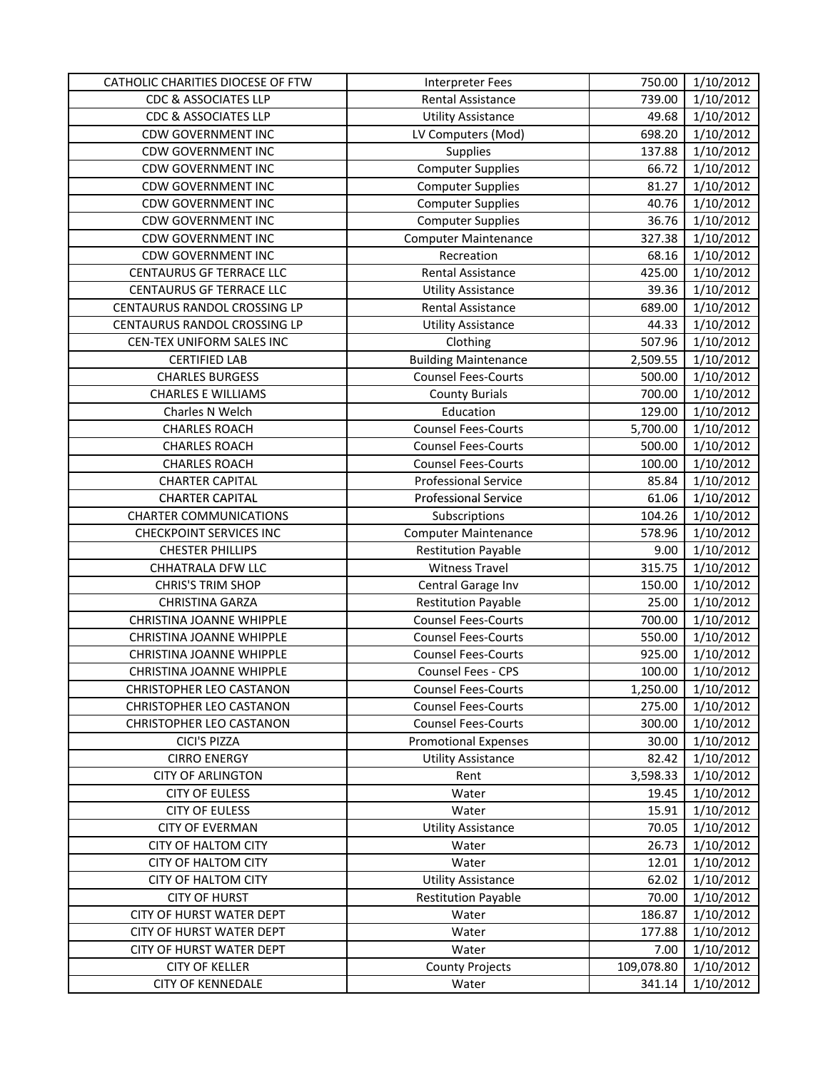| CATHOLIC CHARITIES DIOCESE OF FTW | <b>Interpreter Fees</b>     | 750.00     | 1/10/2012 |
|-----------------------------------|-----------------------------|------------|-----------|
| <b>CDC &amp; ASSOCIATES LLP</b>   | <b>Rental Assistance</b>    | 739.00     | 1/10/2012 |
| CDC & ASSOCIATES LLP              | <b>Utility Assistance</b>   | 49.68      | 1/10/2012 |
| CDW GOVERNMENT INC                | LV Computers (Mod)          | 698.20     | 1/10/2012 |
| <b>CDW GOVERNMENT INC</b>         | <b>Supplies</b>             | 137.88     | 1/10/2012 |
| <b>CDW GOVERNMENT INC</b>         | <b>Computer Supplies</b>    | 66.72      | 1/10/2012 |
| <b>CDW GOVERNMENT INC</b>         | <b>Computer Supplies</b>    | 81.27      | 1/10/2012 |
| <b>CDW GOVERNMENT INC</b>         | <b>Computer Supplies</b>    | 40.76      | 1/10/2012 |
| <b>CDW GOVERNMENT INC</b>         | <b>Computer Supplies</b>    | 36.76      | 1/10/2012 |
| <b>CDW GOVERNMENT INC</b>         | <b>Computer Maintenance</b> | 327.38     | 1/10/2012 |
| <b>CDW GOVERNMENT INC</b>         | Recreation                  | 68.16      | 1/10/2012 |
| <b>CENTAURUS GF TERRACE LLC</b>   | <b>Rental Assistance</b>    | 425.00     | 1/10/2012 |
| <b>CENTAURUS GF TERRACE LLC</b>   | <b>Utility Assistance</b>   | 39.36      | 1/10/2012 |
| CENTAURUS RANDOL CROSSING LP      | Rental Assistance           | 689.00     | 1/10/2012 |
| CENTAURUS RANDOL CROSSING LP      | <b>Utility Assistance</b>   | 44.33      | 1/10/2012 |
| CEN-TEX UNIFORM SALES INC         | Clothing                    | 507.96     | 1/10/2012 |
| <b>CERTIFIED LAB</b>              | <b>Building Maintenance</b> | 2,509.55   | 1/10/2012 |
| <b>CHARLES BURGESS</b>            | <b>Counsel Fees-Courts</b>  | 500.00     | 1/10/2012 |
| <b>CHARLES E WILLIAMS</b>         | <b>County Burials</b>       | 700.00     | 1/10/2012 |
| Charles N Welch                   | Education                   | 129.00     | 1/10/2012 |
| <b>CHARLES ROACH</b>              | <b>Counsel Fees-Courts</b>  | 5,700.00   | 1/10/2012 |
| <b>CHARLES ROACH</b>              | <b>Counsel Fees-Courts</b>  | 500.00     | 1/10/2012 |
| <b>CHARLES ROACH</b>              | <b>Counsel Fees-Courts</b>  | 100.00     | 1/10/2012 |
| <b>CHARTER CAPITAL</b>            | <b>Professional Service</b> | 85.84      | 1/10/2012 |
| <b>CHARTER CAPITAL</b>            | <b>Professional Service</b> | 61.06      | 1/10/2012 |
| <b>CHARTER COMMUNICATIONS</b>     | Subscriptions               | 104.26     | 1/10/2012 |
| <b>CHECKPOINT SERVICES INC</b>    | <b>Computer Maintenance</b> | 578.96     | 1/10/2012 |
| <b>CHESTER PHILLIPS</b>           | <b>Restitution Payable</b>  | 9.00       | 1/10/2012 |
| CHHATRALA DFW LLC                 | <b>Witness Travel</b>       | 315.75     | 1/10/2012 |
| <b>CHRIS'S TRIM SHOP</b>          | Central Garage Inv          | 150.00     | 1/10/2012 |
| <b>CHRISTINA GARZA</b>            | <b>Restitution Payable</b>  | 25.00      | 1/10/2012 |
| CHRISTINA JOANNE WHIPPLE          | <b>Counsel Fees-Courts</b>  | 700.00     | 1/10/2012 |
| CHRISTINA JOANNE WHIPPLE          | <b>Counsel Fees-Courts</b>  | 550.00     | 1/10/2012 |
| <b>CHRISTINA JOANNE WHIPPLE</b>   | <b>Counsel Fees-Courts</b>  | 925.00     | 1/10/2012 |
| CHRISTINA JOANNE WHIPPLE          | Counsel Fees - CPS          | 100.00     | 1/10/2012 |
| <b>CHRISTOPHER LEO CASTANON</b>   | <b>Counsel Fees-Courts</b>  | 1,250.00   | 1/10/2012 |
| <b>CHRISTOPHER LEO CASTANON</b>   | <b>Counsel Fees-Courts</b>  | 275.00     | 1/10/2012 |
| <b>CHRISTOPHER LEO CASTANON</b>   | <b>Counsel Fees-Courts</b>  | 300.00     | 1/10/2012 |
| CICI'S PIZZA                      | <b>Promotional Expenses</b> | 30.00      | 1/10/2012 |
| <b>CIRRO ENERGY</b>               | <b>Utility Assistance</b>   | 82.42      | 1/10/2012 |
| <b>CITY OF ARLINGTON</b>          | Rent                        | 3,598.33   | 1/10/2012 |
| <b>CITY OF EULESS</b>             | Water                       | 19.45      | 1/10/2012 |
| <b>CITY OF EULESS</b>             | Water                       | 15.91      | 1/10/2012 |
| <b>CITY OF EVERMAN</b>            | <b>Utility Assistance</b>   | 70.05      | 1/10/2012 |
| <b>CITY OF HALTOM CITY</b>        | Water                       | 26.73      | 1/10/2012 |
| <b>CITY OF HALTOM CITY</b>        | Water                       | 12.01      | 1/10/2012 |
| <b>CITY OF HALTOM CITY</b>        | <b>Utility Assistance</b>   | 62.02      | 1/10/2012 |
| <b>CITY OF HURST</b>              | <b>Restitution Payable</b>  | 70.00      | 1/10/2012 |
| CITY OF HURST WATER DEPT          | Water                       | 186.87     | 1/10/2012 |
| CITY OF HURST WATER DEPT          | Water                       | 177.88     | 1/10/2012 |
| CITY OF HURST WATER DEPT          | Water                       | 7.00       | 1/10/2012 |
| <b>CITY OF KELLER</b>             | <b>County Projects</b>      | 109,078.80 | 1/10/2012 |
| <b>CITY OF KENNEDALE</b>          | Water                       | 341.14     | 1/10/2012 |
|                                   |                             |            |           |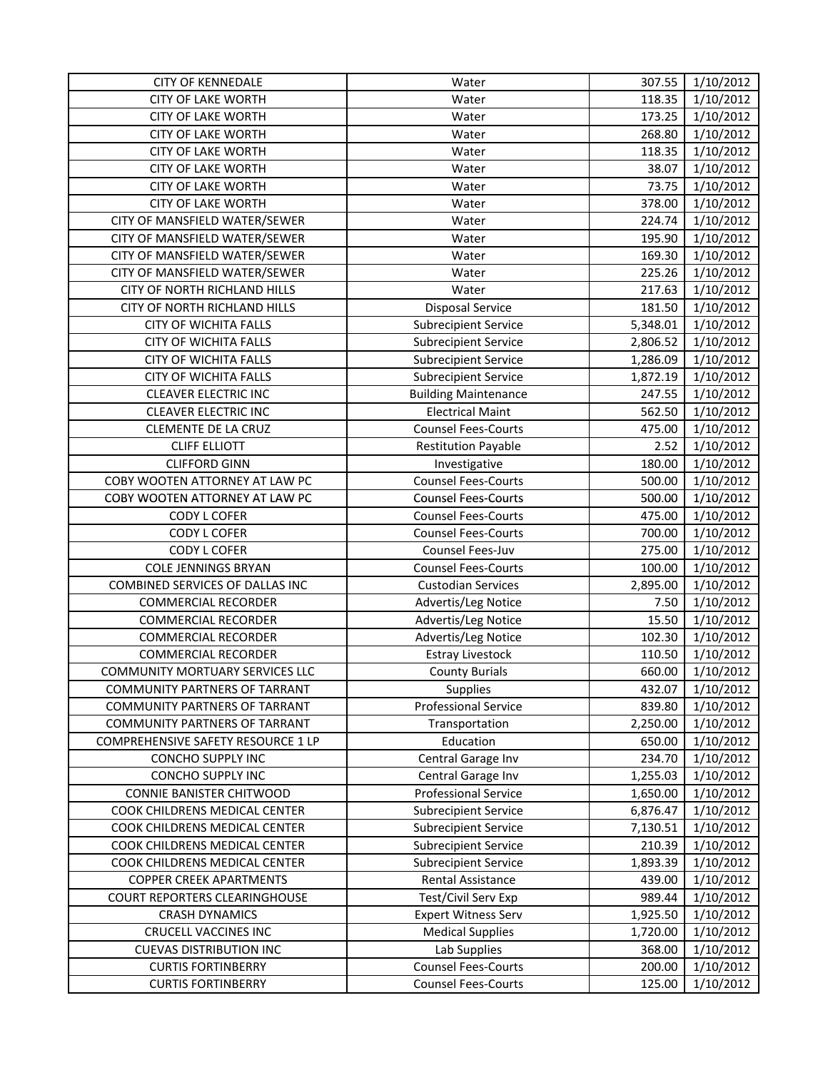| 118.35<br>1/10/2012<br><b>CITY OF LAKE WORTH</b><br>Water<br>1/10/2012<br><b>CITY OF LAKE WORTH</b><br>173.25<br>Water<br><b>CITY OF LAKE WORTH</b><br>268.80<br>1/10/2012<br>Water<br>1/10/2012<br><b>CITY OF LAKE WORTH</b><br>118.35<br>Water<br><b>CITY OF LAKE WORTH</b><br>38.07<br>1/10/2012<br>Water<br><b>CITY OF LAKE WORTH</b><br>73.75<br>1/10/2012<br>Water<br>1/10/2012<br><b>CITY OF LAKE WORTH</b><br>378.00<br>Water<br>CITY OF MANSFIELD WATER/SEWER<br>224.74<br>1/10/2012<br>Water<br>1/10/2012<br>CITY OF MANSFIELD WATER/SEWER<br>195.90<br>Water<br>CITY OF MANSFIELD WATER/SEWER<br>169.30<br>1/10/2012<br>Water<br>CITY OF MANSFIELD WATER/SEWER<br>225.26<br>1/10/2012<br>Water<br>1/10/2012<br>CITY OF NORTH RICHLAND HILLS<br>Water<br>217.63<br>181.50<br>1/10/2012<br>CITY OF NORTH RICHLAND HILLS<br><b>Disposal Service</b><br>5,348.01<br>1/10/2012<br><b>CITY OF WICHITA FALLS</b><br>Subrecipient Service<br><b>CITY OF WICHITA FALLS</b><br><b>Subrecipient Service</b><br>2,806.52<br>1/10/2012<br><b>CITY OF WICHITA FALLS</b><br>1,286.09<br>1/10/2012<br><b>Subrecipient Service</b><br><b>CITY OF WICHITA FALLS</b><br>1/10/2012<br><b>Subrecipient Service</b><br>1,872.19<br>1/10/2012<br><b>CLEAVER ELECTRIC INC</b><br>247.55<br><b>Building Maintenance</b><br><b>Electrical Maint</b><br>562.50<br>1/10/2012<br><b>CLEAVER ELECTRIC INC</b><br><b>Counsel Fees-Courts</b><br>1/10/2012<br><b>CLEMENTE DE LA CRUZ</b><br>475.00<br><b>CLIFF ELLIOTT</b><br>2.52<br>1/10/2012<br><b>Restitution Payable</b><br><b>CLIFFORD GINN</b><br>180.00<br>1/10/2012<br>Investigative<br>Counsel Fees-Courts<br>COBY WOOTEN ATTORNEY AT LAW PC<br>500.00<br>1/10/2012<br>COBY WOOTEN ATTORNEY AT LAW PC<br><b>Counsel Fees-Courts</b><br>500.00<br>1/10/2012<br>475.00<br>1/10/2012<br><b>CODY L COFER</b><br><b>Counsel Fees-Courts</b><br>700.00<br>1/10/2012<br><b>CODY L COFER</b><br><b>Counsel Fees-Courts</b><br>275.00<br>1/10/2012<br><b>CODY L COFER</b><br>Counsel Fees-Juv<br><b>Counsel Fees-Courts</b><br>100.00<br>1/10/2012<br><b>COLE JENNINGS BRYAN</b><br>1/10/2012<br>COMBINED SERVICES OF DALLAS INC<br><b>Custodian Services</b><br>2,895.00<br>Advertis/Leg Notice<br>1/10/2012<br><b>COMMERCIAL RECORDER</b><br>7.50<br><b>COMMERCIAL RECORDER</b><br>Advertis/Leg Notice<br>15.50<br>1/10/2012<br><b>COMMERCIAL RECORDER</b><br>Advertis/Leg Notice<br>102.30<br>1/10/2012<br><b>COMMERCIAL RECORDER</b><br>1/10/2012<br><b>Estray Livestock</b><br>110.50<br>1/10/2012<br><b>County Burials</b><br>660.00<br><b>COMMUNITY MORTUARY SERVICES LLC</b><br>1/10/2012<br><b>COMMUNITY PARTNERS OF TARRANT</b><br><b>Supplies</b><br>432.07<br><b>Professional Service</b><br>839.80<br>1/10/2012<br><b>COMMUNITY PARTNERS OF TARRANT</b><br>COMMUNITY PARTNERS OF TARRANT<br>2,250.00<br>1/10/2012<br>Transportation<br>COMPREHENSIVE SAFETY RESOURCE 1 LP<br>Education<br>650.00<br>1/10/2012<br>1/10/2012<br><b>CONCHO SUPPLY INC</b><br>Central Garage Inv<br>234.70<br>CONCHO SUPPLY INC<br>Central Garage Inv<br>1/10/2012<br>1,255.03<br><b>Professional Service</b><br><b>CONNIE BANISTER CHITWOOD</b><br>1/10/2012<br>1,650.00<br>COOK CHILDRENS MEDICAL CENTER<br><b>Subrecipient Service</b><br>6,876.47<br>1/10/2012<br>COOK CHILDRENS MEDICAL CENTER<br><b>Subrecipient Service</b><br>1/10/2012<br>7,130.51<br>COOK CHILDRENS MEDICAL CENTER<br><b>Subrecipient Service</b><br>210.39<br>1/10/2012<br>1/10/2012<br>COOK CHILDRENS MEDICAL CENTER<br><b>Subrecipient Service</b><br>1,893.39<br>1/10/2012<br><b>COPPER CREEK APARTMENTS</b><br>Rental Assistance<br>439.00<br><b>COURT REPORTERS CLEARINGHOUSE</b><br>Test/Civil Serv Exp<br>989.44<br>1/10/2012<br><b>Expert Witness Serv</b><br><b>CRASH DYNAMICS</b><br>1,925.50<br>1/10/2012<br><b>Medical Supplies</b><br>1/10/2012<br><b>CRUCELL VACCINES INC</b><br>1,720.00<br>Lab Supplies<br>368.00<br>1/10/2012<br><b>CUEVAS DISTRIBUTION INC</b><br><b>Counsel Fees-Courts</b><br>1/10/2012<br><b>CURTIS FORTINBERRY</b><br>200.00 | <b>CITY OF KENNEDALE</b>  | Water                      | 307.55 | 1/10/2012 |
|--------------------------------------------------------------------------------------------------------------------------------------------------------------------------------------------------------------------------------------------------------------------------------------------------------------------------------------------------------------------------------------------------------------------------------------------------------------------------------------------------------------------------------------------------------------------------------------------------------------------------------------------------------------------------------------------------------------------------------------------------------------------------------------------------------------------------------------------------------------------------------------------------------------------------------------------------------------------------------------------------------------------------------------------------------------------------------------------------------------------------------------------------------------------------------------------------------------------------------------------------------------------------------------------------------------------------------------------------------------------------------------------------------------------------------------------------------------------------------------------------------------------------------------------------------------------------------------------------------------------------------------------------------------------------------------------------------------------------------------------------------------------------------------------------------------------------------------------------------------------------------------------------------------------------------------------------------------------------------------------------------------------------------------------------------------------------------------------------------------------------------------------------------------------------------------------------------------------------------------------------------------------------------------------------------------------------------------------------------------------------------------------------------------------------------------------------------------------------------------------------------------------------------------------------------------------------------------------------------------------------------------------------------------------------------------------------------------------------------------------------------------------------------------------------------------------------------------------------------------------------------------------------------------------------------------------------------------------------------------------------------------------------------------------------------------------------------------------------------------------------------------------------------------------------------------------------------------------------------------------------------------------------------------------------------------------------------------------------------------------------------------------------------------------------------------------------------------------------------------------------------------------------------------------------------------------------------------------------------------------------------------------------------------------------------------------------------------------------------------------------------------------------------------------------------------------------------------------------------------------------------------------------------------------------------------------------------------------------------------------------------------------------------------------------------------------|---------------------------|----------------------------|--------|-----------|
|                                                                                                                                                                                                                                                                                                                                                                                                                                                                                                                                                                                                                                                                                                                                                                                                                                                                                                                                                                                                                                                                                                                                                                                                                                                                                                                                                                                                                                                                                                                                                                                                                                                                                                                                                                                                                                                                                                                                                                                                                                                                                                                                                                                                                                                                                                                                                                                                                                                                                                                                                                                                                                                                                                                                                                                                                                                                                                                                                                                                                                                                                                                                                                                                                                                                                                                                                                                                                                                                                                                                                                                                                                                                                                                                                                                                                                                                                                                                                                                                                                                                    |                           |                            |        |           |
|                                                                                                                                                                                                                                                                                                                                                                                                                                                                                                                                                                                                                                                                                                                                                                                                                                                                                                                                                                                                                                                                                                                                                                                                                                                                                                                                                                                                                                                                                                                                                                                                                                                                                                                                                                                                                                                                                                                                                                                                                                                                                                                                                                                                                                                                                                                                                                                                                                                                                                                                                                                                                                                                                                                                                                                                                                                                                                                                                                                                                                                                                                                                                                                                                                                                                                                                                                                                                                                                                                                                                                                                                                                                                                                                                                                                                                                                                                                                                                                                                                                                    |                           |                            |        |           |
|                                                                                                                                                                                                                                                                                                                                                                                                                                                                                                                                                                                                                                                                                                                                                                                                                                                                                                                                                                                                                                                                                                                                                                                                                                                                                                                                                                                                                                                                                                                                                                                                                                                                                                                                                                                                                                                                                                                                                                                                                                                                                                                                                                                                                                                                                                                                                                                                                                                                                                                                                                                                                                                                                                                                                                                                                                                                                                                                                                                                                                                                                                                                                                                                                                                                                                                                                                                                                                                                                                                                                                                                                                                                                                                                                                                                                                                                                                                                                                                                                                                                    |                           |                            |        |           |
|                                                                                                                                                                                                                                                                                                                                                                                                                                                                                                                                                                                                                                                                                                                                                                                                                                                                                                                                                                                                                                                                                                                                                                                                                                                                                                                                                                                                                                                                                                                                                                                                                                                                                                                                                                                                                                                                                                                                                                                                                                                                                                                                                                                                                                                                                                                                                                                                                                                                                                                                                                                                                                                                                                                                                                                                                                                                                                                                                                                                                                                                                                                                                                                                                                                                                                                                                                                                                                                                                                                                                                                                                                                                                                                                                                                                                                                                                                                                                                                                                                                                    |                           |                            |        |           |
|                                                                                                                                                                                                                                                                                                                                                                                                                                                                                                                                                                                                                                                                                                                                                                                                                                                                                                                                                                                                                                                                                                                                                                                                                                                                                                                                                                                                                                                                                                                                                                                                                                                                                                                                                                                                                                                                                                                                                                                                                                                                                                                                                                                                                                                                                                                                                                                                                                                                                                                                                                                                                                                                                                                                                                                                                                                                                                                                                                                                                                                                                                                                                                                                                                                                                                                                                                                                                                                                                                                                                                                                                                                                                                                                                                                                                                                                                                                                                                                                                                                                    |                           |                            |        |           |
|                                                                                                                                                                                                                                                                                                                                                                                                                                                                                                                                                                                                                                                                                                                                                                                                                                                                                                                                                                                                                                                                                                                                                                                                                                                                                                                                                                                                                                                                                                                                                                                                                                                                                                                                                                                                                                                                                                                                                                                                                                                                                                                                                                                                                                                                                                                                                                                                                                                                                                                                                                                                                                                                                                                                                                                                                                                                                                                                                                                                                                                                                                                                                                                                                                                                                                                                                                                                                                                                                                                                                                                                                                                                                                                                                                                                                                                                                                                                                                                                                                                                    |                           |                            |        |           |
|                                                                                                                                                                                                                                                                                                                                                                                                                                                                                                                                                                                                                                                                                                                                                                                                                                                                                                                                                                                                                                                                                                                                                                                                                                                                                                                                                                                                                                                                                                                                                                                                                                                                                                                                                                                                                                                                                                                                                                                                                                                                                                                                                                                                                                                                                                                                                                                                                                                                                                                                                                                                                                                                                                                                                                                                                                                                                                                                                                                                                                                                                                                                                                                                                                                                                                                                                                                                                                                                                                                                                                                                                                                                                                                                                                                                                                                                                                                                                                                                                                                                    |                           |                            |        |           |
|                                                                                                                                                                                                                                                                                                                                                                                                                                                                                                                                                                                                                                                                                                                                                                                                                                                                                                                                                                                                                                                                                                                                                                                                                                                                                                                                                                                                                                                                                                                                                                                                                                                                                                                                                                                                                                                                                                                                                                                                                                                                                                                                                                                                                                                                                                                                                                                                                                                                                                                                                                                                                                                                                                                                                                                                                                                                                                                                                                                                                                                                                                                                                                                                                                                                                                                                                                                                                                                                                                                                                                                                                                                                                                                                                                                                                                                                                                                                                                                                                                                                    |                           |                            |        |           |
|                                                                                                                                                                                                                                                                                                                                                                                                                                                                                                                                                                                                                                                                                                                                                                                                                                                                                                                                                                                                                                                                                                                                                                                                                                                                                                                                                                                                                                                                                                                                                                                                                                                                                                                                                                                                                                                                                                                                                                                                                                                                                                                                                                                                                                                                                                                                                                                                                                                                                                                                                                                                                                                                                                                                                                                                                                                                                                                                                                                                                                                                                                                                                                                                                                                                                                                                                                                                                                                                                                                                                                                                                                                                                                                                                                                                                                                                                                                                                                                                                                                                    |                           |                            |        |           |
|                                                                                                                                                                                                                                                                                                                                                                                                                                                                                                                                                                                                                                                                                                                                                                                                                                                                                                                                                                                                                                                                                                                                                                                                                                                                                                                                                                                                                                                                                                                                                                                                                                                                                                                                                                                                                                                                                                                                                                                                                                                                                                                                                                                                                                                                                                                                                                                                                                                                                                                                                                                                                                                                                                                                                                                                                                                                                                                                                                                                                                                                                                                                                                                                                                                                                                                                                                                                                                                                                                                                                                                                                                                                                                                                                                                                                                                                                                                                                                                                                                                                    |                           |                            |        |           |
|                                                                                                                                                                                                                                                                                                                                                                                                                                                                                                                                                                                                                                                                                                                                                                                                                                                                                                                                                                                                                                                                                                                                                                                                                                                                                                                                                                                                                                                                                                                                                                                                                                                                                                                                                                                                                                                                                                                                                                                                                                                                                                                                                                                                                                                                                                                                                                                                                                                                                                                                                                                                                                                                                                                                                                                                                                                                                                                                                                                                                                                                                                                                                                                                                                                                                                                                                                                                                                                                                                                                                                                                                                                                                                                                                                                                                                                                                                                                                                                                                                                                    |                           |                            |        |           |
|                                                                                                                                                                                                                                                                                                                                                                                                                                                                                                                                                                                                                                                                                                                                                                                                                                                                                                                                                                                                                                                                                                                                                                                                                                                                                                                                                                                                                                                                                                                                                                                                                                                                                                                                                                                                                                                                                                                                                                                                                                                                                                                                                                                                                                                                                                                                                                                                                                                                                                                                                                                                                                                                                                                                                                                                                                                                                                                                                                                                                                                                                                                                                                                                                                                                                                                                                                                                                                                                                                                                                                                                                                                                                                                                                                                                                                                                                                                                                                                                                                                                    |                           |                            |        |           |
|                                                                                                                                                                                                                                                                                                                                                                                                                                                                                                                                                                                                                                                                                                                                                                                                                                                                                                                                                                                                                                                                                                                                                                                                                                                                                                                                                                                                                                                                                                                                                                                                                                                                                                                                                                                                                                                                                                                                                                                                                                                                                                                                                                                                                                                                                                                                                                                                                                                                                                                                                                                                                                                                                                                                                                                                                                                                                                                                                                                                                                                                                                                                                                                                                                                                                                                                                                                                                                                                                                                                                                                                                                                                                                                                                                                                                                                                                                                                                                                                                                                                    |                           |                            |        |           |
|                                                                                                                                                                                                                                                                                                                                                                                                                                                                                                                                                                                                                                                                                                                                                                                                                                                                                                                                                                                                                                                                                                                                                                                                                                                                                                                                                                                                                                                                                                                                                                                                                                                                                                                                                                                                                                                                                                                                                                                                                                                                                                                                                                                                                                                                                                                                                                                                                                                                                                                                                                                                                                                                                                                                                                                                                                                                                                                                                                                                                                                                                                                                                                                                                                                                                                                                                                                                                                                                                                                                                                                                                                                                                                                                                                                                                                                                                                                                                                                                                                                                    |                           |                            |        |           |
|                                                                                                                                                                                                                                                                                                                                                                                                                                                                                                                                                                                                                                                                                                                                                                                                                                                                                                                                                                                                                                                                                                                                                                                                                                                                                                                                                                                                                                                                                                                                                                                                                                                                                                                                                                                                                                                                                                                                                                                                                                                                                                                                                                                                                                                                                                                                                                                                                                                                                                                                                                                                                                                                                                                                                                                                                                                                                                                                                                                                                                                                                                                                                                                                                                                                                                                                                                                                                                                                                                                                                                                                                                                                                                                                                                                                                                                                                                                                                                                                                                                                    |                           |                            |        |           |
|                                                                                                                                                                                                                                                                                                                                                                                                                                                                                                                                                                                                                                                                                                                                                                                                                                                                                                                                                                                                                                                                                                                                                                                                                                                                                                                                                                                                                                                                                                                                                                                                                                                                                                                                                                                                                                                                                                                                                                                                                                                                                                                                                                                                                                                                                                                                                                                                                                                                                                                                                                                                                                                                                                                                                                                                                                                                                                                                                                                                                                                                                                                                                                                                                                                                                                                                                                                                                                                                                                                                                                                                                                                                                                                                                                                                                                                                                                                                                                                                                                                                    |                           |                            |        |           |
|                                                                                                                                                                                                                                                                                                                                                                                                                                                                                                                                                                                                                                                                                                                                                                                                                                                                                                                                                                                                                                                                                                                                                                                                                                                                                                                                                                                                                                                                                                                                                                                                                                                                                                                                                                                                                                                                                                                                                                                                                                                                                                                                                                                                                                                                                                                                                                                                                                                                                                                                                                                                                                                                                                                                                                                                                                                                                                                                                                                                                                                                                                                                                                                                                                                                                                                                                                                                                                                                                                                                                                                                                                                                                                                                                                                                                                                                                                                                                                                                                                                                    |                           |                            |        |           |
|                                                                                                                                                                                                                                                                                                                                                                                                                                                                                                                                                                                                                                                                                                                                                                                                                                                                                                                                                                                                                                                                                                                                                                                                                                                                                                                                                                                                                                                                                                                                                                                                                                                                                                                                                                                                                                                                                                                                                                                                                                                                                                                                                                                                                                                                                                                                                                                                                                                                                                                                                                                                                                                                                                                                                                                                                                                                                                                                                                                                                                                                                                                                                                                                                                                                                                                                                                                                                                                                                                                                                                                                                                                                                                                                                                                                                                                                                                                                                                                                                                                                    |                           |                            |        |           |
|                                                                                                                                                                                                                                                                                                                                                                                                                                                                                                                                                                                                                                                                                                                                                                                                                                                                                                                                                                                                                                                                                                                                                                                                                                                                                                                                                                                                                                                                                                                                                                                                                                                                                                                                                                                                                                                                                                                                                                                                                                                                                                                                                                                                                                                                                                                                                                                                                                                                                                                                                                                                                                                                                                                                                                                                                                                                                                                                                                                                                                                                                                                                                                                                                                                                                                                                                                                                                                                                                                                                                                                                                                                                                                                                                                                                                                                                                                                                                                                                                                                                    |                           |                            |        |           |
|                                                                                                                                                                                                                                                                                                                                                                                                                                                                                                                                                                                                                                                                                                                                                                                                                                                                                                                                                                                                                                                                                                                                                                                                                                                                                                                                                                                                                                                                                                                                                                                                                                                                                                                                                                                                                                                                                                                                                                                                                                                                                                                                                                                                                                                                                                                                                                                                                                                                                                                                                                                                                                                                                                                                                                                                                                                                                                                                                                                                                                                                                                                                                                                                                                                                                                                                                                                                                                                                                                                                                                                                                                                                                                                                                                                                                                                                                                                                                                                                                                                                    |                           |                            |        |           |
|                                                                                                                                                                                                                                                                                                                                                                                                                                                                                                                                                                                                                                                                                                                                                                                                                                                                                                                                                                                                                                                                                                                                                                                                                                                                                                                                                                                                                                                                                                                                                                                                                                                                                                                                                                                                                                                                                                                                                                                                                                                                                                                                                                                                                                                                                                                                                                                                                                                                                                                                                                                                                                                                                                                                                                                                                                                                                                                                                                                                                                                                                                                                                                                                                                                                                                                                                                                                                                                                                                                                                                                                                                                                                                                                                                                                                                                                                                                                                                                                                                                                    |                           |                            |        |           |
|                                                                                                                                                                                                                                                                                                                                                                                                                                                                                                                                                                                                                                                                                                                                                                                                                                                                                                                                                                                                                                                                                                                                                                                                                                                                                                                                                                                                                                                                                                                                                                                                                                                                                                                                                                                                                                                                                                                                                                                                                                                                                                                                                                                                                                                                                                                                                                                                                                                                                                                                                                                                                                                                                                                                                                                                                                                                                                                                                                                                                                                                                                                                                                                                                                                                                                                                                                                                                                                                                                                                                                                                                                                                                                                                                                                                                                                                                                                                                                                                                                                                    |                           |                            |        |           |
|                                                                                                                                                                                                                                                                                                                                                                                                                                                                                                                                                                                                                                                                                                                                                                                                                                                                                                                                                                                                                                                                                                                                                                                                                                                                                                                                                                                                                                                                                                                                                                                                                                                                                                                                                                                                                                                                                                                                                                                                                                                                                                                                                                                                                                                                                                                                                                                                                                                                                                                                                                                                                                                                                                                                                                                                                                                                                                                                                                                                                                                                                                                                                                                                                                                                                                                                                                                                                                                                                                                                                                                                                                                                                                                                                                                                                                                                                                                                                                                                                                                                    |                           |                            |        |           |
|                                                                                                                                                                                                                                                                                                                                                                                                                                                                                                                                                                                                                                                                                                                                                                                                                                                                                                                                                                                                                                                                                                                                                                                                                                                                                                                                                                                                                                                                                                                                                                                                                                                                                                                                                                                                                                                                                                                                                                                                                                                                                                                                                                                                                                                                                                                                                                                                                                                                                                                                                                                                                                                                                                                                                                                                                                                                                                                                                                                                                                                                                                                                                                                                                                                                                                                                                                                                                                                                                                                                                                                                                                                                                                                                                                                                                                                                                                                                                                                                                                                                    |                           |                            |        |           |
|                                                                                                                                                                                                                                                                                                                                                                                                                                                                                                                                                                                                                                                                                                                                                                                                                                                                                                                                                                                                                                                                                                                                                                                                                                                                                                                                                                                                                                                                                                                                                                                                                                                                                                                                                                                                                                                                                                                                                                                                                                                                                                                                                                                                                                                                                                                                                                                                                                                                                                                                                                                                                                                                                                                                                                                                                                                                                                                                                                                                                                                                                                                                                                                                                                                                                                                                                                                                                                                                                                                                                                                                                                                                                                                                                                                                                                                                                                                                                                                                                                                                    |                           |                            |        |           |
|                                                                                                                                                                                                                                                                                                                                                                                                                                                                                                                                                                                                                                                                                                                                                                                                                                                                                                                                                                                                                                                                                                                                                                                                                                                                                                                                                                                                                                                                                                                                                                                                                                                                                                                                                                                                                                                                                                                                                                                                                                                                                                                                                                                                                                                                                                                                                                                                                                                                                                                                                                                                                                                                                                                                                                                                                                                                                                                                                                                                                                                                                                                                                                                                                                                                                                                                                                                                                                                                                                                                                                                                                                                                                                                                                                                                                                                                                                                                                                                                                                                                    |                           |                            |        |           |
|                                                                                                                                                                                                                                                                                                                                                                                                                                                                                                                                                                                                                                                                                                                                                                                                                                                                                                                                                                                                                                                                                                                                                                                                                                                                                                                                                                                                                                                                                                                                                                                                                                                                                                                                                                                                                                                                                                                                                                                                                                                                                                                                                                                                                                                                                                                                                                                                                                                                                                                                                                                                                                                                                                                                                                                                                                                                                                                                                                                                                                                                                                                                                                                                                                                                                                                                                                                                                                                                                                                                                                                                                                                                                                                                                                                                                                                                                                                                                                                                                                                                    |                           |                            |        |           |
|                                                                                                                                                                                                                                                                                                                                                                                                                                                                                                                                                                                                                                                                                                                                                                                                                                                                                                                                                                                                                                                                                                                                                                                                                                                                                                                                                                                                                                                                                                                                                                                                                                                                                                                                                                                                                                                                                                                                                                                                                                                                                                                                                                                                                                                                                                                                                                                                                                                                                                                                                                                                                                                                                                                                                                                                                                                                                                                                                                                                                                                                                                                                                                                                                                                                                                                                                                                                                                                                                                                                                                                                                                                                                                                                                                                                                                                                                                                                                                                                                                                                    |                           |                            |        |           |
|                                                                                                                                                                                                                                                                                                                                                                                                                                                                                                                                                                                                                                                                                                                                                                                                                                                                                                                                                                                                                                                                                                                                                                                                                                                                                                                                                                                                                                                                                                                                                                                                                                                                                                                                                                                                                                                                                                                                                                                                                                                                                                                                                                                                                                                                                                                                                                                                                                                                                                                                                                                                                                                                                                                                                                                                                                                                                                                                                                                                                                                                                                                                                                                                                                                                                                                                                                                                                                                                                                                                                                                                                                                                                                                                                                                                                                                                                                                                                                                                                                                                    |                           |                            |        |           |
|                                                                                                                                                                                                                                                                                                                                                                                                                                                                                                                                                                                                                                                                                                                                                                                                                                                                                                                                                                                                                                                                                                                                                                                                                                                                                                                                                                                                                                                                                                                                                                                                                                                                                                                                                                                                                                                                                                                                                                                                                                                                                                                                                                                                                                                                                                                                                                                                                                                                                                                                                                                                                                                                                                                                                                                                                                                                                                                                                                                                                                                                                                                                                                                                                                                                                                                                                                                                                                                                                                                                                                                                                                                                                                                                                                                                                                                                                                                                                                                                                                                                    |                           |                            |        |           |
|                                                                                                                                                                                                                                                                                                                                                                                                                                                                                                                                                                                                                                                                                                                                                                                                                                                                                                                                                                                                                                                                                                                                                                                                                                                                                                                                                                                                                                                                                                                                                                                                                                                                                                                                                                                                                                                                                                                                                                                                                                                                                                                                                                                                                                                                                                                                                                                                                                                                                                                                                                                                                                                                                                                                                                                                                                                                                                                                                                                                                                                                                                                                                                                                                                                                                                                                                                                                                                                                                                                                                                                                                                                                                                                                                                                                                                                                                                                                                                                                                                                                    |                           |                            |        |           |
|                                                                                                                                                                                                                                                                                                                                                                                                                                                                                                                                                                                                                                                                                                                                                                                                                                                                                                                                                                                                                                                                                                                                                                                                                                                                                                                                                                                                                                                                                                                                                                                                                                                                                                                                                                                                                                                                                                                                                                                                                                                                                                                                                                                                                                                                                                                                                                                                                                                                                                                                                                                                                                                                                                                                                                                                                                                                                                                                                                                                                                                                                                                                                                                                                                                                                                                                                                                                                                                                                                                                                                                                                                                                                                                                                                                                                                                                                                                                                                                                                                                                    |                           |                            |        |           |
|                                                                                                                                                                                                                                                                                                                                                                                                                                                                                                                                                                                                                                                                                                                                                                                                                                                                                                                                                                                                                                                                                                                                                                                                                                                                                                                                                                                                                                                                                                                                                                                                                                                                                                                                                                                                                                                                                                                                                                                                                                                                                                                                                                                                                                                                                                                                                                                                                                                                                                                                                                                                                                                                                                                                                                                                                                                                                                                                                                                                                                                                                                                                                                                                                                                                                                                                                                                                                                                                                                                                                                                                                                                                                                                                                                                                                                                                                                                                                                                                                                                                    |                           |                            |        |           |
|                                                                                                                                                                                                                                                                                                                                                                                                                                                                                                                                                                                                                                                                                                                                                                                                                                                                                                                                                                                                                                                                                                                                                                                                                                                                                                                                                                                                                                                                                                                                                                                                                                                                                                                                                                                                                                                                                                                                                                                                                                                                                                                                                                                                                                                                                                                                                                                                                                                                                                                                                                                                                                                                                                                                                                                                                                                                                                                                                                                                                                                                                                                                                                                                                                                                                                                                                                                                                                                                                                                                                                                                                                                                                                                                                                                                                                                                                                                                                                                                                                                                    |                           |                            |        |           |
|                                                                                                                                                                                                                                                                                                                                                                                                                                                                                                                                                                                                                                                                                                                                                                                                                                                                                                                                                                                                                                                                                                                                                                                                                                                                                                                                                                                                                                                                                                                                                                                                                                                                                                                                                                                                                                                                                                                                                                                                                                                                                                                                                                                                                                                                                                                                                                                                                                                                                                                                                                                                                                                                                                                                                                                                                                                                                                                                                                                                                                                                                                                                                                                                                                                                                                                                                                                                                                                                                                                                                                                                                                                                                                                                                                                                                                                                                                                                                                                                                                                                    |                           |                            |        |           |
|                                                                                                                                                                                                                                                                                                                                                                                                                                                                                                                                                                                                                                                                                                                                                                                                                                                                                                                                                                                                                                                                                                                                                                                                                                                                                                                                                                                                                                                                                                                                                                                                                                                                                                                                                                                                                                                                                                                                                                                                                                                                                                                                                                                                                                                                                                                                                                                                                                                                                                                                                                                                                                                                                                                                                                                                                                                                                                                                                                                                                                                                                                                                                                                                                                                                                                                                                                                                                                                                                                                                                                                                                                                                                                                                                                                                                                                                                                                                                                                                                                                                    |                           |                            |        |           |
|                                                                                                                                                                                                                                                                                                                                                                                                                                                                                                                                                                                                                                                                                                                                                                                                                                                                                                                                                                                                                                                                                                                                                                                                                                                                                                                                                                                                                                                                                                                                                                                                                                                                                                                                                                                                                                                                                                                                                                                                                                                                                                                                                                                                                                                                                                                                                                                                                                                                                                                                                                                                                                                                                                                                                                                                                                                                                                                                                                                                                                                                                                                                                                                                                                                                                                                                                                                                                                                                                                                                                                                                                                                                                                                                                                                                                                                                                                                                                                                                                                                                    |                           |                            |        |           |
|                                                                                                                                                                                                                                                                                                                                                                                                                                                                                                                                                                                                                                                                                                                                                                                                                                                                                                                                                                                                                                                                                                                                                                                                                                                                                                                                                                                                                                                                                                                                                                                                                                                                                                                                                                                                                                                                                                                                                                                                                                                                                                                                                                                                                                                                                                                                                                                                                                                                                                                                                                                                                                                                                                                                                                                                                                                                                                                                                                                                                                                                                                                                                                                                                                                                                                                                                                                                                                                                                                                                                                                                                                                                                                                                                                                                                                                                                                                                                                                                                                                                    |                           |                            |        |           |
|                                                                                                                                                                                                                                                                                                                                                                                                                                                                                                                                                                                                                                                                                                                                                                                                                                                                                                                                                                                                                                                                                                                                                                                                                                                                                                                                                                                                                                                                                                                                                                                                                                                                                                                                                                                                                                                                                                                                                                                                                                                                                                                                                                                                                                                                                                                                                                                                                                                                                                                                                                                                                                                                                                                                                                                                                                                                                                                                                                                                                                                                                                                                                                                                                                                                                                                                                                                                                                                                                                                                                                                                                                                                                                                                                                                                                                                                                                                                                                                                                                                                    |                           |                            |        |           |
|                                                                                                                                                                                                                                                                                                                                                                                                                                                                                                                                                                                                                                                                                                                                                                                                                                                                                                                                                                                                                                                                                                                                                                                                                                                                                                                                                                                                                                                                                                                                                                                                                                                                                                                                                                                                                                                                                                                                                                                                                                                                                                                                                                                                                                                                                                                                                                                                                                                                                                                                                                                                                                                                                                                                                                                                                                                                                                                                                                                                                                                                                                                                                                                                                                                                                                                                                                                                                                                                                                                                                                                                                                                                                                                                                                                                                                                                                                                                                                                                                                                                    |                           |                            |        |           |
|                                                                                                                                                                                                                                                                                                                                                                                                                                                                                                                                                                                                                                                                                                                                                                                                                                                                                                                                                                                                                                                                                                                                                                                                                                                                                                                                                                                                                                                                                                                                                                                                                                                                                                                                                                                                                                                                                                                                                                                                                                                                                                                                                                                                                                                                                                                                                                                                                                                                                                                                                                                                                                                                                                                                                                                                                                                                                                                                                                                                                                                                                                                                                                                                                                                                                                                                                                                                                                                                                                                                                                                                                                                                                                                                                                                                                                                                                                                                                                                                                                                                    |                           |                            |        |           |
|                                                                                                                                                                                                                                                                                                                                                                                                                                                                                                                                                                                                                                                                                                                                                                                                                                                                                                                                                                                                                                                                                                                                                                                                                                                                                                                                                                                                                                                                                                                                                                                                                                                                                                                                                                                                                                                                                                                                                                                                                                                                                                                                                                                                                                                                                                                                                                                                                                                                                                                                                                                                                                                                                                                                                                                                                                                                                                                                                                                                                                                                                                                                                                                                                                                                                                                                                                                                                                                                                                                                                                                                                                                                                                                                                                                                                                                                                                                                                                                                                                                                    |                           |                            |        |           |
|                                                                                                                                                                                                                                                                                                                                                                                                                                                                                                                                                                                                                                                                                                                                                                                                                                                                                                                                                                                                                                                                                                                                                                                                                                                                                                                                                                                                                                                                                                                                                                                                                                                                                                                                                                                                                                                                                                                                                                                                                                                                                                                                                                                                                                                                                                                                                                                                                                                                                                                                                                                                                                                                                                                                                                                                                                                                                                                                                                                                                                                                                                                                                                                                                                                                                                                                                                                                                                                                                                                                                                                                                                                                                                                                                                                                                                                                                                                                                                                                                                                                    |                           |                            |        |           |
|                                                                                                                                                                                                                                                                                                                                                                                                                                                                                                                                                                                                                                                                                                                                                                                                                                                                                                                                                                                                                                                                                                                                                                                                                                                                                                                                                                                                                                                                                                                                                                                                                                                                                                                                                                                                                                                                                                                                                                                                                                                                                                                                                                                                                                                                                                                                                                                                                                                                                                                                                                                                                                                                                                                                                                                                                                                                                                                                                                                                                                                                                                                                                                                                                                                                                                                                                                                                                                                                                                                                                                                                                                                                                                                                                                                                                                                                                                                                                                                                                                                                    |                           |                            |        |           |
|                                                                                                                                                                                                                                                                                                                                                                                                                                                                                                                                                                                                                                                                                                                                                                                                                                                                                                                                                                                                                                                                                                                                                                                                                                                                                                                                                                                                                                                                                                                                                                                                                                                                                                                                                                                                                                                                                                                                                                                                                                                                                                                                                                                                                                                                                                                                                                                                                                                                                                                                                                                                                                                                                                                                                                                                                                                                                                                                                                                                                                                                                                                                                                                                                                                                                                                                                                                                                                                                                                                                                                                                                                                                                                                                                                                                                                                                                                                                                                                                                                                                    |                           |                            |        |           |
|                                                                                                                                                                                                                                                                                                                                                                                                                                                                                                                                                                                                                                                                                                                                                                                                                                                                                                                                                                                                                                                                                                                                                                                                                                                                                                                                                                                                                                                                                                                                                                                                                                                                                                                                                                                                                                                                                                                                                                                                                                                                                                                                                                                                                                                                                                                                                                                                                                                                                                                                                                                                                                                                                                                                                                                                                                                                                                                                                                                                                                                                                                                                                                                                                                                                                                                                                                                                                                                                                                                                                                                                                                                                                                                                                                                                                                                                                                                                                                                                                                                                    |                           |                            |        |           |
|                                                                                                                                                                                                                                                                                                                                                                                                                                                                                                                                                                                                                                                                                                                                                                                                                                                                                                                                                                                                                                                                                                                                                                                                                                                                                                                                                                                                                                                                                                                                                                                                                                                                                                                                                                                                                                                                                                                                                                                                                                                                                                                                                                                                                                                                                                                                                                                                                                                                                                                                                                                                                                                                                                                                                                                                                                                                                                                                                                                                                                                                                                                                                                                                                                                                                                                                                                                                                                                                                                                                                                                                                                                                                                                                                                                                                                                                                                                                                                                                                                                                    |                           |                            |        |           |
|                                                                                                                                                                                                                                                                                                                                                                                                                                                                                                                                                                                                                                                                                                                                                                                                                                                                                                                                                                                                                                                                                                                                                                                                                                                                                                                                                                                                                                                                                                                                                                                                                                                                                                                                                                                                                                                                                                                                                                                                                                                                                                                                                                                                                                                                                                                                                                                                                                                                                                                                                                                                                                                                                                                                                                                                                                                                                                                                                                                                                                                                                                                                                                                                                                                                                                                                                                                                                                                                                                                                                                                                                                                                                                                                                                                                                                                                                                                                                                                                                                                                    |                           |                            |        |           |
|                                                                                                                                                                                                                                                                                                                                                                                                                                                                                                                                                                                                                                                                                                                                                                                                                                                                                                                                                                                                                                                                                                                                                                                                                                                                                                                                                                                                                                                                                                                                                                                                                                                                                                                                                                                                                                                                                                                                                                                                                                                                                                                                                                                                                                                                                                                                                                                                                                                                                                                                                                                                                                                                                                                                                                                                                                                                                                                                                                                                                                                                                                                                                                                                                                                                                                                                                                                                                                                                                                                                                                                                                                                                                                                                                                                                                                                                                                                                                                                                                                                                    |                           |                            |        |           |
|                                                                                                                                                                                                                                                                                                                                                                                                                                                                                                                                                                                                                                                                                                                                                                                                                                                                                                                                                                                                                                                                                                                                                                                                                                                                                                                                                                                                                                                                                                                                                                                                                                                                                                                                                                                                                                                                                                                                                                                                                                                                                                                                                                                                                                                                                                                                                                                                                                                                                                                                                                                                                                                                                                                                                                                                                                                                                                                                                                                                                                                                                                                                                                                                                                                                                                                                                                                                                                                                                                                                                                                                                                                                                                                                                                                                                                                                                                                                                                                                                                                                    |                           |                            |        |           |
|                                                                                                                                                                                                                                                                                                                                                                                                                                                                                                                                                                                                                                                                                                                                                                                                                                                                                                                                                                                                                                                                                                                                                                                                                                                                                                                                                                                                                                                                                                                                                                                                                                                                                                                                                                                                                                                                                                                                                                                                                                                                                                                                                                                                                                                                                                                                                                                                                                                                                                                                                                                                                                                                                                                                                                                                                                                                                                                                                                                                                                                                                                                                                                                                                                                                                                                                                                                                                                                                                                                                                                                                                                                                                                                                                                                                                                                                                                                                                                                                                                                                    |                           |                            |        |           |
|                                                                                                                                                                                                                                                                                                                                                                                                                                                                                                                                                                                                                                                                                                                                                                                                                                                                                                                                                                                                                                                                                                                                                                                                                                                                                                                                                                                                                                                                                                                                                                                                                                                                                                                                                                                                                                                                                                                                                                                                                                                                                                                                                                                                                                                                                                                                                                                                                                                                                                                                                                                                                                                                                                                                                                                                                                                                                                                                                                                                                                                                                                                                                                                                                                                                                                                                                                                                                                                                                                                                                                                                                                                                                                                                                                                                                                                                                                                                                                                                                                                                    | <b>CURTIS FORTINBERRY</b> | <b>Counsel Fees-Courts</b> | 125.00 | 1/10/2012 |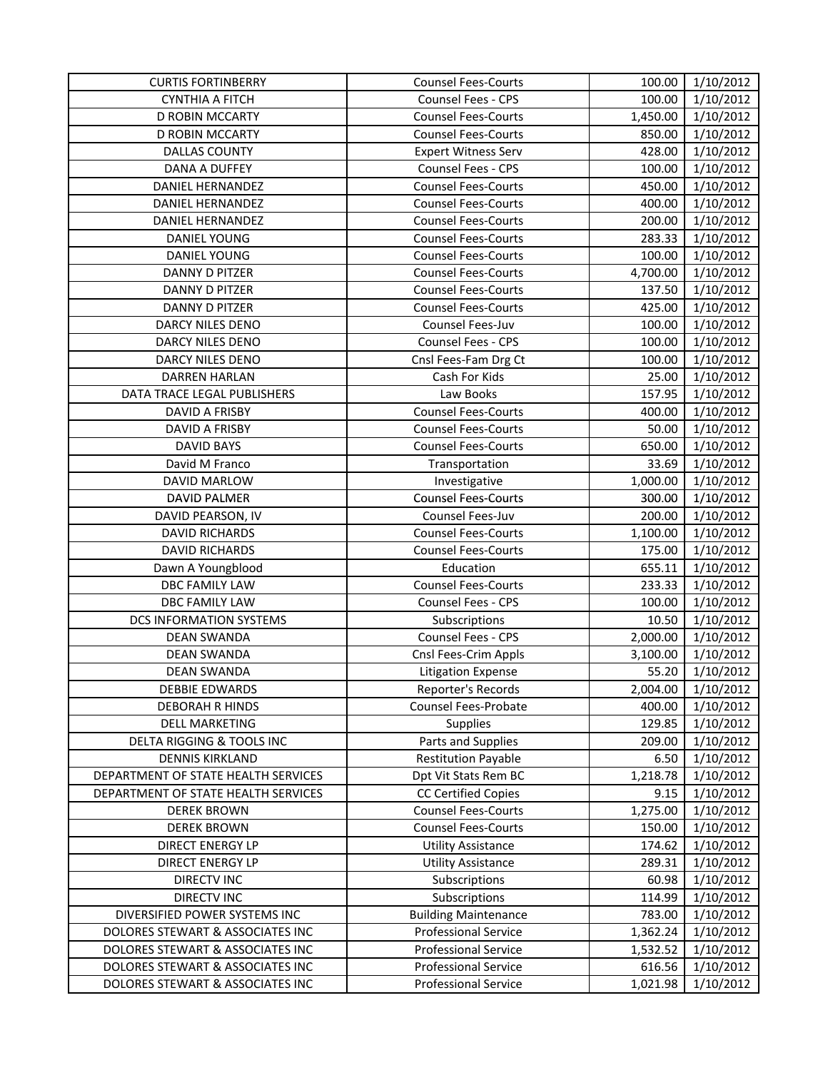| <b>CURTIS FORTINBERRY</b>           | <b>Counsel Fees-Courts</b>  | 100.00   | 1/10/2012 |
|-------------------------------------|-----------------------------|----------|-----------|
| <b>CYNTHIA A FITCH</b>              | Counsel Fees - CPS          | 100.00   | 1/10/2012 |
| D ROBIN MCCARTY                     | <b>Counsel Fees-Courts</b>  | 1,450.00 | 1/10/2012 |
| D ROBIN MCCARTY                     | <b>Counsel Fees-Courts</b>  | 850.00   | 1/10/2012 |
| <b>DALLAS COUNTY</b>                | <b>Expert Witness Serv</b>  | 428.00   | 1/10/2012 |
| <b>DANA A DUFFEY</b>                | <b>Counsel Fees - CPS</b>   | 100.00   | 1/10/2012 |
| DANIEL HERNANDEZ                    | <b>Counsel Fees-Courts</b>  | 450.00   | 1/10/2012 |
| DANIEL HERNANDEZ                    | <b>Counsel Fees-Courts</b>  | 400.00   | 1/10/2012 |
| DANIEL HERNANDEZ                    | <b>Counsel Fees-Courts</b>  | 200.00   | 1/10/2012 |
| <b>DANIEL YOUNG</b>                 | <b>Counsel Fees-Courts</b>  | 283.33   | 1/10/2012 |
| DANIEL YOUNG                        | <b>Counsel Fees-Courts</b>  | 100.00   | 1/10/2012 |
| <b>DANNY D PITZER</b>               | <b>Counsel Fees-Courts</b>  | 4,700.00 | 1/10/2012 |
| <b>DANNY D PITZER</b>               | <b>Counsel Fees-Courts</b>  | 137.50   | 1/10/2012 |
| DANNY D PITZER                      | <b>Counsel Fees-Courts</b>  | 425.00   | 1/10/2012 |
| DARCY NILES DENO                    | Counsel Fees-Juv            | 100.00   | 1/10/2012 |
| DARCY NILES DENO                    | Counsel Fees - CPS          | 100.00   | 1/10/2012 |
| DARCY NILES DENO                    | Cnsl Fees-Fam Drg Ct        | 100.00   | 1/10/2012 |
| <b>DARREN HARLAN</b>                | Cash For Kids               | 25.00    | 1/10/2012 |
| DATA TRACE LEGAL PUBLISHERS         | Law Books                   | 157.95   | 1/10/2012 |
| DAVID A FRISBY                      | <b>Counsel Fees-Courts</b>  | 400.00   | 1/10/2012 |
| DAVID A FRISBY                      | <b>Counsel Fees-Courts</b>  | 50.00    | 1/10/2012 |
| DAVID BAYS                          | <b>Counsel Fees-Courts</b>  | 650.00   | 1/10/2012 |
| David M Franco                      | Transportation              | 33.69    | 1/10/2012 |
| DAVID MARLOW                        | Investigative               | 1,000.00 | 1/10/2012 |
| <b>DAVID PALMER</b>                 | <b>Counsel Fees-Courts</b>  | 300.00   | 1/10/2012 |
| DAVID PEARSON, IV                   | Counsel Fees-Juv            | 200.00   | 1/10/2012 |
| <b>DAVID RICHARDS</b>               | <b>Counsel Fees-Courts</b>  | 1,100.00 | 1/10/2012 |
| <b>DAVID RICHARDS</b>               | <b>Counsel Fees-Courts</b>  | 175.00   | 1/10/2012 |
| Dawn A Youngblood                   | Education                   | 655.11   | 1/10/2012 |
| DBC FAMILY LAW                      | <b>Counsel Fees-Courts</b>  | 233.33   | 1/10/2012 |
| <b>DBC FAMILY LAW</b>               | Counsel Fees - CPS          | 100.00   | 1/10/2012 |
| <b>DCS INFORMATION SYSTEMS</b>      | Subscriptions               | 10.50    | 1/10/2012 |
| <b>DEAN SWANDA</b>                  | Counsel Fees - CPS          | 2,000.00 | 1/10/2012 |
| <b>DEAN SWANDA</b>                  | Cnsl Fees-Crim Appls        | 3,100.00 | 1/10/2012 |
| <b>DEAN SWANDA</b>                  | <b>Litigation Expense</b>   | 55.20    | 1/10/2012 |
| <b>DEBBIE EDWARDS</b>               | Reporter's Records          | 2,004.00 | 1/10/2012 |
| <b>DEBORAH R HINDS</b>              | <b>Counsel Fees-Probate</b> | 400.00   | 1/10/2012 |
| <b>DELL MARKETING</b>               | <b>Supplies</b>             | 129.85   | 1/10/2012 |
| DELTA RIGGING & TOOLS INC           | Parts and Supplies          | 209.00   | 1/10/2012 |
| <b>DENNIS KIRKLAND</b>              | <b>Restitution Payable</b>  | 6.50     | 1/10/2012 |
| DEPARTMENT OF STATE HEALTH SERVICES | Dpt Vit Stats Rem BC        | 1,218.78 | 1/10/2012 |
| DEPARTMENT OF STATE HEALTH SERVICES | <b>CC Certified Copies</b>  | 9.15     | 1/10/2012 |
| <b>DEREK BROWN</b>                  | <b>Counsel Fees-Courts</b>  | 1,275.00 | 1/10/2012 |
| <b>DEREK BROWN</b>                  | <b>Counsel Fees-Courts</b>  | 150.00   | 1/10/2012 |
| DIRECT ENERGY LP                    | <b>Utility Assistance</b>   | 174.62   | 1/10/2012 |
| <b>DIRECT ENERGY LP</b>             | <b>Utility Assistance</b>   | 289.31   | 1/10/2012 |
| <b>DIRECTV INC</b>                  | Subscriptions               | 60.98    | 1/10/2012 |
| <b>DIRECTV INC</b>                  | Subscriptions               | 114.99   | 1/10/2012 |
| DIVERSIFIED POWER SYSTEMS INC       | <b>Building Maintenance</b> | 783.00   | 1/10/2012 |
| DOLORES STEWART & ASSOCIATES INC    | <b>Professional Service</b> | 1,362.24 | 1/10/2012 |
| DOLORES STEWART & ASSOCIATES INC    | <b>Professional Service</b> | 1,532.52 | 1/10/2012 |
| DOLORES STEWART & ASSOCIATES INC    | <b>Professional Service</b> | 616.56   | 1/10/2012 |
| DOLORES STEWART & ASSOCIATES INC    | <b>Professional Service</b> | 1,021.98 | 1/10/2012 |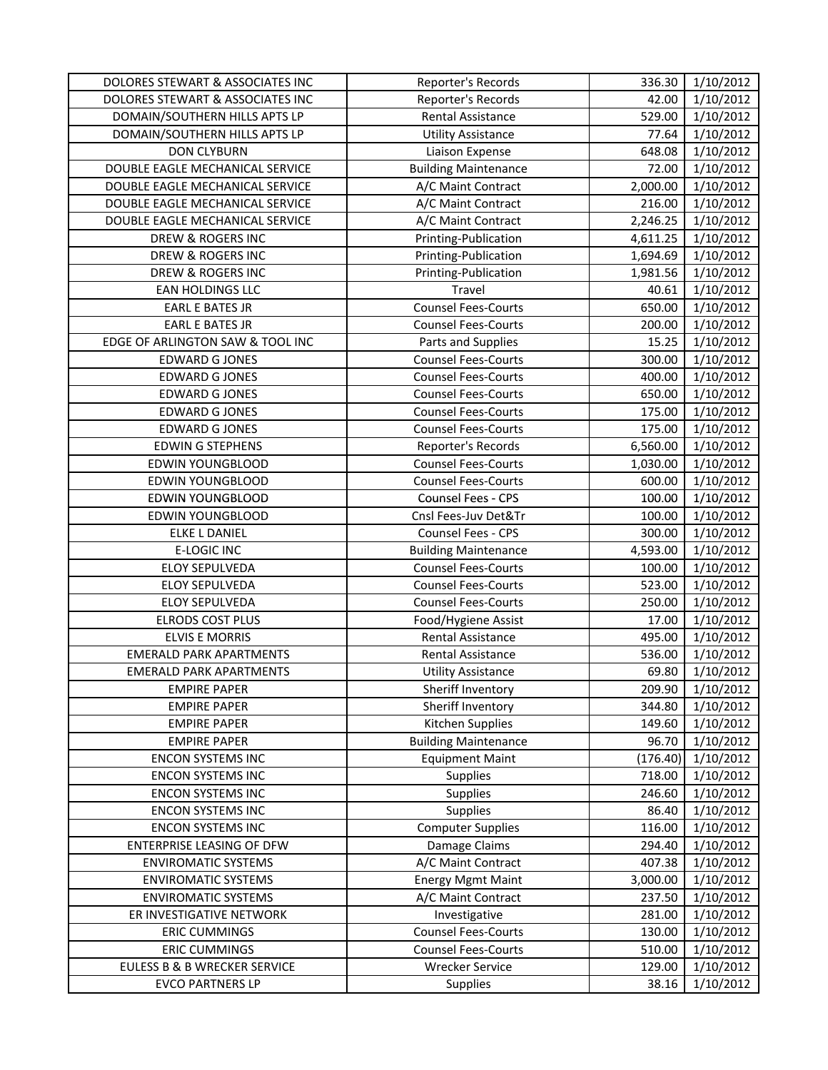| DOLORES STEWART & ASSOCIATES INC | Reporter's Records          | 336.30   | 1/10/2012 |
|----------------------------------|-----------------------------|----------|-----------|
| DOLORES STEWART & ASSOCIATES INC | Reporter's Records          | 42.00    | 1/10/2012 |
| DOMAIN/SOUTHERN HILLS APTS LP    | <b>Rental Assistance</b>    | 529.00   | 1/10/2012 |
| DOMAIN/SOUTHERN HILLS APTS LP    | <b>Utility Assistance</b>   | 77.64    | 1/10/2012 |
| <b>DON CLYBURN</b>               | Liaison Expense             | 648.08   | 1/10/2012 |
| DOUBLE EAGLE MECHANICAL SERVICE  | <b>Building Maintenance</b> | 72.00    | 1/10/2012 |
| DOUBLE EAGLE MECHANICAL SERVICE  | A/C Maint Contract          | 2,000.00 | 1/10/2012 |
| DOUBLE EAGLE MECHANICAL SERVICE  | A/C Maint Contract          | 216.00   | 1/10/2012 |
| DOUBLE EAGLE MECHANICAL SERVICE  | A/C Maint Contract          | 2,246.25 | 1/10/2012 |
| DREW & ROGERS INC                | Printing-Publication        | 4,611.25 | 1/10/2012 |
| DREW & ROGERS INC                | Printing-Publication        | 1,694.69 | 1/10/2012 |
| DREW & ROGERS INC                | Printing-Publication        | 1,981.56 | 1/10/2012 |
| EAN HOLDINGS LLC                 | Travel                      | 40.61    | 1/10/2012 |
| <b>EARL E BATES JR</b>           | <b>Counsel Fees-Courts</b>  | 650.00   | 1/10/2012 |
| <b>EARL E BATES JR</b>           | <b>Counsel Fees-Courts</b>  | 200.00   | 1/10/2012 |
| EDGE OF ARLINGTON SAW & TOOL INC | Parts and Supplies          | 15.25    | 1/10/2012 |
| <b>EDWARD G JONES</b>            | <b>Counsel Fees-Courts</b>  | 300.00   | 1/10/2012 |
| <b>EDWARD G JONES</b>            | <b>Counsel Fees-Courts</b>  | 400.00   | 1/10/2012 |
| <b>EDWARD G JONES</b>            | <b>Counsel Fees-Courts</b>  | 650.00   | 1/10/2012 |
| <b>EDWARD G JONES</b>            | <b>Counsel Fees-Courts</b>  | 175.00   | 1/10/2012 |
| <b>EDWARD G JONES</b>            | <b>Counsel Fees-Courts</b>  | 175.00   | 1/10/2012 |
| <b>EDWIN G STEPHENS</b>          | Reporter's Records          | 6,560.00 | 1/10/2012 |
| EDWIN YOUNGBLOOD                 | <b>Counsel Fees-Courts</b>  | 1,030.00 | 1/10/2012 |
| <b>EDWIN YOUNGBLOOD</b>          | <b>Counsel Fees-Courts</b>  | 600.00   | 1/10/2012 |
| <b>EDWIN YOUNGBLOOD</b>          | Counsel Fees - CPS          | 100.00   | 1/10/2012 |
| <b>EDWIN YOUNGBLOOD</b>          | Cnsl Fees-Juv Det&Tr        | 100.00   | 1/10/2012 |
| <b>ELKE L DANIEL</b>             | Counsel Fees - CPS          | 300.00   | 1/10/2012 |
| <b>E-LOGIC INC</b>               | <b>Building Maintenance</b> | 4,593.00 | 1/10/2012 |
| ELOY SEPULVEDA                   | <b>Counsel Fees-Courts</b>  | 100.00   | 1/10/2012 |
| ELOY SEPULVEDA                   | <b>Counsel Fees-Courts</b>  | 523.00   | 1/10/2012 |
| ELOY SEPULVEDA                   | <b>Counsel Fees-Courts</b>  | 250.00   | 1/10/2012 |
| <b>ELRODS COST PLUS</b>          | Food/Hygiene Assist         | 17.00    | 1/10/2012 |
| <b>ELVIS E MORRIS</b>            | Rental Assistance           | 495.00   | 1/10/2012 |
| <b>EMERALD PARK APARTMENTS</b>   | Rental Assistance           | 536.00   | 1/10/2012 |
| <b>EMERALD PARK APARTMENTS</b>   | <b>Utility Assistance</b>   | 69.80    | 1/10/2012 |
| <b>EMPIRE PAPER</b>              | Sheriff Inventory           | 209.90   | 1/10/2012 |
| <b>EMPIRE PAPER</b>              | Sheriff Inventory           | 344.80   | 1/10/2012 |
| <b>EMPIRE PAPER</b>              | Kitchen Supplies            | 149.60   | 1/10/2012 |
| <b>EMPIRE PAPER</b>              | <b>Building Maintenance</b> | 96.70    | 1/10/2012 |
| <b>ENCON SYSTEMS INC</b>         | <b>Equipment Maint</b>      | (176.40) | 1/10/2012 |
| <b>ENCON SYSTEMS INC</b>         | <b>Supplies</b>             | 718.00   | 1/10/2012 |
| <b>ENCON SYSTEMS INC</b>         | Supplies                    | 246.60   | 1/10/2012 |
| <b>ENCON SYSTEMS INC</b>         | Supplies                    | 86.40    | 1/10/2012 |
| <b>ENCON SYSTEMS INC</b>         | <b>Computer Supplies</b>    | 116.00   | 1/10/2012 |
| ENTERPRISE LEASING OF DFW        | Damage Claims               | 294.40   | 1/10/2012 |
| <b>ENVIROMATIC SYSTEMS</b>       | A/C Maint Contract          | 407.38   | 1/10/2012 |
| <b>ENVIROMATIC SYSTEMS</b>       | <b>Energy Mgmt Maint</b>    | 3,000.00 | 1/10/2012 |
| <b>ENVIROMATIC SYSTEMS</b>       | A/C Maint Contract          | 237.50   | 1/10/2012 |
| ER INVESTIGATIVE NETWORK         | Investigative               | 281.00   | 1/10/2012 |
| <b>ERIC CUMMINGS</b>             | <b>Counsel Fees-Courts</b>  | 130.00   | 1/10/2012 |
| <b>ERIC CUMMINGS</b>             | <b>Counsel Fees-Courts</b>  | 510.00   | 1/10/2012 |
| EULESS B & B WRECKER SERVICE     | <b>Wrecker Service</b>      | 129.00   | 1/10/2012 |
| <b>EVCO PARTNERS LP</b>          | Supplies                    | 38.16    | 1/10/2012 |
|                                  |                             |          |           |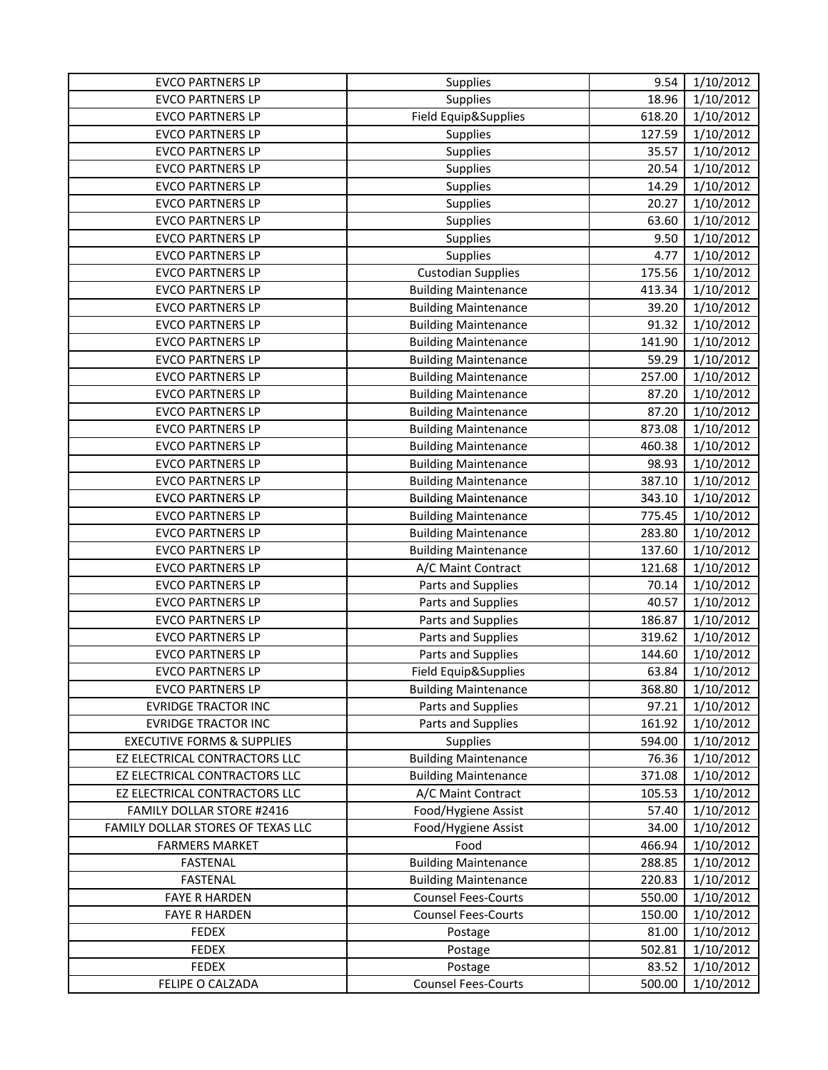| Supplies<br><b>Supplies</b><br>18.96<br>1/10/2012<br><b>EVCO PARTNERS LP</b><br>Field Equip&Supplies<br>1/10/2012<br><b>EVCO PARTNERS LP</b><br>618.20<br><b>EVCO PARTNERS LP</b><br><b>Supplies</b><br>127.59<br>1/10/2012<br>1/10/2012<br><b>EVCO PARTNERS LP</b><br><b>Supplies</b><br>35.57<br><b>Supplies</b><br>1/10/2012<br><b>EVCO PARTNERS LP</b><br>20.54<br><b>EVCO PARTNERS LP</b><br><b>Supplies</b><br>1/10/2012<br>14.29<br><b>EVCO PARTNERS LP</b><br>Supplies<br>20.27<br>1/10/2012<br><b>EVCO PARTNERS LP</b><br><b>Supplies</b><br>63.60<br>1/10/2012<br><b>EVCO PARTNERS LP</b><br>9.50<br>1/10/2012<br><b>Supplies</b><br>1/10/2012<br><b>EVCO PARTNERS LP</b><br><b>Supplies</b><br>4.77<br>175.56<br>1/10/2012<br><b>EVCO PARTNERS LP</b><br><b>Custodian Supplies</b><br><b>Building Maintenance</b><br>1/10/2012<br><b>EVCO PARTNERS LP</b><br>413.34<br>1/10/2012<br><b>EVCO PARTNERS LP</b><br><b>Building Maintenance</b><br>39.20<br><b>Building Maintenance</b><br>1/10/2012<br><b>EVCO PARTNERS LP</b><br>91.32<br>1/10/2012<br><b>EVCO PARTNERS LP</b><br><b>Building Maintenance</b><br>141.90<br>59.29<br>1/10/2012<br><b>EVCO PARTNERS LP</b><br><b>Building Maintenance</b><br><b>EVCO PARTNERS LP</b><br>257.00<br>1/10/2012<br><b>Building Maintenance</b> |
|--------------------------------------------------------------------------------------------------------------------------------------------------------------------------------------------------------------------------------------------------------------------------------------------------------------------------------------------------------------------------------------------------------------------------------------------------------------------------------------------------------------------------------------------------------------------------------------------------------------------------------------------------------------------------------------------------------------------------------------------------------------------------------------------------------------------------------------------------------------------------------------------------------------------------------------------------------------------------------------------------------------------------------------------------------------------------------------------------------------------------------------------------------------------------------------------------------------------------------------------------------------------------------------------------|
|                                                                                                                                                                                                                                                                                                                                                                                                                                                                                                                                                                                                                                                                                                                                                                                                                                                                                                                                                                                                                                                                                                                                                                                                                                                                                                  |
|                                                                                                                                                                                                                                                                                                                                                                                                                                                                                                                                                                                                                                                                                                                                                                                                                                                                                                                                                                                                                                                                                                                                                                                                                                                                                                  |
|                                                                                                                                                                                                                                                                                                                                                                                                                                                                                                                                                                                                                                                                                                                                                                                                                                                                                                                                                                                                                                                                                                                                                                                                                                                                                                  |
|                                                                                                                                                                                                                                                                                                                                                                                                                                                                                                                                                                                                                                                                                                                                                                                                                                                                                                                                                                                                                                                                                                                                                                                                                                                                                                  |
|                                                                                                                                                                                                                                                                                                                                                                                                                                                                                                                                                                                                                                                                                                                                                                                                                                                                                                                                                                                                                                                                                                                                                                                                                                                                                                  |
|                                                                                                                                                                                                                                                                                                                                                                                                                                                                                                                                                                                                                                                                                                                                                                                                                                                                                                                                                                                                                                                                                                                                                                                                                                                                                                  |
|                                                                                                                                                                                                                                                                                                                                                                                                                                                                                                                                                                                                                                                                                                                                                                                                                                                                                                                                                                                                                                                                                                                                                                                                                                                                                                  |
|                                                                                                                                                                                                                                                                                                                                                                                                                                                                                                                                                                                                                                                                                                                                                                                                                                                                                                                                                                                                                                                                                                                                                                                                                                                                                                  |
|                                                                                                                                                                                                                                                                                                                                                                                                                                                                                                                                                                                                                                                                                                                                                                                                                                                                                                                                                                                                                                                                                                                                                                                                                                                                                                  |
|                                                                                                                                                                                                                                                                                                                                                                                                                                                                                                                                                                                                                                                                                                                                                                                                                                                                                                                                                                                                                                                                                                                                                                                                                                                                                                  |
|                                                                                                                                                                                                                                                                                                                                                                                                                                                                                                                                                                                                                                                                                                                                                                                                                                                                                                                                                                                                                                                                                                                                                                                                                                                                                                  |
|                                                                                                                                                                                                                                                                                                                                                                                                                                                                                                                                                                                                                                                                                                                                                                                                                                                                                                                                                                                                                                                                                                                                                                                                                                                                                                  |
|                                                                                                                                                                                                                                                                                                                                                                                                                                                                                                                                                                                                                                                                                                                                                                                                                                                                                                                                                                                                                                                                                                                                                                                                                                                                                                  |
|                                                                                                                                                                                                                                                                                                                                                                                                                                                                                                                                                                                                                                                                                                                                                                                                                                                                                                                                                                                                                                                                                                                                                                                                                                                                                                  |
|                                                                                                                                                                                                                                                                                                                                                                                                                                                                                                                                                                                                                                                                                                                                                                                                                                                                                                                                                                                                                                                                                                                                                                                                                                                                                                  |
|                                                                                                                                                                                                                                                                                                                                                                                                                                                                                                                                                                                                                                                                                                                                                                                                                                                                                                                                                                                                                                                                                                                                                                                                                                                                                                  |
|                                                                                                                                                                                                                                                                                                                                                                                                                                                                                                                                                                                                                                                                                                                                                                                                                                                                                                                                                                                                                                                                                                                                                                                                                                                                                                  |
| 1/10/2012<br><b>EVCO PARTNERS LP</b><br><b>Building Maintenance</b><br>87.20                                                                                                                                                                                                                                                                                                                                                                                                                                                                                                                                                                                                                                                                                                                                                                                                                                                                                                                                                                                                                                                                                                                                                                                                                     |
| 1/10/2012<br><b>EVCO PARTNERS LP</b><br><b>Building Maintenance</b><br>87.20                                                                                                                                                                                                                                                                                                                                                                                                                                                                                                                                                                                                                                                                                                                                                                                                                                                                                                                                                                                                                                                                                                                                                                                                                     |
| <b>EVCO PARTNERS LP</b><br>873.08<br>1/10/2012<br><b>Building Maintenance</b>                                                                                                                                                                                                                                                                                                                                                                                                                                                                                                                                                                                                                                                                                                                                                                                                                                                                                                                                                                                                                                                                                                                                                                                                                    |
| <b>EVCO PARTNERS LP</b><br><b>Building Maintenance</b><br>460.38<br>1/10/2012                                                                                                                                                                                                                                                                                                                                                                                                                                                                                                                                                                                                                                                                                                                                                                                                                                                                                                                                                                                                                                                                                                                                                                                                                    |
| 1/10/2012<br><b>EVCO PARTNERS LP</b><br><b>Building Maintenance</b><br>98.93                                                                                                                                                                                                                                                                                                                                                                                                                                                                                                                                                                                                                                                                                                                                                                                                                                                                                                                                                                                                                                                                                                                                                                                                                     |
| <b>EVCO PARTNERS LP</b><br>387.10<br>1/10/2012<br><b>Building Maintenance</b>                                                                                                                                                                                                                                                                                                                                                                                                                                                                                                                                                                                                                                                                                                                                                                                                                                                                                                                                                                                                                                                                                                                                                                                                                    |
| <b>EVCO PARTNERS LP</b><br>343.10<br>1/10/2012<br><b>Building Maintenance</b>                                                                                                                                                                                                                                                                                                                                                                                                                                                                                                                                                                                                                                                                                                                                                                                                                                                                                                                                                                                                                                                                                                                                                                                                                    |
| 775.45<br>1/10/2012<br><b>EVCO PARTNERS LP</b><br><b>Building Maintenance</b>                                                                                                                                                                                                                                                                                                                                                                                                                                                                                                                                                                                                                                                                                                                                                                                                                                                                                                                                                                                                                                                                                                                                                                                                                    |
| <b>Building Maintenance</b><br>283.80<br>1/10/2012<br><b>EVCO PARTNERS LP</b>                                                                                                                                                                                                                                                                                                                                                                                                                                                                                                                                                                                                                                                                                                                                                                                                                                                                                                                                                                                                                                                                                                                                                                                                                    |
| <b>Building Maintenance</b><br>137.60<br>1/10/2012<br><b>EVCO PARTNERS LP</b>                                                                                                                                                                                                                                                                                                                                                                                                                                                                                                                                                                                                                                                                                                                                                                                                                                                                                                                                                                                                                                                                                                                                                                                                                    |
| A/C Maint Contract<br>1/10/2012<br><b>EVCO PARTNERS LP</b><br>121.68                                                                                                                                                                                                                                                                                                                                                                                                                                                                                                                                                                                                                                                                                                                                                                                                                                                                                                                                                                                                                                                                                                                                                                                                                             |
| Parts and Supplies<br>1/10/2012<br><b>EVCO PARTNERS LP</b><br>70.14                                                                                                                                                                                                                                                                                                                                                                                                                                                                                                                                                                                                                                                                                                                                                                                                                                                                                                                                                                                                                                                                                                                                                                                                                              |
| <b>EVCO PARTNERS LP</b><br>Parts and Supplies<br>40.57<br>1/10/2012                                                                                                                                                                                                                                                                                                                                                                                                                                                                                                                                                                                                                                                                                                                                                                                                                                                                                                                                                                                                                                                                                                                                                                                                                              |
| <b>EVCO PARTNERS LP</b><br>Parts and Supplies<br>186.87<br>1/10/2012                                                                                                                                                                                                                                                                                                                                                                                                                                                                                                                                                                                                                                                                                                                                                                                                                                                                                                                                                                                                                                                                                                                                                                                                                             |
| Parts and Supplies<br>319.62<br>1/10/2012<br><b>EVCO PARTNERS LP</b>                                                                                                                                                                                                                                                                                                                                                                                                                                                                                                                                                                                                                                                                                                                                                                                                                                                                                                                                                                                                                                                                                                                                                                                                                             |
| Parts and Supplies<br>1/10/2012<br><b>EVCO PARTNERS LP</b><br>144.60                                                                                                                                                                                                                                                                                                                                                                                                                                                                                                                                                                                                                                                                                                                                                                                                                                                                                                                                                                                                                                                                                                                                                                                                                             |
| 1/10/2012<br>Field Equip&Supplies<br>63.84<br><b>EVCO PARTNERS LP</b>                                                                                                                                                                                                                                                                                                                                                                                                                                                                                                                                                                                                                                                                                                                                                                                                                                                                                                                                                                                                                                                                                                                                                                                                                            |
| 1/10/2012<br><b>EVCO PARTNERS LP</b><br><b>Building Maintenance</b><br>368.80                                                                                                                                                                                                                                                                                                                                                                                                                                                                                                                                                                                                                                                                                                                                                                                                                                                                                                                                                                                                                                                                                                                                                                                                                    |
| Parts and Supplies<br>97.21<br>1/10/2012<br><b>EVRIDGE TRACTOR INC</b>                                                                                                                                                                                                                                                                                                                                                                                                                                                                                                                                                                                                                                                                                                                                                                                                                                                                                                                                                                                                                                                                                                                                                                                                                           |
| <b>EVRIDGE TRACTOR INC</b><br>Parts and Supplies<br>161.92<br>1/10/2012                                                                                                                                                                                                                                                                                                                                                                                                                                                                                                                                                                                                                                                                                                                                                                                                                                                                                                                                                                                                                                                                                                                                                                                                                          |
| <b>EXECUTIVE FORMS &amp; SUPPLIES</b><br><b>Supplies</b><br>594.00<br>1/10/2012                                                                                                                                                                                                                                                                                                                                                                                                                                                                                                                                                                                                                                                                                                                                                                                                                                                                                                                                                                                                                                                                                                                                                                                                                  |
| <b>Building Maintenance</b><br>76.36<br>1/10/2012<br>EZ ELECTRICAL CONTRACTORS LLC                                                                                                                                                                                                                                                                                                                                                                                                                                                                                                                                                                                                                                                                                                                                                                                                                                                                                                                                                                                                                                                                                                                                                                                                               |
| EZ ELECTRICAL CONTRACTORS LLC<br><b>Building Maintenance</b><br>371.08<br>1/10/2012                                                                                                                                                                                                                                                                                                                                                                                                                                                                                                                                                                                                                                                                                                                                                                                                                                                                                                                                                                                                                                                                                                                                                                                                              |
| 105.53<br>EZ ELECTRICAL CONTRACTORS LLC<br>A/C Maint Contract<br>1/10/2012                                                                                                                                                                                                                                                                                                                                                                                                                                                                                                                                                                                                                                                                                                                                                                                                                                                                                                                                                                                                                                                                                                                                                                                                                       |
| Food/Hygiene Assist<br>FAMILY DOLLAR STORE #2416<br>57.40<br>1/10/2012                                                                                                                                                                                                                                                                                                                                                                                                                                                                                                                                                                                                                                                                                                                                                                                                                                                                                                                                                                                                                                                                                                                                                                                                                           |
| Food/Hygiene Assist<br>1/10/2012<br>FAMILY DOLLAR STORES OF TEXAS LLC<br>34.00                                                                                                                                                                                                                                                                                                                                                                                                                                                                                                                                                                                                                                                                                                                                                                                                                                                                                                                                                                                                                                                                                                                                                                                                                   |
| 466.94<br>1/10/2012<br><b>FARMERS MARKET</b><br>Food                                                                                                                                                                                                                                                                                                                                                                                                                                                                                                                                                                                                                                                                                                                                                                                                                                                                                                                                                                                                                                                                                                                                                                                                                                             |
| <b>FASTENAL</b><br><b>Building Maintenance</b><br>288.85<br>1/10/2012                                                                                                                                                                                                                                                                                                                                                                                                                                                                                                                                                                                                                                                                                                                                                                                                                                                                                                                                                                                                                                                                                                                                                                                                                            |
| 220.83<br>1/10/2012<br><b>FASTENAL</b><br><b>Building Maintenance</b>                                                                                                                                                                                                                                                                                                                                                                                                                                                                                                                                                                                                                                                                                                                                                                                                                                                                                                                                                                                                                                                                                                                                                                                                                            |
| <b>Counsel Fees-Courts</b><br>1/10/2012<br><b>FAYE R HARDEN</b><br>550.00                                                                                                                                                                                                                                                                                                                                                                                                                                                                                                                                                                                                                                                                                                                                                                                                                                                                                                                                                                                                                                                                                                                                                                                                                        |
| <b>FAYE R HARDEN</b><br>150.00<br><b>Counsel Fees-Courts</b><br>1/10/2012                                                                                                                                                                                                                                                                                                                                                                                                                                                                                                                                                                                                                                                                                                                                                                                                                                                                                                                                                                                                                                                                                                                                                                                                                        |
| <b>FEDEX</b><br>81.00<br>1/10/2012<br>Postage                                                                                                                                                                                                                                                                                                                                                                                                                                                                                                                                                                                                                                                                                                                                                                                                                                                                                                                                                                                                                                                                                                                                                                                                                                                    |
| 502.81<br>1/10/2012<br><b>FEDEX</b><br>Postage                                                                                                                                                                                                                                                                                                                                                                                                                                                                                                                                                                                                                                                                                                                                                                                                                                                                                                                                                                                                                                                                                                                                                                                                                                                   |
| 1/10/2012<br><b>FEDEX</b><br>Postage<br>83.52                                                                                                                                                                                                                                                                                                                                                                                                                                                                                                                                                                                                                                                                                                                                                                                                                                                                                                                                                                                                                                                                                                                                                                                                                                                    |
| FELIPE O CALZADA<br><b>Counsel Fees-Courts</b><br>500.00<br>1/10/2012                                                                                                                                                                                                                                                                                                                                                                                                                                                                                                                                                                                                                                                                                                                                                                                                                                                                                                                                                                                                                                                                                                                                                                                                                            |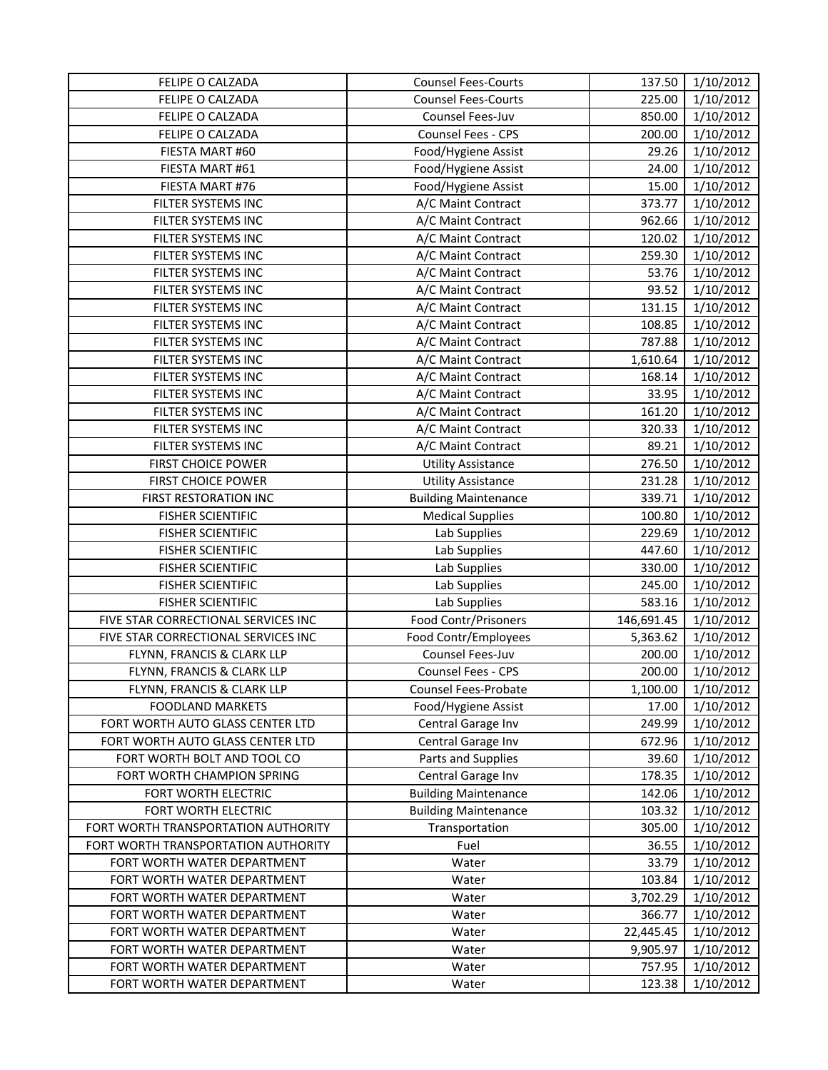| <b>FELIPE O CALZADA</b>             | <b>Counsel Fees-Courts</b>  | 137.50     | 1/10/2012 |
|-------------------------------------|-----------------------------|------------|-----------|
| FELIPE O CALZADA                    | <b>Counsel Fees-Courts</b>  | 225.00     | 1/10/2012 |
| FELIPE O CALZADA                    | Counsel Fees-Juv            | 850.00     | 1/10/2012 |
| FELIPE O CALZADA                    | Counsel Fees - CPS          | 200.00     | 1/10/2012 |
| FIESTA MART #60                     | Food/Hygiene Assist         | 29.26      | 1/10/2012 |
| FIESTA MART #61                     | Food/Hygiene Assist         | 24.00      | 1/10/2012 |
| FIESTA MART #76                     | Food/Hygiene Assist         | 15.00      | 1/10/2012 |
| FILTER SYSTEMS INC                  | A/C Maint Contract          | 373.77     | 1/10/2012 |
| FILTER SYSTEMS INC                  | A/C Maint Contract          | 962.66     | 1/10/2012 |
| FILTER SYSTEMS INC                  | A/C Maint Contract          | 120.02     | 1/10/2012 |
| FILTER SYSTEMS INC                  | A/C Maint Contract          | 259.30     | 1/10/2012 |
| FILTER SYSTEMS INC                  | A/C Maint Contract          | 53.76      | 1/10/2012 |
| FILTER SYSTEMS INC                  | A/C Maint Contract          | 93.52      | 1/10/2012 |
| FILTER SYSTEMS INC                  | A/C Maint Contract          | 131.15     | 1/10/2012 |
| FILTER SYSTEMS INC                  | A/C Maint Contract          | 108.85     | 1/10/2012 |
| FILTER SYSTEMS INC                  | A/C Maint Contract          | 787.88     | 1/10/2012 |
| FILTER SYSTEMS INC                  | A/C Maint Contract          | 1,610.64   | 1/10/2012 |
| FILTER SYSTEMS INC                  | A/C Maint Contract          | 168.14     | 1/10/2012 |
| FILTER SYSTEMS INC                  | A/C Maint Contract          | 33.95      | 1/10/2012 |
| FILTER SYSTEMS INC                  | A/C Maint Contract          | 161.20     | 1/10/2012 |
| FILTER SYSTEMS INC                  | A/C Maint Contract          | 320.33     | 1/10/2012 |
| FILTER SYSTEMS INC                  | A/C Maint Contract          | 89.21      | 1/10/2012 |
| FIRST CHOICE POWER                  | <b>Utility Assistance</b>   | 276.50     | 1/10/2012 |
| FIRST CHOICE POWER                  | <b>Utility Assistance</b>   | 231.28     | 1/10/2012 |
| FIRST RESTORATION INC               | <b>Building Maintenance</b> | 339.71     | 1/10/2012 |
| <b>FISHER SCIENTIFIC</b>            | <b>Medical Supplies</b>     | 100.80     | 1/10/2012 |
| <b>FISHER SCIENTIFIC</b>            | Lab Supplies                | 229.69     | 1/10/2012 |
| <b>FISHER SCIENTIFIC</b>            | Lab Supplies                | 447.60     | 1/10/2012 |
| <b>FISHER SCIENTIFIC</b>            | Lab Supplies                | 330.00     | 1/10/2012 |
| <b>FISHER SCIENTIFIC</b>            | Lab Supplies                | 245.00     | 1/10/2012 |
| <b>FISHER SCIENTIFIC</b>            | Lab Supplies                | 583.16     | 1/10/2012 |
| FIVE STAR CORRECTIONAL SERVICES INC | Food Contr/Prisoners        | 146,691.45 | 1/10/2012 |
| FIVE STAR CORRECTIONAL SERVICES INC | Food Contr/Employees        | 5,363.62   | 1/10/2012 |
| FLYNN, FRANCIS & CLARK LLP          | Counsel Fees-Juv            | 200.00     | 1/10/2012 |
| FLYNN, FRANCIS & CLARK LLP          | Counsel Fees - CPS          | 200.00     | 1/10/2012 |
| FLYNN, FRANCIS & CLARK LLP          | Counsel Fees-Probate        | 1,100.00   | 1/10/2012 |
| <b>FOODLAND MARKETS</b>             | Food/Hygiene Assist         | 17.00      | 1/10/2012 |
| FORT WORTH AUTO GLASS CENTER LTD    | Central Garage Inv          | 249.99     | 1/10/2012 |
| FORT WORTH AUTO GLASS CENTER LTD    | Central Garage Inv          | 672.96     | 1/10/2012 |
| FORT WORTH BOLT AND TOOL CO         | Parts and Supplies          | 39.60      | 1/10/2012 |
| FORT WORTH CHAMPION SPRING          | Central Garage Inv          | 178.35     | 1/10/2012 |
| FORT WORTH ELECTRIC                 | <b>Building Maintenance</b> | 142.06     | 1/10/2012 |
| FORT WORTH ELECTRIC                 | <b>Building Maintenance</b> | 103.32     | 1/10/2012 |
| FORT WORTH TRANSPORTATION AUTHORITY | Transportation              | 305.00     | 1/10/2012 |
| FORT WORTH TRANSPORTATION AUTHORITY | Fuel                        | 36.55      | 1/10/2012 |
| FORT WORTH WATER DEPARTMENT         | Water                       | 33.79      | 1/10/2012 |
| FORT WORTH WATER DEPARTMENT         | Water                       | 103.84     | 1/10/2012 |
| FORT WORTH WATER DEPARTMENT         | Water                       | 3,702.29   | 1/10/2012 |
| FORT WORTH WATER DEPARTMENT         | Water                       | 366.77     | 1/10/2012 |
| FORT WORTH WATER DEPARTMENT         | Water                       | 22,445.45  | 1/10/2012 |
| FORT WORTH WATER DEPARTMENT         | Water                       | 9,905.97   | 1/10/2012 |
| FORT WORTH WATER DEPARTMENT         | Water                       | 757.95     | 1/10/2012 |
| FORT WORTH WATER DEPARTMENT         | Water                       | 123.38     | 1/10/2012 |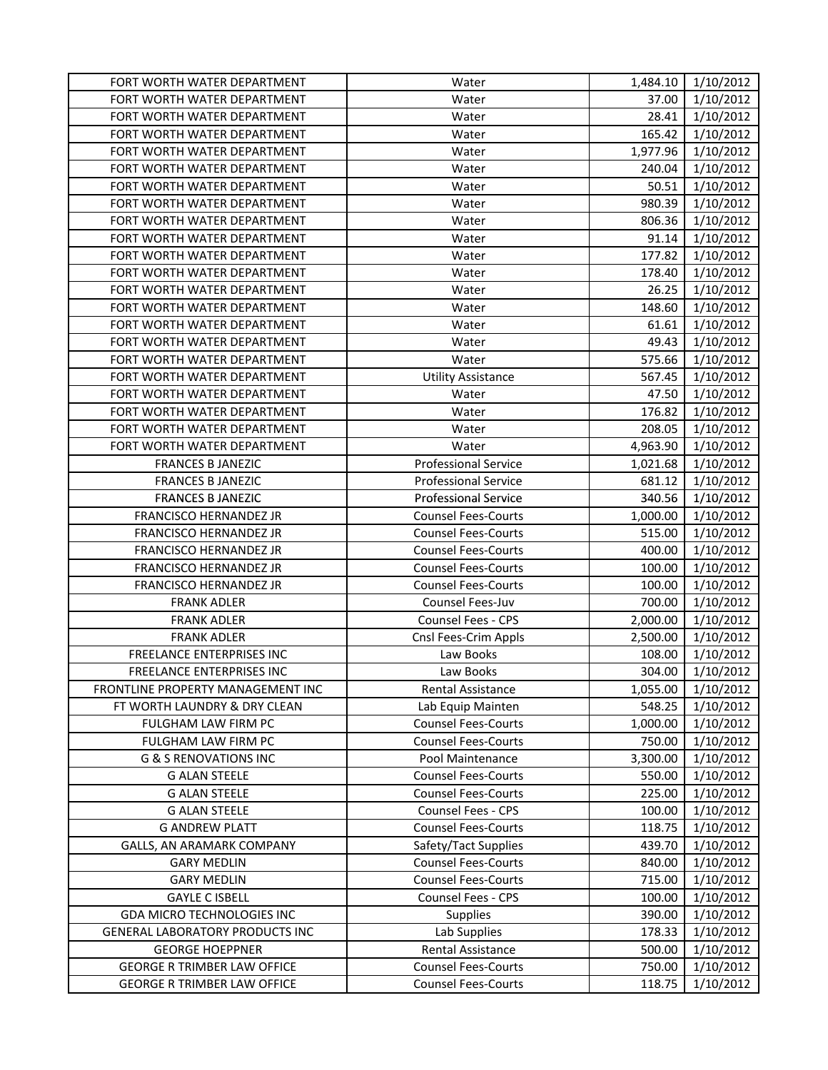| 1/10/2012<br>FORT WORTH WATER DEPARTMENT<br>Water<br>37.00<br>28.41<br>1/10/2012<br>FORT WORTH WATER DEPARTMENT<br>Water<br>FORT WORTH WATER DEPARTMENT<br>165.42<br>1/10/2012<br>Water<br>FORT WORTH WATER DEPARTMENT<br>1,977.96<br>1/10/2012<br>Water<br>FORT WORTH WATER DEPARTMENT<br>Water<br>240.04<br>1/10/2012<br>FORT WORTH WATER DEPARTMENT<br>Water<br>50.51<br>1/10/2012<br>FORT WORTH WATER DEPARTMENT<br>980.39<br>1/10/2012<br>Water<br>806.36<br>1/10/2012<br>FORT WORTH WATER DEPARTMENT<br>Water<br>FORT WORTH WATER DEPARTMENT<br>91.14<br>1/10/2012<br>Water<br>177.82<br>FORT WORTH WATER DEPARTMENT<br>1/10/2012<br>Water<br>FORT WORTH WATER DEPARTMENT<br>178.40<br>1/10/2012<br>Water<br>FORT WORTH WATER DEPARTMENT<br>26.25<br>1/10/2012<br>Water<br>FORT WORTH WATER DEPARTMENT<br>148.60<br>1/10/2012<br>Water<br>FORT WORTH WATER DEPARTMENT<br>61.61<br>1/10/2012<br>Water<br>1/10/2012<br>FORT WORTH WATER DEPARTMENT<br>Water<br>49.43<br>575.66<br>FORT WORTH WATER DEPARTMENT<br>Water<br>1/10/2012<br>FORT WORTH WATER DEPARTMENT<br>567.45<br>1/10/2012<br><b>Utility Assistance</b><br>FORT WORTH WATER DEPARTMENT<br>47.50<br>1/10/2012<br>Water<br>FORT WORTH WATER DEPARTMENT<br>176.82<br>1/10/2012<br>Water<br>208.05<br>FORT WORTH WATER DEPARTMENT<br>Water<br>1/10/2012<br>FORT WORTH WATER DEPARTMENT<br>1/10/2012<br>Water<br>4,963.90<br>1/10/2012<br><b>FRANCES B JANEZIC</b><br><b>Professional Service</b><br>1,021.68<br><b>FRANCES B JANEZIC</b><br>681.12<br>1/10/2012<br><b>Professional Service</b><br><b>FRANCES B JANEZIC</b><br><b>Professional Service</b><br>340.56<br>1/10/2012<br>FRANCISCO HERNANDEZ JR<br>1,000.00<br>1/10/2012<br><b>Counsel Fees-Courts</b><br>FRANCISCO HERNANDEZ JR<br>515.00<br>1/10/2012<br><b>Counsel Fees-Courts</b><br>FRANCISCO HERNANDEZ JR<br>400.00<br>1/10/2012<br><b>Counsel Fees-Courts</b><br>FRANCISCO HERNANDEZ JR<br><b>Counsel Fees-Courts</b><br>100.00<br>1/10/2012<br>1/10/2012<br>FRANCISCO HERNANDEZ JR<br><b>Counsel Fees-Courts</b><br>100.00<br><b>FRANK ADLER</b><br>700.00<br>1/10/2012<br>Counsel Fees-Juv<br><b>FRANK ADLER</b><br>Counsel Fees - CPS<br>2,000.00<br>1/10/2012<br><b>FRANK ADLER</b><br>Cnsl Fees-Crim Appls<br>2,500.00<br>1/10/2012<br><b>FREELANCE ENTERPRISES INC</b><br>1/10/2012<br>Law Books<br>108.00<br>304.00<br>1/10/2012<br><b>FREELANCE ENTERPRISES INC</b><br>Law Books<br>1,055.00<br>1/10/2012<br>FRONTLINE PROPERTY MANAGEMENT INC<br>Rental Assistance<br>548.25<br>FT WORTH LAUNDRY & DRY CLEAN<br>Lab Equip Mainten<br>1/10/2012<br><b>Counsel Fees-Courts</b><br><b>FULGHAM LAW FIRM PC</b><br>1,000.00<br>1/10/2012<br><b>Counsel Fees-Courts</b><br>FULGHAM LAW FIRM PC<br>750.00<br>1/10/2012<br>3,300.00<br><b>G &amp; S RENOVATIONS INC</b><br>Pool Maintenance<br>1/10/2012<br><b>Counsel Fees-Courts</b><br>550.00<br>1/10/2012<br><b>G ALAN STEELE</b><br>225.00<br><b>G ALAN STEELE</b><br><b>Counsel Fees-Courts</b><br>1/10/2012<br><b>G ALAN STEELE</b><br><b>Counsel Fees - CPS</b><br>100.00<br>1/10/2012<br><b>G ANDREW PLATT</b><br><b>Counsel Fees-Courts</b><br>118.75<br>1/10/2012<br>GALLS, AN ARAMARK COMPANY<br>Safety/Tact Supplies<br>439.70<br>1/10/2012<br><b>GARY MEDLIN</b><br><b>Counsel Fees-Courts</b><br>840.00<br>1/10/2012<br><b>GARY MEDLIN</b><br><b>Counsel Fees-Courts</b><br>715.00<br>1/10/2012<br>1/10/2012<br><b>Counsel Fees - CPS</b><br>100.00<br><b>GAYLE C ISBELL</b><br>GDA MICRO TECHNOLOGIES INC<br><b>Supplies</b><br>390.00<br>1/10/2012<br>Lab Supplies<br>GENERAL LABORATORY PRODUCTS INC<br>178.33<br>1/10/2012<br><b>Rental Assistance</b><br>500.00<br><b>GEORGE HOEPPNER</b><br>1/10/2012<br><b>GEORGE R TRIMBER LAW OFFICE</b><br><b>Counsel Fees-Courts</b><br>750.00<br>1/10/2012<br>118.75<br><b>GEORGE R TRIMBER LAW OFFICE</b><br><b>Counsel Fees-Courts</b><br>1/10/2012 | FORT WORTH WATER DEPARTMENT | Water | 1,484.10 | 1/10/2012 |
|----------------------------------------------------------------------------------------------------------------------------------------------------------------------------------------------------------------------------------------------------------------------------------------------------------------------------------------------------------------------------------------------------------------------------------------------------------------------------------------------------------------------------------------------------------------------------------------------------------------------------------------------------------------------------------------------------------------------------------------------------------------------------------------------------------------------------------------------------------------------------------------------------------------------------------------------------------------------------------------------------------------------------------------------------------------------------------------------------------------------------------------------------------------------------------------------------------------------------------------------------------------------------------------------------------------------------------------------------------------------------------------------------------------------------------------------------------------------------------------------------------------------------------------------------------------------------------------------------------------------------------------------------------------------------------------------------------------------------------------------------------------------------------------------------------------------------------------------------------------------------------------------------------------------------------------------------------------------------------------------------------------------------------------------------------------------------------------------------------------------------------------------------------------------------------------------------------------------------------------------------------------------------------------------------------------------------------------------------------------------------------------------------------------------------------------------------------------------------------------------------------------------------------------------------------------------------------------------------------------------------------------------------------------------------------------------------------------------------------------------------------------------------------------------------------------------------------------------------------------------------------------------------------------------------------------------------------------------------------------------------------------------------------------------------------------------------------------------------------------------------------------------------------------------------------------------------------------------------------------------------------------------------------------------------------------------------------------------------------------------------------------------------------------------------------------------------------------------------------------------------------------------------------------------------------------------------------------------------------------------------------------------------------------------------------------------------------------------------------------------------------------------------------------------------------------------------------------------------------------------------------------------------|-----------------------------|-------|----------|-----------|
|                                                                                                                                                                                                                                                                                                                                                                                                                                                                                                                                                                                                                                                                                                                                                                                                                                                                                                                                                                                                                                                                                                                                                                                                                                                                                                                                                                                                                                                                                                                                                                                                                                                                                                                                                                                                                                                                                                                                                                                                                                                                                                                                                                                                                                                                                                                                                                                                                                                                                                                                                                                                                                                                                                                                                                                                                                                                                                                                                                                                                                                                                                                                                                                                                                                                                                                                                                                                                                                                                                                                                                                                                                                                                                                                                                                                                                                                                                    |                             |       |          |           |
|                                                                                                                                                                                                                                                                                                                                                                                                                                                                                                                                                                                                                                                                                                                                                                                                                                                                                                                                                                                                                                                                                                                                                                                                                                                                                                                                                                                                                                                                                                                                                                                                                                                                                                                                                                                                                                                                                                                                                                                                                                                                                                                                                                                                                                                                                                                                                                                                                                                                                                                                                                                                                                                                                                                                                                                                                                                                                                                                                                                                                                                                                                                                                                                                                                                                                                                                                                                                                                                                                                                                                                                                                                                                                                                                                                                                                                                                                                    |                             |       |          |           |
|                                                                                                                                                                                                                                                                                                                                                                                                                                                                                                                                                                                                                                                                                                                                                                                                                                                                                                                                                                                                                                                                                                                                                                                                                                                                                                                                                                                                                                                                                                                                                                                                                                                                                                                                                                                                                                                                                                                                                                                                                                                                                                                                                                                                                                                                                                                                                                                                                                                                                                                                                                                                                                                                                                                                                                                                                                                                                                                                                                                                                                                                                                                                                                                                                                                                                                                                                                                                                                                                                                                                                                                                                                                                                                                                                                                                                                                                                                    |                             |       |          |           |
|                                                                                                                                                                                                                                                                                                                                                                                                                                                                                                                                                                                                                                                                                                                                                                                                                                                                                                                                                                                                                                                                                                                                                                                                                                                                                                                                                                                                                                                                                                                                                                                                                                                                                                                                                                                                                                                                                                                                                                                                                                                                                                                                                                                                                                                                                                                                                                                                                                                                                                                                                                                                                                                                                                                                                                                                                                                                                                                                                                                                                                                                                                                                                                                                                                                                                                                                                                                                                                                                                                                                                                                                                                                                                                                                                                                                                                                                                                    |                             |       |          |           |
|                                                                                                                                                                                                                                                                                                                                                                                                                                                                                                                                                                                                                                                                                                                                                                                                                                                                                                                                                                                                                                                                                                                                                                                                                                                                                                                                                                                                                                                                                                                                                                                                                                                                                                                                                                                                                                                                                                                                                                                                                                                                                                                                                                                                                                                                                                                                                                                                                                                                                                                                                                                                                                                                                                                                                                                                                                                                                                                                                                                                                                                                                                                                                                                                                                                                                                                                                                                                                                                                                                                                                                                                                                                                                                                                                                                                                                                                                                    |                             |       |          |           |
|                                                                                                                                                                                                                                                                                                                                                                                                                                                                                                                                                                                                                                                                                                                                                                                                                                                                                                                                                                                                                                                                                                                                                                                                                                                                                                                                                                                                                                                                                                                                                                                                                                                                                                                                                                                                                                                                                                                                                                                                                                                                                                                                                                                                                                                                                                                                                                                                                                                                                                                                                                                                                                                                                                                                                                                                                                                                                                                                                                                                                                                                                                                                                                                                                                                                                                                                                                                                                                                                                                                                                                                                                                                                                                                                                                                                                                                                                                    |                             |       |          |           |
|                                                                                                                                                                                                                                                                                                                                                                                                                                                                                                                                                                                                                                                                                                                                                                                                                                                                                                                                                                                                                                                                                                                                                                                                                                                                                                                                                                                                                                                                                                                                                                                                                                                                                                                                                                                                                                                                                                                                                                                                                                                                                                                                                                                                                                                                                                                                                                                                                                                                                                                                                                                                                                                                                                                                                                                                                                                                                                                                                                                                                                                                                                                                                                                                                                                                                                                                                                                                                                                                                                                                                                                                                                                                                                                                                                                                                                                                                                    |                             |       |          |           |
|                                                                                                                                                                                                                                                                                                                                                                                                                                                                                                                                                                                                                                                                                                                                                                                                                                                                                                                                                                                                                                                                                                                                                                                                                                                                                                                                                                                                                                                                                                                                                                                                                                                                                                                                                                                                                                                                                                                                                                                                                                                                                                                                                                                                                                                                                                                                                                                                                                                                                                                                                                                                                                                                                                                                                                                                                                                                                                                                                                                                                                                                                                                                                                                                                                                                                                                                                                                                                                                                                                                                                                                                                                                                                                                                                                                                                                                                                                    |                             |       |          |           |
|                                                                                                                                                                                                                                                                                                                                                                                                                                                                                                                                                                                                                                                                                                                                                                                                                                                                                                                                                                                                                                                                                                                                                                                                                                                                                                                                                                                                                                                                                                                                                                                                                                                                                                                                                                                                                                                                                                                                                                                                                                                                                                                                                                                                                                                                                                                                                                                                                                                                                                                                                                                                                                                                                                                                                                                                                                                                                                                                                                                                                                                                                                                                                                                                                                                                                                                                                                                                                                                                                                                                                                                                                                                                                                                                                                                                                                                                                                    |                             |       |          |           |
|                                                                                                                                                                                                                                                                                                                                                                                                                                                                                                                                                                                                                                                                                                                                                                                                                                                                                                                                                                                                                                                                                                                                                                                                                                                                                                                                                                                                                                                                                                                                                                                                                                                                                                                                                                                                                                                                                                                                                                                                                                                                                                                                                                                                                                                                                                                                                                                                                                                                                                                                                                                                                                                                                                                                                                                                                                                                                                                                                                                                                                                                                                                                                                                                                                                                                                                                                                                                                                                                                                                                                                                                                                                                                                                                                                                                                                                                                                    |                             |       |          |           |
|                                                                                                                                                                                                                                                                                                                                                                                                                                                                                                                                                                                                                                                                                                                                                                                                                                                                                                                                                                                                                                                                                                                                                                                                                                                                                                                                                                                                                                                                                                                                                                                                                                                                                                                                                                                                                                                                                                                                                                                                                                                                                                                                                                                                                                                                                                                                                                                                                                                                                                                                                                                                                                                                                                                                                                                                                                                                                                                                                                                                                                                                                                                                                                                                                                                                                                                                                                                                                                                                                                                                                                                                                                                                                                                                                                                                                                                                                                    |                             |       |          |           |
|                                                                                                                                                                                                                                                                                                                                                                                                                                                                                                                                                                                                                                                                                                                                                                                                                                                                                                                                                                                                                                                                                                                                                                                                                                                                                                                                                                                                                                                                                                                                                                                                                                                                                                                                                                                                                                                                                                                                                                                                                                                                                                                                                                                                                                                                                                                                                                                                                                                                                                                                                                                                                                                                                                                                                                                                                                                                                                                                                                                                                                                                                                                                                                                                                                                                                                                                                                                                                                                                                                                                                                                                                                                                                                                                                                                                                                                                                                    |                             |       |          |           |
|                                                                                                                                                                                                                                                                                                                                                                                                                                                                                                                                                                                                                                                                                                                                                                                                                                                                                                                                                                                                                                                                                                                                                                                                                                                                                                                                                                                                                                                                                                                                                                                                                                                                                                                                                                                                                                                                                                                                                                                                                                                                                                                                                                                                                                                                                                                                                                                                                                                                                                                                                                                                                                                                                                                                                                                                                                                                                                                                                                                                                                                                                                                                                                                                                                                                                                                                                                                                                                                                                                                                                                                                                                                                                                                                                                                                                                                                                                    |                             |       |          |           |
|                                                                                                                                                                                                                                                                                                                                                                                                                                                                                                                                                                                                                                                                                                                                                                                                                                                                                                                                                                                                                                                                                                                                                                                                                                                                                                                                                                                                                                                                                                                                                                                                                                                                                                                                                                                                                                                                                                                                                                                                                                                                                                                                                                                                                                                                                                                                                                                                                                                                                                                                                                                                                                                                                                                                                                                                                                                                                                                                                                                                                                                                                                                                                                                                                                                                                                                                                                                                                                                                                                                                                                                                                                                                                                                                                                                                                                                                                                    |                             |       |          |           |
|                                                                                                                                                                                                                                                                                                                                                                                                                                                                                                                                                                                                                                                                                                                                                                                                                                                                                                                                                                                                                                                                                                                                                                                                                                                                                                                                                                                                                                                                                                                                                                                                                                                                                                                                                                                                                                                                                                                                                                                                                                                                                                                                                                                                                                                                                                                                                                                                                                                                                                                                                                                                                                                                                                                                                                                                                                                                                                                                                                                                                                                                                                                                                                                                                                                                                                                                                                                                                                                                                                                                                                                                                                                                                                                                                                                                                                                                                                    |                             |       |          |           |
|                                                                                                                                                                                                                                                                                                                                                                                                                                                                                                                                                                                                                                                                                                                                                                                                                                                                                                                                                                                                                                                                                                                                                                                                                                                                                                                                                                                                                                                                                                                                                                                                                                                                                                                                                                                                                                                                                                                                                                                                                                                                                                                                                                                                                                                                                                                                                                                                                                                                                                                                                                                                                                                                                                                                                                                                                                                                                                                                                                                                                                                                                                                                                                                                                                                                                                                                                                                                                                                                                                                                                                                                                                                                                                                                                                                                                                                                                                    |                             |       |          |           |
|                                                                                                                                                                                                                                                                                                                                                                                                                                                                                                                                                                                                                                                                                                                                                                                                                                                                                                                                                                                                                                                                                                                                                                                                                                                                                                                                                                                                                                                                                                                                                                                                                                                                                                                                                                                                                                                                                                                                                                                                                                                                                                                                                                                                                                                                                                                                                                                                                                                                                                                                                                                                                                                                                                                                                                                                                                                                                                                                                                                                                                                                                                                                                                                                                                                                                                                                                                                                                                                                                                                                                                                                                                                                                                                                                                                                                                                                                                    |                             |       |          |           |
|                                                                                                                                                                                                                                                                                                                                                                                                                                                                                                                                                                                                                                                                                                                                                                                                                                                                                                                                                                                                                                                                                                                                                                                                                                                                                                                                                                                                                                                                                                                                                                                                                                                                                                                                                                                                                                                                                                                                                                                                                                                                                                                                                                                                                                                                                                                                                                                                                                                                                                                                                                                                                                                                                                                                                                                                                                                                                                                                                                                                                                                                                                                                                                                                                                                                                                                                                                                                                                                                                                                                                                                                                                                                                                                                                                                                                                                                                                    |                             |       |          |           |
|                                                                                                                                                                                                                                                                                                                                                                                                                                                                                                                                                                                                                                                                                                                                                                                                                                                                                                                                                                                                                                                                                                                                                                                                                                                                                                                                                                                                                                                                                                                                                                                                                                                                                                                                                                                                                                                                                                                                                                                                                                                                                                                                                                                                                                                                                                                                                                                                                                                                                                                                                                                                                                                                                                                                                                                                                                                                                                                                                                                                                                                                                                                                                                                                                                                                                                                                                                                                                                                                                                                                                                                                                                                                                                                                                                                                                                                                                                    |                             |       |          |           |
|                                                                                                                                                                                                                                                                                                                                                                                                                                                                                                                                                                                                                                                                                                                                                                                                                                                                                                                                                                                                                                                                                                                                                                                                                                                                                                                                                                                                                                                                                                                                                                                                                                                                                                                                                                                                                                                                                                                                                                                                                                                                                                                                                                                                                                                                                                                                                                                                                                                                                                                                                                                                                                                                                                                                                                                                                                                                                                                                                                                                                                                                                                                                                                                                                                                                                                                                                                                                                                                                                                                                                                                                                                                                                                                                                                                                                                                                                                    |                             |       |          |           |
|                                                                                                                                                                                                                                                                                                                                                                                                                                                                                                                                                                                                                                                                                                                                                                                                                                                                                                                                                                                                                                                                                                                                                                                                                                                                                                                                                                                                                                                                                                                                                                                                                                                                                                                                                                                                                                                                                                                                                                                                                                                                                                                                                                                                                                                                                                                                                                                                                                                                                                                                                                                                                                                                                                                                                                                                                                                                                                                                                                                                                                                                                                                                                                                                                                                                                                                                                                                                                                                                                                                                                                                                                                                                                                                                                                                                                                                                                                    |                             |       |          |           |
|                                                                                                                                                                                                                                                                                                                                                                                                                                                                                                                                                                                                                                                                                                                                                                                                                                                                                                                                                                                                                                                                                                                                                                                                                                                                                                                                                                                                                                                                                                                                                                                                                                                                                                                                                                                                                                                                                                                                                                                                                                                                                                                                                                                                                                                                                                                                                                                                                                                                                                                                                                                                                                                                                                                                                                                                                                                                                                                                                                                                                                                                                                                                                                                                                                                                                                                                                                                                                                                                                                                                                                                                                                                                                                                                                                                                                                                                                                    |                             |       |          |           |
|                                                                                                                                                                                                                                                                                                                                                                                                                                                                                                                                                                                                                                                                                                                                                                                                                                                                                                                                                                                                                                                                                                                                                                                                                                                                                                                                                                                                                                                                                                                                                                                                                                                                                                                                                                                                                                                                                                                                                                                                                                                                                                                                                                                                                                                                                                                                                                                                                                                                                                                                                                                                                                                                                                                                                                                                                                                                                                                                                                                                                                                                                                                                                                                                                                                                                                                                                                                                                                                                                                                                                                                                                                                                                                                                                                                                                                                                                                    |                             |       |          |           |
|                                                                                                                                                                                                                                                                                                                                                                                                                                                                                                                                                                                                                                                                                                                                                                                                                                                                                                                                                                                                                                                                                                                                                                                                                                                                                                                                                                                                                                                                                                                                                                                                                                                                                                                                                                                                                                                                                                                                                                                                                                                                                                                                                                                                                                                                                                                                                                                                                                                                                                                                                                                                                                                                                                                                                                                                                                                                                                                                                                                                                                                                                                                                                                                                                                                                                                                                                                                                                                                                                                                                                                                                                                                                                                                                                                                                                                                                                                    |                             |       |          |           |
|                                                                                                                                                                                                                                                                                                                                                                                                                                                                                                                                                                                                                                                                                                                                                                                                                                                                                                                                                                                                                                                                                                                                                                                                                                                                                                                                                                                                                                                                                                                                                                                                                                                                                                                                                                                                                                                                                                                                                                                                                                                                                                                                                                                                                                                                                                                                                                                                                                                                                                                                                                                                                                                                                                                                                                                                                                                                                                                                                                                                                                                                                                                                                                                                                                                                                                                                                                                                                                                                                                                                                                                                                                                                                                                                                                                                                                                                                                    |                             |       |          |           |
|                                                                                                                                                                                                                                                                                                                                                                                                                                                                                                                                                                                                                                                                                                                                                                                                                                                                                                                                                                                                                                                                                                                                                                                                                                                                                                                                                                                                                                                                                                                                                                                                                                                                                                                                                                                                                                                                                                                                                                                                                                                                                                                                                                                                                                                                                                                                                                                                                                                                                                                                                                                                                                                                                                                                                                                                                                                                                                                                                                                                                                                                                                                                                                                                                                                                                                                                                                                                                                                                                                                                                                                                                                                                                                                                                                                                                                                                                                    |                             |       |          |           |
|                                                                                                                                                                                                                                                                                                                                                                                                                                                                                                                                                                                                                                                                                                                                                                                                                                                                                                                                                                                                                                                                                                                                                                                                                                                                                                                                                                                                                                                                                                                                                                                                                                                                                                                                                                                                                                                                                                                                                                                                                                                                                                                                                                                                                                                                                                                                                                                                                                                                                                                                                                                                                                                                                                                                                                                                                                                                                                                                                                                                                                                                                                                                                                                                                                                                                                                                                                                                                                                                                                                                                                                                                                                                                                                                                                                                                                                                                                    |                             |       |          |           |
|                                                                                                                                                                                                                                                                                                                                                                                                                                                                                                                                                                                                                                                                                                                                                                                                                                                                                                                                                                                                                                                                                                                                                                                                                                                                                                                                                                                                                                                                                                                                                                                                                                                                                                                                                                                                                                                                                                                                                                                                                                                                                                                                                                                                                                                                                                                                                                                                                                                                                                                                                                                                                                                                                                                                                                                                                                                                                                                                                                                                                                                                                                                                                                                                                                                                                                                                                                                                                                                                                                                                                                                                                                                                                                                                                                                                                                                                                                    |                             |       |          |           |
|                                                                                                                                                                                                                                                                                                                                                                                                                                                                                                                                                                                                                                                                                                                                                                                                                                                                                                                                                                                                                                                                                                                                                                                                                                                                                                                                                                                                                                                                                                                                                                                                                                                                                                                                                                                                                                                                                                                                                                                                                                                                                                                                                                                                                                                                                                                                                                                                                                                                                                                                                                                                                                                                                                                                                                                                                                                                                                                                                                                                                                                                                                                                                                                                                                                                                                                                                                                                                                                                                                                                                                                                                                                                                                                                                                                                                                                                                                    |                             |       |          |           |
|                                                                                                                                                                                                                                                                                                                                                                                                                                                                                                                                                                                                                                                                                                                                                                                                                                                                                                                                                                                                                                                                                                                                                                                                                                                                                                                                                                                                                                                                                                                                                                                                                                                                                                                                                                                                                                                                                                                                                                                                                                                                                                                                                                                                                                                                                                                                                                                                                                                                                                                                                                                                                                                                                                                                                                                                                                                                                                                                                                                                                                                                                                                                                                                                                                                                                                                                                                                                                                                                                                                                                                                                                                                                                                                                                                                                                                                                                                    |                             |       |          |           |
|                                                                                                                                                                                                                                                                                                                                                                                                                                                                                                                                                                                                                                                                                                                                                                                                                                                                                                                                                                                                                                                                                                                                                                                                                                                                                                                                                                                                                                                                                                                                                                                                                                                                                                                                                                                                                                                                                                                                                                                                                                                                                                                                                                                                                                                                                                                                                                                                                                                                                                                                                                                                                                                                                                                                                                                                                                                                                                                                                                                                                                                                                                                                                                                                                                                                                                                                                                                                                                                                                                                                                                                                                                                                                                                                                                                                                                                                                                    |                             |       |          |           |
|                                                                                                                                                                                                                                                                                                                                                                                                                                                                                                                                                                                                                                                                                                                                                                                                                                                                                                                                                                                                                                                                                                                                                                                                                                                                                                                                                                                                                                                                                                                                                                                                                                                                                                                                                                                                                                                                                                                                                                                                                                                                                                                                                                                                                                                                                                                                                                                                                                                                                                                                                                                                                                                                                                                                                                                                                                                                                                                                                                                                                                                                                                                                                                                                                                                                                                                                                                                                                                                                                                                                                                                                                                                                                                                                                                                                                                                                                                    |                             |       |          |           |
|                                                                                                                                                                                                                                                                                                                                                                                                                                                                                                                                                                                                                                                                                                                                                                                                                                                                                                                                                                                                                                                                                                                                                                                                                                                                                                                                                                                                                                                                                                                                                                                                                                                                                                                                                                                                                                                                                                                                                                                                                                                                                                                                                                                                                                                                                                                                                                                                                                                                                                                                                                                                                                                                                                                                                                                                                                                                                                                                                                                                                                                                                                                                                                                                                                                                                                                                                                                                                                                                                                                                                                                                                                                                                                                                                                                                                                                                                                    |                             |       |          |           |
|                                                                                                                                                                                                                                                                                                                                                                                                                                                                                                                                                                                                                                                                                                                                                                                                                                                                                                                                                                                                                                                                                                                                                                                                                                                                                                                                                                                                                                                                                                                                                                                                                                                                                                                                                                                                                                                                                                                                                                                                                                                                                                                                                                                                                                                                                                                                                                                                                                                                                                                                                                                                                                                                                                                                                                                                                                                                                                                                                                                                                                                                                                                                                                                                                                                                                                                                                                                                                                                                                                                                                                                                                                                                                                                                                                                                                                                                                                    |                             |       |          |           |
|                                                                                                                                                                                                                                                                                                                                                                                                                                                                                                                                                                                                                                                                                                                                                                                                                                                                                                                                                                                                                                                                                                                                                                                                                                                                                                                                                                                                                                                                                                                                                                                                                                                                                                                                                                                                                                                                                                                                                                                                                                                                                                                                                                                                                                                                                                                                                                                                                                                                                                                                                                                                                                                                                                                                                                                                                                                                                                                                                                                                                                                                                                                                                                                                                                                                                                                                                                                                                                                                                                                                                                                                                                                                                                                                                                                                                                                                                                    |                             |       |          |           |
|                                                                                                                                                                                                                                                                                                                                                                                                                                                                                                                                                                                                                                                                                                                                                                                                                                                                                                                                                                                                                                                                                                                                                                                                                                                                                                                                                                                                                                                                                                                                                                                                                                                                                                                                                                                                                                                                                                                                                                                                                                                                                                                                                                                                                                                                                                                                                                                                                                                                                                                                                                                                                                                                                                                                                                                                                                                                                                                                                                                                                                                                                                                                                                                                                                                                                                                                                                                                                                                                                                                                                                                                                                                                                                                                                                                                                                                                                                    |                             |       |          |           |
|                                                                                                                                                                                                                                                                                                                                                                                                                                                                                                                                                                                                                                                                                                                                                                                                                                                                                                                                                                                                                                                                                                                                                                                                                                                                                                                                                                                                                                                                                                                                                                                                                                                                                                                                                                                                                                                                                                                                                                                                                                                                                                                                                                                                                                                                                                                                                                                                                                                                                                                                                                                                                                                                                                                                                                                                                                                                                                                                                                                                                                                                                                                                                                                                                                                                                                                                                                                                                                                                                                                                                                                                                                                                                                                                                                                                                                                                                                    |                             |       |          |           |
|                                                                                                                                                                                                                                                                                                                                                                                                                                                                                                                                                                                                                                                                                                                                                                                                                                                                                                                                                                                                                                                                                                                                                                                                                                                                                                                                                                                                                                                                                                                                                                                                                                                                                                                                                                                                                                                                                                                                                                                                                                                                                                                                                                                                                                                                                                                                                                                                                                                                                                                                                                                                                                                                                                                                                                                                                                                                                                                                                                                                                                                                                                                                                                                                                                                                                                                                                                                                                                                                                                                                                                                                                                                                                                                                                                                                                                                                                                    |                             |       |          |           |
|                                                                                                                                                                                                                                                                                                                                                                                                                                                                                                                                                                                                                                                                                                                                                                                                                                                                                                                                                                                                                                                                                                                                                                                                                                                                                                                                                                                                                                                                                                                                                                                                                                                                                                                                                                                                                                                                                                                                                                                                                                                                                                                                                                                                                                                                                                                                                                                                                                                                                                                                                                                                                                                                                                                                                                                                                                                                                                                                                                                                                                                                                                                                                                                                                                                                                                                                                                                                                                                                                                                                                                                                                                                                                                                                                                                                                                                                                                    |                             |       |          |           |
|                                                                                                                                                                                                                                                                                                                                                                                                                                                                                                                                                                                                                                                                                                                                                                                                                                                                                                                                                                                                                                                                                                                                                                                                                                                                                                                                                                                                                                                                                                                                                                                                                                                                                                                                                                                                                                                                                                                                                                                                                                                                                                                                                                                                                                                                                                                                                                                                                                                                                                                                                                                                                                                                                                                                                                                                                                                                                                                                                                                                                                                                                                                                                                                                                                                                                                                                                                                                                                                                                                                                                                                                                                                                                                                                                                                                                                                                                                    |                             |       |          |           |
|                                                                                                                                                                                                                                                                                                                                                                                                                                                                                                                                                                                                                                                                                                                                                                                                                                                                                                                                                                                                                                                                                                                                                                                                                                                                                                                                                                                                                                                                                                                                                                                                                                                                                                                                                                                                                                                                                                                                                                                                                                                                                                                                                                                                                                                                                                                                                                                                                                                                                                                                                                                                                                                                                                                                                                                                                                                                                                                                                                                                                                                                                                                                                                                                                                                                                                                                                                                                                                                                                                                                                                                                                                                                                                                                                                                                                                                                                                    |                             |       |          |           |
|                                                                                                                                                                                                                                                                                                                                                                                                                                                                                                                                                                                                                                                                                                                                                                                                                                                                                                                                                                                                                                                                                                                                                                                                                                                                                                                                                                                                                                                                                                                                                                                                                                                                                                                                                                                                                                                                                                                                                                                                                                                                                                                                                                                                                                                                                                                                                                                                                                                                                                                                                                                                                                                                                                                                                                                                                                                                                                                                                                                                                                                                                                                                                                                                                                                                                                                                                                                                                                                                                                                                                                                                                                                                                                                                                                                                                                                                                                    |                             |       |          |           |
|                                                                                                                                                                                                                                                                                                                                                                                                                                                                                                                                                                                                                                                                                                                                                                                                                                                                                                                                                                                                                                                                                                                                                                                                                                                                                                                                                                                                                                                                                                                                                                                                                                                                                                                                                                                                                                                                                                                                                                                                                                                                                                                                                                                                                                                                                                                                                                                                                                                                                                                                                                                                                                                                                                                                                                                                                                                                                                                                                                                                                                                                                                                                                                                                                                                                                                                                                                                                                                                                                                                                                                                                                                                                                                                                                                                                                                                                                                    |                             |       |          |           |
|                                                                                                                                                                                                                                                                                                                                                                                                                                                                                                                                                                                                                                                                                                                                                                                                                                                                                                                                                                                                                                                                                                                                                                                                                                                                                                                                                                                                                                                                                                                                                                                                                                                                                                                                                                                                                                                                                                                                                                                                                                                                                                                                                                                                                                                                                                                                                                                                                                                                                                                                                                                                                                                                                                                                                                                                                                                                                                                                                                                                                                                                                                                                                                                                                                                                                                                                                                                                                                                                                                                                                                                                                                                                                                                                                                                                                                                                                                    |                             |       |          |           |
|                                                                                                                                                                                                                                                                                                                                                                                                                                                                                                                                                                                                                                                                                                                                                                                                                                                                                                                                                                                                                                                                                                                                                                                                                                                                                                                                                                                                                                                                                                                                                                                                                                                                                                                                                                                                                                                                                                                                                                                                                                                                                                                                                                                                                                                                                                                                                                                                                                                                                                                                                                                                                                                                                                                                                                                                                                                                                                                                                                                                                                                                                                                                                                                                                                                                                                                                                                                                                                                                                                                                                                                                                                                                                                                                                                                                                                                                                                    |                             |       |          |           |
|                                                                                                                                                                                                                                                                                                                                                                                                                                                                                                                                                                                                                                                                                                                                                                                                                                                                                                                                                                                                                                                                                                                                                                                                                                                                                                                                                                                                                                                                                                                                                                                                                                                                                                                                                                                                                                                                                                                                                                                                                                                                                                                                                                                                                                                                                                                                                                                                                                                                                                                                                                                                                                                                                                                                                                                                                                                                                                                                                                                                                                                                                                                                                                                                                                                                                                                                                                                                                                                                                                                                                                                                                                                                                                                                                                                                                                                                                                    |                             |       |          |           |
|                                                                                                                                                                                                                                                                                                                                                                                                                                                                                                                                                                                                                                                                                                                                                                                                                                                                                                                                                                                                                                                                                                                                                                                                                                                                                                                                                                                                                                                                                                                                                                                                                                                                                                                                                                                                                                                                                                                                                                                                                                                                                                                                                                                                                                                                                                                                                                                                                                                                                                                                                                                                                                                                                                                                                                                                                                                                                                                                                                                                                                                                                                                                                                                                                                                                                                                                                                                                                                                                                                                                                                                                                                                                                                                                                                                                                                                                                                    |                             |       |          |           |
|                                                                                                                                                                                                                                                                                                                                                                                                                                                                                                                                                                                                                                                                                                                                                                                                                                                                                                                                                                                                                                                                                                                                                                                                                                                                                                                                                                                                                                                                                                                                                                                                                                                                                                                                                                                                                                                                                                                                                                                                                                                                                                                                                                                                                                                                                                                                                                                                                                                                                                                                                                                                                                                                                                                                                                                                                                                                                                                                                                                                                                                                                                                                                                                                                                                                                                                                                                                                                                                                                                                                                                                                                                                                                                                                                                                                                                                                                                    |                             |       |          |           |
|                                                                                                                                                                                                                                                                                                                                                                                                                                                                                                                                                                                                                                                                                                                                                                                                                                                                                                                                                                                                                                                                                                                                                                                                                                                                                                                                                                                                                                                                                                                                                                                                                                                                                                                                                                                                                                                                                                                                                                                                                                                                                                                                                                                                                                                                                                                                                                                                                                                                                                                                                                                                                                                                                                                                                                                                                                                                                                                                                                                                                                                                                                                                                                                                                                                                                                                                                                                                                                                                                                                                                                                                                                                                                                                                                                                                                                                                                                    |                             |       |          |           |
|                                                                                                                                                                                                                                                                                                                                                                                                                                                                                                                                                                                                                                                                                                                                                                                                                                                                                                                                                                                                                                                                                                                                                                                                                                                                                                                                                                                                                                                                                                                                                                                                                                                                                                                                                                                                                                                                                                                                                                                                                                                                                                                                                                                                                                                                                                                                                                                                                                                                                                                                                                                                                                                                                                                                                                                                                                                                                                                                                                                                                                                                                                                                                                                                                                                                                                                                                                                                                                                                                                                                                                                                                                                                                                                                                                                                                                                                                                    |                             |       |          |           |
|                                                                                                                                                                                                                                                                                                                                                                                                                                                                                                                                                                                                                                                                                                                                                                                                                                                                                                                                                                                                                                                                                                                                                                                                                                                                                                                                                                                                                                                                                                                                                                                                                                                                                                                                                                                                                                                                                                                                                                                                                                                                                                                                                                                                                                                                                                                                                                                                                                                                                                                                                                                                                                                                                                                                                                                                                                                                                                                                                                                                                                                                                                                                                                                                                                                                                                                                                                                                                                                                                                                                                                                                                                                                                                                                                                                                                                                                                                    |                             |       |          |           |
|                                                                                                                                                                                                                                                                                                                                                                                                                                                                                                                                                                                                                                                                                                                                                                                                                                                                                                                                                                                                                                                                                                                                                                                                                                                                                                                                                                                                                                                                                                                                                                                                                                                                                                                                                                                                                                                                                                                                                                                                                                                                                                                                                                                                                                                                                                                                                                                                                                                                                                                                                                                                                                                                                                                                                                                                                                                                                                                                                                                                                                                                                                                                                                                                                                                                                                                                                                                                                                                                                                                                                                                                                                                                                                                                                                                                                                                                                                    |                             |       |          |           |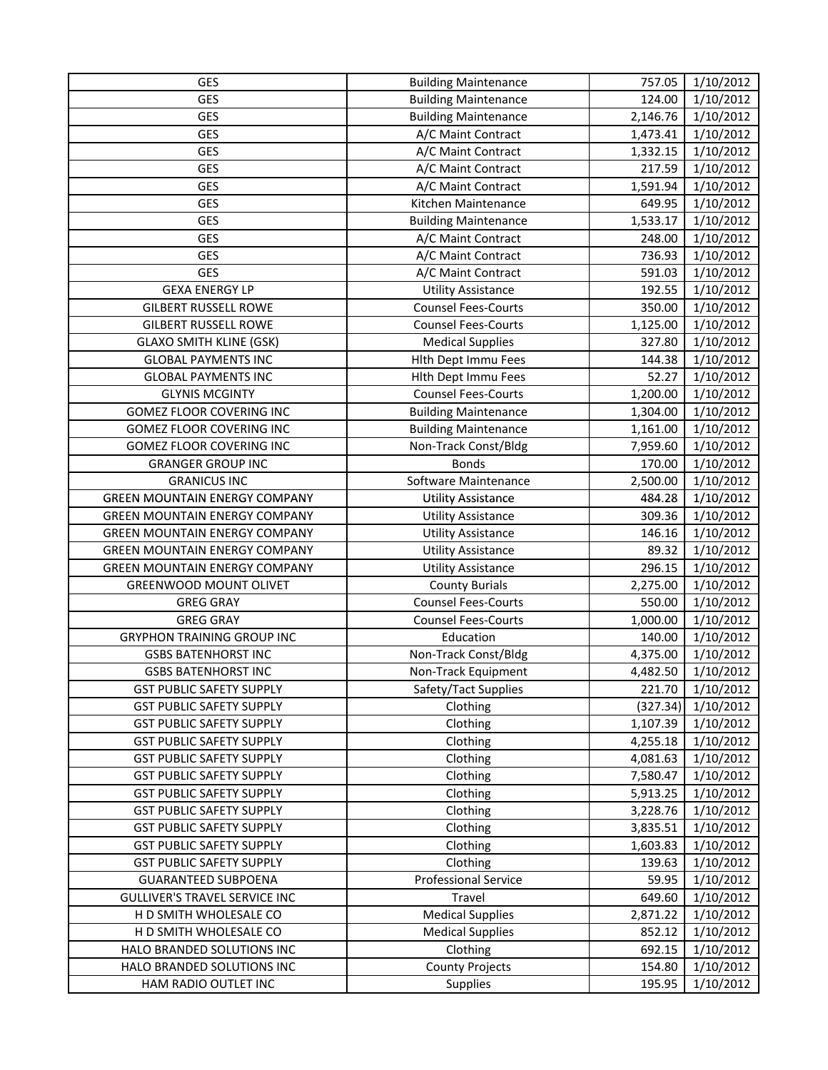| GES<br>124.00<br>1/10/2012<br><b>Building Maintenance</b><br><b>GES</b><br>2,146.76<br>1/10/2012<br><b>Building Maintenance</b><br><b>GES</b><br>1/10/2012<br>A/C Maint Contract<br>1,473.41<br>GES<br>1/10/2012<br>A/C Maint Contract<br>1,332.15<br><b>GES</b><br>217.59<br>1/10/2012<br>A/C Maint Contract<br><b>GES</b><br>1/10/2012<br>A/C Maint Contract<br>1,591.94<br><b>GES</b><br>Kitchen Maintenance<br>649.95<br>1/10/2012<br>GES<br>1,533.17<br>1/10/2012<br><b>Building Maintenance</b><br><b>GES</b><br>1/10/2012<br>248.00<br>A/C Maint Contract<br>GES<br>736.93<br>1/10/2012<br>A/C Maint Contract<br>GES<br>A/C Maint Contract<br>591.03<br>1/10/2012<br><b>GEXA ENERGY LP</b><br>192.55<br>1/10/2012<br><b>Utility Assistance</b><br><b>Counsel Fees-Courts</b><br>350.00<br>1/10/2012<br><b>GILBERT RUSSELL ROWE</b><br><b>Counsel Fees-Courts</b><br>1/10/2012<br><b>GILBERT RUSSELL ROWE</b><br>1,125.00<br><b>GLAXO SMITH KLINE (GSK)</b><br>1/10/2012<br><b>Medical Supplies</b><br>327.80<br><b>GLOBAL PAYMENTS INC</b><br>Hlth Dept Immu Fees<br>1/10/2012<br>144.38<br>52.27<br>Hith Dept Immu Fees<br>1/10/2012<br><b>GLOBAL PAYMENTS INC</b><br><b>Counsel Fees-Courts</b><br>1/10/2012<br><b>GLYNIS MCGINTY</b><br>1,200.00<br>GOMEZ FLOOR COVERING INC<br><b>Building Maintenance</b><br>1/10/2012<br>1,304.00<br><b>Building Maintenance</b><br>1/10/2012<br><b>GOMEZ FLOOR COVERING INC</b><br>1,161.00<br>Non-Track Const/Bldg<br>1/10/2012<br>GOMEZ FLOOR COVERING INC<br>7,959.60<br><b>GRANGER GROUP INC</b><br><b>Bonds</b><br>1/10/2012<br>170.00<br>Software Maintenance<br>2,500.00<br>1/10/2012<br><b>GRANICUS INC</b><br><b>GREEN MOUNTAIN ENERGY COMPANY</b><br>484.28<br>1/10/2012<br><b>Utility Assistance</b><br>309.36<br>1/10/2012<br><b>GREEN MOUNTAIN ENERGY COMPANY</b><br><b>Utility Assistance</b><br>146.16<br>1/10/2012<br><b>GREEN MOUNTAIN ENERGY COMPANY</b><br><b>Utility Assistance</b><br>1/10/2012<br><b>GREEN MOUNTAIN ENERGY COMPANY</b><br><b>Utility Assistance</b><br>89.32<br>296.15<br><b>GREEN MOUNTAIN ENERGY COMPANY</b><br><b>Utility Assistance</b><br>1/10/2012<br>1/10/2012<br><b>GREENWOOD MOUNT OLIVET</b><br><b>County Burials</b><br>2,275.00<br><b>Counsel Fees-Courts</b><br>550.00<br>1/10/2012<br><b>GREG GRAY</b><br><b>GREG GRAY</b><br><b>Counsel Fees-Courts</b><br>1,000.00<br>1/10/2012<br>1/10/2012<br><b>GRYPHON TRAINING GROUP INC</b><br>Education<br>140.00<br><b>GSBS BATENHORST INC</b><br>Non-Track Const/Bldg<br>1/10/2012<br>4,375.00<br>1/10/2012<br>4,482.50<br><b>GSBS BATENHORST INC</b><br>Non-Track Equipment<br>1/10/2012<br><b>GST PUBLIC SAFETY SUPPLY</b><br>Safety/Tact Supplies<br>221.70<br><b>GST PUBLIC SAFETY SUPPLY</b><br>Clothing<br>(327.34)<br>1/10/2012<br>Clothing<br><b>GST PUBLIC SAFETY SUPPLY</b><br>1/10/2012<br>1,107.39<br><b>GST PUBLIC SAFETY SUPPLY</b><br>Clothing<br>4,255.18<br>1/10/2012<br>1/10/2012<br><b>GST PUBLIC SAFETY SUPPLY</b><br>Clothing<br>4,081.63<br>Clothing<br>7,580.47<br>1/10/2012<br><b>GST PUBLIC SAFETY SUPPLY</b><br><b>GST PUBLIC SAFETY SUPPLY</b><br>Clothing<br>1/10/2012<br>5,913.25<br><b>GST PUBLIC SAFETY SUPPLY</b><br>Clothing<br>1/10/2012<br>3,228.76<br><b>GST PUBLIC SAFETY SUPPLY</b><br>Clothing<br>3,835.51<br>1/10/2012<br><b>GST PUBLIC SAFETY SUPPLY</b><br>Clothing<br>1,603.83<br>1/10/2012<br>Clothing<br><b>GST PUBLIC SAFETY SUPPLY</b><br>139.63<br>1/10/2012 | <b>GES</b>                 | <b>Building Maintenance</b> | 757.05 | 1/10/2012 |
|-----------------------------------------------------------------------------------------------------------------------------------------------------------------------------------------------------------------------------------------------------------------------------------------------------------------------------------------------------------------------------------------------------------------------------------------------------------------------------------------------------------------------------------------------------------------------------------------------------------------------------------------------------------------------------------------------------------------------------------------------------------------------------------------------------------------------------------------------------------------------------------------------------------------------------------------------------------------------------------------------------------------------------------------------------------------------------------------------------------------------------------------------------------------------------------------------------------------------------------------------------------------------------------------------------------------------------------------------------------------------------------------------------------------------------------------------------------------------------------------------------------------------------------------------------------------------------------------------------------------------------------------------------------------------------------------------------------------------------------------------------------------------------------------------------------------------------------------------------------------------------------------------------------------------------------------------------------------------------------------------------------------------------------------------------------------------------------------------------------------------------------------------------------------------------------------------------------------------------------------------------------------------------------------------------------------------------------------------------------------------------------------------------------------------------------------------------------------------------------------------------------------------------------------------------------------------------------------------------------------------------------------------------------------------------------------------------------------------------------------------------------------------------------------------------------------------------------------------------------------------------------------------------------------------------------------------------------------------------------------------------------------------------------------------------------------------------------------------------------------------------------------------------------------------------------------------------------------------------------------------------------------------------------------------------------------------------------------------------------------------------------------------------------------------------------------------------------|----------------------------|-----------------------------|--------|-----------|
|                                                                                                                                                                                                                                                                                                                                                                                                                                                                                                                                                                                                                                                                                                                                                                                                                                                                                                                                                                                                                                                                                                                                                                                                                                                                                                                                                                                                                                                                                                                                                                                                                                                                                                                                                                                                                                                                                                                                                                                                                                                                                                                                                                                                                                                                                                                                                                                                                                                                                                                                                                                                                                                                                                                                                                                                                                                                                                                                                                                                                                                                                                                                                                                                                                                                                                                                                                                                                                                           |                            |                             |        |           |
|                                                                                                                                                                                                                                                                                                                                                                                                                                                                                                                                                                                                                                                                                                                                                                                                                                                                                                                                                                                                                                                                                                                                                                                                                                                                                                                                                                                                                                                                                                                                                                                                                                                                                                                                                                                                                                                                                                                                                                                                                                                                                                                                                                                                                                                                                                                                                                                                                                                                                                                                                                                                                                                                                                                                                                                                                                                                                                                                                                                                                                                                                                                                                                                                                                                                                                                                                                                                                                                           |                            |                             |        |           |
|                                                                                                                                                                                                                                                                                                                                                                                                                                                                                                                                                                                                                                                                                                                                                                                                                                                                                                                                                                                                                                                                                                                                                                                                                                                                                                                                                                                                                                                                                                                                                                                                                                                                                                                                                                                                                                                                                                                                                                                                                                                                                                                                                                                                                                                                                                                                                                                                                                                                                                                                                                                                                                                                                                                                                                                                                                                                                                                                                                                                                                                                                                                                                                                                                                                                                                                                                                                                                                                           |                            |                             |        |           |
|                                                                                                                                                                                                                                                                                                                                                                                                                                                                                                                                                                                                                                                                                                                                                                                                                                                                                                                                                                                                                                                                                                                                                                                                                                                                                                                                                                                                                                                                                                                                                                                                                                                                                                                                                                                                                                                                                                                                                                                                                                                                                                                                                                                                                                                                                                                                                                                                                                                                                                                                                                                                                                                                                                                                                                                                                                                                                                                                                                                                                                                                                                                                                                                                                                                                                                                                                                                                                                                           |                            |                             |        |           |
|                                                                                                                                                                                                                                                                                                                                                                                                                                                                                                                                                                                                                                                                                                                                                                                                                                                                                                                                                                                                                                                                                                                                                                                                                                                                                                                                                                                                                                                                                                                                                                                                                                                                                                                                                                                                                                                                                                                                                                                                                                                                                                                                                                                                                                                                                                                                                                                                                                                                                                                                                                                                                                                                                                                                                                                                                                                                                                                                                                                                                                                                                                                                                                                                                                                                                                                                                                                                                                                           |                            |                             |        |           |
|                                                                                                                                                                                                                                                                                                                                                                                                                                                                                                                                                                                                                                                                                                                                                                                                                                                                                                                                                                                                                                                                                                                                                                                                                                                                                                                                                                                                                                                                                                                                                                                                                                                                                                                                                                                                                                                                                                                                                                                                                                                                                                                                                                                                                                                                                                                                                                                                                                                                                                                                                                                                                                                                                                                                                                                                                                                                                                                                                                                                                                                                                                                                                                                                                                                                                                                                                                                                                                                           |                            |                             |        |           |
|                                                                                                                                                                                                                                                                                                                                                                                                                                                                                                                                                                                                                                                                                                                                                                                                                                                                                                                                                                                                                                                                                                                                                                                                                                                                                                                                                                                                                                                                                                                                                                                                                                                                                                                                                                                                                                                                                                                                                                                                                                                                                                                                                                                                                                                                                                                                                                                                                                                                                                                                                                                                                                                                                                                                                                                                                                                                                                                                                                                                                                                                                                                                                                                                                                                                                                                                                                                                                                                           |                            |                             |        |           |
|                                                                                                                                                                                                                                                                                                                                                                                                                                                                                                                                                                                                                                                                                                                                                                                                                                                                                                                                                                                                                                                                                                                                                                                                                                                                                                                                                                                                                                                                                                                                                                                                                                                                                                                                                                                                                                                                                                                                                                                                                                                                                                                                                                                                                                                                                                                                                                                                                                                                                                                                                                                                                                                                                                                                                                                                                                                                                                                                                                                                                                                                                                                                                                                                                                                                                                                                                                                                                                                           |                            |                             |        |           |
|                                                                                                                                                                                                                                                                                                                                                                                                                                                                                                                                                                                                                                                                                                                                                                                                                                                                                                                                                                                                                                                                                                                                                                                                                                                                                                                                                                                                                                                                                                                                                                                                                                                                                                                                                                                                                                                                                                                                                                                                                                                                                                                                                                                                                                                                                                                                                                                                                                                                                                                                                                                                                                                                                                                                                                                                                                                                                                                                                                                                                                                                                                                                                                                                                                                                                                                                                                                                                                                           |                            |                             |        |           |
|                                                                                                                                                                                                                                                                                                                                                                                                                                                                                                                                                                                                                                                                                                                                                                                                                                                                                                                                                                                                                                                                                                                                                                                                                                                                                                                                                                                                                                                                                                                                                                                                                                                                                                                                                                                                                                                                                                                                                                                                                                                                                                                                                                                                                                                                                                                                                                                                                                                                                                                                                                                                                                                                                                                                                                                                                                                                                                                                                                                                                                                                                                                                                                                                                                                                                                                                                                                                                                                           |                            |                             |        |           |
|                                                                                                                                                                                                                                                                                                                                                                                                                                                                                                                                                                                                                                                                                                                                                                                                                                                                                                                                                                                                                                                                                                                                                                                                                                                                                                                                                                                                                                                                                                                                                                                                                                                                                                                                                                                                                                                                                                                                                                                                                                                                                                                                                                                                                                                                                                                                                                                                                                                                                                                                                                                                                                                                                                                                                                                                                                                                                                                                                                                                                                                                                                                                                                                                                                                                                                                                                                                                                                                           |                            |                             |        |           |
|                                                                                                                                                                                                                                                                                                                                                                                                                                                                                                                                                                                                                                                                                                                                                                                                                                                                                                                                                                                                                                                                                                                                                                                                                                                                                                                                                                                                                                                                                                                                                                                                                                                                                                                                                                                                                                                                                                                                                                                                                                                                                                                                                                                                                                                                                                                                                                                                                                                                                                                                                                                                                                                                                                                                                                                                                                                                                                                                                                                                                                                                                                                                                                                                                                                                                                                                                                                                                                                           |                            |                             |        |           |
|                                                                                                                                                                                                                                                                                                                                                                                                                                                                                                                                                                                                                                                                                                                                                                                                                                                                                                                                                                                                                                                                                                                                                                                                                                                                                                                                                                                                                                                                                                                                                                                                                                                                                                                                                                                                                                                                                                                                                                                                                                                                                                                                                                                                                                                                                                                                                                                                                                                                                                                                                                                                                                                                                                                                                                                                                                                                                                                                                                                                                                                                                                                                                                                                                                                                                                                                                                                                                                                           |                            |                             |        |           |
|                                                                                                                                                                                                                                                                                                                                                                                                                                                                                                                                                                                                                                                                                                                                                                                                                                                                                                                                                                                                                                                                                                                                                                                                                                                                                                                                                                                                                                                                                                                                                                                                                                                                                                                                                                                                                                                                                                                                                                                                                                                                                                                                                                                                                                                                                                                                                                                                                                                                                                                                                                                                                                                                                                                                                                                                                                                                                                                                                                                                                                                                                                                                                                                                                                                                                                                                                                                                                                                           |                            |                             |        |           |
|                                                                                                                                                                                                                                                                                                                                                                                                                                                                                                                                                                                                                                                                                                                                                                                                                                                                                                                                                                                                                                                                                                                                                                                                                                                                                                                                                                                                                                                                                                                                                                                                                                                                                                                                                                                                                                                                                                                                                                                                                                                                                                                                                                                                                                                                                                                                                                                                                                                                                                                                                                                                                                                                                                                                                                                                                                                                                                                                                                                                                                                                                                                                                                                                                                                                                                                                                                                                                                                           |                            |                             |        |           |
|                                                                                                                                                                                                                                                                                                                                                                                                                                                                                                                                                                                                                                                                                                                                                                                                                                                                                                                                                                                                                                                                                                                                                                                                                                                                                                                                                                                                                                                                                                                                                                                                                                                                                                                                                                                                                                                                                                                                                                                                                                                                                                                                                                                                                                                                                                                                                                                                                                                                                                                                                                                                                                                                                                                                                                                                                                                                                                                                                                                                                                                                                                                                                                                                                                                                                                                                                                                                                                                           |                            |                             |        |           |
|                                                                                                                                                                                                                                                                                                                                                                                                                                                                                                                                                                                                                                                                                                                                                                                                                                                                                                                                                                                                                                                                                                                                                                                                                                                                                                                                                                                                                                                                                                                                                                                                                                                                                                                                                                                                                                                                                                                                                                                                                                                                                                                                                                                                                                                                                                                                                                                                                                                                                                                                                                                                                                                                                                                                                                                                                                                                                                                                                                                                                                                                                                                                                                                                                                                                                                                                                                                                                                                           |                            |                             |        |           |
|                                                                                                                                                                                                                                                                                                                                                                                                                                                                                                                                                                                                                                                                                                                                                                                                                                                                                                                                                                                                                                                                                                                                                                                                                                                                                                                                                                                                                                                                                                                                                                                                                                                                                                                                                                                                                                                                                                                                                                                                                                                                                                                                                                                                                                                                                                                                                                                                                                                                                                                                                                                                                                                                                                                                                                                                                                                                                                                                                                                                                                                                                                                                                                                                                                                                                                                                                                                                                                                           |                            |                             |        |           |
|                                                                                                                                                                                                                                                                                                                                                                                                                                                                                                                                                                                                                                                                                                                                                                                                                                                                                                                                                                                                                                                                                                                                                                                                                                                                                                                                                                                                                                                                                                                                                                                                                                                                                                                                                                                                                                                                                                                                                                                                                                                                                                                                                                                                                                                                                                                                                                                                                                                                                                                                                                                                                                                                                                                                                                                                                                                                                                                                                                                                                                                                                                                                                                                                                                                                                                                                                                                                                                                           |                            |                             |        |           |
|                                                                                                                                                                                                                                                                                                                                                                                                                                                                                                                                                                                                                                                                                                                                                                                                                                                                                                                                                                                                                                                                                                                                                                                                                                                                                                                                                                                                                                                                                                                                                                                                                                                                                                                                                                                                                                                                                                                                                                                                                                                                                                                                                                                                                                                                                                                                                                                                                                                                                                                                                                                                                                                                                                                                                                                                                                                                                                                                                                                                                                                                                                                                                                                                                                                                                                                                                                                                                                                           |                            |                             |        |           |
|                                                                                                                                                                                                                                                                                                                                                                                                                                                                                                                                                                                                                                                                                                                                                                                                                                                                                                                                                                                                                                                                                                                                                                                                                                                                                                                                                                                                                                                                                                                                                                                                                                                                                                                                                                                                                                                                                                                                                                                                                                                                                                                                                                                                                                                                                                                                                                                                                                                                                                                                                                                                                                                                                                                                                                                                                                                                                                                                                                                                                                                                                                                                                                                                                                                                                                                                                                                                                                                           |                            |                             |        |           |
|                                                                                                                                                                                                                                                                                                                                                                                                                                                                                                                                                                                                                                                                                                                                                                                                                                                                                                                                                                                                                                                                                                                                                                                                                                                                                                                                                                                                                                                                                                                                                                                                                                                                                                                                                                                                                                                                                                                                                                                                                                                                                                                                                                                                                                                                                                                                                                                                                                                                                                                                                                                                                                                                                                                                                                                                                                                                                                                                                                                                                                                                                                                                                                                                                                                                                                                                                                                                                                                           |                            |                             |        |           |
|                                                                                                                                                                                                                                                                                                                                                                                                                                                                                                                                                                                                                                                                                                                                                                                                                                                                                                                                                                                                                                                                                                                                                                                                                                                                                                                                                                                                                                                                                                                                                                                                                                                                                                                                                                                                                                                                                                                                                                                                                                                                                                                                                                                                                                                                                                                                                                                                                                                                                                                                                                                                                                                                                                                                                                                                                                                                                                                                                                                                                                                                                                                                                                                                                                                                                                                                                                                                                                                           |                            |                             |        |           |
|                                                                                                                                                                                                                                                                                                                                                                                                                                                                                                                                                                                                                                                                                                                                                                                                                                                                                                                                                                                                                                                                                                                                                                                                                                                                                                                                                                                                                                                                                                                                                                                                                                                                                                                                                                                                                                                                                                                                                                                                                                                                                                                                                                                                                                                                                                                                                                                                                                                                                                                                                                                                                                                                                                                                                                                                                                                                                                                                                                                                                                                                                                                                                                                                                                                                                                                                                                                                                                                           |                            |                             |        |           |
|                                                                                                                                                                                                                                                                                                                                                                                                                                                                                                                                                                                                                                                                                                                                                                                                                                                                                                                                                                                                                                                                                                                                                                                                                                                                                                                                                                                                                                                                                                                                                                                                                                                                                                                                                                                                                                                                                                                                                                                                                                                                                                                                                                                                                                                                                                                                                                                                                                                                                                                                                                                                                                                                                                                                                                                                                                                                                                                                                                                                                                                                                                                                                                                                                                                                                                                                                                                                                                                           |                            |                             |        |           |
|                                                                                                                                                                                                                                                                                                                                                                                                                                                                                                                                                                                                                                                                                                                                                                                                                                                                                                                                                                                                                                                                                                                                                                                                                                                                                                                                                                                                                                                                                                                                                                                                                                                                                                                                                                                                                                                                                                                                                                                                                                                                                                                                                                                                                                                                                                                                                                                                                                                                                                                                                                                                                                                                                                                                                                                                                                                                                                                                                                                                                                                                                                                                                                                                                                                                                                                                                                                                                                                           |                            |                             |        |           |
|                                                                                                                                                                                                                                                                                                                                                                                                                                                                                                                                                                                                                                                                                                                                                                                                                                                                                                                                                                                                                                                                                                                                                                                                                                                                                                                                                                                                                                                                                                                                                                                                                                                                                                                                                                                                                                                                                                                                                                                                                                                                                                                                                                                                                                                                                                                                                                                                                                                                                                                                                                                                                                                                                                                                                                                                                                                                                                                                                                                                                                                                                                                                                                                                                                                                                                                                                                                                                                                           |                            |                             |        |           |
|                                                                                                                                                                                                                                                                                                                                                                                                                                                                                                                                                                                                                                                                                                                                                                                                                                                                                                                                                                                                                                                                                                                                                                                                                                                                                                                                                                                                                                                                                                                                                                                                                                                                                                                                                                                                                                                                                                                                                                                                                                                                                                                                                                                                                                                                                                                                                                                                                                                                                                                                                                                                                                                                                                                                                                                                                                                                                                                                                                                                                                                                                                                                                                                                                                                                                                                                                                                                                                                           |                            |                             |        |           |
|                                                                                                                                                                                                                                                                                                                                                                                                                                                                                                                                                                                                                                                                                                                                                                                                                                                                                                                                                                                                                                                                                                                                                                                                                                                                                                                                                                                                                                                                                                                                                                                                                                                                                                                                                                                                                                                                                                                                                                                                                                                                                                                                                                                                                                                                                                                                                                                                                                                                                                                                                                                                                                                                                                                                                                                                                                                                                                                                                                                                                                                                                                                                                                                                                                                                                                                                                                                                                                                           |                            |                             |        |           |
|                                                                                                                                                                                                                                                                                                                                                                                                                                                                                                                                                                                                                                                                                                                                                                                                                                                                                                                                                                                                                                                                                                                                                                                                                                                                                                                                                                                                                                                                                                                                                                                                                                                                                                                                                                                                                                                                                                                                                                                                                                                                                                                                                                                                                                                                                                                                                                                                                                                                                                                                                                                                                                                                                                                                                                                                                                                                                                                                                                                                                                                                                                                                                                                                                                                                                                                                                                                                                                                           |                            |                             |        |           |
|                                                                                                                                                                                                                                                                                                                                                                                                                                                                                                                                                                                                                                                                                                                                                                                                                                                                                                                                                                                                                                                                                                                                                                                                                                                                                                                                                                                                                                                                                                                                                                                                                                                                                                                                                                                                                                                                                                                                                                                                                                                                                                                                                                                                                                                                                                                                                                                                                                                                                                                                                                                                                                                                                                                                                                                                                                                                                                                                                                                                                                                                                                                                                                                                                                                                                                                                                                                                                                                           |                            |                             |        |           |
|                                                                                                                                                                                                                                                                                                                                                                                                                                                                                                                                                                                                                                                                                                                                                                                                                                                                                                                                                                                                                                                                                                                                                                                                                                                                                                                                                                                                                                                                                                                                                                                                                                                                                                                                                                                                                                                                                                                                                                                                                                                                                                                                                                                                                                                                                                                                                                                                                                                                                                                                                                                                                                                                                                                                                                                                                                                                                                                                                                                                                                                                                                                                                                                                                                                                                                                                                                                                                                                           |                            |                             |        |           |
|                                                                                                                                                                                                                                                                                                                                                                                                                                                                                                                                                                                                                                                                                                                                                                                                                                                                                                                                                                                                                                                                                                                                                                                                                                                                                                                                                                                                                                                                                                                                                                                                                                                                                                                                                                                                                                                                                                                                                                                                                                                                                                                                                                                                                                                                                                                                                                                                                                                                                                                                                                                                                                                                                                                                                                                                                                                                                                                                                                                                                                                                                                                                                                                                                                                                                                                                                                                                                                                           |                            |                             |        |           |
|                                                                                                                                                                                                                                                                                                                                                                                                                                                                                                                                                                                                                                                                                                                                                                                                                                                                                                                                                                                                                                                                                                                                                                                                                                                                                                                                                                                                                                                                                                                                                                                                                                                                                                                                                                                                                                                                                                                                                                                                                                                                                                                                                                                                                                                                                                                                                                                                                                                                                                                                                                                                                                                                                                                                                                                                                                                                                                                                                                                                                                                                                                                                                                                                                                                                                                                                                                                                                                                           |                            |                             |        |           |
|                                                                                                                                                                                                                                                                                                                                                                                                                                                                                                                                                                                                                                                                                                                                                                                                                                                                                                                                                                                                                                                                                                                                                                                                                                                                                                                                                                                                                                                                                                                                                                                                                                                                                                                                                                                                                                                                                                                                                                                                                                                                                                                                                                                                                                                                                                                                                                                                                                                                                                                                                                                                                                                                                                                                                                                                                                                                                                                                                                                                                                                                                                                                                                                                                                                                                                                                                                                                                                                           |                            |                             |        |           |
|                                                                                                                                                                                                                                                                                                                                                                                                                                                                                                                                                                                                                                                                                                                                                                                                                                                                                                                                                                                                                                                                                                                                                                                                                                                                                                                                                                                                                                                                                                                                                                                                                                                                                                                                                                                                                                                                                                                                                                                                                                                                                                                                                                                                                                                                                                                                                                                                                                                                                                                                                                                                                                                                                                                                                                                                                                                                                                                                                                                                                                                                                                                                                                                                                                                                                                                                                                                                                                                           |                            |                             |        |           |
|                                                                                                                                                                                                                                                                                                                                                                                                                                                                                                                                                                                                                                                                                                                                                                                                                                                                                                                                                                                                                                                                                                                                                                                                                                                                                                                                                                                                                                                                                                                                                                                                                                                                                                                                                                                                                                                                                                                                                                                                                                                                                                                                                                                                                                                                                                                                                                                                                                                                                                                                                                                                                                                                                                                                                                                                                                                                                                                                                                                                                                                                                                                                                                                                                                                                                                                                                                                                                                                           |                            |                             |        |           |
|                                                                                                                                                                                                                                                                                                                                                                                                                                                                                                                                                                                                                                                                                                                                                                                                                                                                                                                                                                                                                                                                                                                                                                                                                                                                                                                                                                                                                                                                                                                                                                                                                                                                                                                                                                                                                                                                                                                                                                                                                                                                                                                                                                                                                                                                                                                                                                                                                                                                                                                                                                                                                                                                                                                                                                                                                                                                                                                                                                                                                                                                                                                                                                                                                                                                                                                                                                                                                                                           |                            |                             |        |           |
|                                                                                                                                                                                                                                                                                                                                                                                                                                                                                                                                                                                                                                                                                                                                                                                                                                                                                                                                                                                                                                                                                                                                                                                                                                                                                                                                                                                                                                                                                                                                                                                                                                                                                                                                                                                                                                                                                                                                                                                                                                                                                                                                                                                                                                                                                                                                                                                                                                                                                                                                                                                                                                                                                                                                                                                                                                                                                                                                                                                                                                                                                                                                                                                                                                                                                                                                                                                                                                                           |                            |                             |        |           |
|                                                                                                                                                                                                                                                                                                                                                                                                                                                                                                                                                                                                                                                                                                                                                                                                                                                                                                                                                                                                                                                                                                                                                                                                                                                                                                                                                                                                                                                                                                                                                                                                                                                                                                                                                                                                                                                                                                                                                                                                                                                                                                                                                                                                                                                                                                                                                                                                                                                                                                                                                                                                                                                                                                                                                                                                                                                                                                                                                                                                                                                                                                                                                                                                                                                                                                                                                                                                                                                           |                            |                             |        |           |
|                                                                                                                                                                                                                                                                                                                                                                                                                                                                                                                                                                                                                                                                                                                                                                                                                                                                                                                                                                                                                                                                                                                                                                                                                                                                                                                                                                                                                                                                                                                                                                                                                                                                                                                                                                                                                                                                                                                                                                                                                                                                                                                                                                                                                                                                                                                                                                                                                                                                                                                                                                                                                                                                                                                                                                                                                                                                                                                                                                                                                                                                                                                                                                                                                                                                                                                                                                                                                                                           |                            |                             |        |           |
|                                                                                                                                                                                                                                                                                                                                                                                                                                                                                                                                                                                                                                                                                                                                                                                                                                                                                                                                                                                                                                                                                                                                                                                                                                                                                                                                                                                                                                                                                                                                                                                                                                                                                                                                                                                                                                                                                                                                                                                                                                                                                                                                                                                                                                                                                                                                                                                                                                                                                                                                                                                                                                                                                                                                                                                                                                                                                                                                                                                                                                                                                                                                                                                                                                                                                                                                                                                                                                                           |                            |                             |        |           |
|                                                                                                                                                                                                                                                                                                                                                                                                                                                                                                                                                                                                                                                                                                                                                                                                                                                                                                                                                                                                                                                                                                                                                                                                                                                                                                                                                                                                                                                                                                                                                                                                                                                                                                                                                                                                                                                                                                                                                                                                                                                                                                                                                                                                                                                                                                                                                                                                                                                                                                                                                                                                                                                                                                                                                                                                                                                                                                                                                                                                                                                                                                                                                                                                                                                                                                                                                                                                                                                           |                            |                             |        |           |
|                                                                                                                                                                                                                                                                                                                                                                                                                                                                                                                                                                                                                                                                                                                                                                                                                                                                                                                                                                                                                                                                                                                                                                                                                                                                                                                                                                                                                                                                                                                                                                                                                                                                                                                                                                                                                                                                                                                                                                                                                                                                                                                                                                                                                                                                                                                                                                                                                                                                                                                                                                                                                                                                                                                                                                                                                                                                                                                                                                                                                                                                                                                                                                                                                                                                                                                                                                                                                                                           |                            |                             |        |           |
|                                                                                                                                                                                                                                                                                                                                                                                                                                                                                                                                                                                                                                                                                                                                                                                                                                                                                                                                                                                                                                                                                                                                                                                                                                                                                                                                                                                                                                                                                                                                                                                                                                                                                                                                                                                                                                                                                                                                                                                                                                                                                                                                                                                                                                                                                                                                                                                                                                                                                                                                                                                                                                                                                                                                                                                                                                                                                                                                                                                                                                                                                                                                                                                                                                                                                                                                                                                                                                                           |                            |                             |        |           |
|                                                                                                                                                                                                                                                                                                                                                                                                                                                                                                                                                                                                                                                                                                                                                                                                                                                                                                                                                                                                                                                                                                                                                                                                                                                                                                                                                                                                                                                                                                                                                                                                                                                                                                                                                                                                                                                                                                                                                                                                                                                                                                                                                                                                                                                                                                                                                                                                                                                                                                                                                                                                                                                                                                                                                                                                                                                                                                                                                                                                                                                                                                                                                                                                                                                                                                                                                                                                                                                           | <b>GUARANTEED SUBPOENA</b> | <b>Professional Service</b> | 59.95  | 1/10/2012 |
| 1/10/2012<br><b>GULLIVER'S TRAVEL SERVICE INC</b><br>Travel<br>649.60                                                                                                                                                                                                                                                                                                                                                                                                                                                                                                                                                                                                                                                                                                                                                                                                                                                                                                                                                                                                                                                                                                                                                                                                                                                                                                                                                                                                                                                                                                                                                                                                                                                                                                                                                                                                                                                                                                                                                                                                                                                                                                                                                                                                                                                                                                                                                                                                                                                                                                                                                                                                                                                                                                                                                                                                                                                                                                                                                                                                                                                                                                                                                                                                                                                                                                                                                                                     |                            |                             |        |           |
| <b>Medical Supplies</b><br>1/10/2012<br>H D SMITH WHOLESALE CO<br>2,871.22                                                                                                                                                                                                                                                                                                                                                                                                                                                                                                                                                                                                                                                                                                                                                                                                                                                                                                                                                                                                                                                                                                                                                                                                                                                                                                                                                                                                                                                                                                                                                                                                                                                                                                                                                                                                                                                                                                                                                                                                                                                                                                                                                                                                                                                                                                                                                                                                                                                                                                                                                                                                                                                                                                                                                                                                                                                                                                                                                                                                                                                                                                                                                                                                                                                                                                                                                                                |                            |                             |        |           |
| <b>Medical Supplies</b><br>852.12<br>1/10/2012<br>H D SMITH WHOLESALE CO                                                                                                                                                                                                                                                                                                                                                                                                                                                                                                                                                                                                                                                                                                                                                                                                                                                                                                                                                                                                                                                                                                                                                                                                                                                                                                                                                                                                                                                                                                                                                                                                                                                                                                                                                                                                                                                                                                                                                                                                                                                                                                                                                                                                                                                                                                                                                                                                                                                                                                                                                                                                                                                                                                                                                                                                                                                                                                                                                                                                                                                                                                                                                                                                                                                                                                                                                                                  |                            |                             |        |           |
| HALO BRANDED SOLUTIONS INC<br>Clothing<br>692.15<br>1/10/2012                                                                                                                                                                                                                                                                                                                                                                                                                                                                                                                                                                                                                                                                                                                                                                                                                                                                                                                                                                                                                                                                                                                                                                                                                                                                                                                                                                                                                                                                                                                                                                                                                                                                                                                                                                                                                                                                                                                                                                                                                                                                                                                                                                                                                                                                                                                                                                                                                                                                                                                                                                                                                                                                                                                                                                                                                                                                                                                                                                                                                                                                                                                                                                                                                                                                                                                                                                                             |                            |                             |        |           |
| <b>County Projects</b><br>HALO BRANDED SOLUTIONS INC<br>154.80<br>1/10/2012                                                                                                                                                                                                                                                                                                                                                                                                                                                                                                                                                                                                                                                                                                                                                                                                                                                                                                                                                                                                                                                                                                                                                                                                                                                                                                                                                                                                                                                                                                                                                                                                                                                                                                                                                                                                                                                                                                                                                                                                                                                                                                                                                                                                                                                                                                                                                                                                                                                                                                                                                                                                                                                                                                                                                                                                                                                                                                                                                                                                                                                                                                                                                                                                                                                                                                                                                                               |                            |                             |        |           |
| 195.95<br>1/10/2012<br>HAM RADIO OUTLET INC<br><b>Supplies</b>                                                                                                                                                                                                                                                                                                                                                                                                                                                                                                                                                                                                                                                                                                                                                                                                                                                                                                                                                                                                                                                                                                                                                                                                                                                                                                                                                                                                                                                                                                                                                                                                                                                                                                                                                                                                                                                                                                                                                                                                                                                                                                                                                                                                                                                                                                                                                                                                                                                                                                                                                                                                                                                                                                                                                                                                                                                                                                                                                                                                                                                                                                                                                                                                                                                                                                                                                                                            |                            |                             |        |           |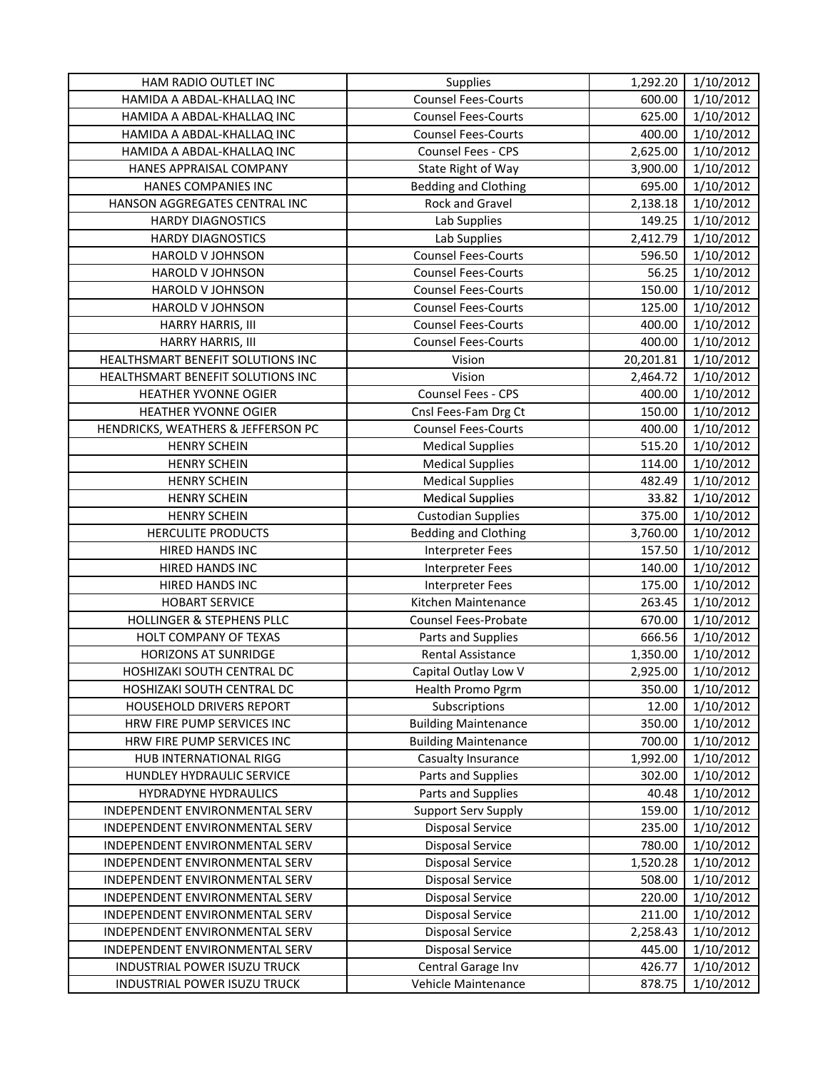| HAM RADIO OUTLET INC                                 | <b>Supplies</b>                                | 1,292.20         | 1/10/2012 |
|------------------------------------------------------|------------------------------------------------|------------------|-----------|
| HAMIDA A ABDAL-KHALLAQ INC                           | <b>Counsel Fees-Courts</b>                     | 600.00           | 1/10/2012 |
| HAMIDA A ABDAL-KHALLAQ INC                           | <b>Counsel Fees-Courts</b>                     | 625.00           | 1/10/2012 |
| HAMIDA A ABDAL-KHALLAQ INC                           | <b>Counsel Fees-Courts</b>                     | 400.00           | 1/10/2012 |
| HAMIDA A ABDAL-KHALLAQ INC                           | Counsel Fees - CPS                             | 2,625.00         | 1/10/2012 |
| HANES APPRAISAL COMPANY                              | State Right of Way                             | 3,900.00         | 1/10/2012 |
| HANES COMPANIES INC                                  | <b>Bedding and Clothing</b>                    | 695.00           | 1/10/2012 |
| HANSON AGGREGATES CENTRAL INC                        | Rock and Gravel                                | 2,138.18         | 1/10/2012 |
| <b>HARDY DIAGNOSTICS</b>                             | Lab Supplies                                   | 149.25           | 1/10/2012 |
| <b>HARDY DIAGNOSTICS</b>                             | Lab Supplies                                   | 2,412.79         | 1/10/2012 |
| HAROLD V JOHNSON                                     | <b>Counsel Fees-Courts</b>                     | 596.50           | 1/10/2012 |
| HAROLD V JOHNSON                                     | <b>Counsel Fees-Courts</b>                     | 56.25            | 1/10/2012 |
| HAROLD V JOHNSON                                     | <b>Counsel Fees-Courts</b>                     | 150.00           | 1/10/2012 |
| HAROLD V JOHNSON                                     | <b>Counsel Fees-Courts</b>                     | 125.00           | 1/10/2012 |
| HARRY HARRIS, III                                    | <b>Counsel Fees-Courts</b>                     | 400.00           | 1/10/2012 |
| HARRY HARRIS, III                                    | <b>Counsel Fees-Courts</b>                     | 400.00           | 1/10/2012 |
| HEALTHSMART BENEFIT SOLUTIONS INC                    | Vision                                         | 20,201.81        | 1/10/2012 |
| HEALTHSMART BENEFIT SOLUTIONS INC                    | Vision                                         | 2,464.72         | 1/10/2012 |
| HEATHER YVONNE OGIER                                 | Counsel Fees - CPS                             | 400.00           | 1/10/2012 |
| HEATHER YVONNE OGIER                                 | Cnsl Fees-Fam Drg Ct                           | 150.00           | 1/10/2012 |
| HENDRICKS, WEATHERS & JEFFERSON PC                   | <b>Counsel Fees-Courts</b>                     | 400.00           | 1/10/2012 |
| <b>HENRY SCHEIN</b>                                  | <b>Medical Supplies</b>                        | 515.20           | 1/10/2012 |
| <b>HENRY SCHEIN</b>                                  | <b>Medical Supplies</b>                        | 114.00           | 1/10/2012 |
| <b>HENRY SCHEIN</b>                                  | <b>Medical Supplies</b>                        | 482.49           | 1/10/2012 |
| <b>HENRY SCHEIN</b>                                  | <b>Medical Supplies</b>                        | 33.82            | 1/10/2012 |
|                                                      |                                                |                  |           |
| <b>HENRY SCHEIN</b>                                  | <b>Custodian Supplies</b>                      | 375.00           | 1/10/2012 |
| <b>HERCULITE PRODUCTS</b>                            | <b>Bedding and Clothing</b>                    | 3,760.00         | 1/10/2012 |
| HIRED HANDS INC<br>HIRED HANDS INC                   | <b>Interpreter Fees</b>                        | 157.50<br>140.00 | 1/10/2012 |
|                                                      | <b>Interpreter Fees</b>                        |                  | 1/10/2012 |
| HIRED HANDS INC<br><b>HOBART SERVICE</b>             | <b>Interpreter Fees</b><br>Kitchen Maintenance | 175.00<br>263.45 | 1/10/2012 |
| HOLLINGER & STEPHENS PLLC                            | <b>Counsel Fees-Probate</b>                    |                  | 1/10/2012 |
|                                                      |                                                | 670.00<br>666.56 | 1/10/2012 |
| HOLT COMPANY OF TEXAS<br><b>HORIZONS AT SUNRIDGE</b> | Parts and Supplies<br><b>Rental Assistance</b> |                  | 1/10/2012 |
|                                                      |                                                | 1,350.00         | 1/10/2012 |
| HOSHIZAKI SOUTH CENTRAL DC                           | Capital Outlay Low V                           | 2,925.00         | 1/10/2012 |
| HOSHIZAKI SOUTH CENTRAL DC                           | Health Promo Pgrm                              | 350.00           | 1/10/2012 |
| <b>HOUSEHOLD DRIVERS REPORT</b>                      | Subscriptions                                  | 12.00            | 1/10/2012 |
| HRW FIRE PUMP SERVICES INC                           | <b>Building Maintenance</b>                    | 350.00           | 1/10/2012 |
| HRW FIRE PUMP SERVICES INC                           | <b>Building Maintenance</b>                    | 700.00           | 1/10/2012 |
| HUB INTERNATIONAL RIGG                               | Casualty Insurance                             | 1,992.00         | 1/10/2012 |
| HUNDLEY HYDRAULIC SERVICE                            | Parts and Supplies                             | 302.00           | 1/10/2012 |
| <b>HYDRADYNE HYDRAULICS</b>                          | Parts and Supplies                             | 40.48            | 1/10/2012 |
| INDEPENDENT ENVIRONMENTAL SERV                       | <b>Support Serv Supply</b>                     | 159.00           | 1/10/2012 |
| INDEPENDENT ENVIRONMENTAL SERV                       | <b>Disposal Service</b>                        | 235.00           | 1/10/2012 |
| INDEPENDENT ENVIRONMENTAL SERV                       | <b>Disposal Service</b>                        | 780.00           | 1/10/2012 |
| INDEPENDENT ENVIRONMENTAL SERV                       | <b>Disposal Service</b>                        | 1,520.28         | 1/10/2012 |
| INDEPENDENT ENVIRONMENTAL SERV                       | <b>Disposal Service</b>                        | 508.00           | 1/10/2012 |
| INDEPENDENT ENVIRONMENTAL SERV                       | <b>Disposal Service</b>                        | 220.00           | 1/10/2012 |
| INDEPENDENT ENVIRONMENTAL SERV                       | <b>Disposal Service</b>                        | 211.00           | 1/10/2012 |
| INDEPENDENT ENVIRONMENTAL SERV                       | <b>Disposal Service</b>                        | 2,258.43         | 1/10/2012 |
| INDEPENDENT ENVIRONMENTAL SERV                       | <b>Disposal Service</b>                        | 445.00           | 1/10/2012 |
| INDUSTRIAL POWER ISUZU TRUCK                         | Central Garage Inv                             | 426.77           | 1/10/2012 |
| INDUSTRIAL POWER ISUZU TRUCK                         | Vehicle Maintenance                            | 878.75           | 1/10/2012 |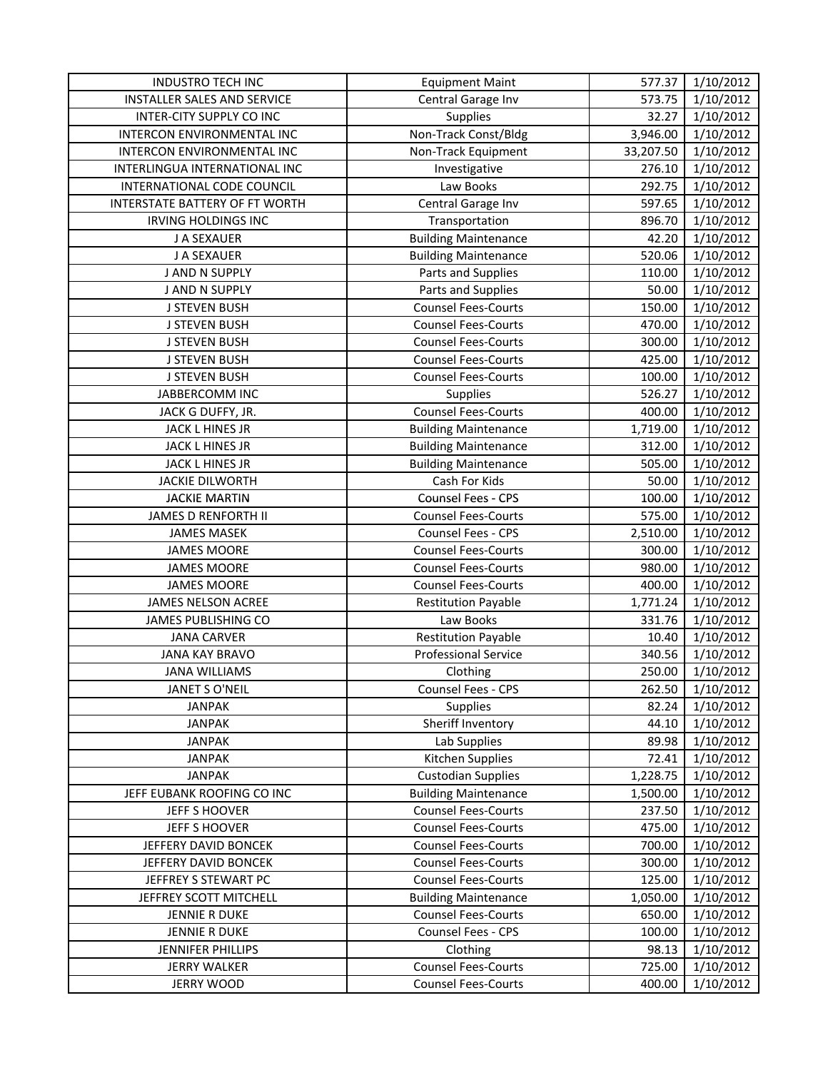| <b>INDUSTRO TECH INC</b>           | <b>Equipment Maint</b>      | 577.37    | 1/10/2012 |
|------------------------------------|-----------------------------|-----------|-----------|
| <b>INSTALLER SALES AND SERVICE</b> | Central Garage Inv          | 573.75    | 1/10/2012 |
| INTER-CITY SUPPLY CO INC           | <b>Supplies</b>             | 32.27     | 1/10/2012 |
| INTERCON ENVIRONMENTAL INC         | Non-Track Const/Bldg        | 3,946.00  | 1/10/2012 |
| INTERCON ENVIRONMENTAL INC         | Non-Track Equipment         | 33,207.50 | 1/10/2012 |
| INTERLINGUA INTERNATIONAL INC      | Investigative               | 276.10    | 1/10/2012 |
| INTERNATIONAL CODE COUNCIL         | Law Books                   | 292.75    | 1/10/2012 |
| INTERSTATE BATTERY OF FT WORTH     | Central Garage Inv          | 597.65    | 1/10/2012 |
| <b>IRVING HOLDINGS INC</b>         | Transportation              | 896.70    | 1/10/2012 |
| J A SEXAUER                        | <b>Building Maintenance</b> | 42.20     | 1/10/2012 |
| J A SEXAUER                        | <b>Building Maintenance</b> | 520.06    | 1/10/2012 |
| J AND N SUPPLY                     | Parts and Supplies          | 110.00    | 1/10/2012 |
| J AND N SUPPLY                     | Parts and Supplies          | 50.00     | 1/10/2012 |
| <b>J STEVEN BUSH</b>               | <b>Counsel Fees-Courts</b>  | 150.00    | 1/10/2012 |
| <b>J STEVEN BUSH</b>               | <b>Counsel Fees-Courts</b>  | 470.00    | 1/10/2012 |
| <b>J STEVEN BUSH</b>               | <b>Counsel Fees-Courts</b>  | 300.00    | 1/10/2012 |
| <b>J STEVEN BUSH</b>               | <b>Counsel Fees-Courts</b>  | 425.00    | 1/10/2012 |
| <b>J STEVEN BUSH</b>               | <b>Counsel Fees-Courts</b>  | 100.00    | 1/10/2012 |
| <b>JABBERCOMM INC</b>              | <b>Supplies</b>             | 526.27    | 1/10/2012 |
| JACK G DUFFY, JR.                  | <b>Counsel Fees-Courts</b>  | 400.00    | 1/10/2012 |
| JACK L HINES JR                    | <b>Building Maintenance</b> | 1,719.00  | 1/10/2012 |
| <b>JACK L HINES JR</b>             | <b>Building Maintenance</b> | 312.00    | 1/10/2012 |
| JACK L HINES JR                    | <b>Building Maintenance</b> | 505.00    | 1/10/2012 |
| <b>JACKIE DILWORTH</b>             | Cash For Kids               | 50.00     | 1/10/2012 |
| <b>JACKIE MARTIN</b>               | Counsel Fees - CPS          | 100.00    | 1/10/2012 |
| <b>JAMES D RENFORTH II</b>         | <b>Counsel Fees-Courts</b>  | 575.00    | 1/10/2012 |
| <b>JAMES MASEK</b>                 | Counsel Fees - CPS          | 2,510.00  | 1/10/2012 |
| <b>JAMES MOORE</b>                 | <b>Counsel Fees-Courts</b>  | 300.00    | 1/10/2012 |
| <b>JAMES MOORE</b>                 | <b>Counsel Fees-Courts</b>  | 980.00    | 1/10/2012 |
| <b>JAMES MOORE</b>                 | <b>Counsel Fees-Courts</b>  | 400.00    | 1/10/2012 |
| <b>JAMES NELSON ACREE</b>          | <b>Restitution Payable</b>  | 1,771.24  | 1/10/2012 |
| JAMES PUBLISHING CO                | Law Books                   | 331.76    | 1/10/2012 |
| <b>JANA CARVER</b>                 | <b>Restitution Payable</b>  | 10.40     | 1/10/2012 |
| <b>JANA KAY BRAVO</b>              | <b>Professional Service</b> | 340.56    | 1/10/2012 |
| <b>JANA WILLIAMS</b>               | Clothing                    | 250.00    | 1/10/2012 |
| JANET S O'NEIL                     | Counsel Fees - CPS          | 262.50    | 1/10/2012 |
| <b>JANPAK</b>                      | <b>Supplies</b>             | 82.24     | 1/10/2012 |
| <b>JANPAK</b>                      | Sheriff Inventory           | 44.10     | 1/10/2012 |
| <b>JANPAK</b>                      | Lab Supplies                | 89.98     | 1/10/2012 |
| <b>JANPAK</b>                      | Kitchen Supplies            | 72.41     | 1/10/2012 |
| <b>JANPAK</b>                      | <b>Custodian Supplies</b>   | 1,228.75  | 1/10/2012 |
| JEFF EUBANK ROOFING CO INC         | <b>Building Maintenance</b> | 1,500.00  | 1/10/2012 |
| JEFF S HOOVER                      | <b>Counsel Fees-Courts</b>  | 237.50    | 1/10/2012 |
| JEFF S HOOVER                      | <b>Counsel Fees-Courts</b>  | 475.00    | 1/10/2012 |
| JEFFERY DAVID BONCEK               | <b>Counsel Fees-Courts</b>  | 700.00    | 1/10/2012 |
| JEFFERY DAVID BONCEK               | <b>Counsel Fees-Courts</b>  | 300.00    | 1/10/2012 |
| JEFFREY S STEWART PC               | <b>Counsel Fees-Courts</b>  | 125.00    | 1/10/2012 |
| JEFFREY SCOTT MITCHELL             | <b>Building Maintenance</b> | 1,050.00  | 1/10/2012 |
| <b>JENNIE R DUKE</b>               | <b>Counsel Fees-Courts</b>  | 650.00    | 1/10/2012 |
| JENNIE R DUKE                      | Counsel Fees - CPS          | 100.00    | 1/10/2012 |
| JENNIFER PHILLIPS                  | Clothing                    | 98.13     | 1/10/2012 |
| <b>JERRY WALKER</b>                | <b>Counsel Fees-Courts</b>  | 725.00    | 1/10/2012 |
| <b>JERRY WOOD</b>                  | <b>Counsel Fees-Courts</b>  | 400.00    | 1/10/2012 |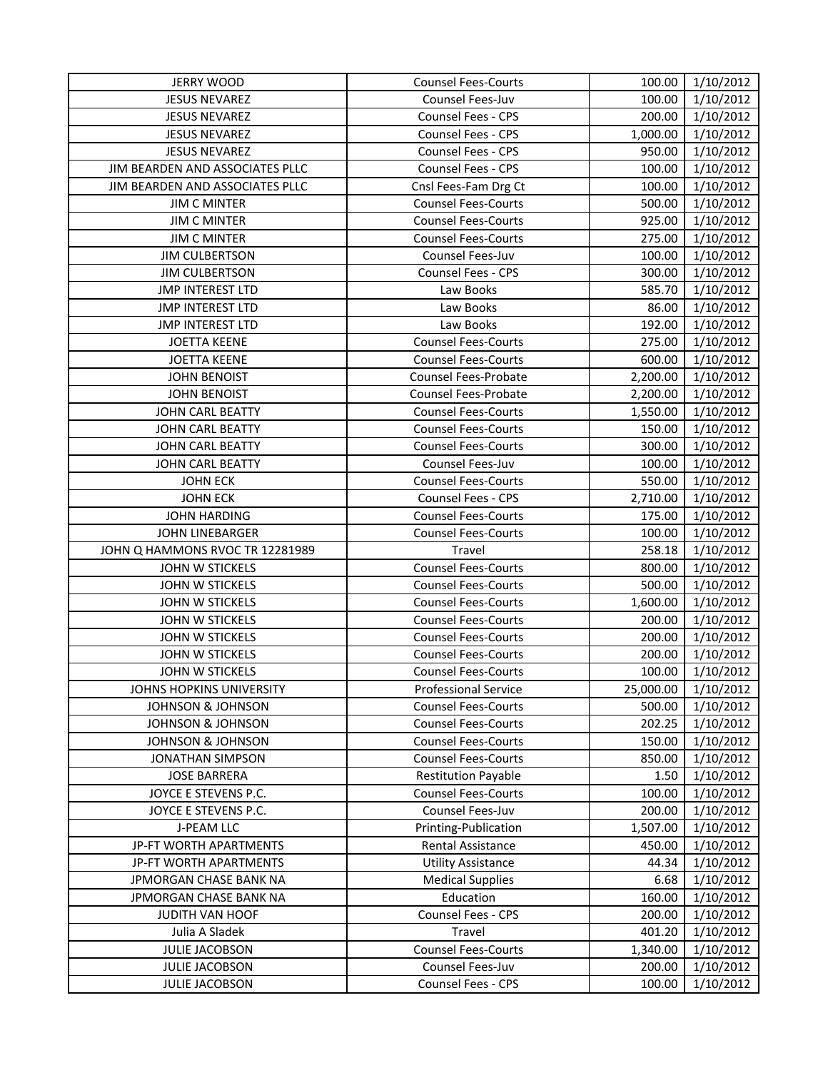| <b>JESUS NEVAREZ</b><br>Counsel Fees-Juv<br>100.00<br>1/10/2012<br><b>JESUS NEVAREZ</b><br>Counsel Fees - CPS<br>200.00<br>1/10/2012<br><b>JESUS NEVAREZ</b><br>Counsel Fees - CPS<br>1,000.00<br>1/10/2012<br>1/10/2012<br><b>JESUS NEVAREZ</b><br>Counsel Fees - CPS<br>950.00<br>JIM BEARDEN AND ASSOCIATES PLLC<br><b>Counsel Fees - CPS</b><br>100.00<br>1/10/2012 |  |
|-------------------------------------------------------------------------------------------------------------------------------------------------------------------------------------------------------------------------------------------------------------------------------------------------------------------------------------------------------------------------|--|
|                                                                                                                                                                                                                                                                                                                                                                         |  |
|                                                                                                                                                                                                                                                                                                                                                                         |  |
|                                                                                                                                                                                                                                                                                                                                                                         |  |
|                                                                                                                                                                                                                                                                                                                                                                         |  |
|                                                                                                                                                                                                                                                                                                                                                                         |  |
| JIM BEARDEN AND ASSOCIATES PLLC<br>Cnsl Fees-Fam Drg Ct<br>100.00<br>1/10/2012                                                                                                                                                                                                                                                                                          |  |
| <b>JIM C MINTER</b><br><b>Counsel Fees-Courts</b><br>500.00<br>1/10/2012                                                                                                                                                                                                                                                                                                |  |
| <b>Counsel Fees-Courts</b><br>925.00<br>1/10/2012<br><b>JIM C MINTER</b>                                                                                                                                                                                                                                                                                                |  |
| 275.00<br>1/10/2012<br><b>JIM C MINTER</b><br><b>Counsel Fees-Courts</b>                                                                                                                                                                                                                                                                                                |  |
| 100.00<br><b>JIM CULBERTSON</b><br>Counsel Fees-Juv<br>1/10/2012                                                                                                                                                                                                                                                                                                        |  |
| <b>Counsel Fees - CPS</b><br>300.00<br>1/10/2012<br><b>JIM CULBERTSON</b>                                                                                                                                                                                                                                                                                               |  |
| 585.70<br><b>JMP INTEREST LTD</b><br>Law Books<br>1/10/2012                                                                                                                                                                                                                                                                                                             |  |
| 86.00<br>1/10/2012<br><b>JMP INTEREST LTD</b><br>Law Books                                                                                                                                                                                                                                                                                                              |  |
| 1/10/2012<br><b>JMP INTEREST LTD</b><br>Law Books<br>192.00                                                                                                                                                                                                                                                                                                             |  |
| 275.00<br>1/10/2012<br><b>JOETTA KEENE</b><br><b>Counsel Fees-Courts</b>                                                                                                                                                                                                                                                                                                |  |
| 600.00<br>1/10/2012<br><b>JOETTA KEENE</b><br><b>Counsel Fees-Courts</b>                                                                                                                                                                                                                                                                                                |  |
| <b>Counsel Fees-Probate</b><br>2,200.00<br><b>JOHN BENOIST</b><br>1/10/2012                                                                                                                                                                                                                                                                                             |  |
| <b>JOHN BENOIST</b><br><b>Counsel Fees-Probate</b><br>2,200.00<br>1/10/2012                                                                                                                                                                                                                                                                                             |  |
| <b>JOHN CARL BEATTY</b><br><b>Counsel Fees-Courts</b><br>1,550.00<br>1/10/2012                                                                                                                                                                                                                                                                                          |  |
| JOHN CARL BEATTY<br><b>Counsel Fees-Courts</b><br>150.00<br>1/10/2012                                                                                                                                                                                                                                                                                                   |  |
| <b>JOHN CARL BEATTY</b><br><b>Counsel Fees-Courts</b><br>300.00<br>1/10/2012                                                                                                                                                                                                                                                                                            |  |
| JOHN CARL BEATTY<br>100.00<br>1/10/2012<br>Counsel Fees-Juv                                                                                                                                                                                                                                                                                                             |  |
| <b>JOHN ECK</b><br><b>Counsel Fees-Courts</b><br>550.00<br>1/10/2012                                                                                                                                                                                                                                                                                                    |  |
| 1/10/2012<br><b>JOHN ECK</b><br>Counsel Fees - CPS<br>2,710.00                                                                                                                                                                                                                                                                                                          |  |
| 1/10/2012<br><b>JOHN HARDING</b><br><b>Counsel Fees-Courts</b><br>175.00                                                                                                                                                                                                                                                                                                |  |
| 100.00<br>1/10/2012<br><b>JOHN LINEBARGER</b><br><b>Counsel Fees-Courts</b>                                                                                                                                                                                                                                                                                             |  |
| JOHN Q HAMMONS RVOC TR 12281989<br>258.18<br>Travel<br>1/10/2012                                                                                                                                                                                                                                                                                                        |  |
| <b>JOHN W STICKELS</b><br><b>Counsel Fees-Courts</b><br>800.00<br>1/10/2012                                                                                                                                                                                                                                                                                             |  |
| JOHN W STICKELS<br><b>Counsel Fees-Courts</b><br>500.00<br>1/10/2012                                                                                                                                                                                                                                                                                                    |  |
| JOHN W STICKELS<br><b>Counsel Fees-Courts</b><br>1,600.00<br>1/10/2012                                                                                                                                                                                                                                                                                                  |  |
| JOHN W STICKELS<br><b>Counsel Fees-Courts</b><br>200.00<br>1/10/2012                                                                                                                                                                                                                                                                                                    |  |
| JOHN W STICKELS<br><b>Counsel Fees-Courts</b><br>200.00<br>1/10/2012                                                                                                                                                                                                                                                                                                    |  |
| <b>JOHN W STICKELS</b><br><b>Counsel Fees-Courts</b><br>1/10/2012<br>200.00                                                                                                                                                                                                                                                                                             |  |
| 100.00<br>1/10/2012<br><b>JOHN W STICKELS</b><br><b>Counsel Fees-Courts</b>                                                                                                                                                                                                                                                                                             |  |
| <b>Professional Service</b><br>25,000.00<br>1/10/2012<br>JOHNS HOPKINS UNIVERSITY                                                                                                                                                                                                                                                                                       |  |
| <b>Counsel Fees-Courts</b><br>500.00<br>1/10/2012<br><b>JOHNSON &amp; JOHNSON</b>                                                                                                                                                                                                                                                                                       |  |
| 202.25<br><b>JOHNSON &amp; JOHNSON</b><br><b>Counsel Fees-Courts</b><br>1/10/2012                                                                                                                                                                                                                                                                                       |  |
| <b>JOHNSON &amp; JOHNSON</b><br><b>Counsel Fees-Courts</b><br>150.00<br>1/10/2012                                                                                                                                                                                                                                                                                       |  |
| 1/10/2012<br><b>Counsel Fees-Courts</b><br>850.00<br><b>JONATHAN SIMPSON</b>                                                                                                                                                                                                                                                                                            |  |
| <b>Restitution Payable</b><br>1.50<br>1/10/2012<br><b>JOSE BARRERA</b>                                                                                                                                                                                                                                                                                                  |  |
| JOYCE E STEVENS P.C.<br><b>Counsel Fees-Courts</b><br>100.00<br>1/10/2012                                                                                                                                                                                                                                                                                               |  |
| JOYCE E STEVENS P.C.<br>Counsel Fees-Juv<br>200.00<br>1/10/2012                                                                                                                                                                                                                                                                                                         |  |
| <b>J-PEAM LLC</b><br>Printing-Publication<br>1,507.00<br>1/10/2012                                                                                                                                                                                                                                                                                                      |  |
| JP-FT WORTH APARTMENTS<br>Rental Assistance<br>450.00<br>1/10/2012                                                                                                                                                                                                                                                                                                      |  |
| JP-FT WORTH APARTMENTS<br><b>Utility Assistance</b><br>44.34<br>1/10/2012                                                                                                                                                                                                                                                                                               |  |
| JPMORGAN CHASE BANK NA<br><b>Medical Supplies</b><br>6.68<br>1/10/2012                                                                                                                                                                                                                                                                                                  |  |
| Education<br>160.00<br>1/10/2012<br>JPMORGAN CHASE BANK NA                                                                                                                                                                                                                                                                                                              |  |
| Counsel Fees - CPS<br>JUDITH VAN HOOF<br>200.00<br>1/10/2012                                                                                                                                                                                                                                                                                                            |  |
| Julia A Sladek<br>Travel<br>401.20<br>1/10/2012                                                                                                                                                                                                                                                                                                                         |  |
| <b>Counsel Fees-Courts</b><br><b>JULIE JACOBSON</b><br>1,340.00<br>1/10/2012                                                                                                                                                                                                                                                                                            |  |
| <b>JULIE JACOBSON</b><br>Counsel Fees-Juv<br>200.00<br>1/10/2012                                                                                                                                                                                                                                                                                                        |  |
| Counsel Fees - CPS<br><b>JULIE JACOBSON</b><br>100.00<br>1/10/2012                                                                                                                                                                                                                                                                                                      |  |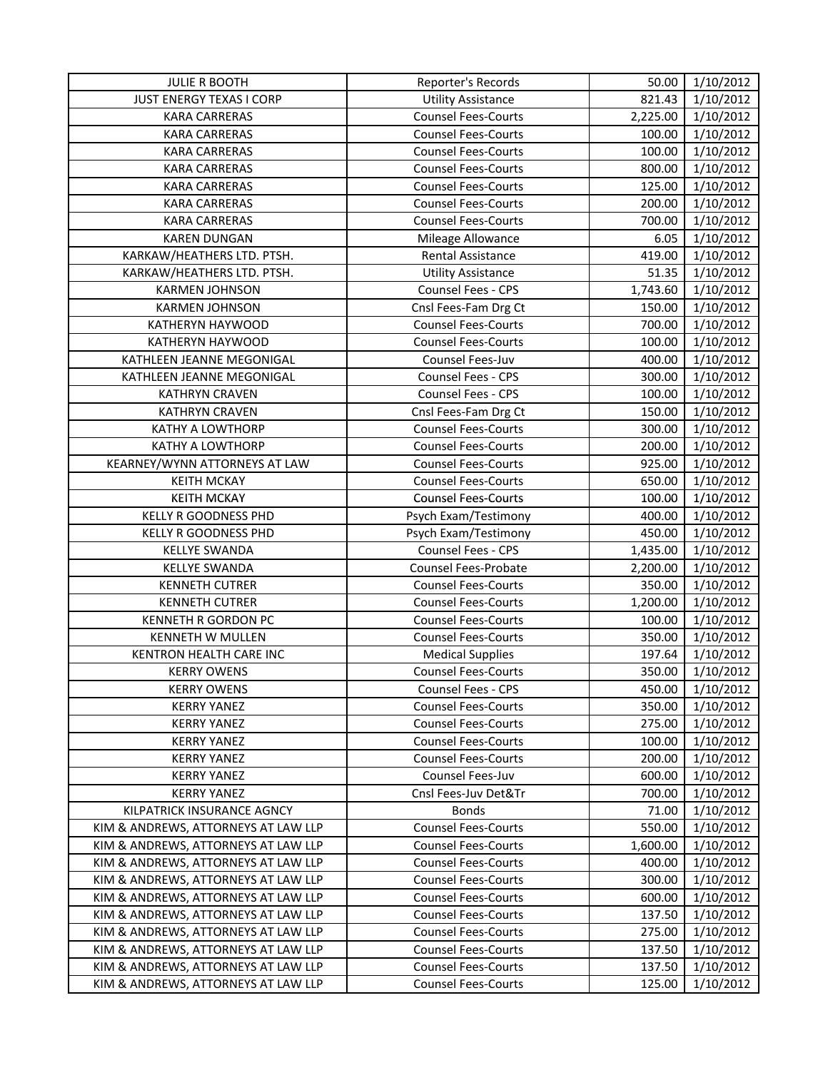| <b>JULIE R BOOTH</b>                | Reporter's Records         | 50.00    | 1/10/2012 |
|-------------------------------------|----------------------------|----------|-----------|
| <b>JUST ENERGY TEXAS I CORP</b>     | <b>Utility Assistance</b>  | 821.43   | 1/10/2012 |
| <b>KARA CARRERAS</b>                | <b>Counsel Fees-Courts</b> | 2,225.00 | 1/10/2012 |
| <b>KARA CARRERAS</b>                | <b>Counsel Fees-Courts</b> | 100.00   | 1/10/2012 |
| <b>KARA CARRERAS</b>                | <b>Counsel Fees-Courts</b> | 100.00   | 1/10/2012 |
| <b>KARA CARRERAS</b>                | <b>Counsel Fees-Courts</b> | 800.00   | 1/10/2012 |
| <b>KARA CARRERAS</b>                | <b>Counsel Fees-Courts</b> | 125.00   | 1/10/2012 |
| <b>KARA CARRERAS</b>                | <b>Counsel Fees-Courts</b> | 200.00   | 1/10/2012 |
| <b>KARA CARRERAS</b>                | <b>Counsel Fees-Courts</b> | 700.00   | 1/10/2012 |
| <b>KAREN DUNGAN</b>                 | Mileage Allowance          | 6.05     | 1/10/2012 |
| KARKAW/HEATHERS LTD. PTSH.          | Rental Assistance          | 419.00   | 1/10/2012 |
| KARKAW/HEATHERS LTD. PTSH.          | <b>Utility Assistance</b>  | 51.35    | 1/10/2012 |
| <b>KARMEN JOHNSON</b>               | Counsel Fees - CPS         | 1,743.60 | 1/10/2012 |
| <b>KARMEN JOHNSON</b>               | Cnsl Fees-Fam Drg Ct       | 150.00   | 1/10/2012 |
| KATHERYN HAYWOOD                    | <b>Counsel Fees-Courts</b> | 700.00   | 1/10/2012 |
| KATHERYN HAYWOOD                    | <b>Counsel Fees-Courts</b> | 100.00   | 1/10/2012 |
| KATHLEEN JEANNE MEGONIGAL           | Counsel Fees-Juv           | 400.00   | 1/10/2012 |
| KATHLEEN JEANNE MEGONIGAL           | Counsel Fees - CPS         | 300.00   | 1/10/2012 |
| <b>KATHRYN CRAVEN</b>               | <b>Counsel Fees - CPS</b>  | 100.00   | 1/10/2012 |
| <b>KATHRYN CRAVEN</b>               | Cnsl Fees-Fam Drg Ct       | 150.00   | 1/10/2012 |
| KATHY A LOWTHORP                    | <b>Counsel Fees-Courts</b> | 300.00   | 1/10/2012 |
| <b>KATHY A LOWTHORP</b>             | <b>Counsel Fees-Courts</b> | 200.00   | 1/10/2012 |
| KEARNEY/WYNN ATTORNEYS AT LAW       | <b>Counsel Fees-Courts</b> | 925.00   | 1/10/2012 |
| <b>KEITH MCKAY</b>                  | <b>Counsel Fees-Courts</b> | 650.00   | 1/10/2012 |
| <b>KEITH MCKAY</b>                  | <b>Counsel Fees-Courts</b> | 100.00   | 1/10/2012 |
| <b>KELLY R GOODNESS PHD</b>         | Psych Exam/Testimony       | 400.00   | 1/10/2012 |
| <b>KELLY R GOODNESS PHD</b>         | Psych Exam/Testimony       | 450.00   | 1/10/2012 |
| <b>KELLYE SWANDA</b>                | Counsel Fees - CPS         | 1,435.00 | 1/10/2012 |
| <b>KELLYE SWANDA</b>                | Counsel Fees-Probate       | 2,200.00 | 1/10/2012 |
| <b>KENNETH CUTRER</b>               | <b>Counsel Fees-Courts</b> | 350.00   | 1/10/2012 |
| <b>KENNETH CUTRER</b>               | <b>Counsel Fees-Courts</b> | 1,200.00 | 1/10/2012 |
| KENNETH R GORDON PC                 | <b>Counsel Fees-Courts</b> | 100.00   | 1/10/2012 |
| <b>KENNETH W MULLEN</b>             | <b>Counsel Fees-Courts</b> | 350.00   | 1/10/2012 |
| KENTRON HEALTH CARE INC             | <b>Medical Supplies</b>    | 197.64   | 1/10/2012 |
| <b>KERRY OWENS</b>                  | <b>Counsel Fees-Courts</b> | 350.00   | 1/10/2012 |
| <b>KERRY OWENS</b>                  | Counsel Fees - CPS         | 450.00   | 1/10/2012 |
| <b>KERRY YANEZ</b>                  | <b>Counsel Fees-Courts</b> | 350.00   | 1/10/2012 |
| <b>KERRY YANEZ</b>                  | <b>Counsel Fees-Courts</b> | 275.00   | 1/10/2012 |
| <b>KERRY YANEZ</b>                  | <b>Counsel Fees-Courts</b> | 100.00   | 1/10/2012 |
| <b>KERRY YANEZ</b>                  | <b>Counsel Fees-Courts</b> | 200.00   | 1/10/2012 |
| <b>KERRY YANEZ</b>                  | Counsel Fees-Juv           | 600.00   | 1/10/2012 |
| <b>KERRY YANEZ</b>                  | Cnsl Fees-Juv Det&Tr       | 700.00   | 1/10/2012 |
| KILPATRICK INSURANCE AGNCY          | <b>Bonds</b>               | 71.00    | 1/10/2012 |
| KIM & ANDREWS, ATTORNEYS AT LAW LLP | <b>Counsel Fees-Courts</b> | 550.00   | 1/10/2012 |
| KIM & ANDREWS, ATTORNEYS AT LAW LLP | <b>Counsel Fees-Courts</b> | 1,600.00 | 1/10/2012 |
| KIM & ANDREWS, ATTORNEYS AT LAW LLP | <b>Counsel Fees-Courts</b> | 400.00   | 1/10/2012 |
| KIM & ANDREWS, ATTORNEYS AT LAW LLP | <b>Counsel Fees-Courts</b> | 300.00   | 1/10/2012 |
| KIM & ANDREWS, ATTORNEYS AT LAW LLP | <b>Counsel Fees-Courts</b> | 600.00   | 1/10/2012 |
| KIM & ANDREWS, ATTORNEYS AT LAW LLP | <b>Counsel Fees-Courts</b> | 137.50   |           |
|                                     | <b>Counsel Fees-Courts</b> |          | 1/10/2012 |
| KIM & ANDREWS, ATTORNEYS AT LAW LLP |                            | 275.00   | 1/10/2012 |
| KIM & ANDREWS, ATTORNEYS AT LAW LLP | <b>Counsel Fees-Courts</b> | 137.50   | 1/10/2012 |
| KIM & ANDREWS, ATTORNEYS AT LAW LLP | <b>Counsel Fees-Courts</b> | 137.50   | 1/10/2012 |
| KIM & ANDREWS, ATTORNEYS AT LAW LLP | <b>Counsel Fees-Courts</b> | 125.00   | 1/10/2012 |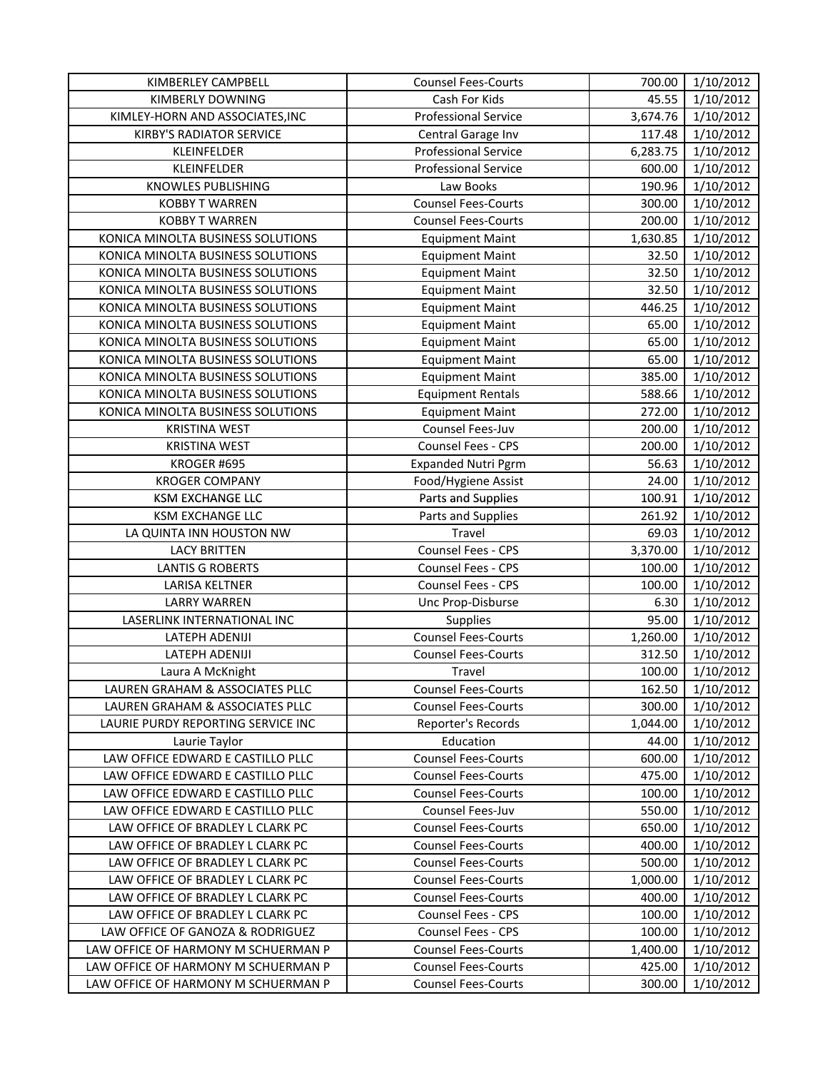| KIMBERLEY CAMPBELL                  | <b>Counsel Fees-Courts</b>  | 700.00   | 1/10/2012 |
|-------------------------------------|-----------------------------|----------|-----------|
| <b>KIMBERLY DOWNING</b>             | Cash For Kids               | 45.55    | 1/10/2012 |
| KIMLEY-HORN AND ASSOCIATES, INC     | <b>Professional Service</b> | 3,674.76 | 1/10/2012 |
| <b>KIRBY'S RADIATOR SERVICE</b>     | Central Garage Inv          | 117.48   | 1/10/2012 |
| KLEINFELDER                         | <b>Professional Service</b> | 6,283.75 | 1/10/2012 |
| KLEINFELDER                         | <b>Professional Service</b> | 600.00   | 1/10/2012 |
| <b>KNOWLES PUBLISHING</b>           | Law Books                   | 190.96   | 1/10/2012 |
| <b>KOBBY T WARREN</b>               | <b>Counsel Fees-Courts</b>  | 300.00   | 1/10/2012 |
| <b>KOBBY T WARREN</b>               | <b>Counsel Fees-Courts</b>  | 200.00   | 1/10/2012 |
| KONICA MINOLTA BUSINESS SOLUTIONS   | <b>Equipment Maint</b>      | 1,630.85 | 1/10/2012 |
| KONICA MINOLTA BUSINESS SOLUTIONS   | <b>Equipment Maint</b>      | 32.50    | 1/10/2012 |
| KONICA MINOLTA BUSINESS SOLUTIONS   | <b>Equipment Maint</b>      | 32.50    | 1/10/2012 |
| KONICA MINOLTA BUSINESS SOLUTIONS   | <b>Equipment Maint</b>      | 32.50    | 1/10/2012 |
| KONICA MINOLTA BUSINESS SOLUTIONS   | <b>Equipment Maint</b>      | 446.25   | 1/10/2012 |
| KONICA MINOLTA BUSINESS SOLUTIONS   | <b>Equipment Maint</b>      | 65.00    | 1/10/2012 |
| KONICA MINOLTA BUSINESS SOLUTIONS   | <b>Equipment Maint</b>      | 65.00    | 1/10/2012 |
| KONICA MINOLTA BUSINESS SOLUTIONS   | <b>Equipment Maint</b>      | 65.00    | 1/10/2012 |
| KONICA MINOLTA BUSINESS SOLUTIONS   | <b>Equipment Maint</b>      | 385.00   | 1/10/2012 |
| KONICA MINOLTA BUSINESS SOLUTIONS   | <b>Equipment Rentals</b>    | 588.66   | 1/10/2012 |
| KONICA MINOLTA BUSINESS SOLUTIONS   | <b>Equipment Maint</b>      | 272.00   | 1/10/2012 |
| <b>KRISTINA WEST</b>                | Counsel Fees-Juv            | 200.00   | 1/10/2012 |
| <b>KRISTINA WEST</b>                | Counsel Fees - CPS          | 200.00   | 1/10/2012 |
| KROGER #695                         | <b>Expanded Nutri Pgrm</b>  | 56.63    | 1/10/2012 |
| <b>KROGER COMPANY</b>               | Food/Hygiene Assist         | 24.00    | 1/10/2012 |
| <b>KSM EXCHANGE LLC</b>             | <b>Parts and Supplies</b>   | 100.91   | 1/10/2012 |
| <b>KSM EXCHANGE LLC</b>             | Parts and Supplies          | 261.92   | 1/10/2012 |
| LA QUINTA INN HOUSTON NW            | Travel                      | 69.03    | 1/10/2012 |
| <b>LACY BRITTEN</b>                 | Counsel Fees - CPS          | 3,370.00 | 1/10/2012 |
| <b>LANTIS G ROBERTS</b>             | Counsel Fees - CPS          | 100.00   | 1/10/2012 |
| LARISA KELTNER                      | Counsel Fees - CPS          | 100.00   | 1/10/2012 |
| <b>LARRY WARREN</b>                 | Unc Prop-Disburse           | 6.30     | 1/10/2012 |
| LASERLINK INTERNATIONAL INC         | <b>Supplies</b>             | 95.00    | 1/10/2012 |
| LATEPH ADENIJI                      | <b>Counsel Fees-Courts</b>  | 1,260.00 | 1/10/2012 |
| LATEPH ADENIJI                      | <b>Counsel Fees-Courts</b>  | 312.50   | 1/10/2012 |
| Laura A McKnight                    | Travel                      | 100.00   | 1/10/2012 |
| LAUREN GRAHAM & ASSOCIATES PLLC     | <b>Counsel Fees-Courts</b>  | 162.50   | 1/10/2012 |
| LAUREN GRAHAM & ASSOCIATES PLLC     | <b>Counsel Fees-Courts</b>  | 300.00   | 1/10/2012 |
| LAURIE PURDY REPORTING SERVICE INC  | Reporter's Records          | 1,044.00 | 1/10/2012 |
| Laurie Taylor                       | Education                   | 44.00    | 1/10/2012 |
| LAW OFFICE EDWARD E CASTILLO PLLC   | <b>Counsel Fees-Courts</b>  | 600.00   | 1/10/2012 |
| LAW OFFICE EDWARD E CASTILLO PLLC   | <b>Counsel Fees-Courts</b>  | 475.00   | 1/10/2012 |
| LAW OFFICE EDWARD E CASTILLO PLLC   | <b>Counsel Fees-Courts</b>  | 100.00   | 1/10/2012 |
| LAW OFFICE EDWARD E CASTILLO PLLC   | Counsel Fees-Juv            | 550.00   | 1/10/2012 |
| LAW OFFICE OF BRADLEY L CLARK PC    | <b>Counsel Fees-Courts</b>  | 650.00   | 1/10/2012 |
| LAW OFFICE OF BRADLEY L CLARK PC    | <b>Counsel Fees-Courts</b>  | 400.00   | 1/10/2012 |
| LAW OFFICE OF BRADLEY L CLARK PC    | <b>Counsel Fees-Courts</b>  | 500.00   | 1/10/2012 |
| LAW OFFICE OF BRADLEY L CLARK PC    | <b>Counsel Fees-Courts</b>  | 1,000.00 | 1/10/2012 |
| LAW OFFICE OF BRADLEY L CLARK PC    | <b>Counsel Fees-Courts</b>  | 400.00   | 1/10/2012 |
| LAW OFFICE OF BRADLEY L CLARK PC    | <b>Counsel Fees - CPS</b>   | 100.00   | 1/10/2012 |
| LAW OFFICE OF GANOZA & RODRIGUEZ    | <b>Counsel Fees - CPS</b>   | 100.00   | 1/10/2012 |
| LAW OFFICE OF HARMONY M SCHUERMAN P | <b>Counsel Fees-Courts</b>  | 1,400.00 | 1/10/2012 |
| LAW OFFICE OF HARMONY M SCHUERMAN P | <b>Counsel Fees-Courts</b>  | 425.00   | 1/10/2012 |
| LAW OFFICE OF HARMONY M SCHUERMAN P | <b>Counsel Fees-Courts</b>  | 300.00   | 1/10/2012 |
|                                     |                             |          |           |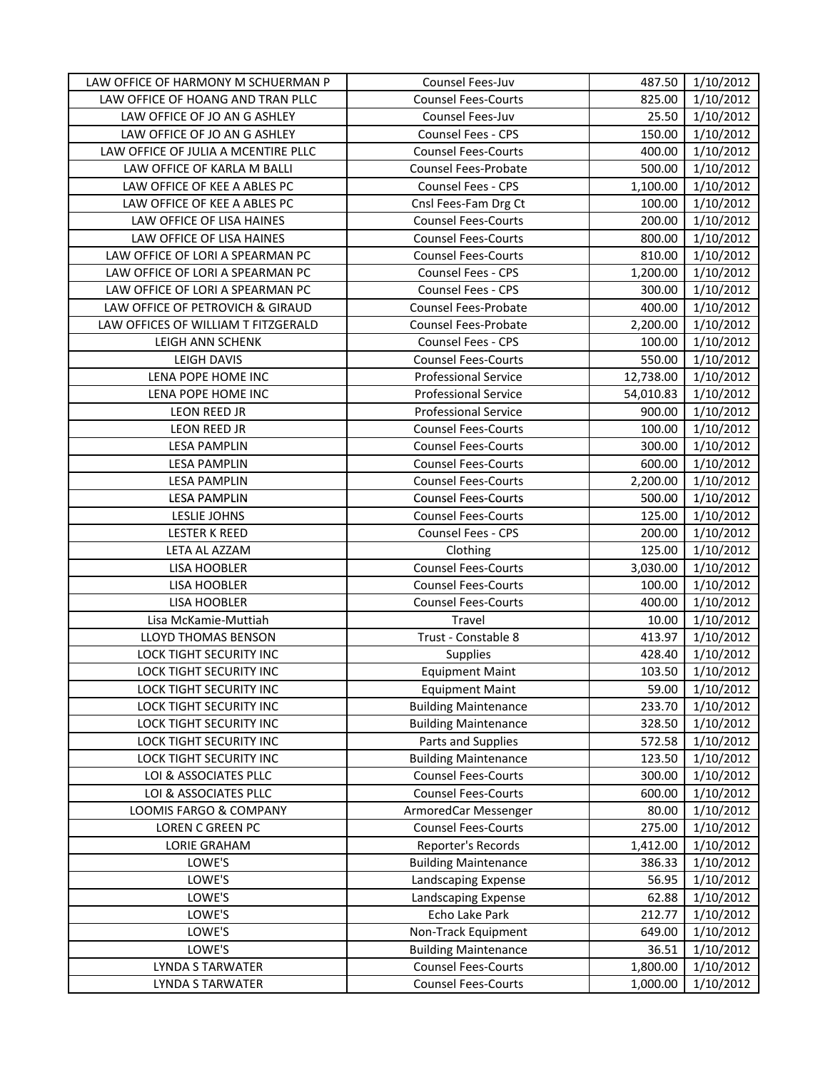| LAW OFFICE OF HARMONY M SCHUERMAN P | Counsel Fees-Juv            | 487.50    | 1/10/2012 |
|-------------------------------------|-----------------------------|-----------|-----------|
| LAW OFFICE OF HOANG AND TRAN PLLC   | <b>Counsel Fees-Courts</b>  | 825.00    | 1/10/2012 |
| LAW OFFICE OF JO AN G ASHLEY        | Counsel Fees-Juv            | 25.50     | 1/10/2012 |
| LAW OFFICE OF JO AN G ASHLEY        | <b>Counsel Fees - CPS</b>   | 150.00    | 1/10/2012 |
| LAW OFFICE OF JULIA A MCENTIRE PLLC | <b>Counsel Fees-Courts</b>  | 400.00    | 1/10/2012 |
| LAW OFFICE OF KARLA M BALLI         | <b>Counsel Fees-Probate</b> | 500.00    | 1/10/2012 |
| LAW OFFICE OF KEE A ABLES PC        | Counsel Fees - CPS          | 1,100.00  | 1/10/2012 |
| LAW OFFICE OF KEE A ABLES PC        | Cnsl Fees-Fam Drg Ct        | 100.00    | 1/10/2012 |
| LAW OFFICE OF LISA HAINES           | <b>Counsel Fees-Courts</b>  | 200.00    | 1/10/2012 |
| LAW OFFICE OF LISA HAINES           | <b>Counsel Fees-Courts</b>  | 800.00    | 1/10/2012 |
| LAW OFFICE OF LORI A SPEARMAN PC    | <b>Counsel Fees-Courts</b>  | 810.00    | 1/10/2012 |
| LAW OFFICE OF LORI A SPEARMAN PC    | Counsel Fees - CPS          | 1,200.00  | 1/10/2012 |
| LAW OFFICE OF LORI A SPEARMAN PC    | <b>Counsel Fees - CPS</b>   | 300.00    | 1/10/2012 |
| LAW OFFICE OF PETROVICH & GIRAUD    | <b>Counsel Fees-Probate</b> | 400.00    | 1/10/2012 |
| LAW OFFICES OF WILLIAM T FITZGERALD | Counsel Fees-Probate        | 2,200.00  | 1/10/2012 |
| LEIGH ANN SCHENK                    | Counsel Fees - CPS          | 100.00    | 1/10/2012 |
| LEIGH DAVIS                         | <b>Counsel Fees-Courts</b>  | 550.00    | 1/10/2012 |
| LENA POPE HOME INC                  | <b>Professional Service</b> | 12,738.00 | 1/10/2012 |
| LENA POPE HOME INC                  | <b>Professional Service</b> | 54,010.83 | 1/10/2012 |
| LEON REED JR                        | <b>Professional Service</b> | 900.00    | 1/10/2012 |
| LEON REED JR                        | <b>Counsel Fees-Courts</b>  | 100.00    | 1/10/2012 |
| <b>LESA PAMPLIN</b>                 | <b>Counsel Fees-Courts</b>  | 300.00    | 1/10/2012 |
| <b>LESA PAMPLIN</b>                 | <b>Counsel Fees-Courts</b>  | 600.00    | 1/10/2012 |
| <b>LESA PAMPLIN</b>                 | <b>Counsel Fees-Courts</b>  | 2,200.00  | 1/10/2012 |
| <b>LESA PAMPLIN</b>                 | <b>Counsel Fees-Courts</b>  | 500.00    | 1/10/2012 |
| <b>LESLIE JOHNS</b>                 | <b>Counsel Fees-Courts</b>  | 125.00    | 1/10/2012 |
| <b>LESTER K REED</b>                | Counsel Fees - CPS          | 200.00    | 1/10/2012 |
| LETA AL AZZAM                       | Clothing                    | 125.00    | 1/10/2012 |
| LISA HOOBLER                        | <b>Counsel Fees-Courts</b>  | 3,030.00  | 1/10/2012 |
| LISA HOOBLER                        | <b>Counsel Fees-Courts</b>  | 100.00    | 1/10/2012 |
| LISA HOOBLER                        | <b>Counsel Fees-Courts</b>  | 400.00    | 1/10/2012 |
| Lisa McKamie-Muttiah                | Travel                      | 10.00     | 1/10/2012 |
| LLOYD THOMAS BENSON                 | Trust - Constable 8         | 413.97    | 1/10/2012 |
| <b>LOCK TIGHT SECURITY INC</b>      | <b>Supplies</b>             | 428.40    | 1/10/2012 |
| <b>LOCK TIGHT SECURITY INC</b>      | <b>Equipment Maint</b>      | 103.50    | 1/10/2012 |
| <b>LOCK TIGHT SECURITY INC</b>      | <b>Equipment Maint</b>      | 59.00     | 1/10/2012 |
| LOCK TIGHT SECURITY INC             | <b>Building Maintenance</b> | 233.70    | 1/10/2012 |
| LOCK TIGHT SECURITY INC             | <b>Building Maintenance</b> | 328.50    | 1/10/2012 |
| LOCK TIGHT SECURITY INC             | Parts and Supplies          | 572.58    | 1/10/2012 |
| LOCK TIGHT SECURITY INC             | <b>Building Maintenance</b> | 123.50    | 1/10/2012 |
| LOI & ASSOCIATES PLLC               | <b>Counsel Fees-Courts</b>  | 300.00    | 1/10/2012 |
| LOI & ASSOCIATES PLLC               | <b>Counsel Fees-Courts</b>  | 600.00    | 1/10/2012 |
| LOOMIS FARGO & COMPANY              | ArmoredCar Messenger        | 80.00     | 1/10/2012 |
| <b>LOREN C GREEN PC</b>             | <b>Counsel Fees-Courts</b>  | 275.00    | 1/10/2012 |
| <b>LORIE GRAHAM</b>                 | Reporter's Records          | 1,412.00  | 1/10/2012 |
| LOWE'S                              | <b>Building Maintenance</b> | 386.33    | 1/10/2012 |
| LOWE'S                              | Landscaping Expense         | 56.95     | 1/10/2012 |
| LOWE'S                              | Landscaping Expense         | 62.88     | 1/10/2012 |
| LOWE'S                              | Echo Lake Park              | 212.77    | 1/10/2012 |
| LOWE'S                              | Non-Track Equipment         | 649.00    | 1/10/2012 |
| LOWE'S                              | <b>Building Maintenance</b> | 36.51     | 1/10/2012 |
| <b>LYNDA S TARWATER</b>             | <b>Counsel Fees-Courts</b>  | 1,800.00  | 1/10/2012 |
| LYNDA S TARWATER                    | <b>Counsel Fees-Courts</b>  | 1,000.00  | 1/10/2012 |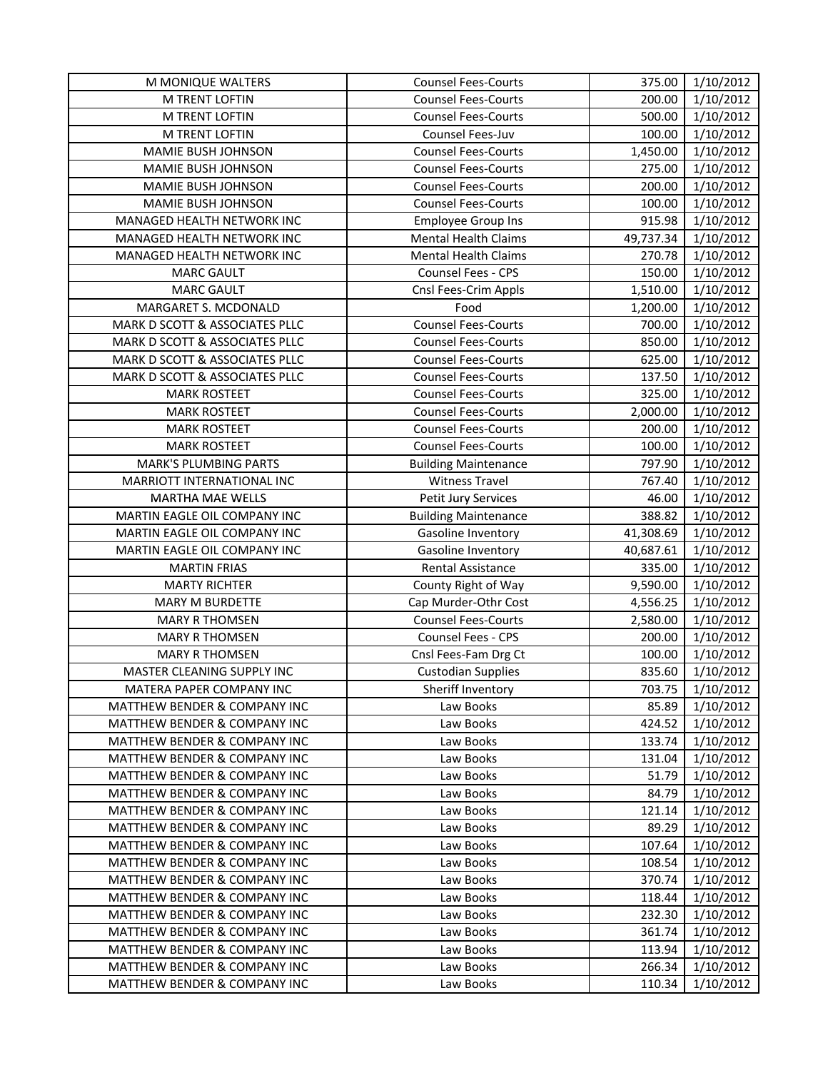| M MONIQUE WALTERS                       | <b>Counsel Fees-Courts</b>  | 375.00    | 1/10/2012 |
|-----------------------------------------|-----------------------------|-----------|-----------|
| <b>M TRENT LOFTIN</b>                   | <b>Counsel Fees-Courts</b>  | 200.00    | 1/10/2012 |
| M TRENT LOFTIN                          | <b>Counsel Fees-Courts</b>  | 500.00    | 1/10/2012 |
| M TRENT LOFTIN                          | Counsel Fees-Juv            | 100.00    | 1/10/2012 |
| MAMIE BUSH JOHNSON                      | <b>Counsel Fees-Courts</b>  | 1,450.00  | 1/10/2012 |
| MAMIE BUSH JOHNSON                      | <b>Counsel Fees-Courts</b>  | 275.00    | 1/10/2012 |
| MAMIE BUSH JOHNSON                      | <b>Counsel Fees-Courts</b>  | 200.00    | 1/10/2012 |
| MAMIE BUSH JOHNSON                      | <b>Counsel Fees-Courts</b>  | 100.00    | 1/10/2012 |
| MANAGED HEALTH NETWORK INC              | <b>Employee Group Ins</b>   | 915.98    | 1/10/2012 |
| MANAGED HEALTH NETWORK INC              | <b>Mental Health Claims</b> | 49,737.34 | 1/10/2012 |
| MANAGED HEALTH NETWORK INC              | <b>Mental Health Claims</b> | 270.78    | 1/10/2012 |
| <b>MARC GAULT</b>                       | <b>Counsel Fees - CPS</b>   | 150.00    | 1/10/2012 |
| <b>MARC GAULT</b>                       | Cnsl Fees-Crim Appls        | 1,510.00  | 1/10/2012 |
| MARGARET S. MCDONALD                    | Food                        | 1,200.00  | 1/10/2012 |
| MARK D SCOTT & ASSOCIATES PLLC          | <b>Counsel Fees-Courts</b>  | 700.00    | 1/10/2012 |
| MARK D SCOTT & ASSOCIATES PLLC          | <b>Counsel Fees-Courts</b>  | 850.00    | 1/10/2012 |
| MARK D SCOTT & ASSOCIATES PLLC          | <b>Counsel Fees-Courts</b>  | 625.00    | 1/10/2012 |
| MARK D SCOTT & ASSOCIATES PLLC          | <b>Counsel Fees-Courts</b>  | 137.50    | 1/10/2012 |
| <b>MARK ROSTEET</b>                     | <b>Counsel Fees-Courts</b>  | 325.00    | 1/10/2012 |
| <b>MARK ROSTEET</b>                     | <b>Counsel Fees-Courts</b>  | 2,000.00  | 1/10/2012 |
| <b>MARK ROSTEET</b>                     | <b>Counsel Fees-Courts</b>  | 200.00    | 1/10/2012 |
| <b>MARK ROSTEET</b>                     | <b>Counsel Fees-Courts</b>  | 100.00    | 1/10/2012 |
| <b>MARK'S PLUMBING PARTS</b>            | <b>Building Maintenance</b> | 797.90    | 1/10/2012 |
| MARRIOTT INTERNATIONAL INC              | <b>Witness Travel</b>       | 767.40    | 1/10/2012 |
| MARTHA MAE WELLS                        | <b>Petit Jury Services</b>  | 46.00     | 1/10/2012 |
| MARTIN EAGLE OIL COMPANY INC            | <b>Building Maintenance</b> | 388.82    | 1/10/2012 |
| MARTIN EAGLE OIL COMPANY INC            | Gasoline Inventory          | 41,308.69 | 1/10/2012 |
| MARTIN EAGLE OIL COMPANY INC            | Gasoline Inventory          | 40,687.61 | 1/10/2012 |
| <b>MARTIN FRIAS</b>                     | Rental Assistance           | 335.00    | 1/10/2012 |
| <b>MARTY RICHTER</b>                    | County Right of Way         | 9,590.00  | 1/10/2012 |
| <b>MARY M BURDETTE</b>                  | Cap Murder-Othr Cost        | 4,556.25  | 1/10/2012 |
| <b>MARY R THOMSEN</b>                   | <b>Counsel Fees-Courts</b>  | 2,580.00  | 1/10/2012 |
| <b>MARY R THOMSEN</b>                   | Counsel Fees - CPS          | 200.00    | 1/10/2012 |
| <b>MARY R THOMSEN</b>                   | Cnsl Fees-Fam Drg Ct        | 100.00    | 1/10/2012 |
| MASTER CLEANING SUPPLY INC              | <b>Custodian Supplies</b>   | 835.60    | 1/10/2012 |
| MATERA PAPER COMPANY INC                | Sheriff Inventory           | 703.75    | 1/10/2012 |
| <b>MATTHEW BENDER &amp; COMPANY INC</b> | Law Books                   | 85.89     | 1/10/2012 |
| <b>MATTHEW BENDER &amp; COMPANY INC</b> | Law Books                   | 424.52    | 1/10/2012 |
| <b>MATTHEW BENDER &amp; COMPANY INC</b> | Law Books                   | 133.74    | 1/10/2012 |
| MATTHEW BENDER & COMPANY INC            | Law Books                   | 131.04    | 1/10/2012 |
| MATTHEW BENDER & COMPANY INC            | Law Books                   | 51.79     | 1/10/2012 |
| MATTHEW BENDER & COMPANY INC            | Law Books                   | 84.79     | 1/10/2012 |
| <b>MATTHEW BENDER &amp; COMPANY INC</b> | Law Books                   | 121.14    | 1/10/2012 |
| <b>MATTHEW BENDER &amp; COMPANY INC</b> | Law Books                   | 89.29     | 1/10/2012 |
| MATTHEW BENDER & COMPANY INC            | Law Books                   | 107.64    | 1/10/2012 |
| MATTHEW BENDER & COMPANY INC            | Law Books                   | 108.54    | 1/10/2012 |
| <b>MATTHEW BENDER &amp; COMPANY INC</b> | Law Books                   | 370.74    | 1/10/2012 |
| <b>MATTHEW BENDER &amp; COMPANY INC</b> | Law Books                   | 118.44    | 1/10/2012 |
| <b>MATTHEW BENDER &amp; COMPANY INC</b> | Law Books                   | 232.30    | 1/10/2012 |
| MATTHEW BENDER & COMPANY INC            | Law Books                   | 361.74    | 1/10/2012 |
| <b>MATTHEW BENDER &amp; COMPANY INC</b> | Law Books                   | 113.94    | 1/10/2012 |
| MATTHEW BENDER & COMPANY INC            | Law Books                   | 266.34    | 1/10/2012 |
| MATTHEW BENDER & COMPANY INC            | Law Books                   | 110.34    | 1/10/2012 |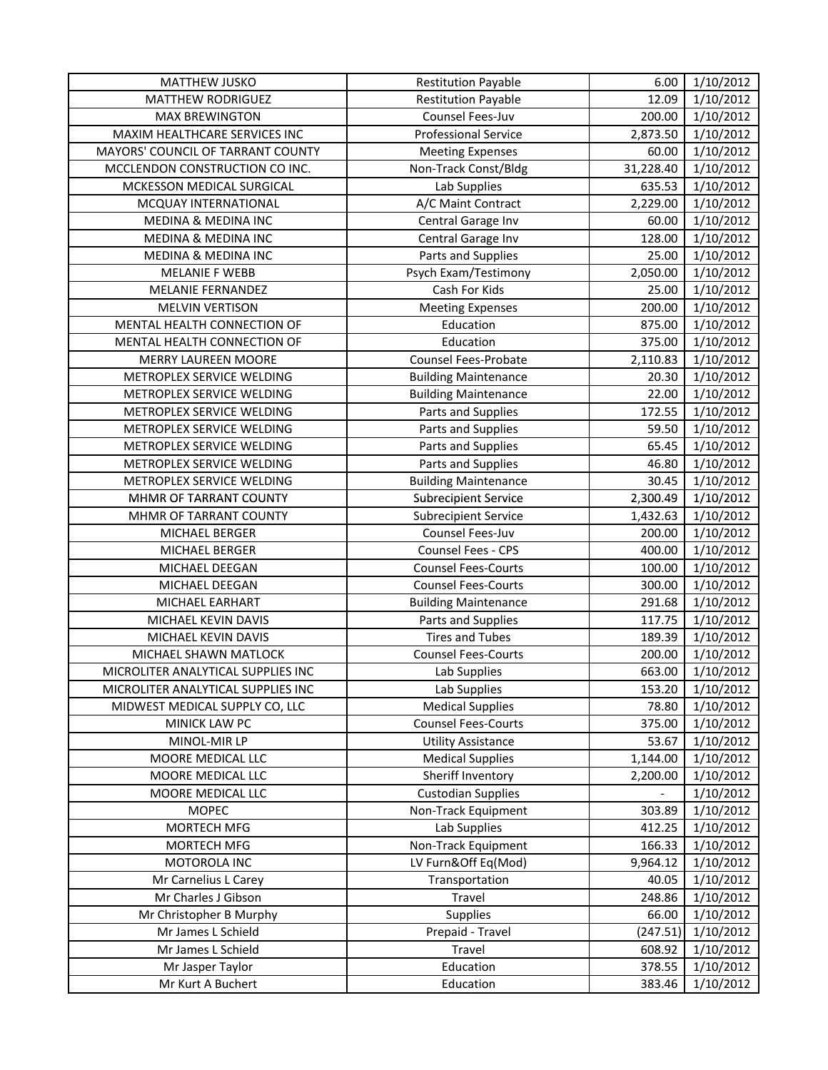| <b>MATTHEW JUSKO</b>               | <b>Restitution Payable</b>  | 6.00      | 1/10/2012 |
|------------------------------------|-----------------------------|-----------|-----------|
| MATTHEW RODRIGUEZ                  | <b>Restitution Payable</b>  | 12.09     | 1/10/2012 |
| <b>MAX BREWINGTON</b>              | Counsel Fees-Juv            | 200.00    | 1/10/2012 |
| MAXIM HEALTHCARE SERVICES INC      | <b>Professional Service</b> | 2,873.50  | 1/10/2012 |
| MAYORS' COUNCIL OF TARRANT COUNTY  | <b>Meeting Expenses</b>     | 60.00     | 1/10/2012 |
| MCCLENDON CONSTRUCTION CO INC.     | Non-Track Const/Bldg        | 31,228.40 | 1/10/2012 |
| MCKESSON MEDICAL SURGICAL          | Lab Supplies                | 635.53    | 1/10/2012 |
| MCQUAY INTERNATIONAL               | A/C Maint Contract          | 2,229.00  | 1/10/2012 |
| <b>MEDINA &amp; MEDINA INC</b>     | Central Garage Inv          | 60.00     | 1/10/2012 |
| MEDINA & MEDINA INC                | Central Garage Inv          | 128.00    | 1/10/2012 |
| MEDINA & MEDINA INC                | Parts and Supplies          | 25.00     | 1/10/2012 |
| <b>MELANIE F WEBB</b>              | Psych Exam/Testimony        | 2,050.00  | 1/10/2012 |
| MELANIE FERNANDEZ                  | Cash For Kids               | 25.00     | 1/10/2012 |
| <b>MELVIN VERTISON</b>             | <b>Meeting Expenses</b>     | 200.00    | 1/10/2012 |
| MENTAL HEALTH CONNECTION OF        | Education                   | 875.00    | 1/10/2012 |
| MENTAL HEALTH CONNECTION OF        | Education                   | 375.00    | 1/10/2012 |
| <b>MERRY LAUREEN MOORE</b>         | <b>Counsel Fees-Probate</b> | 2,110.83  | 1/10/2012 |
| METROPLEX SERVICE WELDING          | <b>Building Maintenance</b> | 20.30     | 1/10/2012 |
| METROPLEX SERVICE WELDING          | <b>Building Maintenance</b> | 22.00     | 1/10/2012 |
| METROPLEX SERVICE WELDING          | Parts and Supplies          | 172.55    | 1/10/2012 |
| METROPLEX SERVICE WELDING          | Parts and Supplies          | 59.50     | 1/10/2012 |
| METROPLEX SERVICE WELDING          | Parts and Supplies          | 65.45     | 1/10/2012 |
| METROPLEX SERVICE WELDING          | Parts and Supplies          | 46.80     | 1/10/2012 |
| METROPLEX SERVICE WELDING          | <b>Building Maintenance</b> | 30.45     | 1/10/2012 |
| MHMR OF TARRANT COUNTY             | <b>Subrecipient Service</b> | 2,300.49  | 1/10/2012 |
| MHMR OF TARRANT COUNTY             | <b>Subrecipient Service</b> | 1,432.63  | 1/10/2012 |
| MICHAEL BERGER                     | Counsel Fees-Juv            | 200.00    | 1/10/2012 |
| MICHAEL BERGER                     | Counsel Fees - CPS          | 400.00    | 1/10/2012 |
| MICHAEL DEEGAN                     | <b>Counsel Fees-Courts</b>  | 100.00    | 1/10/2012 |
| MICHAEL DEEGAN                     | <b>Counsel Fees-Courts</b>  | 300.00    | 1/10/2012 |
| MICHAEL EARHART                    | <b>Building Maintenance</b> | 291.68    | 1/10/2012 |
| MICHAEL KEVIN DAVIS                | Parts and Supplies          | 117.75    | 1/10/2012 |
| MICHAEL KEVIN DAVIS                | <b>Tires and Tubes</b>      | 189.39    | 1/10/2012 |
| MICHAEL SHAWN MATLOCK              | <b>Counsel Fees-Courts</b>  | 200.00    | 1/10/2012 |
| MICROLITER ANALYTICAL SUPPLIES INC | Lab Supplies                | 663.00    | 1/10/2012 |
| MICROLITER ANALYTICAL SUPPLIES INC | Lab Supplies                | 153.20    | 1/10/2012 |
| MIDWEST MEDICAL SUPPLY CO, LLC     | <b>Medical Supplies</b>     | 78.80     | 1/10/2012 |
| MINICK LAW PC                      | <b>Counsel Fees-Courts</b>  | 375.00    | 1/10/2012 |
| MINOL-MIR LP                       | <b>Utility Assistance</b>   | 53.67     | 1/10/2012 |
| MOORE MEDICAL LLC                  | <b>Medical Supplies</b>     | 1,144.00  | 1/10/2012 |
| MOORE MEDICAL LLC                  | Sheriff Inventory           | 2,200.00  | 1/10/2012 |
| MOORE MEDICAL LLC                  | <b>Custodian Supplies</b>   |           | 1/10/2012 |
| <b>MOPEC</b>                       | Non-Track Equipment         | 303.89    | 1/10/2012 |
| MORTECH MFG                        | Lab Supplies                | 412.25    | 1/10/2012 |
| MORTECH MFG                        | Non-Track Equipment         | 166.33    | 1/10/2012 |
| MOTOROLA INC                       | LV Furn&Off Eq(Mod)         | 9,964.12  | 1/10/2012 |
| Mr Carnelius L Carey               | Transportation              | 40.05     | 1/10/2012 |
| Mr Charles J Gibson                | Travel                      | 248.86    | 1/10/2012 |
| Mr Christopher B Murphy            | <b>Supplies</b>             | 66.00     | 1/10/2012 |
| Mr James L Schield                 | Prepaid - Travel            | (247.51)  | 1/10/2012 |
| Mr James L Schield                 | Travel                      | 608.92    | 1/10/2012 |
| Mr Jasper Taylor                   | Education                   | 378.55    | 1/10/2012 |
| Mr Kurt A Buchert                  | Education                   | 383.46    | 1/10/2012 |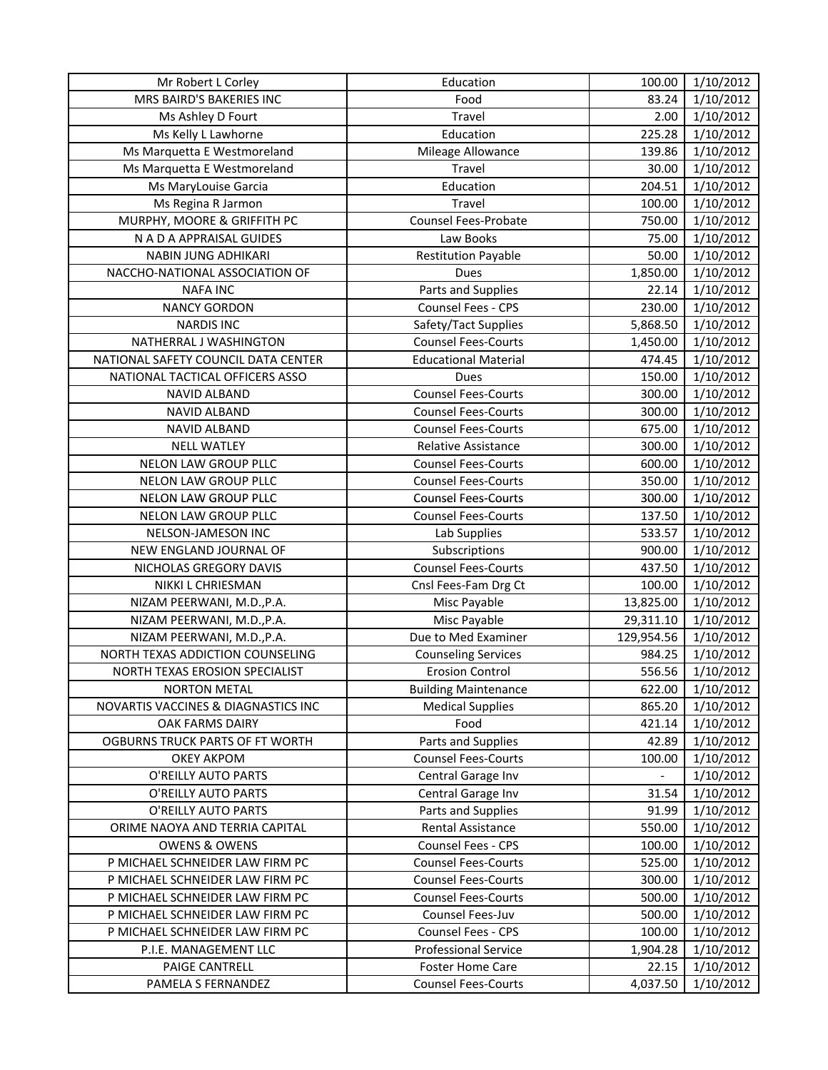| Mr Robert L Corley                  | Education                   | 100.00                   | 1/10/2012 |
|-------------------------------------|-----------------------------|--------------------------|-----------|
| MRS BAIRD'S BAKERIES INC            | Food                        | 83.24                    | 1/10/2012 |
| Ms Ashley D Fourt                   | Travel                      | 2.00                     | 1/10/2012 |
| Ms Kelly L Lawhorne                 | Education                   | 225.28                   | 1/10/2012 |
| Ms Marquetta E Westmoreland         | Mileage Allowance           | 139.86                   | 1/10/2012 |
| Ms Marquetta E Westmoreland         | Travel                      | 30.00                    | 1/10/2012 |
| Ms MaryLouise Garcia                | Education                   | 204.51                   | 1/10/2012 |
| Ms Regina R Jarmon                  | Travel                      | 100.00                   | 1/10/2012 |
| MURPHY, MOORE & GRIFFITH PC         | <b>Counsel Fees-Probate</b> | 750.00                   | 1/10/2012 |
| N A D A APPRAISAL GUIDES            | Law Books                   | 75.00                    | 1/10/2012 |
| <b>NABIN JUNG ADHIKARI</b>          | <b>Restitution Payable</b>  | 50.00                    | 1/10/2012 |
| NACCHO-NATIONAL ASSOCIATION OF      | Dues                        | 1,850.00                 | 1/10/2012 |
| <b>NAFA INC</b>                     | Parts and Supplies          | 22.14                    | 1/10/2012 |
| <b>NANCY GORDON</b>                 | Counsel Fees - CPS          | 230.00                   | 1/10/2012 |
| <b>NARDIS INC</b>                   | Safety/Tact Supplies        | 5,868.50                 | 1/10/2012 |
| NATHERRAL J WASHINGTON              | <b>Counsel Fees-Courts</b>  | 1,450.00                 | 1/10/2012 |
| NATIONAL SAFETY COUNCIL DATA CENTER | <b>Educational Material</b> | 474.45                   | 1/10/2012 |
| NATIONAL TACTICAL OFFICERS ASSO     | Dues                        | 150.00                   | 1/10/2012 |
| NAVID ALBAND                        | <b>Counsel Fees-Courts</b>  | 300.00                   | 1/10/2012 |
| <b>NAVID ALBAND</b>                 | <b>Counsel Fees-Courts</b>  | 300.00                   | 1/10/2012 |
| NAVID ALBAND                        | <b>Counsel Fees-Courts</b>  | 675.00                   | 1/10/2012 |
| <b>NELL WATLEY</b>                  | Relative Assistance         | 300.00                   | 1/10/2012 |
| NELON LAW GROUP PLLC                | <b>Counsel Fees-Courts</b>  | 600.00                   | 1/10/2012 |
| NELON LAW GROUP PLLC                | <b>Counsel Fees-Courts</b>  | 350.00                   | 1/10/2012 |
| NELON LAW GROUP PLLC                | <b>Counsel Fees-Courts</b>  | 300.00                   | 1/10/2012 |
| NELON LAW GROUP PLLC                | <b>Counsel Fees-Courts</b>  | 137.50                   | 1/10/2012 |
| NELSON-JAMESON INC                  | Lab Supplies                | 533.57                   | 1/10/2012 |
| NEW ENGLAND JOURNAL OF              | Subscriptions               | 900.00                   | 1/10/2012 |
| NICHOLAS GREGORY DAVIS              | <b>Counsel Fees-Courts</b>  | 437.50                   | 1/10/2012 |
| NIKKI L CHRIESMAN                   | Cnsl Fees-Fam Drg Ct        | 100.00                   | 1/10/2012 |
| NIZAM PEERWANI, M.D., P.A.          | Misc Payable                | 13,825.00                | 1/10/2012 |
| NIZAM PEERWANI, M.D., P.A.          | Misc Payable                | 29,311.10                | 1/10/2012 |
| NIZAM PEERWANI, M.D., P.A.          | Due to Med Examiner         | 129,954.56               | 1/10/2012 |
| NORTH TEXAS ADDICTION COUNSELING    | <b>Counseling Services</b>  | 984.25                   | 1/10/2012 |
| NORTH TEXAS EROSION SPECIALIST      | <b>Erosion Control</b>      | 556.56                   | 1/10/2012 |
| <b>NORTON METAL</b>                 | <b>Building Maintenance</b> | 622.00                   | 1/10/2012 |
| NOVARTIS VACCINES & DIAGNASTICS INC | <b>Medical Supplies</b>     | 865.20                   | 1/10/2012 |
| OAK FARMS DAIRY                     | Food                        | 421.14                   | 1/10/2012 |
| OGBURNS TRUCK PARTS OF FT WORTH     | Parts and Supplies          | 42.89                    | 1/10/2012 |
| OKEY AKPOM                          | <b>Counsel Fees-Courts</b>  | 100.00                   | 1/10/2012 |
| O'REILLY AUTO PARTS                 | Central Garage Inv          | $\overline{\phantom{0}}$ | 1/10/2012 |
| O'REILLY AUTO PARTS                 | Central Garage Inv          | 31.54                    | 1/10/2012 |
| O'REILLY AUTO PARTS                 | Parts and Supplies          | 91.99                    | 1/10/2012 |
| ORIME NAOYA AND TERRIA CAPITAL      | Rental Assistance           | 550.00                   | 1/10/2012 |
| <b>OWENS &amp; OWENS</b>            | Counsel Fees - CPS          | 100.00                   | 1/10/2012 |
| P MICHAEL SCHNEIDER LAW FIRM PC     | <b>Counsel Fees-Courts</b>  | 525.00                   | 1/10/2012 |
| P MICHAEL SCHNEIDER LAW FIRM PC     | <b>Counsel Fees-Courts</b>  | 300.00                   | 1/10/2012 |
| P MICHAEL SCHNEIDER LAW FIRM PC     | <b>Counsel Fees-Courts</b>  | 500.00                   | 1/10/2012 |
| P MICHAEL SCHNEIDER LAW FIRM PC     | Counsel Fees-Juv            | 500.00                   | 1/10/2012 |
| P MICHAEL SCHNEIDER LAW FIRM PC     | Counsel Fees - CPS          | 100.00                   | 1/10/2012 |
| P.I.E. MANAGEMENT LLC               | <b>Professional Service</b> | 1,904.28                 | 1/10/2012 |
| PAIGE CANTRELL                      | <b>Foster Home Care</b>     | 22.15                    | 1/10/2012 |
| PAMELA S FERNANDEZ                  | <b>Counsel Fees-Courts</b>  | 4,037.50                 | 1/10/2012 |
|                                     |                             |                          |           |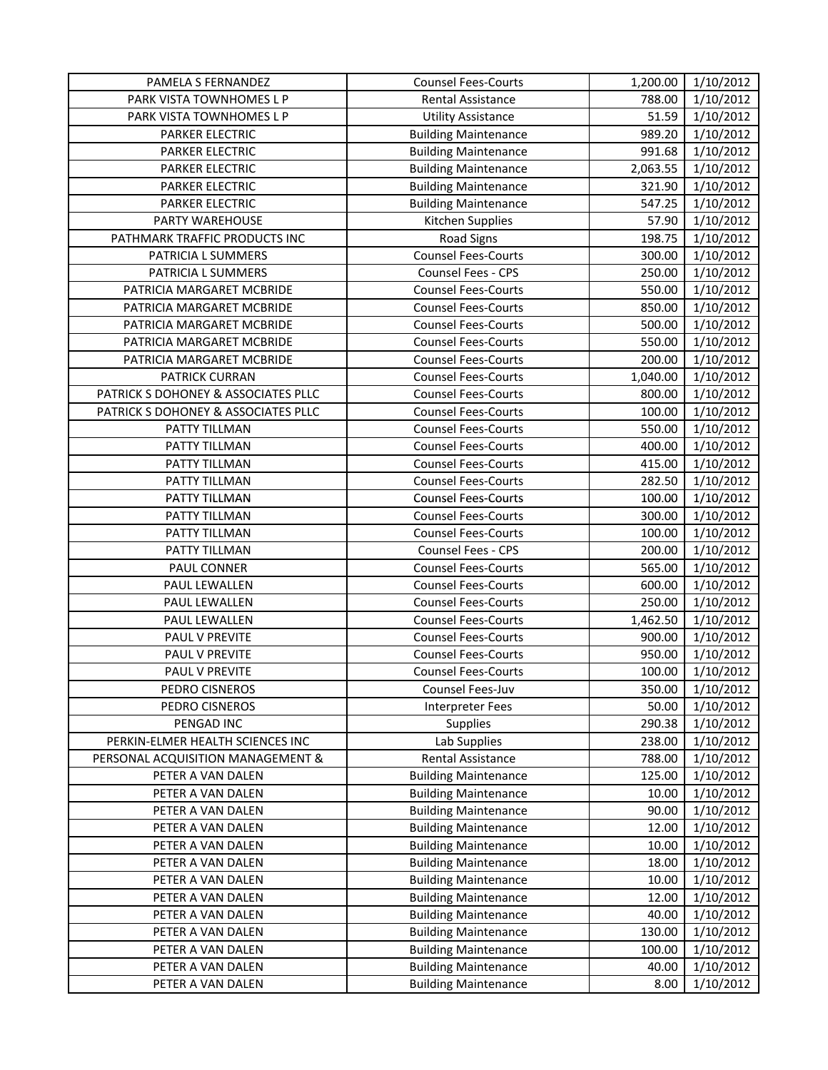| PAMELA S FERNANDEZ                  | <b>Counsel Fees-Courts</b>  | 1,200.00 | 1/10/2012              |
|-------------------------------------|-----------------------------|----------|------------------------|
| PARK VISTA TOWNHOMES L P            | Rental Assistance           | 788.00   | 1/10/2012              |
| PARK VISTA TOWNHOMES L P            | <b>Utility Assistance</b>   | 51.59    | 1/10/2012              |
| PARKER ELECTRIC                     | <b>Building Maintenance</b> | 989.20   | 1/10/2012              |
| PARKER ELECTRIC                     | <b>Building Maintenance</b> | 991.68   | 1/10/2012              |
| PARKER ELECTRIC                     | <b>Building Maintenance</b> | 2,063.55 | 1/10/2012              |
| PARKER ELECTRIC                     | <b>Building Maintenance</b> | 321.90   | 1/10/2012              |
| PARKER ELECTRIC                     | <b>Building Maintenance</b> | 547.25   | 1/10/2012              |
| PARTY WAREHOUSE                     | Kitchen Supplies            | 57.90    | 1/10/2012              |
| PATHMARK TRAFFIC PRODUCTS INC       | <b>Road Signs</b>           | 198.75   | 1/10/2012              |
| PATRICIA L SUMMERS                  | <b>Counsel Fees-Courts</b>  | 300.00   | 1/10/2012              |
| PATRICIA L SUMMERS                  | Counsel Fees - CPS          | 250.00   | 1/10/2012              |
| PATRICIA MARGARET MCBRIDE           | <b>Counsel Fees-Courts</b>  | 550.00   | 1/10/2012              |
| PATRICIA MARGARET MCBRIDE           | <b>Counsel Fees-Courts</b>  | 850.00   | 1/10/2012              |
| PATRICIA MARGARET MCBRIDE           | <b>Counsel Fees-Courts</b>  | 500.00   | 1/10/2012              |
| PATRICIA MARGARET MCBRIDE           | <b>Counsel Fees-Courts</b>  | 550.00   | 1/10/2012              |
| PATRICIA MARGARET MCBRIDE           | <b>Counsel Fees-Courts</b>  | 200.00   | 1/10/2012              |
| PATRICK CURRAN                      | <b>Counsel Fees-Courts</b>  | 1,040.00 | 1/10/2012              |
| PATRICK S DOHONEY & ASSOCIATES PLLC | <b>Counsel Fees-Courts</b>  | 800.00   | 1/10/2012              |
| PATRICK S DOHONEY & ASSOCIATES PLLC | <b>Counsel Fees-Courts</b>  | 100.00   | 1/10/2012              |
| PATTY TILLMAN                       | <b>Counsel Fees-Courts</b>  | 550.00   | 1/10/2012              |
| PATTY TILLMAN                       | <b>Counsel Fees-Courts</b>  | 400.00   | 1/10/2012              |
| PATTY TILLMAN                       | <b>Counsel Fees-Courts</b>  | 415.00   | 1/10/2012              |
| PATTY TILLMAN                       | <b>Counsel Fees-Courts</b>  | 282.50   | 1/10/2012              |
| PATTY TILLMAN                       | <b>Counsel Fees-Courts</b>  | 100.00   | 1/10/2012              |
| PATTY TILLMAN                       | <b>Counsel Fees-Courts</b>  | 300.00   | 1/10/2012              |
| PATTY TILLMAN                       | <b>Counsel Fees-Courts</b>  | 100.00   | 1/10/2012              |
| PATTY TILLMAN                       | Counsel Fees - CPS          | 200.00   | 1/10/2012              |
| PAUL CONNER                         | <b>Counsel Fees-Courts</b>  | 565.00   | 1/10/2012              |
| PAUL LEWALLEN                       | <b>Counsel Fees-Courts</b>  | 600.00   | 1/10/2012              |
| PAUL LEWALLEN                       | <b>Counsel Fees-Courts</b>  | 250.00   | 1/10/2012              |
| PAUL LEWALLEN                       | <b>Counsel Fees-Courts</b>  | 1,462.50 | 1/10/2012              |
| PAUL V PREVITE                      | <b>Counsel Fees-Courts</b>  | 900.00   | 1/10/2012              |
| PAUL V PREVITE                      | <b>Counsel Fees-Courts</b>  | 950.00   | 1/10/2012              |
|                                     |                             | 100.00   | 1/10/2012              |
| PAUL V PREVITE                      | <b>Counsel Fees-Courts</b>  | 350.00   |                        |
| PEDRO CISNEROS                      | Counsel Fees-Juv            |          | 1/10/2012<br>1/10/2012 |
| PEDRO CISNEROS                      | <b>Interpreter Fees</b>     | 50.00    |                        |
| PENGAD INC                          | <b>Supplies</b>             | 290.38   | 1/10/2012              |
| PERKIN-ELMER HEALTH SCIENCES INC    | Lab Supplies                | 238.00   | 1/10/2012              |
| PERSONAL ACQUISITION MANAGEMENT &   | Rental Assistance           | 788.00   | 1/10/2012              |
| PETER A VAN DALEN                   | <b>Building Maintenance</b> | 125.00   | 1/10/2012              |
| PETER A VAN DALEN                   | <b>Building Maintenance</b> | 10.00    | 1/10/2012              |
| PETER A VAN DALEN                   | <b>Building Maintenance</b> | 90.00    | 1/10/2012              |
| PETER A VAN DALEN                   | <b>Building Maintenance</b> | 12.00    | 1/10/2012              |
| PETER A VAN DALEN                   | <b>Building Maintenance</b> | 10.00    | 1/10/2012              |
| PETER A VAN DALEN                   | <b>Building Maintenance</b> | 18.00    | 1/10/2012              |
| PETER A VAN DALEN                   | <b>Building Maintenance</b> | 10.00    | 1/10/2012              |
| PETER A VAN DALEN                   | <b>Building Maintenance</b> | 12.00    | 1/10/2012              |
| PETER A VAN DALEN                   | <b>Building Maintenance</b> | 40.00    | 1/10/2012              |
| PETER A VAN DALEN                   | <b>Building Maintenance</b> | 130.00   | 1/10/2012              |
| PETER A VAN DALEN                   | <b>Building Maintenance</b> | 100.00   | 1/10/2012              |
| PETER A VAN DALEN                   | <b>Building Maintenance</b> | 40.00    | 1/10/2012              |
| PETER A VAN DALEN                   | <b>Building Maintenance</b> | 8.00     | 1/10/2012              |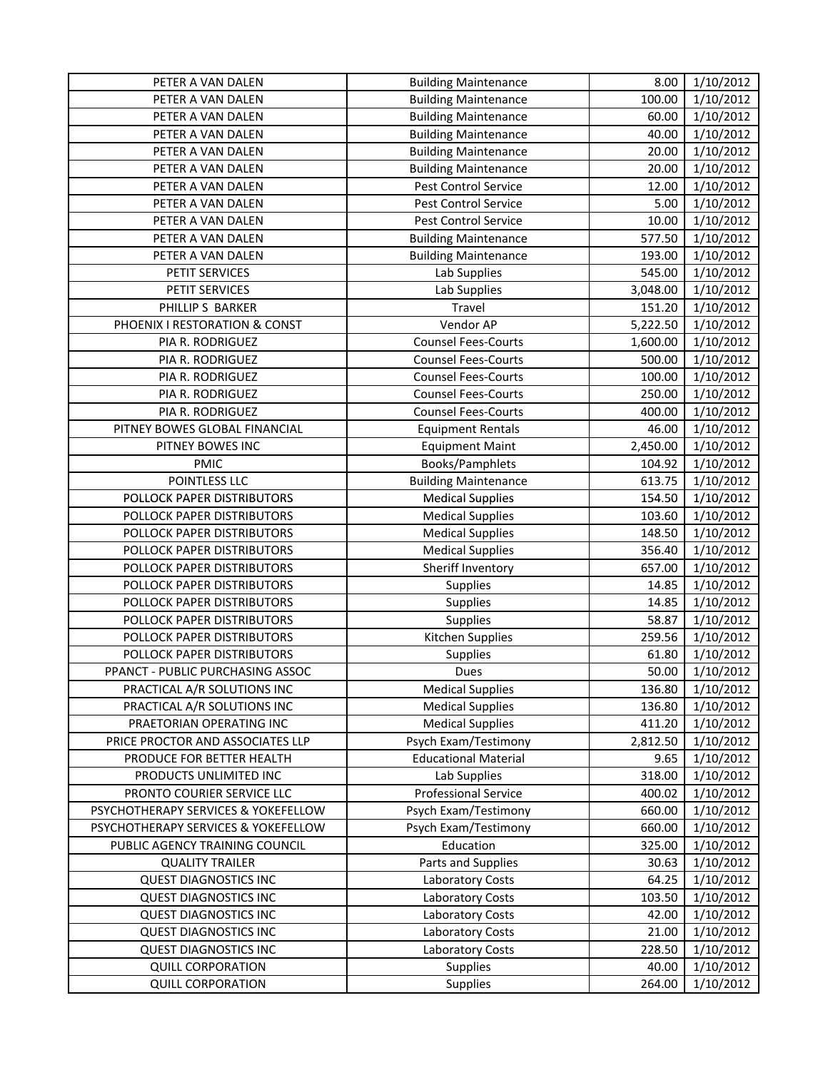| PETER A VAN DALEN                   | <b>Building Maintenance</b> | 8.00     | 1/10/2012 |
|-------------------------------------|-----------------------------|----------|-----------|
| PETER A VAN DALEN                   | <b>Building Maintenance</b> | 100.00   | 1/10/2012 |
| PETER A VAN DALEN                   | <b>Building Maintenance</b> | 60.00    | 1/10/2012 |
| PETER A VAN DALEN                   | <b>Building Maintenance</b> | 40.00    | 1/10/2012 |
| PETER A VAN DALEN                   | <b>Building Maintenance</b> | 20.00    | 1/10/2012 |
| PETER A VAN DALEN                   | <b>Building Maintenance</b> | 20.00    | 1/10/2012 |
| PETER A VAN DALEN                   | Pest Control Service        | 12.00    | 1/10/2012 |
| PETER A VAN DALEN                   | Pest Control Service        | 5.00     | 1/10/2012 |
| PETER A VAN DALEN                   | <b>Pest Control Service</b> | 10.00    | 1/10/2012 |
| PETER A VAN DALEN                   | <b>Building Maintenance</b> | 577.50   | 1/10/2012 |
| PETER A VAN DALEN                   | <b>Building Maintenance</b> | 193.00   | 1/10/2012 |
| PETIT SERVICES                      | Lab Supplies                | 545.00   | 1/10/2012 |
| PETIT SERVICES                      | Lab Supplies                | 3,048.00 | 1/10/2012 |
| PHILLIP S BARKER                    | Travel                      | 151.20   | 1/10/2012 |
| PHOENIX I RESTORATION & CONST       | Vendor AP                   | 5,222.50 | 1/10/2012 |
| PIA R. RODRIGUEZ                    | <b>Counsel Fees-Courts</b>  | 1,600.00 | 1/10/2012 |
| PIA R. RODRIGUEZ                    | <b>Counsel Fees-Courts</b>  | 500.00   | 1/10/2012 |
| PIA R. RODRIGUEZ                    | <b>Counsel Fees-Courts</b>  | 100.00   | 1/10/2012 |
| PIA R. RODRIGUEZ                    | <b>Counsel Fees-Courts</b>  | 250.00   | 1/10/2012 |
| PIA R. RODRIGUEZ                    | <b>Counsel Fees-Courts</b>  | 400.00   | 1/10/2012 |
| PITNEY BOWES GLOBAL FINANCIAL       | <b>Equipment Rentals</b>    | 46.00    | 1/10/2012 |
| PITNEY BOWES INC                    | <b>Equipment Maint</b>      | 2,450.00 | 1/10/2012 |
| <b>PMIC</b>                         | Books/Pamphlets             | 104.92   | 1/10/2012 |
| POINTLESS LLC                       | <b>Building Maintenance</b> | 613.75   | 1/10/2012 |
| POLLOCK PAPER DISTRIBUTORS          | <b>Medical Supplies</b>     | 154.50   | 1/10/2012 |
| POLLOCK PAPER DISTRIBUTORS          | <b>Medical Supplies</b>     | 103.60   | 1/10/2012 |
| POLLOCK PAPER DISTRIBUTORS          | <b>Medical Supplies</b>     | 148.50   | 1/10/2012 |
| POLLOCK PAPER DISTRIBUTORS          | <b>Medical Supplies</b>     | 356.40   | 1/10/2012 |
| POLLOCK PAPER DISTRIBUTORS          | Sheriff Inventory           | 657.00   | 1/10/2012 |
| POLLOCK PAPER DISTRIBUTORS          | Supplies                    | 14.85    | 1/10/2012 |
| POLLOCK PAPER DISTRIBUTORS          | Supplies                    | 14.85    | 1/10/2012 |
| POLLOCK PAPER DISTRIBUTORS          | <b>Supplies</b>             | 58.87    | 1/10/2012 |
| POLLOCK PAPER DISTRIBUTORS          | Kitchen Supplies            | 259.56   | 1/10/2012 |
| POLLOCK PAPER DISTRIBUTORS          | Supplies                    | 61.80    | 1/10/2012 |
| PPANCT - PUBLIC PURCHASING ASSOC    | Dues                        | 50.00    | 1/10/2012 |
| PRACTICAL A/R SOLUTIONS INC         | <b>Medical Supplies</b>     | 136.80   | 1/10/2012 |
| PRACTICAL A/R SOLUTIONS INC         | <b>Medical Supplies</b>     | 136.80   | 1/10/2012 |
| PRAETORIAN OPERATING INC            | <b>Medical Supplies</b>     | 411.20   | 1/10/2012 |
| PRICE PROCTOR AND ASSOCIATES LLP    | Psych Exam/Testimony        | 2,812.50 | 1/10/2012 |
| PRODUCE FOR BETTER HEALTH           | <b>Educational Material</b> | 9.65     | 1/10/2012 |
| PRODUCTS UNLIMITED INC              | Lab Supplies                | 318.00   | 1/10/2012 |
| PRONTO COURIER SERVICE LLC          | <b>Professional Service</b> | 400.02   | 1/10/2012 |
| PSYCHOTHERAPY SERVICES & YOKEFELLOW | Psych Exam/Testimony        | 660.00   | 1/10/2012 |
| PSYCHOTHERAPY SERVICES & YOKEFELLOW | Psych Exam/Testimony        | 660.00   | 1/10/2012 |
| PUBLIC AGENCY TRAINING COUNCIL      | Education                   | 325.00   | 1/10/2012 |
| <b>QUALITY TRAILER</b>              | Parts and Supplies          | 30.63    | 1/10/2012 |
| <b>QUEST DIAGNOSTICS INC</b>        | Laboratory Costs            | 64.25    | 1/10/2012 |
| <b>QUEST DIAGNOSTICS INC</b>        | Laboratory Costs            | 103.50   | 1/10/2012 |
| <b>QUEST DIAGNOSTICS INC</b>        | Laboratory Costs            | 42.00    | 1/10/2012 |
| <b>QUEST DIAGNOSTICS INC</b>        | Laboratory Costs            | 21.00    | 1/10/2012 |
| <b>QUEST DIAGNOSTICS INC</b>        | Laboratory Costs            | 228.50   | 1/10/2012 |
| <b>QUILL CORPORATION</b>            | Supplies                    | 40.00    | 1/10/2012 |
| <b>QUILL CORPORATION</b>            | Supplies                    | 264.00   | 1/10/2012 |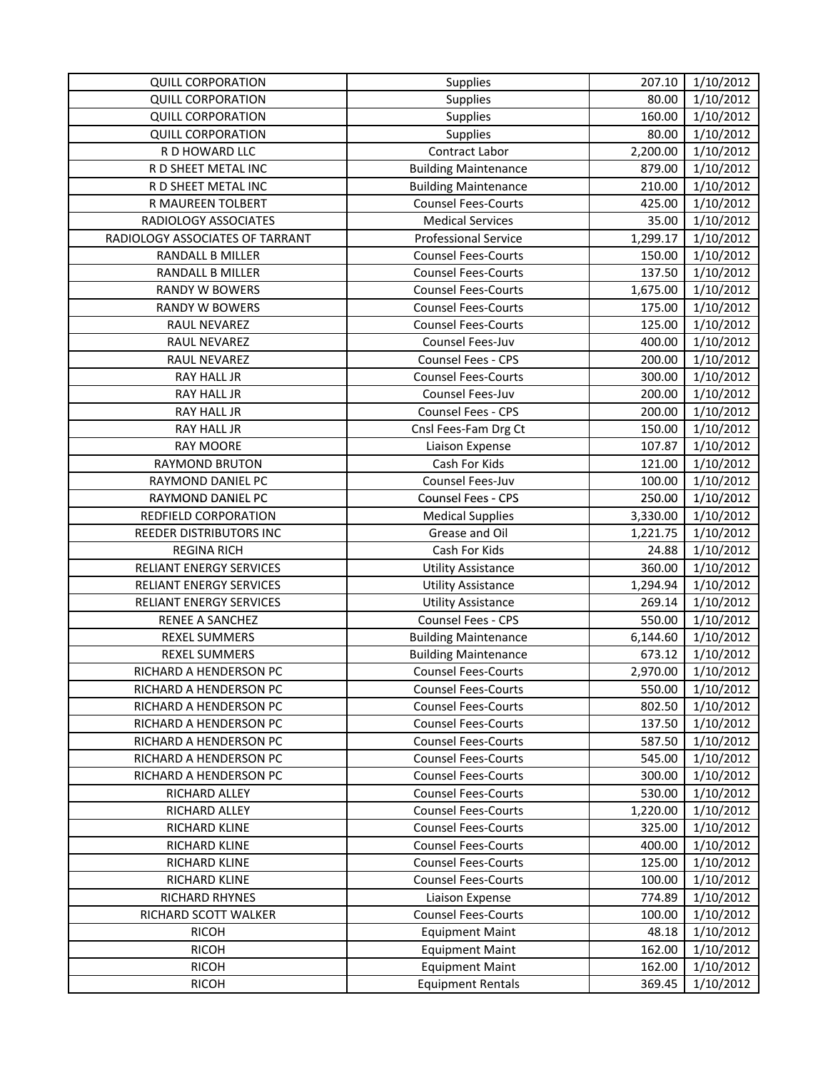| 1/10/2012<br><b>QUILL CORPORATION</b><br>Supplies<br>80.00<br>1/10/2012<br><b>QUILL CORPORATION</b><br>160.00<br>Supplies<br><b>QUILL CORPORATION</b><br>Supplies<br>80.00<br>1/10/2012<br>2,200.00<br>1/10/2012<br>R D HOWARD LLC<br>Contract Labor<br>R D SHEET METAL INC<br>1/10/2012<br><b>Building Maintenance</b><br>879.00<br>R D SHEET METAL INC<br>1/10/2012<br><b>Building Maintenance</b><br>210.00<br><b>Counsel Fees-Courts</b><br>R MAUREEN TOLBERT<br>425.00<br>1/10/2012<br>RADIOLOGY ASSOCIATES<br><b>Medical Services</b><br>35.00<br>1/10/2012<br>RADIOLOGY ASSOCIATES OF TARRANT<br><b>Professional Service</b><br>1,299.17<br>1/10/2012<br>RANDALL B MILLER<br><b>Counsel Fees-Courts</b><br>150.00<br>1/10/2012<br>1/10/2012<br>137.50<br>RANDALL B MILLER<br><b>Counsel Fees-Courts</b><br>1/10/2012<br><b>RANDY W BOWERS</b><br><b>Counsel Fees-Courts</b><br>1,675.00<br>1/10/2012<br><b>Counsel Fees-Courts</b><br>175.00<br><b>RANDY W BOWERS</b><br><b>Counsel Fees-Courts</b><br>125.00<br>1/10/2012<br>RAUL NEVAREZ<br>Counsel Fees-Juv<br>1/10/2012<br>RAUL NEVAREZ<br>400.00<br>RAUL NEVAREZ<br>Counsel Fees - CPS<br>200.00<br>1/10/2012<br><b>Counsel Fees-Courts</b><br>300.00<br>1/10/2012<br>RAY HALL JR<br>1/10/2012<br>200.00<br><b>RAY HALL JR</b><br>Counsel Fees-Juv<br>Counsel Fees - CPS<br>200.00<br>1/10/2012<br>RAY HALL JR<br>RAY HALL JR<br>Cnsl Fees-Fam Drg Ct<br>150.00<br>1/10/2012<br><b>RAY MOORE</b><br>107.87<br>1/10/2012<br>Liaison Expense<br>Cash For Kids<br>RAYMOND BRUTON<br>121.00<br>1/10/2012<br>RAYMOND DANIEL PC<br>Counsel Fees-Juv<br>100.00<br>1/10/2012<br>RAYMOND DANIEL PC<br>Counsel Fees - CPS<br>250.00<br>1/10/2012<br>3,330.00<br>1/10/2012<br>REDFIELD CORPORATION<br><b>Medical Supplies</b><br>REEDER DISTRIBUTORS INC<br>1,221.75<br>1/10/2012<br>Grease and Oil<br>Cash For Kids<br>1/10/2012<br><b>REGINA RICH</b><br>24.88<br>360.00<br>1/10/2012<br>RELIANT ENERGY SERVICES<br><b>Utility Assistance</b><br>1/10/2012<br>RELIANT ENERGY SERVICES<br><b>Utility Assistance</b><br>1,294.94<br>RELIANT ENERGY SERVICES<br>269.14<br>1/10/2012<br><b>Utility Assistance</b><br>Counsel Fees - CPS<br>550.00<br>1/10/2012<br>RENEE A SANCHEZ<br><b>REXEL SUMMERS</b><br>6,144.60<br>1/10/2012<br><b>Building Maintenance</b><br><b>REXEL SUMMERS</b><br>1/10/2012<br><b>Building Maintenance</b><br>673.12<br>1/10/2012<br><b>Counsel Fees-Courts</b><br>2,970.00<br>RICHARD A HENDERSON PC<br>1/10/2012<br>RICHARD A HENDERSON PC<br><b>Counsel Fees-Courts</b><br>550.00<br><b>Counsel Fees-Courts</b><br>802.50<br>1/10/2012<br>RICHARD A HENDERSON PC<br><b>Counsel Fees-Courts</b><br>137.50<br>1/10/2012<br>RICHARD A HENDERSON PC<br><b>Counsel Fees-Courts</b><br>1/10/2012<br>RICHARD A HENDERSON PC<br>587.50<br>RICHARD A HENDERSON PC<br><b>Counsel Fees-Courts</b><br>545.00<br>1/10/2012<br>RICHARD A HENDERSON PC<br><b>Counsel Fees-Courts</b><br>300.00<br>1/10/2012<br>RICHARD ALLEY<br><b>Counsel Fees-Courts</b><br>530.00<br>1/10/2012<br>RICHARD ALLEY<br><b>Counsel Fees-Courts</b><br>1,220.00<br>1/10/2012<br><b>Counsel Fees-Courts</b><br>325.00<br>1/10/2012<br>RICHARD KLINE<br>RICHARD KLINE<br><b>Counsel Fees-Courts</b><br>400.00<br>1/10/2012<br>125.00<br>1/10/2012<br>RICHARD KLINE<br><b>Counsel Fees-Courts</b><br>RICHARD KLINE<br><b>Counsel Fees-Courts</b><br>100.00<br>1/10/2012<br>RICHARD RHYNES<br>774.89<br>1/10/2012<br>Liaison Expense<br>RICHARD SCOTT WALKER<br><b>Counsel Fees-Courts</b><br>100.00<br>1/10/2012<br><b>RICOH</b><br>48.18<br>1/10/2012<br><b>Equipment Maint</b><br><b>Equipment Maint</b><br>162.00<br>1/10/2012<br><b>RICOH</b><br><b>RICOH</b><br><b>Equipment Maint</b><br>162.00<br>1/10/2012<br>1/10/2012<br><b>RICOH</b><br><b>Equipment Rentals</b><br>369.45 | <b>QUILL CORPORATION</b> | <b>Supplies</b> | 207.10 | 1/10/2012 |
|-------------------------------------------------------------------------------------------------------------------------------------------------------------------------------------------------------------------------------------------------------------------------------------------------------------------------------------------------------------------------------------------------------------------------------------------------------------------------------------------------------------------------------------------------------------------------------------------------------------------------------------------------------------------------------------------------------------------------------------------------------------------------------------------------------------------------------------------------------------------------------------------------------------------------------------------------------------------------------------------------------------------------------------------------------------------------------------------------------------------------------------------------------------------------------------------------------------------------------------------------------------------------------------------------------------------------------------------------------------------------------------------------------------------------------------------------------------------------------------------------------------------------------------------------------------------------------------------------------------------------------------------------------------------------------------------------------------------------------------------------------------------------------------------------------------------------------------------------------------------------------------------------------------------------------------------------------------------------------------------------------------------------------------------------------------------------------------------------------------------------------------------------------------------------------------------------------------------------------------------------------------------------------------------------------------------------------------------------------------------------------------------------------------------------------------------------------------------------------------------------------------------------------------------------------------------------------------------------------------------------------------------------------------------------------------------------------------------------------------------------------------------------------------------------------------------------------------------------------------------------------------------------------------------------------------------------------------------------------------------------------------------------------------------------------------------------------------------------------------------------------------------------------------------------------------------------------------------------------------------------------------------------------------------------------------------------------------------------------------------------------------------------------------------------------------------------------------------------------------------------------------------------------------------------------------------------------------------------------------------------------------------------------------------------------------------------------------------------------------------------------------------------------------------------------------------------------|--------------------------|-----------------|--------|-----------|
|                                                                                                                                                                                                                                                                                                                                                                                                                                                                                                                                                                                                                                                                                                                                                                                                                                                                                                                                                                                                                                                                                                                                                                                                                                                                                                                                                                                                                                                                                                                                                                                                                                                                                                                                                                                                                                                                                                                                                                                                                                                                                                                                                                                                                                                                                                                                                                                                                                                                                                                                                                                                                                                                                                                                                                                                                                                                                                                                                                                                                                                                                                                                                                                                                                                                                                                                                                                                                                                                                                                                                                                                                                                                                                                                                                                                                               |                          |                 |        |           |
|                                                                                                                                                                                                                                                                                                                                                                                                                                                                                                                                                                                                                                                                                                                                                                                                                                                                                                                                                                                                                                                                                                                                                                                                                                                                                                                                                                                                                                                                                                                                                                                                                                                                                                                                                                                                                                                                                                                                                                                                                                                                                                                                                                                                                                                                                                                                                                                                                                                                                                                                                                                                                                                                                                                                                                                                                                                                                                                                                                                                                                                                                                                                                                                                                                                                                                                                                                                                                                                                                                                                                                                                                                                                                                                                                                                                                               |                          |                 |        |           |
|                                                                                                                                                                                                                                                                                                                                                                                                                                                                                                                                                                                                                                                                                                                                                                                                                                                                                                                                                                                                                                                                                                                                                                                                                                                                                                                                                                                                                                                                                                                                                                                                                                                                                                                                                                                                                                                                                                                                                                                                                                                                                                                                                                                                                                                                                                                                                                                                                                                                                                                                                                                                                                                                                                                                                                                                                                                                                                                                                                                                                                                                                                                                                                                                                                                                                                                                                                                                                                                                                                                                                                                                                                                                                                                                                                                                                               |                          |                 |        |           |
|                                                                                                                                                                                                                                                                                                                                                                                                                                                                                                                                                                                                                                                                                                                                                                                                                                                                                                                                                                                                                                                                                                                                                                                                                                                                                                                                                                                                                                                                                                                                                                                                                                                                                                                                                                                                                                                                                                                                                                                                                                                                                                                                                                                                                                                                                                                                                                                                                                                                                                                                                                                                                                                                                                                                                                                                                                                                                                                                                                                                                                                                                                                                                                                                                                                                                                                                                                                                                                                                                                                                                                                                                                                                                                                                                                                                                               |                          |                 |        |           |
|                                                                                                                                                                                                                                                                                                                                                                                                                                                                                                                                                                                                                                                                                                                                                                                                                                                                                                                                                                                                                                                                                                                                                                                                                                                                                                                                                                                                                                                                                                                                                                                                                                                                                                                                                                                                                                                                                                                                                                                                                                                                                                                                                                                                                                                                                                                                                                                                                                                                                                                                                                                                                                                                                                                                                                                                                                                                                                                                                                                                                                                                                                                                                                                                                                                                                                                                                                                                                                                                                                                                                                                                                                                                                                                                                                                                                               |                          |                 |        |           |
|                                                                                                                                                                                                                                                                                                                                                                                                                                                                                                                                                                                                                                                                                                                                                                                                                                                                                                                                                                                                                                                                                                                                                                                                                                                                                                                                                                                                                                                                                                                                                                                                                                                                                                                                                                                                                                                                                                                                                                                                                                                                                                                                                                                                                                                                                                                                                                                                                                                                                                                                                                                                                                                                                                                                                                                                                                                                                                                                                                                                                                                                                                                                                                                                                                                                                                                                                                                                                                                                                                                                                                                                                                                                                                                                                                                                                               |                          |                 |        |           |
|                                                                                                                                                                                                                                                                                                                                                                                                                                                                                                                                                                                                                                                                                                                                                                                                                                                                                                                                                                                                                                                                                                                                                                                                                                                                                                                                                                                                                                                                                                                                                                                                                                                                                                                                                                                                                                                                                                                                                                                                                                                                                                                                                                                                                                                                                                                                                                                                                                                                                                                                                                                                                                                                                                                                                                                                                                                                                                                                                                                                                                                                                                                                                                                                                                                                                                                                                                                                                                                                                                                                                                                                                                                                                                                                                                                                                               |                          |                 |        |           |
|                                                                                                                                                                                                                                                                                                                                                                                                                                                                                                                                                                                                                                                                                                                                                                                                                                                                                                                                                                                                                                                                                                                                                                                                                                                                                                                                                                                                                                                                                                                                                                                                                                                                                                                                                                                                                                                                                                                                                                                                                                                                                                                                                                                                                                                                                                                                                                                                                                                                                                                                                                                                                                                                                                                                                                                                                                                                                                                                                                                                                                                                                                                                                                                                                                                                                                                                                                                                                                                                                                                                                                                                                                                                                                                                                                                                                               |                          |                 |        |           |
|                                                                                                                                                                                                                                                                                                                                                                                                                                                                                                                                                                                                                                                                                                                                                                                                                                                                                                                                                                                                                                                                                                                                                                                                                                                                                                                                                                                                                                                                                                                                                                                                                                                                                                                                                                                                                                                                                                                                                                                                                                                                                                                                                                                                                                                                                                                                                                                                                                                                                                                                                                                                                                                                                                                                                                                                                                                                                                                                                                                                                                                                                                                                                                                                                                                                                                                                                                                                                                                                                                                                                                                                                                                                                                                                                                                                                               |                          |                 |        |           |
|                                                                                                                                                                                                                                                                                                                                                                                                                                                                                                                                                                                                                                                                                                                                                                                                                                                                                                                                                                                                                                                                                                                                                                                                                                                                                                                                                                                                                                                                                                                                                                                                                                                                                                                                                                                                                                                                                                                                                                                                                                                                                                                                                                                                                                                                                                                                                                                                                                                                                                                                                                                                                                                                                                                                                                                                                                                                                                                                                                                                                                                                                                                                                                                                                                                                                                                                                                                                                                                                                                                                                                                                                                                                                                                                                                                                                               |                          |                 |        |           |
|                                                                                                                                                                                                                                                                                                                                                                                                                                                                                                                                                                                                                                                                                                                                                                                                                                                                                                                                                                                                                                                                                                                                                                                                                                                                                                                                                                                                                                                                                                                                                                                                                                                                                                                                                                                                                                                                                                                                                                                                                                                                                                                                                                                                                                                                                                                                                                                                                                                                                                                                                                                                                                                                                                                                                                                                                                                                                                                                                                                                                                                                                                                                                                                                                                                                                                                                                                                                                                                                                                                                                                                                                                                                                                                                                                                                                               |                          |                 |        |           |
|                                                                                                                                                                                                                                                                                                                                                                                                                                                                                                                                                                                                                                                                                                                                                                                                                                                                                                                                                                                                                                                                                                                                                                                                                                                                                                                                                                                                                                                                                                                                                                                                                                                                                                                                                                                                                                                                                                                                                                                                                                                                                                                                                                                                                                                                                                                                                                                                                                                                                                                                                                                                                                                                                                                                                                                                                                                                                                                                                                                                                                                                                                                                                                                                                                                                                                                                                                                                                                                                                                                                                                                                                                                                                                                                                                                                                               |                          |                 |        |           |
|                                                                                                                                                                                                                                                                                                                                                                                                                                                                                                                                                                                                                                                                                                                                                                                                                                                                                                                                                                                                                                                                                                                                                                                                                                                                                                                                                                                                                                                                                                                                                                                                                                                                                                                                                                                                                                                                                                                                                                                                                                                                                                                                                                                                                                                                                                                                                                                                                                                                                                                                                                                                                                                                                                                                                                                                                                                                                                                                                                                                                                                                                                                                                                                                                                                                                                                                                                                                                                                                                                                                                                                                                                                                                                                                                                                                                               |                          |                 |        |           |
|                                                                                                                                                                                                                                                                                                                                                                                                                                                                                                                                                                                                                                                                                                                                                                                                                                                                                                                                                                                                                                                                                                                                                                                                                                                                                                                                                                                                                                                                                                                                                                                                                                                                                                                                                                                                                                                                                                                                                                                                                                                                                                                                                                                                                                                                                                                                                                                                                                                                                                                                                                                                                                                                                                                                                                                                                                                                                                                                                                                                                                                                                                                                                                                                                                                                                                                                                                                                                                                                                                                                                                                                                                                                                                                                                                                                                               |                          |                 |        |           |
|                                                                                                                                                                                                                                                                                                                                                                                                                                                                                                                                                                                                                                                                                                                                                                                                                                                                                                                                                                                                                                                                                                                                                                                                                                                                                                                                                                                                                                                                                                                                                                                                                                                                                                                                                                                                                                                                                                                                                                                                                                                                                                                                                                                                                                                                                                                                                                                                                                                                                                                                                                                                                                                                                                                                                                                                                                                                                                                                                                                                                                                                                                                                                                                                                                                                                                                                                                                                                                                                                                                                                                                                                                                                                                                                                                                                                               |                          |                 |        |           |
|                                                                                                                                                                                                                                                                                                                                                                                                                                                                                                                                                                                                                                                                                                                                                                                                                                                                                                                                                                                                                                                                                                                                                                                                                                                                                                                                                                                                                                                                                                                                                                                                                                                                                                                                                                                                                                                                                                                                                                                                                                                                                                                                                                                                                                                                                                                                                                                                                                                                                                                                                                                                                                                                                                                                                                                                                                                                                                                                                                                                                                                                                                                                                                                                                                                                                                                                                                                                                                                                                                                                                                                                                                                                                                                                                                                                                               |                          |                 |        |           |
|                                                                                                                                                                                                                                                                                                                                                                                                                                                                                                                                                                                                                                                                                                                                                                                                                                                                                                                                                                                                                                                                                                                                                                                                                                                                                                                                                                                                                                                                                                                                                                                                                                                                                                                                                                                                                                                                                                                                                                                                                                                                                                                                                                                                                                                                                                                                                                                                                                                                                                                                                                                                                                                                                                                                                                                                                                                                                                                                                                                                                                                                                                                                                                                                                                                                                                                                                                                                                                                                                                                                                                                                                                                                                                                                                                                                                               |                          |                 |        |           |
|                                                                                                                                                                                                                                                                                                                                                                                                                                                                                                                                                                                                                                                                                                                                                                                                                                                                                                                                                                                                                                                                                                                                                                                                                                                                                                                                                                                                                                                                                                                                                                                                                                                                                                                                                                                                                                                                                                                                                                                                                                                                                                                                                                                                                                                                                                                                                                                                                                                                                                                                                                                                                                                                                                                                                                                                                                                                                                                                                                                                                                                                                                                                                                                                                                                                                                                                                                                                                                                                                                                                                                                                                                                                                                                                                                                                                               |                          |                 |        |           |
|                                                                                                                                                                                                                                                                                                                                                                                                                                                                                                                                                                                                                                                                                                                                                                                                                                                                                                                                                                                                                                                                                                                                                                                                                                                                                                                                                                                                                                                                                                                                                                                                                                                                                                                                                                                                                                                                                                                                                                                                                                                                                                                                                                                                                                                                                                                                                                                                                                                                                                                                                                                                                                                                                                                                                                                                                                                                                                                                                                                                                                                                                                                                                                                                                                                                                                                                                                                                                                                                                                                                                                                                                                                                                                                                                                                                                               |                          |                 |        |           |
|                                                                                                                                                                                                                                                                                                                                                                                                                                                                                                                                                                                                                                                                                                                                                                                                                                                                                                                                                                                                                                                                                                                                                                                                                                                                                                                                                                                                                                                                                                                                                                                                                                                                                                                                                                                                                                                                                                                                                                                                                                                                                                                                                                                                                                                                                                                                                                                                                                                                                                                                                                                                                                                                                                                                                                                                                                                                                                                                                                                                                                                                                                                                                                                                                                                                                                                                                                                                                                                                                                                                                                                                                                                                                                                                                                                                                               |                          |                 |        |           |
|                                                                                                                                                                                                                                                                                                                                                                                                                                                                                                                                                                                                                                                                                                                                                                                                                                                                                                                                                                                                                                                                                                                                                                                                                                                                                                                                                                                                                                                                                                                                                                                                                                                                                                                                                                                                                                                                                                                                                                                                                                                                                                                                                                                                                                                                                                                                                                                                                                                                                                                                                                                                                                                                                                                                                                                                                                                                                                                                                                                                                                                                                                                                                                                                                                                                                                                                                                                                                                                                                                                                                                                                                                                                                                                                                                                                                               |                          |                 |        |           |
|                                                                                                                                                                                                                                                                                                                                                                                                                                                                                                                                                                                                                                                                                                                                                                                                                                                                                                                                                                                                                                                                                                                                                                                                                                                                                                                                                                                                                                                                                                                                                                                                                                                                                                                                                                                                                                                                                                                                                                                                                                                                                                                                                                                                                                                                                                                                                                                                                                                                                                                                                                                                                                                                                                                                                                                                                                                                                                                                                                                                                                                                                                                                                                                                                                                                                                                                                                                                                                                                                                                                                                                                                                                                                                                                                                                                                               |                          |                 |        |           |
|                                                                                                                                                                                                                                                                                                                                                                                                                                                                                                                                                                                                                                                                                                                                                                                                                                                                                                                                                                                                                                                                                                                                                                                                                                                                                                                                                                                                                                                                                                                                                                                                                                                                                                                                                                                                                                                                                                                                                                                                                                                                                                                                                                                                                                                                                                                                                                                                                                                                                                                                                                                                                                                                                                                                                                                                                                                                                                                                                                                                                                                                                                                                                                                                                                                                                                                                                                                                                                                                                                                                                                                                                                                                                                                                                                                                                               |                          |                 |        |           |
|                                                                                                                                                                                                                                                                                                                                                                                                                                                                                                                                                                                                                                                                                                                                                                                                                                                                                                                                                                                                                                                                                                                                                                                                                                                                                                                                                                                                                                                                                                                                                                                                                                                                                                                                                                                                                                                                                                                                                                                                                                                                                                                                                                                                                                                                                                                                                                                                                                                                                                                                                                                                                                                                                                                                                                                                                                                                                                                                                                                                                                                                                                                                                                                                                                                                                                                                                                                                                                                                                                                                                                                                                                                                                                                                                                                                                               |                          |                 |        |           |
|                                                                                                                                                                                                                                                                                                                                                                                                                                                                                                                                                                                                                                                                                                                                                                                                                                                                                                                                                                                                                                                                                                                                                                                                                                                                                                                                                                                                                                                                                                                                                                                                                                                                                                                                                                                                                                                                                                                                                                                                                                                                                                                                                                                                                                                                                                                                                                                                                                                                                                                                                                                                                                                                                                                                                                                                                                                                                                                                                                                                                                                                                                                                                                                                                                                                                                                                                                                                                                                                                                                                                                                                                                                                                                                                                                                                                               |                          |                 |        |           |
|                                                                                                                                                                                                                                                                                                                                                                                                                                                                                                                                                                                                                                                                                                                                                                                                                                                                                                                                                                                                                                                                                                                                                                                                                                                                                                                                                                                                                                                                                                                                                                                                                                                                                                                                                                                                                                                                                                                                                                                                                                                                                                                                                                                                                                                                                                                                                                                                                                                                                                                                                                                                                                                                                                                                                                                                                                                                                                                                                                                                                                                                                                                                                                                                                                                                                                                                                                                                                                                                                                                                                                                                                                                                                                                                                                                                                               |                          |                 |        |           |
|                                                                                                                                                                                                                                                                                                                                                                                                                                                                                                                                                                                                                                                                                                                                                                                                                                                                                                                                                                                                                                                                                                                                                                                                                                                                                                                                                                                                                                                                                                                                                                                                                                                                                                                                                                                                                                                                                                                                                                                                                                                                                                                                                                                                                                                                                                                                                                                                                                                                                                                                                                                                                                                                                                                                                                                                                                                                                                                                                                                                                                                                                                                                                                                                                                                                                                                                                                                                                                                                                                                                                                                                                                                                                                                                                                                                                               |                          |                 |        |           |
|                                                                                                                                                                                                                                                                                                                                                                                                                                                                                                                                                                                                                                                                                                                                                                                                                                                                                                                                                                                                                                                                                                                                                                                                                                                                                                                                                                                                                                                                                                                                                                                                                                                                                                                                                                                                                                                                                                                                                                                                                                                                                                                                                                                                                                                                                                                                                                                                                                                                                                                                                                                                                                                                                                                                                                                                                                                                                                                                                                                                                                                                                                                                                                                                                                                                                                                                                                                                                                                                                                                                                                                                                                                                                                                                                                                                                               |                          |                 |        |           |
|                                                                                                                                                                                                                                                                                                                                                                                                                                                                                                                                                                                                                                                                                                                                                                                                                                                                                                                                                                                                                                                                                                                                                                                                                                                                                                                                                                                                                                                                                                                                                                                                                                                                                                                                                                                                                                                                                                                                                                                                                                                                                                                                                                                                                                                                                                                                                                                                                                                                                                                                                                                                                                                                                                                                                                                                                                                                                                                                                                                                                                                                                                                                                                                                                                                                                                                                                                                                                                                                                                                                                                                                                                                                                                                                                                                                                               |                          |                 |        |           |
|                                                                                                                                                                                                                                                                                                                                                                                                                                                                                                                                                                                                                                                                                                                                                                                                                                                                                                                                                                                                                                                                                                                                                                                                                                                                                                                                                                                                                                                                                                                                                                                                                                                                                                                                                                                                                                                                                                                                                                                                                                                                                                                                                                                                                                                                                                                                                                                                                                                                                                                                                                                                                                                                                                                                                                                                                                                                                                                                                                                                                                                                                                                                                                                                                                                                                                                                                                                                                                                                                                                                                                                                                                                                                                                                                                                                                               |                          |                 |        |           |
|                                                                                                                                                                                                                                                                                                                                                                                                                                                                                                                                                                                                                                                                                                                                                                                                                                                                                                                                                                                                                                                                                                                                                                                                                                                                                                                                                                                                                                                                                                                                                                                                                                                                                                                                                                                                                                                                                                                                                                                                                                                                                                                                                                                                                                                                                                                                                                                                                                                                                                                                                                                                                                                                                                                                                                                                                                                                                                                                                                                                                                                                                                                                                                                                                                                                                                                                                                                                                                                                                                                                                                                                                                                                                                                                                                                                                               |                          |                 |        |           |
|                                                                                                                                                                                                                                                                                                                                                                                                                                                                                                                                                                                                                                                                                                                                                                                                                                                                                                                                                                                                                                                                                                                                                                                                                                                                                                                                                                                                                                                                                                                                                                                                                                                                                                                                                                                                                                                                                                                                                                                                                                                                                                                                                                                                                                                                                                                                                                                                                                                                                                                                                                                                                                                                                                                                                                                                                                                                                                                                                                                                                                                                                                                                                                                                                                                                                                                                                                                                                                                                                                                                                                                                                                                                                                                                                                                                                               |                          |                 |        |           |
|                                                                                                                                                                                                                                                                                                                                                                                                                                                                                                                                                                                                                                                                                                                                                                                                                                                                                                                                                                                                                                                                                                                                                                                                                                                                                                                                                                                                                                                                                                                                                                                                                                                                                                                                                                                                                                                                                                                                                                                                                                                                                                                                                                                                                                                                                                                                                                                                                                                                                                                                                                                                                                                                                                                                                                                                                                                                                                                                                                                                                                                                                                                                                                                                                                                                                                                                                                                                                                                                                                                                                                                                                                                                                                                                                                                                                               |                          |                 |        |           |
|                                                                                                                                                                                                                                                                                                                                                                                                                                                                                                                                                                                                                                                                                                                                                                                                                                                                                                                                                                                                                                                                                                                                                                                                                                                                                                                                                                                                                                                                                                                                                                                                                                                                                                                                                                                                                                                                                                                                                                                                                                                                                                                                                                                                                                                                                                                                                                                                                                                                                                                                                                                                                                                                                                                                                                                                                                                                                                                                                                                                                                                                                                                                                                                                                                                                                                                                                                                                                                                                                                                                                                                                                                                                                                                                                                                                                               |                          |                 |        |           |
|                                                                                                                                                                                                                                                                                                                                                                                                                                                                                                                                                                                                                                                                                                                                                                                                                                                                                                                                                                                                                                                                                                                                                                                                                                                                                                                                                                                                                                                                                                                                                                                                                                                                                                                                                                                                                                                                                                                                                                                                                                                                                                                                                                                                                                                                                                                                                                                                                                                                                                                                                                                                                                                                                                                                                                                                                                                                                                                                                                                                                                                                                                                                                                                                                                                                                                                                                                                                                                                                                                                                                                                                                                                                                                                                                                                                                               |                          |                 |        |           |
|                                                                                                                                                                                                                                                                                                                                                                                                                                                                                                                                                                                                                                                                                                                                                                                                                                                                                                                                                                                                                                                                                                                                                                                                                                                                                                                                                                                                                                                                                                                                                                                                                                                                                                                                                                                                                                                                                                                                                                                                                                                                                                                                                                                                                                                                                                                                                                                                                                                                                                                                                                                                                                                                                                                                                                                                                                                                                                                                                                                                                                                                                                                                                                                                                                                                                                                                                                                                                                                                                                                                                                                                                                                                                                                                                                                                                               |                          |                 |        |           |
|                                                                                                                                                                                                                                                                                                                                                                                                                                                                                                                                                                                                                                                                                                                                                                                                                                                                                                                                                                                                                                                                                                                                                                                                                                                                                                                                                                                                                                                                                                                                                                                                                                                                                                                                                                                                                                                                                                                                                                                                                                                                                                                                                                                                                                                                                                                                                                                                                                                                                                                                                                                                                                                                                                                                                                                                                                                                                                                                                                                                                                                                                                                                                                                                                                                                                                                                                                                                                                                                                                                                                                                                                                                                                                                                                                                                                               |                          |                 |        |           |
|                                                                                                                                                                                                                                                                                                                                                                                                                                                                                                                                                                                                                                                                                                                                                                                                                                                                                                                                                                                                                                                                                                                                                                                                                                                                                                                                                                                                                                                                                                                                                                                                                                                                                                                                                                                                                                                                                                                                                                                                                                                                                                                                                                                                                                                                                                                                                                                                                                                                                                                                                                                                                                                                                                                                                                                                                                                                                                                                                                                                                                                                                                                                                                                                                                                                                                                                                                                                                                                                                                                                                                                                                                                                                                                                                                                                                               |                          |                 |        |           |
|                                                                                                                                                                                                                                                                                                                                                                                                                                                                                                                                                                                                                                                                                                                                                                                                                                                                                                                                                                                                                                                                                                                                                                                                                                                                                                                                                                                                                                                                                                                                                                                                                                                                                                                                                                                                                                                                                                                                                                                                                                                                                                                                                                                                                                                                                                                                                                                                                                                                                                                                                                                                                                                                                                                                                                                                                                                                                                                                                                                                                                                                                                                                                                                                                                                                                                                                                                                                                                                                                                                                                                                                                                                                                                                                                                                                                               |                          |                 |        |           |
|                                                                                                                                                                                                                                                                                                                                                                                                                                                                                                                                                                                                                                                                                                                                                                                                                                                                                                                                                                                                                                                                                                                                                                                                                                                                                                                                                                                                                                                                                                                                                                                                                                                                                                                                                                                                                                                                                                                                                                                                                                                                                                                                                                                                                                                                                                                                                                                                                                                                                                                                                                                                                                                                                                                                                                                                                                                                                                                                                                                                                                                                                                                                                                                                                                                                                                                                                                                                                                                                                                                                                                                                                                                                                                                                                                                                                               |                          |                 |        |           |
|                                                                                                                                                                                                                                                                                                                                                                                                                                                                                                                                                                                                                                                                                                                                                                                                                                                                                                                                                                                                                                                                                                                                                                                                                                                                                                                                                                                                                                                                                                                                                                                                                                                                                                                                                                                                                                                                                                                                                                                                                                                                                                                                                                                                                                                                                                                                                                                                                                                                                                                                                                                                                                                                                                                                                                                                                                                                                                                                                                                                                                                                                                                                                                                                                                                                                                                                                                                                                                                                                                                                                                                                                                                                                                                                                                                                                               |                          |                 |        |           |
|                                                                                                                                                                                                                                                                                                                                                                                                                                                                                                                                                                                                                                                                                                                                                                                                                                                                                                                                                                                                                                                                                                                                                                                                                                                                                                                                                                                                                                                                                                                                                                                                                                                                                                                                                                                                                                                                                                                                                                                                                                                                                                                                                                                                                                                                                                                                                                                                                                                                                                                                                                                                                                                                                                                                                                                                                                                                                                                                                                                                                                                                                                                                                                                                                                                                                                                                                                                                                                                                                                                                                                                                                                                                                                                                                                                                                               |                          |                 |        |           |
|                                                                                                                                                                                                                                                                                                                                                                                                                                                                                                                                                                                                                                                                                                                                                                                                                                                                                                                                                                                                                                                                                                                                                                                                                                                                                                                                                                                                                                                                                                                                                                                                                                                                                                                                                                                                                                                                                                                                                                                                                                                                                                                                                                                                                                                                                                                                                                                                                                                                                                                                                                                                                                                                                                                                                                                                                                                                                                                                                                                                                                                                                                                                                                                                                                                                                                                                                                                                                                                                                                                                                                                                                                                                                                                                                                                                                               |                          |                 |        |           |
|                                                                                                                                                                                                                                                                                                                                                                                                                                                                                                                                                                                                                                                                                                                                                                                                                                                                                                                                                                                                                                                                                                                                                                                                                                                                                                                                                                                                                                                                                                                                                                                                                                                                                                                                                                                                                                                                                                                                                                                                                                                                                                                                                                                                                                                                                                                                                                                                                                                                                                                                                                                                                                                                                                                                                                                                                                                                                                                                                                                                                                                                                                                                                                                                                                                                                                                                                                                                                                                                                                                                                                                                                                                                                                                                                                                                                               |                          |                 |        |           |
|                                                                                                                                                                                                                                                                                                                                                                                                                                                                                                                                                                                                                                                                                                                                                                                                                                                                                                                                                                                                                                                                                                                                                                                                                                                                                                                                                                                                                                                                                                                                                                                                                                                                                                                                                                                                                                                                                                                                                                                                                                                                                                                                                                                                                                                                                                                                                                                                                                                                                                                                                                                                                                                                                                                                                                                                                                                                                                                                                                                                                                                                                                                                                                                                                                                                                                                                                                                                                                                                                                                                                                                                                                                                                                                                                                                                                               |                          |                 |        |           |
|                                                                                                                                                                                                                                                                                                                                                                                                                                                                                                                                                                                                                                                                                                                                                                                                                                                                                                                                                                                                                                                                                                                                                                                                                                                                                                                                                                                                                                                                                                                                                                                                                                                                                                                                                                                                                                                                                                                                                                                                                                                                                                                                                                                                                                                                                                                                                                                                                                                                                                                                                                                                                                                                                                                                                                                                                                                                                                                                                                                                                                                                                                                                                                                                                                                                                                                                                                                                                                                                                                                                                                                                                                                                                                                                                                                                                               |                          |                 |        |           |
|                                                                                                                                                                                                                                                                                                                                                                                                                                                                                                                                                                                                                                                                                                                                                                                                                                                                                                                                                                                                                                                                                                                                                                                                                                                                                                                                                                                                                                                                                                                                                                                                                                                                                                                                                                                                                                                                                                                                                                                                                                                                                                                                                                                                                                                                                                                                                                                                                                                                                                                                                                                                                                                                                                                                                                                                                                                                                                                                                                                                                                                                                                                                                                                                                                                                                                                                                                                                                                                                                                                                                                                                                                                                                                                                                                                                                               |                          |                 |        |           |
|                                                                                                                                                                                                                                                                                                                                                                                                                                                                                                                                                                                                                                                                                                                                                                                                                                                                                                                                                                                                                                                                                                                                                                                                                                                                                                                                                                                                                                                                                                                                                                                                                                                                                                                                                                                                                                                                                                                                                                                                                                                                                                                                                                                                                                                                                                                                                                                                                                                                                                                                                                                                                                                                                                                                                                                                                                                                                                                                                                                                                                                                                                                                                                                                                                                                                                                                                                                                                                                                                                                                                                                                                                                                                                                                                                                                                               |                          |                 |        |           |
|                                                                                                                                                                                                                                                                                                                                                                                                                                                                                                                                                                                                                                                                                                                                                                                                                                                                                                                                                                                                                                                                                                                                                                                                                                                                                                                                                                                                                                                                                                                                                                                                                                                                                                                                                                                                                                                                                                                                                                                                                                                                                                                                                                                                                                                                                                                                                                                                                                                                                                                                                                                                                                                                                                                                                                                                                                                                                                                                                                                                                                                                                                                                                                                                                                                                                                                                                                                                                                                                                                                                                                                                                                                                                                                                                                                                                               |                          |                 |        |           |
|                                                                                                                                                                                                                                                                                                                                                                                                                                                                                                                                                                                                                                                                                                                                                                                                                                                                                                                                                                                                                                                                                                                                                                                                                                                                                                                                                                                                                                                                                                                                                                                                                                                                                                                                                                                                                                                                                                                                                                                                                                                                                                                                                                                                                                                                                                                                                                                                                                                                                                                                                                                                                                                                                                                                                                                                                                                                                                                                                                                                                                                                                                                                                                                                                                                                                                                                                                                                                                                                                                                                                                                                                                                                                                                                                                                                                               |                          |                 |        |           |
|                                                                                                                                                                                                                                                                                                                                                                                                                                                                                                                                                                                                                                                                                                                                                                                                                                                                                                                                                                                                                                                                                                                                                                                                                                                                                                                                                                                                                                                                                                                                                                                                                                                                                                                                                                                                                                                                                                                                                                                                                                                                                                                                                                                                                                                                                                                                                                                                                                                                                                                                                                                                                                                                                                                                                                                                                                                                                                                                                                                                                                                                                                                                                                                                                                                                                                                                                                                                                                                                                                                                                                                                                                                                                                                                                                                                                               |                          |                 |        |           |
|                                                                                                                                                                                                                                                                                                                                                                                                                                                                                                                                                                                                                                                                                                                                                                                                                                                                                                                                                                                                                                                                                                                                                                                                                                                                                                                                                                                                                                                                                                                                                                                                                                                                                                                                                                                                                                                                                                                                                                                                                                                                                                                                                                                                                                                                                                                                                                                                                                                                                                                                                                                                                                                                                                                                                                                                                                                                                                                                                                                                                                                                                                                                                                                                                                                                                                                                                                                                                                                                                                                                                                                                                                                                                                                                                                                                                               |                          |                 |        |           |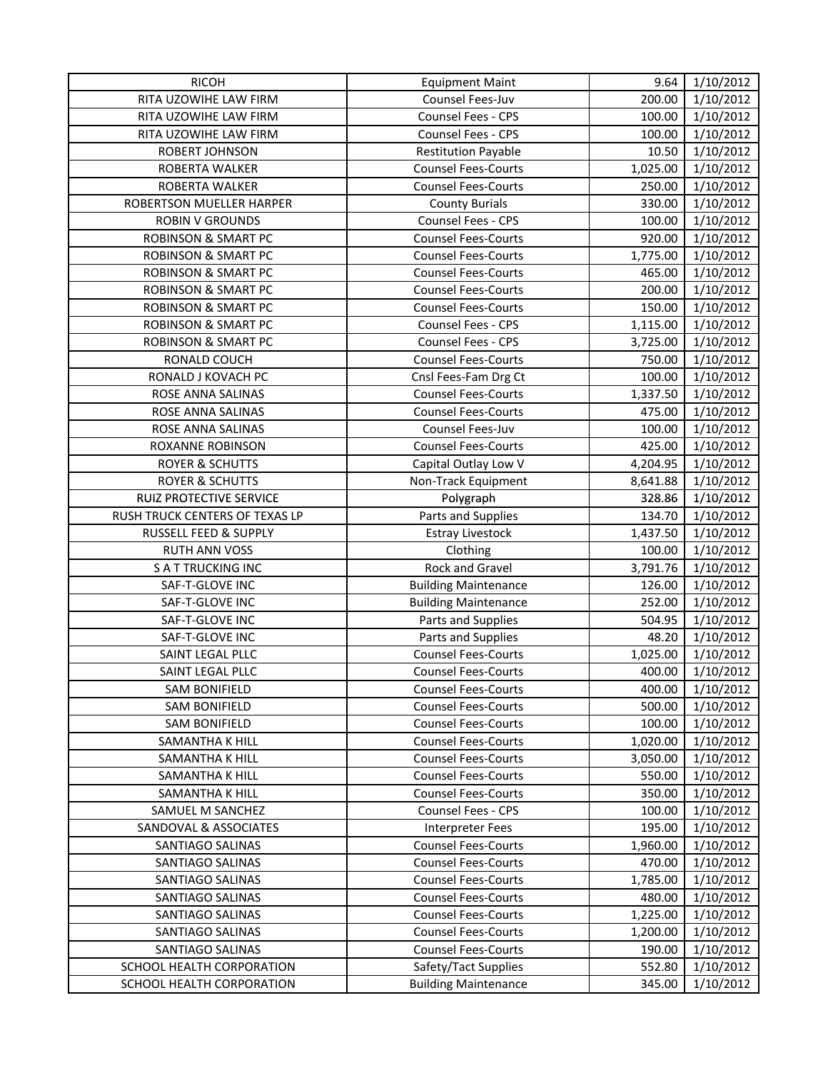| <b>RICOH</b>                         | <b>Equipment Maint</b>                                   | 9.64               | 1/10/2012              |
|--------------------------------------|----------------------------------------------------------|--------------------|------------------------|
| RITA UZOWIHE LAW FIRM                | Counsel Fees-Juv                                         | 200.00             | 1/10/2012              |
| RITA UZOWIHE LAW FIRM                | Counsel Fees - CPS                                       | 100.00             | 1/10/2012              |
| RITA UZOWIHE LAW FIRM                | Counsel Fees - CPS                                       | 100.00             | 1/10/2012              |
| ROBERT JOHNSON                       | <b>Restitution Payable</b>                               | 10.50              | 1/10/2012              |
| <b>ROBERTA WALKER</b>                | <b>Counsel Fees-Courts</b>                               | 1,025.00           | 1/10/2012              |
| ROBERTA WALKER                       | <b>Counsel Fees-Courts</b>                               | 250.00             | 1/10/2012              |
| ROBERTSON MUELLER HARPER             | <b>County Burials</b>                                    | 330.00             | 1/10/2012              |
| <b>ROBIN V GROUNDS</b>               | Counsel Fees - CPS                                       | 100.00             | 1/10/2012              |
| <b>ROBINSON &amp; SMART PC</b>       | <b>Counsel Fees-Courts</b>                               | 920.00             | 1/10/2012              |
| <b>ROBINSON &amp; SMART PC</b>       | <b>Counsel Fees-Courts</b>                               | 1,775.00           | 1/10/2012              |
| <b>ROBINSON &amp; SMART PC</b>       | <b>Counsel Fees-Courts</b>                               | 465.00             | 1/10/2012              |
| <b>ROBINSON &amp; SMART PC</b>       | <b>Counsel Fees-Courts</b>                               | 200.00             | 1/10/2012              |
| <b>ROBINSON &amp; SMART PC</b>       | <b>Counsel Fees-Courts</b>                               | 150.00             | 1/10/2012              |
| <b>ROBINSON &amp; SMART PC</b>       | Counsel Fees - CPS                                       | 1,115.00           | 1/10/2012              |
| <b>ROBINSON &amp; SMART PC</b>       | Counsel Fees - CPS                                       | 3,725.00           | 1/10/2012              |
| RONALD COUCH                         | <b>Counsel Fees-Courts</b>                               | 750.00             | 1/10/2012              |
| RONALD J KOVACH PC                   | Cnsl Fees-Fam Drg Ct                                     | 100.00             | 1/10/2012              |
| ROSE ANNA SALINAS                    | <b>Counsel Fees-Courts</b>                               | 1,337.50           | 1/10/2012              |
| ROSE ANNA SALINAS                    | <b>Counsel Fees-Courts</b>                               | 475.00             | 1/10/2012              |
| ROSE ANNA SALINAS                    | Counsel Fees-Juv                                         | 100.00             | 1/10/2012              |
| ROXANNE ROBINSON                     | <b>Counsel Fees-Courts</b>                               | 425.00             | 1/10/2012              |
| <b>ROYER &amp; SCHUTTS</b>           | Capital Outlay Low V                                     | 4,204.95           | 1/10/2012              |
| <b>ROYER &amp; SCHUTTS</b>           | Non-Track Equipment                                      | 8,641.88           | 1/10/2012              |
| <b>RUIZ PROTECTIVE SERVICE</b>       | Polygraph                                                | 328.86             | 1/10/2012              |
| RUSH TRUCK CENTERS OF TEXAS LP       | Parts and Supplies                                       | 134.70             | 1/10/2012              |
| RUSSELL FEED & SUPPLY                | <b>Estray Livestock</b>                                  | 1,437.50           | 1/10/2012              |
| <b>RUTH ANN VOSS</b>                 | Clothing                                                 | 100.00             | 1/10/2012              |
| <b>SATTRUCKING INC</b>               | Rock and Gravel                                          | 3,791.76           | 1/10/2012              |
| SAF-T-GLOVE INC                      | <b>Building Maintenance</b>                              | 126.00             | 1/10/2012              |
| SAF-T-GLOVE INC                      | <b>Building Maintenance</b>                              | 252.00             | 1/10/2012              |
| SAF-T-GLOVE INC                      | Parts and Supplies                                       | 504.95             | 1/10/2012              |
| SAF-T-GLOVE INC                      | Parts and Supplies                                       | 48.20              | 1/10/2012              |
| SAINT LEGAL PLLC                     | <b>Counsel Fees-Courts</b>                               | 1,025.00           | 1/10/2012              |
| SAINT LEGAL PLLC                     | <b>Counsel Fees-Courts</b>                               | 400.00             | 1/10/2012              |
| SAM BONIFIELD                        | <b>Counsel Fees-Courts</b>                               | 400.00             | 1/10/2012              |
| <b>SAM BONIFIELD</b>                 | <b>Counsel Fees-Courts</b>                               | 500.00             | 1/10/2012              |
| <b>SAM BONIFIELD</b>                 | <b>Counsel Fees-Courts</b>                               | 100.00             | 1/10/2012              |
| SAMANTHA K HILL                      | <b>Counsel Fees-Courts</b>                               | 1,020.00           | 1/10/2012              |
| SAMANTHA K HILL                      | <b>Counsel Fees-Courts</b>                               | 3,050.00           | 1/10/2012              |
| SAMANTHA K HILL                      | <b>Counsel Fees-Courts</b>                               | 550.00             | 1/10/2012              |
| SAMANTHA K HILL                      | <b>Counsel Fees-Courts</b>                               | 350.00             | 1/10/2012              |
| SAMUEL M SANCHEZ                     | Counsel Fees - CPS                                       | 100.00             | 1/10/2012              |
| <b>SANDOVAL &amp; ASSOCIATES</b>     | <b>Interpreter Fees</b>                                  | 195.00             | 1/10/2012              |
| SANTIAGO SALINAS                     | <b>Counsel Fees-Courts</b>                               | 1,960.00           | 1/10/2012              |
| SANTIAGO SALINAS                     | <b>Counsel Fees-Courts</b>                               | 470.00             | 1/10/2012              |
| SANTIAGO SALINAS                     | <b>Counsel Fees-Courts</b>                               | 1,785.00           | 1/10/2012              |
|                                      |                                                          |                    |                        |
| SANTIAGO SALINAS<br>SANTIAGO SALINAS | <b>Counsel Fees-Courts</b><br><b>Counsel Fees-Courts</b> | 480.00<br>1,225.00 | 1/10/2012<br>1/10/2012 |
| SANTIAGO SALINAS                     | <b>Counsel Fees-Courts</b>                               | 1,200.00           | 1/10/2012              |
| SANTIAGO SALINAS                     | <b>Counsel Fees-Courts</b>                               | 190.00             | 1/10/2012              |
| SCHOOL HEALTH CORPORATION            | Safety/Tact Supplies                                     | 552.80             | 1/10/2012              |
| SCHOOL HEALTH CORPORATION            | <b>Building Maintenance</b>                              | 345.00             | 1/10/2012              |
|                                      |                                                          |                    |                        |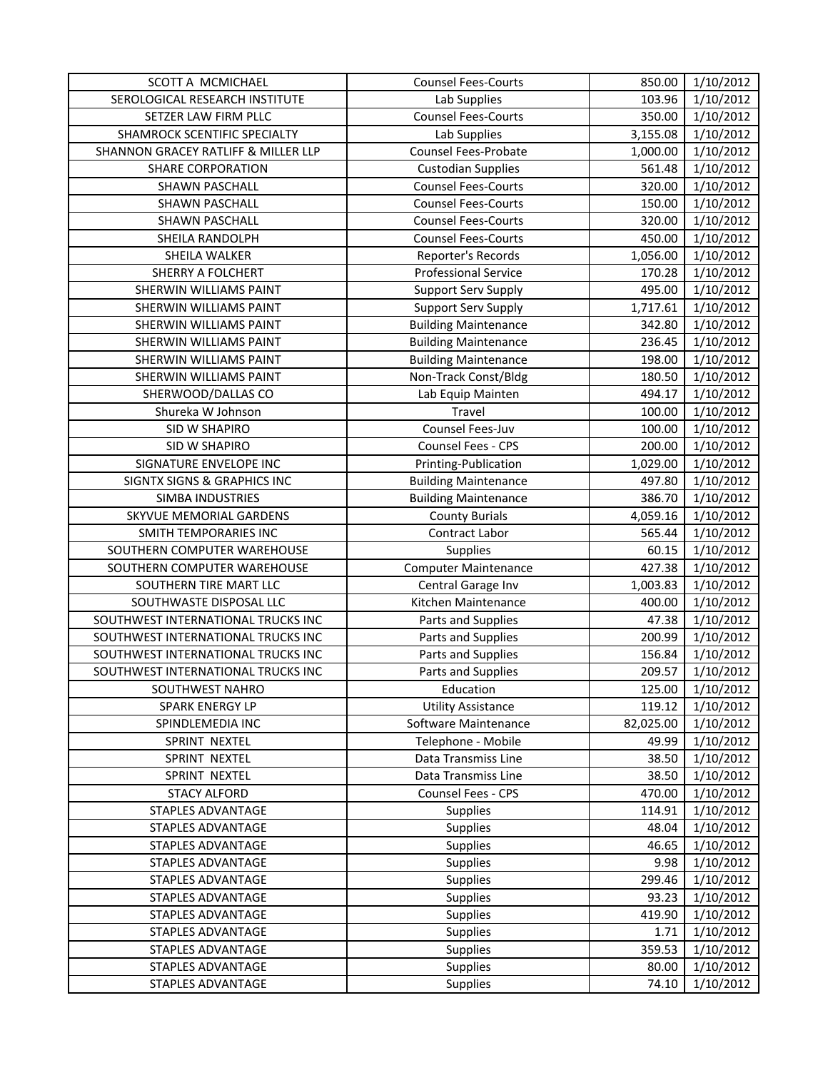| SCOTT A MCMICHAEL                      | <b>Counsel Fees-Courts</b>  | 850.00    | 1/10/2012 |
|----------------------------------------|-----------------------------|-----------|-----------|
| SEROLOGICAL RESEARCH INSTITUTE         | Lab Supplies                | 103.96    | 1/10/2012 |
| SETZER LAW FIRM PLLC                   | <b>Counsel Fees-Courts</b>  | 350.00    | 1/10/2012 |
| SHAMROCK SCENTIFIC SPECIALTY           | Lab Supplies                | 3,155.08  | 1/10/2012 |
| SHANNON GRACEY RATLIFF & MILLER LLP    | Counsel Fees-Probate        | 1,000.00  | 1/10/2012 |
| <b>SHARE CORPORATION</b>               | <b>Custodian Supplies</b>   | 561.48    | 1/10/2012 |
| SHAWN PASCHALL                         | <b>Counsel Fees-Courts</b>  | 320.00    | 1/10/2012 |
| SHAWN PASCHALL                         | <b>Counsel Fees-Courts</b>  | 150.00    | 1/10/2012 |
| <b>SHAWN PASCHALL</b>                  | <b>Counsel Fees-Courts</b>  | 320.00    | 1/10/2012 |
| SHEILA RANDOLPH                        | <b>Counsel Fees-Courts</b>  | 450.00    | 1/10/2012 |
| SHEILA WALKER                          | Reporter's Records          | 1,056.00  | 1/10/2012 |
| <b>SHERRY A FOLCHERT</b>               | <b>Professional Service</b> | 170.28    | 1/10/2012 |
| SHERWIN WILLIAMS PAINT                 | Support Serv Supply         | 495.00    | 1/10/2012 |
| SHERWIN WILLIAMS PAINT                 | <b>Support Serv Supply</b>  | 1,717.61  | 1/10/2012 |
| SHERWIN WILLIAMS PAINT                 | <b>Building Maintenance</b> | 342.80    | 1/10/2012 |
| SHERWIN WILLIAMS PAINT                 | <b>Building Maintenance</b> | 236.45    | 1/10/2012 |
| SHERWIN WILLIAMS PAINT                 | <b>Building Maintenance</b> | 198.00    | 1/10/2012 |
| <b>SHERWIN WILLIAMS PAINT</b>          | Non-Track Const/Bldg        | 180.50    | 1/10/2012 |
| SHERWOOD/DALLAS CO                     | Lab Equip Mainten           | 494.17    | 1/10/2012 |
| Shureka W Johnson                      | Travel                      | 100.00    | 1/10/2012 |
| SID W SHAPIRO                          | Counsel Fees-Juv            | 100.00    | 1/10/2012 |
| SID W SHAPIRO                          | Counsel Fees - CPS          | 200.00    | 1/10/2012 |
| SIGNATURE ENVELOPE INC                 | Printing-Publication        | 1,029.00  | 1/10/2012 |
| <b>SIGNTX SIGNS &amp; GRAPHICS INC</b> | <b>Building Maintenance</b> | 497.80    | 1/10/2012 |
| SIMBA INDUSTRIES                       | <b>Building Maintenance</b> | 386.70    | 1/10/2012 |
| SKYVUE MEMORIAL GARDENS                | <b>County Burials</b>       | 4,059.16  | 1/10/2012 |
| SMITH TEMPORARIES INC                  | Contract Labor              | 565.44    | 1/10/2012 |
| SOUTHERN COMPUTER WAREHOUSE            | Supplies                    | 60.15     | 1/10/2012 |
| SOUTHERN COMPUTER WAREHOUSE            | <b>Computer Maintenance</b> | 427.38    | 1/10/2012 |
| SOUTHERN TIRE MART LLC                 | Central Garage Inv          | 1,003.83  | 1/10/2012 |
| SOUTHWASTE DISPOSAL LLC                | Kitchen Maintenance         | 400.00    | 1/10/2012 |
| SOUTHWEST INTERNATIONAL TRUCKS INC     | Parts and Supplies          | 47.38     | 1/10/2012 |
| SOUTHWEST INTERNATIONAL TRUCKS INC     | Parts and Supplies          | 200.99    | 1/10/2012 |
| SOUTHWEST INTERNATIONAL TRUCKS INC     | Parts and Supplies          | 156.84    | 1/10/2012 |
| SOUTHWEST INTERNATIONAL TRUCKS INC     | Parts and Supplies          | 209.57    | 1/10/2012 |
| SOUTHWEST NAHRO                        | Education                   | 125.00    | 1/10/2012 |
| SPARK ENERGY LP                        | <b>Utility Assistance</b>   | 119.12    | 1/10/2012 |
| SPINDLEMEDIA INC                       | Software Maintenance        | 82,025.00 | 1/10/2012 |
| SPRINT NEXTEL                          | Telephone - Mobile          | 49.99     | 1/10/2012 |
| SPRINT NEXTEL                          | Data Transmiss Line         | 38.50     | 1/10/2012 |
| SPRINT NEXTEL                          | Data Transmiss Line         | 38.50     | 1/10/2012 |
| <b>STACY ALFORD</b>                    | Counsel Fees - CPS          | 470.00    | 1/10/2012 |
| STAPLES ADVANTAGE                      | Supplies                    | 114.91    | 1/10/2012 |
| <b>STAPLES ADVANTAGE</b>               | Supplies                    | 48.04     | 1/10/2012 |
| <b>STAPLES ADVANTAGE</b>               | Supplies                    | 46.65     | 1/10/2012 |
| STAPLES ADVANTAGE                      | <b>Supplies</b>             | 9.98      | 1/10/2012 |
| STAPLES ADVANTAGE                      | <b>Supplies</b>             | 299.46    | 1/10/2012 |
| STAPLES ADVANTAGE                      | <b>Supplies</b>             | 93.23     | 1/10/2012 |
| STAPLES ADVANTAGE                      | <b>Supplies</b>             | 419.90    | 1/10/2012 |
| <b>STAPLES ADVANTAGE</b>               | <b>Supplies</b>             | 1.71      | 1/10/2012 |
| STAPLES ADVANTAGE                      | <b>Supplies</b>             | 359.53    | 1/10/2012 |
| STAPLES ADVANTAGE                      | <b>Supplies</b>             | 80.00     | 1/10/2012 |
| <b>STAPLES ADVANTAGE</b>               | <b>Supplies</b>             | 74.10     | 1/10/2012 |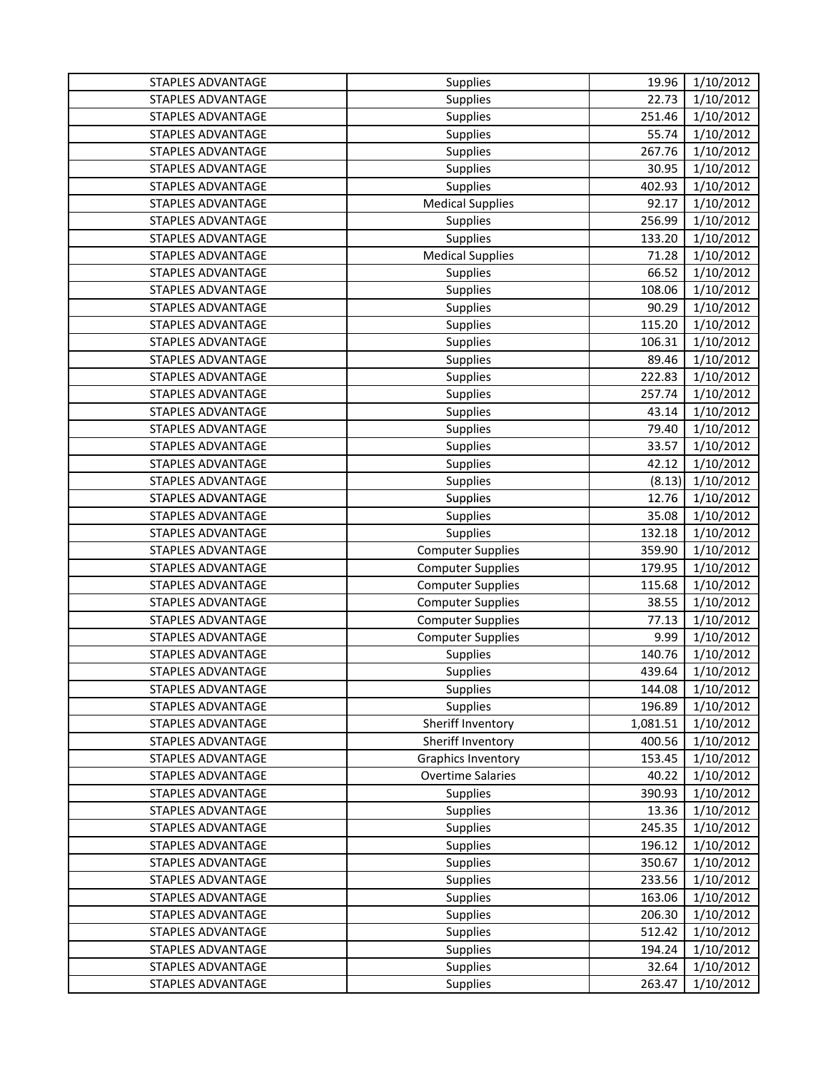| STAPLES ADVANTAGE        | <b>Supplies</b>           | 19.96    | 1/10/2012 |
|--------------------------|---------------------------|----------|-----------|
| <b>STAPLES ADVANTAGE</b> | <b>Supplies</b>           | 22.73    | 1/10/2012 |
| <b>STAPLES ADVANTAGE</b> | <b>Supplies</b>           | 251.46   | 1/10/2012 |
| <b>STAPLES ADVANTAGE</b> | <b>Supplies</b>           | 55.74    | 1/10/2012 |
| STAPLES ADVANTAGE        | Supplies                  | 267.76   | 1/10/2012 |
| STAPLES ADVANTAGE        | Supplies                  | 30.95    | 1/10/2012 |
| <b>STAPLES ADVANTAGE</b> | <b>Supplies</b>           | 402.93   | 1/10/2012 |
| STAPLES ADVANTAGE        | <b>Medical Supplies</b>   | 92.17    | 1/10/2012 |
| <b>STAPLES ADVANTAGE</b> | <b>Supplies</b>           | 256.99   | 1/10/2012 |
| <b>STAPLES ADVANTAGE</b> | <b>Supplies</b>           | 133.20   | 1/10/2012 |
| <b>STAPLES ADVANTAGE</b> | <b>Medical Supplies</b>   | 71.28    | 1/10/2012 |
| <b>STAPLES ADVANTAGE</b> | <b>Supplies</b>           | 66.52    | 1/10/2012 |
| <b>STAPLES ADVANTAGE</b> | Supplies                  | 108.06   | 1/10/2012 |
| <b>STAPLES ADVANTAGE</b> | <b>Supplies</b>           | 90.29    | 1/10/2012 |
| STAPLES ADVANTAGE        | <b>Supplies</b>           | 115.20   | 1/10/2012 |
| STAPLES ADVANTAGE        | Supplies                  | 106.31   | 1/10/2012 |
| <b>STAPLES ADVANTAGE</b> | Supplies                  | 89.46    | 1/10/2012 |
| <b>STAPLES ADVANTAGE</b> | Supplies                  | 222.83   | 1/10/2012 |
| <b>STAPLES ADVANTAGE</b> | <b>Supplies</b>           | 257.74   | 1/10/2012 |
| <b>STAPLES ADVANTAGE</b> | <b>Supplies</b>           | 43.14    | 1/10/2012 |
| STAPLES ADVANTAGE        | <b>Supplies</b>           | 79.40    | 1/10/2012 |
| <b>STAPLES ADVANTAGE</b> | <b>Supplies</b>           | 33.57    | 1/10/2012 |
| <b>STAPLES ADVANTAGE</b> | Supplies                  | 42.12    | 1/10/2012 |
| <b>STAPLES ADVANTAGE</b> | <b>Supplies</b>           | (8.13)   | 1/10/2012 |
| STAPLES ADVANTAGE        | <b>Supplies</b>           | 12.76    | 1/10/2012 |
| <b>STAPLES ADVANTAGE</b> | <b>Supplies</b>           | 35.08    | 1/10/2012 |
| <b>STAPLES ADVANTAGE</b> | <b>Supplies</b>           | 132.18   | 1/10/2012 |
| STAPLES ADVANTAGE        | <b>Computer Supplies</b>  | 359.90   | 1/10/2012 |
| <b>STAPLES ADVANTAGE</b> | <b>Computer Supplies</b>  | 179.95   | 1/10/2012 |
| STAPLES ADVANTAGE        | <b>Computer Supplies</b>  | 115.68   | 1/10/2012 |
| STAPLES ADVANTAGE        | <b>Computer Supplies</b>  | 38.55    | 1/10/2012 |
| <b>STAPLES ADVANTAGE</b> | <b>Computer Supplies</b>  | 77.13    | 1/10/2012 |
| <b>STAPLES ADVANTAGE</b> | <b>Computer Supplies</b>  | 9.99     | 1/10/2012 |
| <b>STAPLES ADVANTAGE</b> | <b>Supplies</b>           | 140.76   | 1/10/2012 |
| <b>STAPLES ADVANTAGE</b> | <b>Supplies</b>           | 439.64   | 1/10/2012 |
| STAPLES ADVANTAGE        | Supplies                  | 144.08   | 1/10/2012 |
| <b>STAPLES ADVANTAGE</b> | <b>Supplies</b>           | 196.89   | 1/10/2012 |
| STAPLES ADVANTAGE        | Sheriff Inventory         | 1,081.51 | 1/10/2012 |
| <b>STAPLES ADVANTAGE</b> | Sheriff Inventory         | 400.56   | 1/10/2012 |
| STAPLES ADVANTAGE        | <b>Graphics Inventory</b> | 153.45   | 1/10/2012 |
| STAPLES ADVANTAGE        | <b>Overtime Salaries</b>  | 40.22    | 1/10/2012 |
| STAPLES ADVANTAGE        | <b>Supplies</b>           | 390.93   | 1/10/2012 |
| <b>STAPLES ADVANTAGE</b> | <b>Supplies</b>           | 13.36    | 1/10/2012 |
| STAPLES ADVANTAGE        | <b>Supplies</b>           | 245.35   | 1/10/2012 |
| STAPLES ADVANTAGE        | <b>Supplies</b>           | 196.12   | 1/10/2012 |
| STAPLES ADVANTAGE        | <b>Supplies</b>           | 350.67   | 1/10/2012 |
| STAPLES ADVANTAGE        | <b>Supplies</b>           | 233.56   | 1/10/2012 |
| STAPLES ADVANTAGE        | Supplies                  | 163.06   | 1/10/2012 |
| STAPLES ADVANTAGE        | <b>Supplies</b>           | 206.30   | 1/10/2012 |
| <b>STAPLES ADVANTAGE</b> | <b>Supplies</b>           | 512.42   | 1/10/2012 |
| STAPLES ADVANTAGE        | <b>Supplies</b>           | 194.24   | 1/10/2012 |
| STAPLES ADVANTAGE        | <b>Supplies</b>           | 32.64    | 1/10/2012 |
| STAPLES ADVANTAGE        | <b>Supplies</b>           | 263.47   | 1/10/2012 |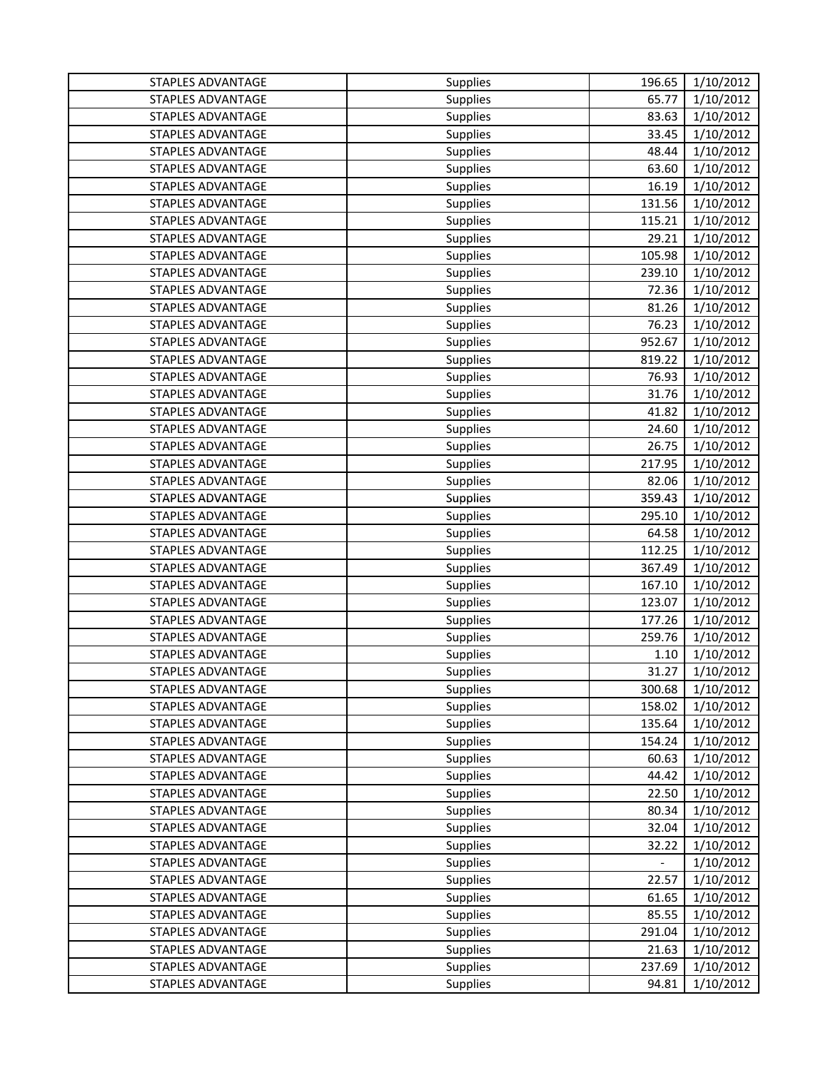| STAPLES ADVANTAGE        | <b>Supplies</b> | 196.65                   | 1/10/2012 |
|--------------------------|-----------------|--------------------------|-----------|
| <b>STAPLES ADVANTAGE</b> | <b>Supplies</b> | 65.77                    | 1/10/2012 |
| <b>STAPLES ADVANTAGE</b> | <b>Supplies</b> | 83.63                    | 1/10/2012 |
| <b>STAPLES ADVANTAGE</b> | <b>Supplies</b> | 33.45                    | 1/10/2012 |
| <b>STAPLES ADVANTAGE</b> | <b>Supplies</b> | 48.44                    | 1/10/2012 |
| <b>STAPLES ADVANTAGE</b> | <b>Supplies</b> | 63.60                    | 1/10/2012 |
| <b>STAPLES ADVANTAGE</b> | <b>Supplies</b> | 16.19                    | 1/10/2012 |
| STAPLES ADVANTAGE        | Supplies        | 131.56                   | 1/10/2012 |
| <b>STAPLES ADVANTAGE</b> | Supplies        | 115.21                   | 1/10/2012 |
| <b>STAPLES ADVANTAGE</b> | <b>Supplies</b> | 29.21                    | 1/10/2012 |
| <b>STAPLES ADVANTAGE</b> | <b>Supplies</b> | 105.98                   | 1/10/2012 |
| <b>STAPLES ADVANTAGE</b> | <b>Supplies</b> | 239.10                   | 1/10/2012 |
| STAPLES ADVANTAGE        | <b>Supplies</b> | 72.36                    | 1/10/2012 |
| STAPLES ADVANTAGE        | <b>Supplies</b> | 81.26                    | 1/10/2012 |
| STAPLES ADVANTAGE        | Supplies        | 76.23                    | 1/10/2012 |
| <b>STAPLES ADVANTAGE</b> | Supplies        | 952.67                   | 1/10/2012 |
| <b>STAPLES ADVANTAGE</b> | <b>Supplies</b> | 819.22                   | 1/10/2012 |
| <b>STAPLES ADVANTAGE</b> | <b>Supplies</b> | 76.93                    | 1/10/2012 |
| <b>STAPLES ADVANTAGE</b> | <b>Supplies</b> | 31.76                    | 1/10/2012 |
| <b>STAPLES ADVANTAGE</b> | <b>Supplies</b> | 41.82                    | 1/10/2012 |
| <b>STAPLES ADVANTAGE</b> | Supplies        | 24.60                    | 1/10/2012 |
| STAPLES ADVANTAGE        | <b>Supplies</b> | 26.75                    | 1/10/2012 |
| STAPLES ADVANTAGE        | Supplies        | 217.95                   | 1/10/2012 |
| STAPLES ADVANTAGE        | <b>Supplies</b> | 82.06                    | 1/10/2012 |
| <b>STAPLES ADVANTAGE</b> | <b>Supplies</b> | 359.43                   | 1/10/2012 |
| STAPLES ADVANTAGE        | <b>Supplies</b> | 295.10                   | 1/10/2012 |
| STAPLES ADVANTAGE        | <b>Supplies</b> | 64.58                    | 1/10/2012 |
| STAPLES ADVANTAGE        | Supplies        | 112.25                   | 1/10/2012 |
| <b>STAPLES ADVANTAGE</b> | Supplies        | 367.49                   | 1/10/2012 |
| <b>STAPLES ADVANTAGE</b> | Supplies        | 167.10                   | 1/10/2012 |
| <b>STAPLES ADVANTAGE</b> | <b>Supplies</b> | 123.07                   | 1/10/2012 |
| <b>STAPLES ADVANTAGE</b> | <b>Supplies</b> | 177.26                   | 1/10/2012 |
| <b>STAPLES ADVANTAGE</b> | Supplies        | 259.76                   | 1/10/2012 |
| <b>STAPLES ADVANTAGE</b> | Supplies        | 1.10                     | 1/10/2012 |
| STAPLES ADVANTAGE        | <b>Supplies</b> | 31.27                    | 1/10/2012 |
| STAPLES ADVANTAGE        | <b>Supplies</b> | 300.68                   | 1/10/2012 |
| STAPLES ADVANTAGE        | <b>Supplies</b> | 158.02                   | 1/10/2012 |
| STAPLES ADVANTAGE        | <b>Supplies</b> | 135.64                   | 1/10/2012 |
| <b>STAPLES ADVANTAGE</b> | <b>Supplies</b> | 154.24                   | 1/10/2012 |
| <b>STAPLES ADVANTAGE</b> | <b>Supplies</b> | 60.63                    | 1/10/2012 |
| STAPLES ADVANTAGE        | <b>Supplies</b> | 44.42                    | 1/10/2012 |
| STAPLES ADVANTAGE        | <b>Supplies</b> | 22.50                    | 1/10/2012 |
| <b>STAPLES ADVANTAGE</b> | <b>Supplies</b> | 80.34                    | 1/10/2012 |
| STAPLES ADVANTAGE        | <b>Supplies</b> | 32.04                    | 1/10/2012 |
| <b>STAPLES ADVANTAGE</b> | <b>Supplies</b> | 32.22                    | 1/10/2012 |
| STAPLES ADVANTAGE        | <b>Supplies</b> | $\overline{\phantom{a}}$ | 1/10/2012 |
| STAPLES ADVANTAGE        | <b>Supplies</b> | 22.57                    | 1/10/2012 |
| STAPLES ADVANTAGE        | <b>Supplies</b> | 61.65                    | 1/10/2012 |
| STAPLES ADVANTAGE        | <b>Supplies</b> | 85.55                    | 1/10/2012 |
| STAPLES ADVANTAGE        | <b>Supplies</b> | 291.04                   | 1/10/2012 |
| STAPLES ADVANTAGE        | <b>Supplies</b> | 21.63                    | 1/10/2012 |
| <b>STAPLES ADVANTAGE</b> | <b>Supplies</b> | 237.69                   | 1/10/2012 |
| <b>STAPLES ADVANTAGE</b> | <b>Supplies</b> | 94.81                    | 1/10/2012 |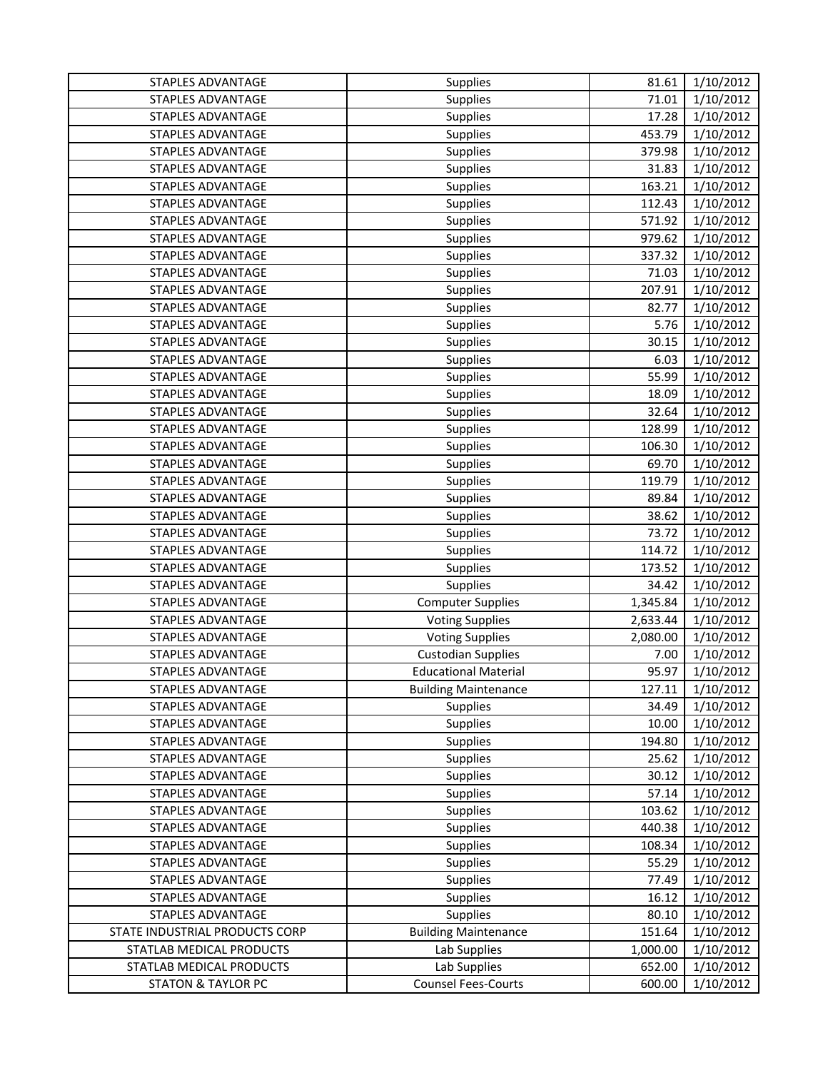| STAPLES ADVANTAGE              | <b>Supplies</b>             | 81.61    | 1/10/2012 |
|--------------------------------|-----------------------------|----------|-----------|
| STAPLES ADVANTAGE              | Supplies                    | 71.01    | 1/10/2012 |
| <b>STAPLES ADVANTAGE</b>       | <b>Supplies</b>             | 17.28    | 1/10/2012 |
| <b>STAPLES ADVANTAGE</b>       | Supplies                    | 453.79   | 1/10/2012 |
| <b>STAPLES ADVANTAGE</b>       | Supplies                    | 379.98   | 1/10/2012 |
| <b>STAPLES ADVANTAGE</b>       | <b>Supplies</b>             | 31.83    | 1/10/2012 |
| <b>STAPLES ADVANTAGE</b>       | <b>Supplies</b>             | 163.21   | 1/10/2012 |
| STAPLES ADVANTAGE              | Supplies                    | 112.43   | 1/10/2012 |
| STAPLES ADVANTAGE              | Supplies                    | 571.92   | 1/10/2012 |
| STAPLES ADVANTAGE              | Supplies                    | 979.62   | 1/10/2012 |
| <b>STAPLES ADVANTAGE</b>       | Supplies                    | 337.32   | 1/10/2012 |
| <b>STAPLES ADVANTAGE</b>       | <b>Supplies</b>             | 71.03    | 1/10/2012 |
| STAPLES ADVANTAGE              | Supplies                    | 207.91   | 1/10/2012 |
| <b>STAPLES ADVANTAGE</b>       | Supplies                    | 82.77    | 1/10/2012 |
| <b>STAPLES ADVANTAGE</b>       | Supplies                    | 5.76     | 1/10/2012 |
| <b>STAPLES ADVANTAGE</b>       | Supplies                    | 30.15    | 1/10/2012 |
| <b>STAPLES ADVANTAGE</b>       | Supplies                    | 6.03     | 1/10/2012 |
| <b>STAPLES ADVANTAGE</b>       | <b>Supplies</b>             | 55.99    | 1/10/2012 |
| <b>STAPLES ADVANTAGE</b>       | Supplies                    | 18.09    | 1/10/2012 |
| <b>STAPLES ADVANTAGE</b>       | Supplies                    | 32.64    | 1/10/2012 |
| <b>STAPLES ADVANTAGE</b>       | Supplies                    | 128.99   | 1/10/2012 |
| <b>STAPLES ADVANTAGE</b>       | <b>Supplies</b>             | 106.30   | 1/10/2012 |
| <b>STAPLES ADVANTAGE</b>       | Supplies                    | 69.70    | 1/10/2012 |
| <b>STAPLES ADVANTAGE</b>       | Supplies                    | 119.79   | 1/10/2012 |
| <b>STAPLES ADVANTAGE</b>       | <b>Supplies</b>             | 89.84    | 1/10/2012 |
| <b>STAPLES ADVANTAGE</b>       | <b>Supplies</b>             | 38.62    | 1/10/2012 |
| STAPLES ADVANTAGE              | Supplies                    | 73.72    | 1/10/2012 |
| <b>STAPLES ADVANTAGE</b>       | Supplies                    | 114.72   | 1/10/2012 |
| <b>STAPLES ADVANTAGE</b>       | Supplies                    | 173.52   | 1/10/2012 |
| <b>STAPLES ADVANTAGE</b>       | Supplies                    | 34.42    | 1/10/2012 |
| <b>STAPLES ADVANTAGE</b>       | <b>Computer Supplies</b>    | 1,345.84 | 1/10/2012 |
| <b>STAPLES ADVANTAGE</b>       | <b>Voting Supplies</b>      | 2,633.44 | 1/10/2012 |
| STAPLES ADVANTAGE              | <b>Voting Supplies</b>      | 2,080.00 | 1/10/2012 |
| STAPLES ADVANTAGE              | <b>Custodian Supplies</b>   | 7.00     | 1/10/2012 |
| STAPLES ADVANTAGE              | <b>Educational Material</b> | 95.97    | 1/10/2012 |
| STAPLES ADVANTAGE              | <b>Building Maintenance</b> | 127.11   | 1/10/2012 |
| STAPLES ADVANTAGE              | <b>Supplies</b>             | 34.49    | 1/10/2012 |
| STAPLES ADVANTAGE              | <b>Supplies</b>             | 10.00    | 1/10/2012 |
| <b>STAPLES ADVANTAGE</b>       | <b>Supplies</b>             | 194.80   | 1/10/2012 |
| <b>STAPLES ADVANTAGE</b>       | <b>Supplies</b>             | 25.62    | 1/10/2012 |
| <b>STAPLES ADVANTAGE</b>       | <b>Supplies</b>             | 30.12    | 1/10/2012 |
| STAPLES ADVANTAGE              | <b>Supplies</b>             | 57.14    | 1/10/2012 |
| <b>STAPLES ADVANTAGE</b>       | <b>Supplies</b>             | 103.62   | 1/10/2012 |
| STAPLES ADVANTAGE              | <b>Supplies</b>             | 440.38   | 1/10/2012 |
| STAPLES ADVANTAGE              | <b>Supplies</b>             | 108.34   | 1/10/2012 |
| STAPLES ADVANTAGE              | <b>Supplies</b>             | 55.29    | 1/10/2012 |
| STAPLES ADVANTAGE              | <b>Supplies</b>             | 77.49    | 1/10/2012 |
| <b>STAPLES ADVANTAGE</b>       | <b>Supplies</b>             | 16.12    | 1/10/2012 |
| <b>STAPLES ADVANTAGE</b>       | <b>Supplies</b>             | 80.10    | 1/10/2012 |
| STATE INDUSTRIAL PRODUCTS CORP | <b>Building Maintenance</b> | 151.64   | 1/10/2012 |
| STATLAB MEDICAL PRODUCTS       | Lab Supplies                | 1,000.00 | 1/10/2012 |
| STATLAB MEDICAL PRODUCTS       | Lab Supplies                | 652.00   | 1/10/2012 |
| <b>STATON &amp; TAYLOR PC</b>  | <b>Counsel Fees-Courts</b>  | 600.00   | 1/10/2012 |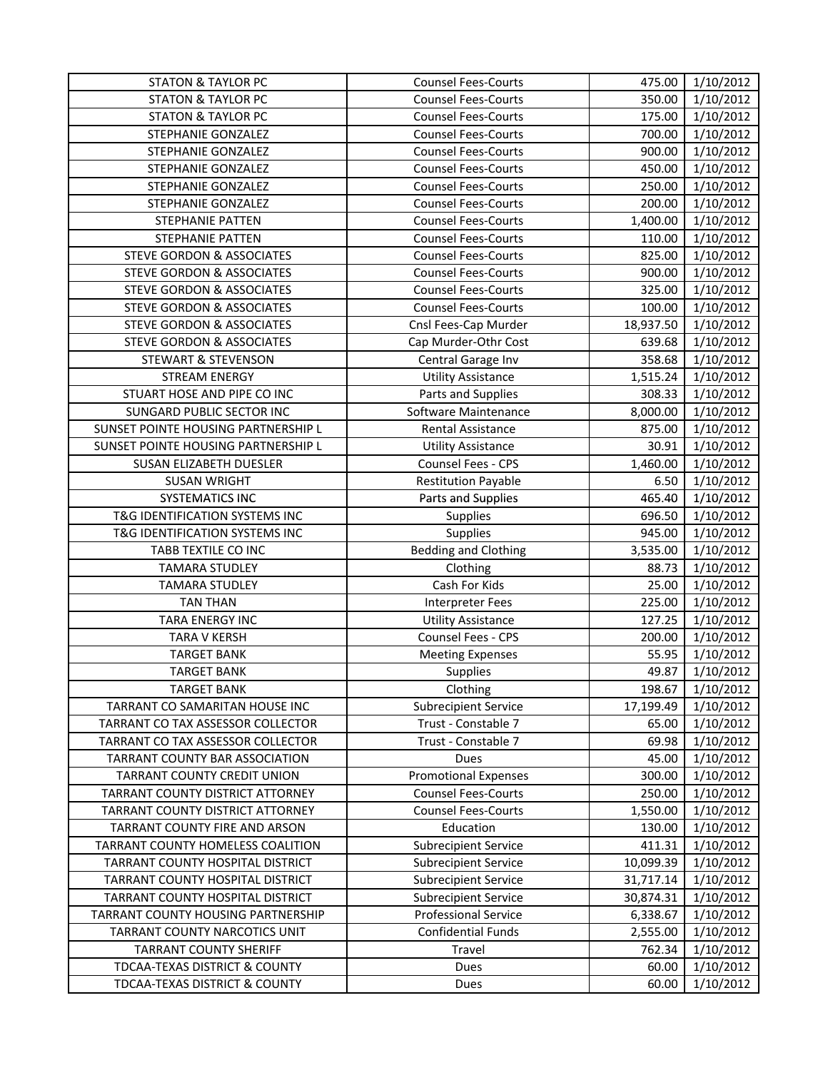| <b>STATON &amp; TAYLOR PC</b>        | <b>Counsel Fees-Courts</b>  | 475.00    | 1/10/2012 |
|--------------------------------------|-----------------------------|-----------|-----------|
| <b>STATON &amp; TAYLOR PC</b>        | <b>Counsel Fees-Courts</b>  | 350.00    | 1/10/2012 |
| <b>STATON &amp; TAYLOR PC</b>        | <b>Counsel Fees-Courts</b>  | 175.00    | 1/10/2012 |
| STEPHANIE GONZALEZ                   | <b>Counsel Fees-Courts</b>  | 700.00    | 1/10/2012 |
| STEPHANIE GONZALEZ                   | <b>Counsel Fees-Courts</b>  | 900.00    | 1/10/2012 |
| STEPHANIE GONZALEZ                   | <b>Counsel Fees-Courts</b>  | 450.00    | 1/10/2012 |
| STEPHANIE GONZALEZ                   | <b>Counsel Fees-Courts</b>  | 250.00    | 1/10/2012 |
| STEPHANIE GONZALEZ                   | <b>Counsel Fees-Courts</b>  | 200.00    | 1/10/2012 |
| STEPHANIE PATTEN                     | <b>Counsel Fees-Courts</b>  | 1,400.00  | 1/10/2012 |
| <b>STEPHANIE PATTEN</b>              | <b>Counsel Fees-Courts</b>  | 110.00    | 1/10/2012 |
| <b>STEVE GORDON &amp; ASSOCIATES</b> | <b>Counsel Fees-Courts</b>  | 825.00    | 1/10/2012 |
| <b>STEVE GORDON &amp; ASSOCIATES</b> | <b>Counsel Fees-Courts</b>  | 900.00    | 1/10/2012 |
| <b>STEVE GORDON &amp; ASSOCIATES</b> | <b>Counsel Fees-Courts</b>  | 325.00    | 1/10/2012 |
| <b>STEVE GORDON &amp; ASSOCIATES</b> | <b>Counsel Fees-Courts</b>  | 100.00    | 1/10/2012 |
| <b>STEVE GORDON &amp; ASSOCIATES</b> | Cnsl Fees-Cap Murder        | 18,937.50 | 1/10/2012 |
| <b>STEVE GORDON &amp; ASSOCIATES</b> | Cap Murder-Othr Cost        | 639.68    | 1/10/2012 |
| <b>STEWART &amp; STEVENSON</b>       | Central Garage Inv          | 358.68    | 1/10/2012 |
| <b>STREAM ENERGY</b>                 | <b>Utility Assistance</b>   | 1,515.24  | 1/10/2012 |
| STUART HOSE AND PIPE CO INC          | Parts and Supplies          | 308.33    | 1/10/2012 |
| SUNGARD PUBLIC SECTOR INC            | Software Maintenance        | 8,000.00  | 1/10/2012 |
| SUNSET POINTE HOUSING PARTNERSHIP L  | <b>Rental Assistance</b>    | 875.00    | 1/10/2012 |
| SUNSET POINTE HOUSING PARTNERSHIP L  | <b>Utility Assistance</b>   | 30.91     | 1/10/2012 |
| SUSAN ELIZABETH DUESLER              | Counsel Fees - CPS          | 1,460.00  | 1/10/2012 |
| <b>SUSAN WRIGHT</b>                  | <b>Restitution Payable</b>  | 6.50      | 1/10/2012 |
| <b>SYSTEMATICS INC</b>               | Parts and Supplies          | 465.40    | 1/10/2012 |
| T&G IDENTIFICATION SYSTEMS INC       | <b>Supplies</b>             | 696.50    | 1/10/2012 |
| T&G IDENTIFICATION SYSTEMS INC       | Supplies                    | 945.00    | 1/10/2012 |
| TABB TEXTILE CO INC                  | <b>Bedding and Clothing</b> | 3,535.00  | 1/10/2012 |
| <b>TAMARA STUDLEY</b>                | Clothing                    | 88.73     | 1/10/2012 |
| <b>TAMARA STUDLEY</b>                | Cash For Kids               | 25.00     | 1/10/2012 |
| <b>TAN THAN</b>                      | <b>Interpreter Fees</b>     | 225.00    | 1/10/2012 |
| TARA ENERGY INC                      | <b>Utility Assistance</b>   | 127.25    | 1/10/2012 |
| <b>TARA V KERSH</b>                  | Counsel Fees - CPS          | 200.00    | 1/10/2012 |
| <b>TARGET BANK</b>                   | <b>Meeting Expenses</b>     | 55.95     | 1/10/2012 |
| <b>TARGET BANK</b>                   | <b>Supplies</b>             | 49.87     | 1/10/2012 |
| <b>TARGET BANK</b>                   | Clothing                    | 198.67    | 1/10/2012 |
| TARRANT CO SAMARITAN HOUSE INC       | <b>Subrecipient Service</b> | 17,199.49 | 1/10/2012 |
| TARRANT CO TAX ASSESSOR COLLECTOR    | Trust - Constable 7         | 65.00     | 1/10/2012 |
| TARRANT CO TAX ASSESSOR COLLECTOR    | Trust - Constable 7         | 69.98     | 1/10/2012 |
| TARRANT COUNTY BAR ASSOCIATION       | Dues                        | 45.00     | 1/10/2012 |
| TARRANT COUNTY CREDIT UNION          | <b>Promotional Expenses</b> | 300.00    | 1/10/2012 |
| TARRANT COUNTY DISTRICT ATTORNEY     | <b>Counsel Fees-Courts</b>  | 250.00    | 1/10/2012 |
| TARRANT COUNTY DISTRICT ATTORNEY     | <b>Counsel Fees-Courts</b>  | 1,550.00  | 1/10/2012 |
| TARRANT COUNTY FIRE AND ARSON        | Education                   | 130.00    | 1/10/2012 |
| TARRANT COUNTY HOMELESS COALITION    | <b>Subrecipient Service</b> | 411.31    | 1/10/2012 |
| TARRANT COUNTY HOSPITAL DISTRICT     | <b>Subrecipient Service</b> | 10,099.39 | 1/10/2012 |
| TARRANT COUNTY HOSPITAL DISTRICT     | <b>Subrecipient Service</b> | 31,717.14 | 1/10/2012 |
| TARRANT COUNTY HOSPITAL DISTRICT     | <b>Subrecipient Service</b> | 30,874.31 | 1/10/2012 |
| TARRANT COUNTY HOUSING PARTNERSHIP   | <b>Professional Service</b> | 6,338.67  | 1/10/2012 |
| TARRANT COUNTY NARCOTICS UNIT        | <b>Confidential Funds</b>   | 2,555.00  | 1/10/2012 |
| <b>TARRANT COUNTY SHERIFF</b>        | Travel                      | 762.34    | 1/10/2012 |
| TDCAA-TEXAS DISTRICT & COUNTY        | Dues                        | 60.00     | 1/10/2012 |
| TDCAA-TEXAS DISTRICT & COUNTY        | Dues                        | 60.00     | 1/10/2012 |
|                                      |                             |           |           |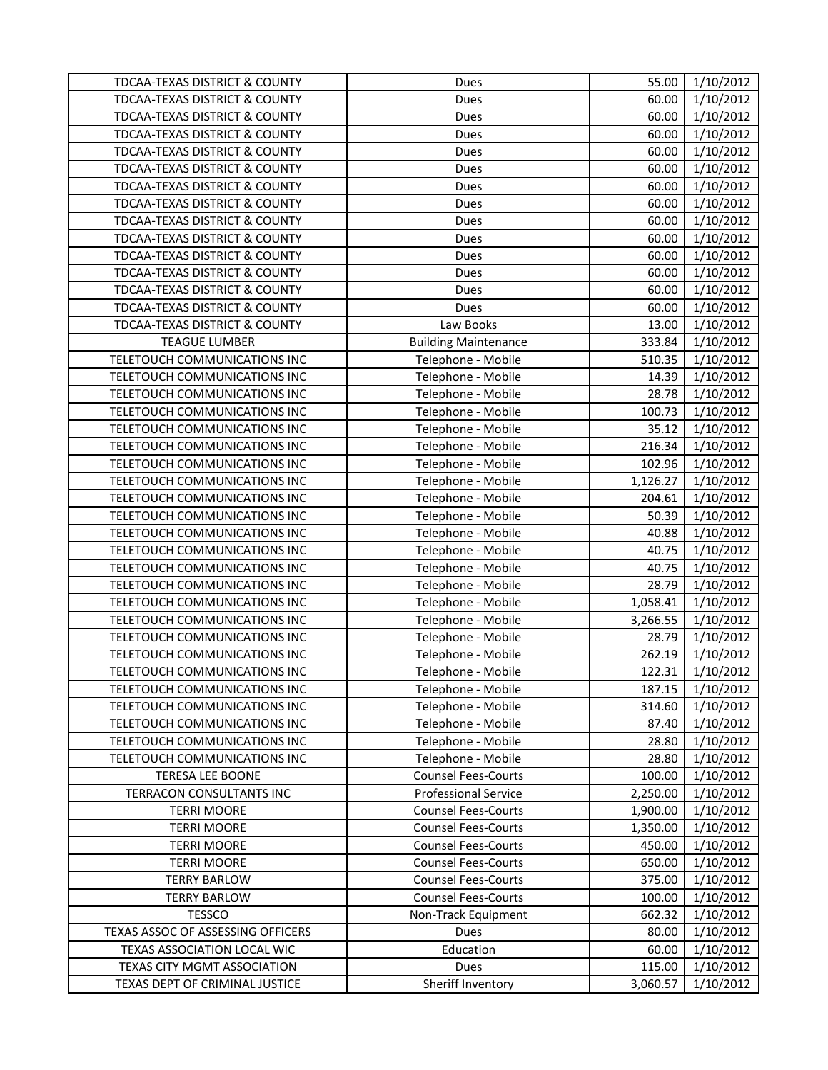| <b>TDCAA-TEXAS DISTRICT &amp; COUNTY</b> | Dues                        | 55.00    | 1/10/2012 |
|------------------------------------------|-----------------------------|----------|-----------|
| <b>TDCAA-TEXAS DISTRICT &amp; COUNTY</b> | Dues                        | 60.00    | 1/10/2012 |
| TDCAA-TEXAS DISTRICT & COUNTY            | Dues                        | 60.00    | 1/10/2012 |
| TDCAA-TEXAS DISTRICT & COUNTY            | Dues                        | 60.00    | 1/10/2012 |
| TDCAA-TEXAS DISTRICT & COUNTY            | Dues                        | 60.00    | 1/10/2012 |
| TDCAA-TEXAS DISTRICT & COUNTY            | Dues                        | 60.00    | 1/10/2012 |
| TDCAA-TEXAS DISTRICT & COUNTY            | Dues                        | 60.00    | 1/10/2012 |
| TDCAA-TEXAS DISTRICT & COUNTY            | Dues                        | 60.00    | 1/10/2012 |
| TDCAA-TEXAS DISTRICT & COUNTY            | Dues                        | 60.00    | 1/10/2012 |
| TDCAA-TEXAS DISTRICT & COUNTY            | Dues                        | 60.00    | 1/10/2012 |
| TDCAA-TEXAS DISTRICT & COUNTY            | Dues                        | 60.00    | 1/10/2012 |
| TDCAA-TEXAS DISTRICT & COUNTY            | Dues                        | 60.00    | 1/10/2012 |
| TDCAA-TEXAS DISTRICT & COUNTY            | Dues                        | 60.00    | 1/10/2012 |
| TDCAA-TEXAS DISTRICT & COUNTY            | Dues                        | 60.00    | 1/10/2012 |
| TDCAA-TEXAS DISTRICT & COUNTY            | Law Books                   | 13.00    | 1/10/2012 |
| <b>TEAGUE LUMBER</b>                     | <b>Building Maintenance</b> | 333.84   | 1/10/2012 |
| TELETOUCH COMMUNICATIONS INC             | Telephone - Mobile          | 510.35   | 1/10/2012 |
| TELETOUCH COMMUNICATIONS INC             | Telephone - Mobile          | 14.39    | 1/10/2012 |
| TELETOUCH COMMUNICATIONS INC             | Telephone - Mobile          | 28.78    | 1/10/2012 |
| TELETOUCH COMMUNICATIONS INC             | Telephone - Mobile          | 100.73   | 1/10/2012 |
| TELETOUCH COMMUNICATIONS INC             | Telephone - Mobile          | 35.12    | 1/10/2012 |
| TELETOUCH COMMUNICATIONS INC             | Telephone - Mobile          | 216.34   | 1/10/2012 |
| TELETOUCH COMMUNICATIONS INC             | Telephone - Mobile          | 102.96   | 1/10/2012 |
| TELETOUCH COMMUNICATIONS INC             | Telephone - Mobile          | 1,126.27 | 1/10/2012 |
| TELETOUCH COMMUNICATIONS INC             | Telephone - Mobile          | 204.61   | 1/10/2012 |
| TELETOUCH COMMUNICATIONS INC             | Telephone - Mobile          | 50.39    | 1/10/2012 |
| TELETOUCH COMMUNICATIONS INC             | Telephone - Mobile          | 40.88    | 1/10/2012 |
| TELETOUCH COMMUNICATIONS INC             | Telephone - Mobile          | 40.75    | 1/10/2012 |
| TELETOUCH COMMUNICATIONS INC             | Telephone - Mobile          | 40.75    | 1/10/2012 |
| TELETOUCH COMMUNICATIONS INC             | Telephone - Mobile          | 28.79    | 1/10/2012 |
| TELETOUCH COMMUNICATIONS INC             | Telephone - Mobile          | 1,058.41 | 1/10/2012 |
| TELETOUCH COMMUNICATIONS INC             | Telephone - Mobile          | 3,266.55 | 1/10/2012 |
| TELETOUCH COMMUNICATIONS INC             | Telephone - Mobile          | 28.79    | 1/10/2012 |
| TELETOUCH COMMUNICATIONS INC             | Telephone - Mobile          | 262.19   | 1/10/2012 |
| TELETOUCH COMMUNICATIONS INC             | Telephone - Mobile          | 122.31   | 1/10/2012 |
| TELETOUCH COMMUNICATIONS INC             | Telephone - Mobile          | 187.15   | 1/10/2012 |
| TELETOUCH COMMUNICATIONS INC             | Telephone - Mobile          | 314.60   | 1/10/2012 |
| TELETOUCH COMMUNICATIONS INC             | Telephone - Mobile          | 87.40    | 1/10/2012 |
| TELETOUCH COMMUNICATIONS INC             | Telephone - Mobile          | 28.80    | 1/10/2012 |
| TELETOUCH COMMUNICATIONS INC             | Telephone - Mobile          | 28.80    | 1/10/2012 |
| TERESA LEE BOONE                         | <b>Counsel Fees-Courts</b>  | 100.00   | 1/10/2012 |
| TERRACON CONSULTANTS INC                 | <b>Professional Service</b> | 2,250.00 | 1/10/2012 |
| <b>TERRI MOORE</b>                       | <b>Counsel Fees-Courts</b>  | 1,900.00 | 1/10/2012 |
| <b>TERRI MOORE</b>                       | <b>Counsel Fees-Courts</b>  | 1,350.00 | 1/10/2012 |
| <b>TERRI MOORE</b>                       | <b>Counsel Fees-Courts</b>  | 450.00   | 1/10/2012 |
| <b>TERRI MOORE</b>                       | <b>Counsel Fees-Courts</b>  | 650.00   | 1/10/2012 |
| <b>TERRY BARLOW</b>                      | <b>Counsel Fees-Courts</b>  | 375.00   | 1/10/2012 |
| <b>TERRY BARLOW</b>                      | <b>Counsel Fees-Courts</b>  | 100.00   | 1/10/2012 |
| <b>TESSCO</b>                            | Non-Track Equipment         | 662.32   | 1/10/2012 |
| TEXAS ASSOC OF ASSESSING OFFICERS        | Dues                        | 80.00    | 1/10/2012 |
| TEXAS ASSOCIATION LOCAL WIC              | Education                   | 60.00    | 1/10/2012 |
| TEXAS CITY MGMT ASSOCIATION              | Dues                        | 115.00   | 1/10/2012 |
| TEXAS DEPT OF CRIMINAL JUSTICE           | Sheriff Inventory           | 3,060.57 | 1/10/2012 |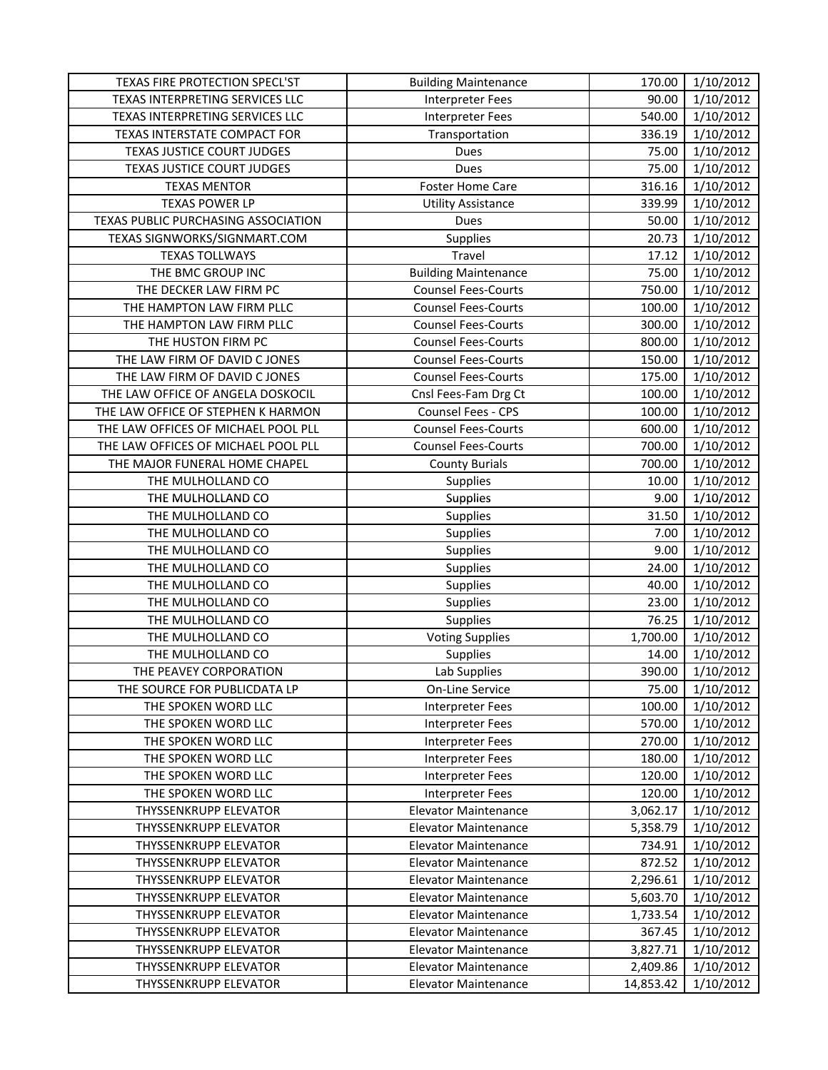| TEXAS FIRE PROTECTION SPECL'ST      | <b>Building Maintenance</b> | 170.00    | 1/10/2012 |
|-------------------------------------|-----------------------------|-----------|-----------|
| TEXAS INTERPRETING SERVICES LLC     | <b>Interpreter Fees</b>     | 90.00     | 1/10/2012 |
| TEXAS INTERPRETING SERVICES LLC     | <b>Interpreter Fees</b>     | 540.00    | 1/10/2012 |
| TEXAS INTERSTATE COMPACT FOR        | Transportation              | 336.19    | 1/10/2012 |
| TEXAS JUSTICE COURT JUDGES          | Dues                        | 75.00     | 1/10/2012 |
| <b>TEXAS JUSTICE COURT JUDGES</b>   | Dues                        | 75.00     | 1/10/2012 |
| <b>TEXAS MENTOR</b>                 | <b>Foster Home Care</b>     | 316.16    | 1/10/2012 |
| <b>TEXAS POWER LP</b>               | <b>Utility Assistance</b>   | 339.99    | 1/10/2012 |
| TEXAS PUBLIC PURCHASING ASSOCIATION | Dues                        | 50.00     | 1/10/2012 |
| TEXAS SIGNWORKS/SIGNMART.COM        | Supplies                    | 20.73     | 1/10/2012 |
| <b>TEXAS TOLLWAYS</b>               | Travel                      | 17.12     | 1/10/2012 |
| THE BMC GROUP INC                   | <b>Building Maintenance</b> | 75.00     | 1/10/2012 |
| THE DECKER LAW FIRM PC              | <b>Counsel Fees-Courts</b>  | 750.00    | 1/10/2012 |
| THE HAMPTON LAW FIRM PLLC           | <b>Counsel Fees-Courts</b>  | 100.00    | 1/10/2012 |
| THE HAMPTON LAW FIRM PLLC           | <b>Counsel Fees-Courts</b>  | 300.00    | 1/10/2012 |
| THE HUSTON FIRM PC                  | <b>Counsel Fees-Courts</b>  | 800.00    | 1/10/2012 |
| THE LAW FIRM OF DAVID C JONES       | <b>Counsel Fees-Courts</b>  | 150.00    | 1/10/2012 |
| THE LAW FIRM OF DAVID C JONES       | <b>Counsel Fees-Courts</b>  | 175.00    | 1/10/2012 |
| THE LAW OFFICE OF ANGELA DOSKOCIL   | Cnsl Fees-Fam Drg Ct        | 100.00    | 1/10/2012 |
| THE LAW OFFICE OF STEPHEN K HARMON  | Counsel Fees - CPS          | 100.00    | 1/10/2012 |
| THE LAW OFFICES OF MICHAEL POOL PLL | <b>Counsel Fees-Courts</b>  | 600.00    | 1/10/2012 |
| THE LAW OFFICES OF MICHAEL POOL PLL | <b>Counsel Fees-Courts</b>  | 700.00    | 1/10/2012 |
| THE MAJOR FUNERAL HOME CHAPEL       | <b>County Burials</b>       | 700.00    | 1/10/2012 |
| THE MULHOLLAND CO                   | Supplies                    | 10.00     | 1/10/2012 |
| THE MULHOLLAND CO                   | <b>Supplies</b>             | 9.00      | 1/10/2012 |
| THE MULHOLLAND CO                   | Supplies                    | 31.50     | 1/10/2012 |
| THE MULHOLLAND CO                   | Supplies                    | 7.00      | 1/10/2012 |
| THE MULHOLLAND CO                   | Supplies                    | 9.00      | 1/10/2012 |
| THE MULHOLLAND CO                   | Supplies                    | 24.00     | 1/10/2012 |
| THE MULHOLLAND CO                   | Supplies                    | 40.00     | 1/10/2012 |
| THE MULHOLLAND CO                   | <b>Supplies</b>             | 23.00     | 1/10/2012 |
| THE MULHOLLAND CO                   | Supplies                    | 76.25     | 1/10/2012 |
| THE MULHOLLAND CO                   | Voting Supplies             | 1,700.00  | 1/10/2012 |
| THE MULHOLLAND CO                   | Supplies                    | 14.00     | 1/10/2012 |
| THE PEAVEY CORPORATION              | Lab Supplies                | 390.00    | 1/10/2012 |
| THE SOURCE FOR PUBLICDATA LP        | On-Line Service             | 75.00     | 1/10/2012 |
| THE SPOKEN WORD LLC                 | Interpreter Fees            | 100.00    | 1/10/2012 |
| THE SPOKEN WORD LLC                 | <b>Interpreter Fees</b>     | 570.00    | 1/10/2012 |
| THE SPOKEN WORD LLC                 | <b>Interpreter Fees</b>     | 270.00    | 1/10/2012 |
| THE SPOKEN WORD LLC                 | <b>Interpreter Fees</b>     | 180.00    | 1/10/2012 |
| THE SPOKEN WORD LLC                 | <b>Interpreter Fees</b>     | 120.00    | 1/10/2012 |
| THE SPOKEN WORD LLC                 | <b>Interpreter Fees</b>     | 120.00    | 1/10/2012 |
| THYSSENKRUPP ELEVATOR               | <b>Elevator Maintenance</b> | 3,062.17  | 1/10/2012 |
| <b>THYSSENKRUPP ELEVATOR</b>        | Elevator Maintenance        | 5,358.79  | 1/10/2012 |
| THYSSENKRUPP ELEVATOR               | <b>Elevator Maintenance</b> | 734.91    | 1/10/2012 |
| THYSSENKRUPP ELEVATOR               | <b>Elevator Maintenance</b> | 872.52    | 1/10/2012 |
| THYSSENKRUPP ELEVATOR               | <b>Elevator Maintenance</b> | 2,296.61  | 1/10/2012 |
| <b>THYSSENKRUPP ELEVATOR</b>        | <b>Elevator Maintenance</b> | 5,603.70  | 1/10/2012 |
| THYSSENKRUPP ELEVATOR               | <b>Elevator Maintenance</b> | 1,733.54  | 1/10/2012 |
| <b>THYSSENKRUPP ELEVATOR</b>        | <b>Elevator Maintenance</b> | 367.45    | 1/10/2012 |
| THYSSENKRUPP ELEVATOR               | Elevator Maintenance        | 3,827.71  | 1/10/2012 |
| THYSSENKRUPP ELEVATOR               | <b>Elevator Maintenance</b> | 2,409.86  | 1/10/2012 |
| THYSSENKRUPP ELEVATOR               | <b>Elevator Maintenance</b> | 14,853.42 | 1/10/2012 |
|                                     |                             |           |           |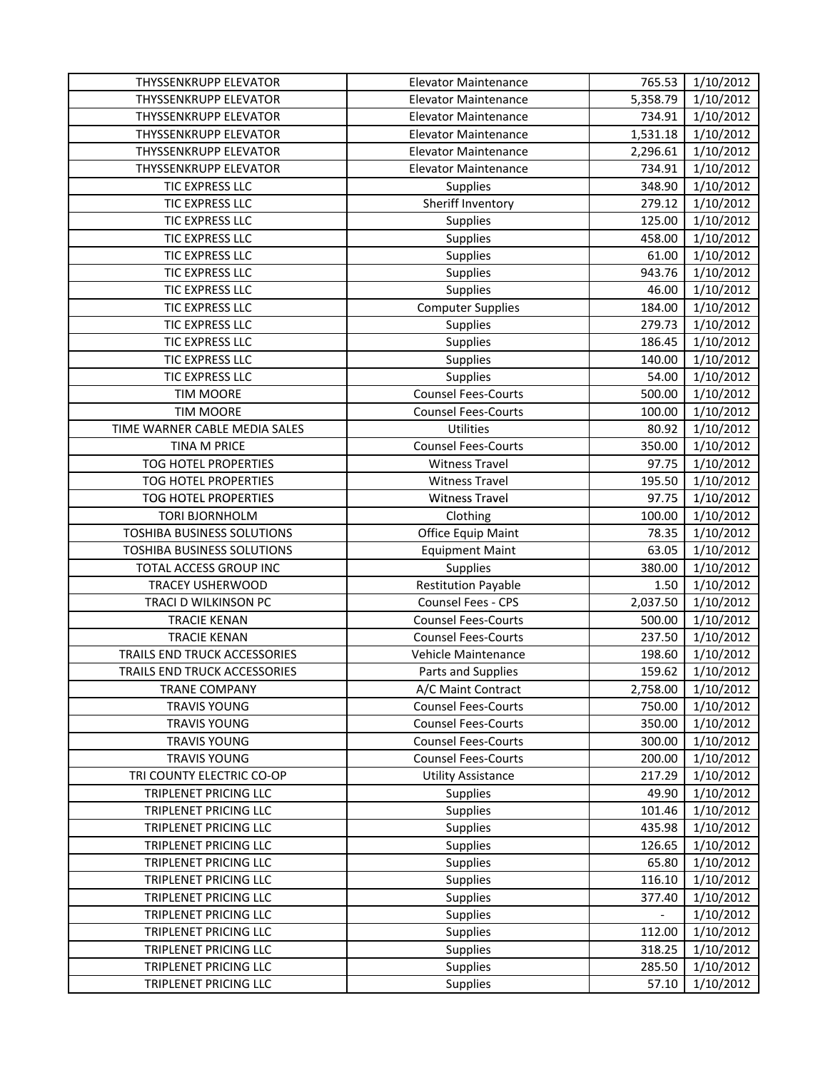| <b>THYSSENKRUPP ELEVATOR</b>      | <b>Elevator Maintenance</b> | 765.53   | 1/10/2012 |
|-----------------------------------|-----------------------------|----------|-----------|
| <b>THYSSENKRUPP ELEVATOR</b>      | <b>Elevator Maintenance</b> | 5,358.79 | 1/10/2012 |
| THYSSENKRUPP ELEVATOR             | <b>Elevator Maintenance</b> | 734.91   | 1/10/2012 |
| THYSSENKRUPP ELEVATOR             | <b>Elevator Maintenance</b> | 1,531.18 | 1/10/2012 |
| <b>THYSSENKRUPP ELEVATOR</b>      | <b>Elevator Maintenance</b> | 2,296.61 | 1/10/2012 |
| <b>THYSSENKRUPP ELEVATOR</b>      | <b>Elevator Maintenance</b> | 734.91   | 1/10/2012 |
| TIC EXPRESS LLC                   | <b>Supplies</b>             | 348.90   | 1/10/2012 |
| TIC EXPRESS LLC                   | Sheriff Inventory           | 279.12   | 1/10/2012 |
| TIC EXPRESS LLC                   | <b>Supplies</b>             | 125.00   | 1/10/2012 |
| TIC EXPRESS LLC                   | Supplies                    | 458.00   | 1/10/2012 |
| TIC EXPRESS LLC                   | Supplies                    | 61.00    | 1/10/2012 |
| TIC EXPRESS LLC                   | <b>Supplies</b>             | 943.76   | 1/10/2012 |
| TIC EXPRESS LLC                   | Supplies                    | 46.00    | 1/10/2012 |
| TIC EXPRESS LLC                   | <b>Computer Supplies</b>    | 184.00   | 1/10/2012 |
| TIC EXPRESS LLC                   | <b>Supplies</b>             | 279.73   | 1/10/2012 |
| TIC EXPRESS LLC                   | <b>Supplies</b>             | 186.45   | 1/10/2012 |
| TIC EXPRESS LLC                   | <b>Supplies</b>             | 140.00   | 1/10/2012 |
| TIC EXPRESS LLC                   | <b>Supplies</b>             | 54.00    | 1/10/2012 |
| <b>TIM MOORE</b>                  | <b>Counsel Fees-Courts</b>  | 500.00   | 1/10/2012 |
| <b>TIM MOORE</b>                  | <b>Counsel Fees-Courts</b>  | 100.00   | 1/10/2012 |
| TIME WARNER CABLE MEDIA SALES     | Utilities                   | 80.92    | 1/10/2012 |
| TINA M PRICE                      | <b>Counsel Fees-Courts</b>  | 350.00   | 1/10/2012 |
| TOG HOTEL PROPERTIES              | <b>Witness Travel</b>       | 97.75    | 1/10/2012 |
| TOG HOTEL PROPERTIES              | <b>Witness Travel</b>       | 195.50   | 1/10/2012 |
| <b>TOG HOTEL PROPERTIES</b>       | <b>Witness Travel</b>       | 97.75    | 1/10/2012 |
| <b>TORI BJORNHOLM</b>             | Clothing                    | 100.00   | 1/10/2012 |
| <b>TOSHIBA BUSINESS SOLUTIONS</b> | Office Equip Maint          | 78.35    | 1/10/2012 |
| <b>TOSHIBA BUSINESS SOLUTIONS</b> | <b>Equipment Maint</b>      | 63.05    | 1/10/2012 |
| TOTAL ACCESS GROUP INC            | <b>Supplies</b>             | 380.00   | 1/10/2012 |
| TRACEY USHERWOOD                  | <b>Restitution Payable</b>  | 1.50     | 1/10/2012 |
| TRACI D WILKINSON PC              | Counsel Fees - CPS          | 2,037.50 | 1/10/2012 |
| <b>TRACIE KENAN</b>               | <b>Counsel Fees-Courts</b>  | 500.00   | 1/10/2012 |
| <b>TRACIE KENAN</b>               | <b>Counsel Fees-Courts</b>  | 237.50   | 1/10/2012 |
| TRAILS END TRUCK ACCESSORIES      | Vehicle Maintenance         | 198.60   | 1/10/2012 |
| TRAILS END TRUCK ACCESSORIES      | Parts and Supplies          | 159.62   | 1/10/2012 |
| <b>TRANE COMPANY</b>              | A/C Maint Contract          | 2,758.00 | 1/10/2012 |
| <b>TRAVIS YOUNG</b>               | <b>Counsel Fees-Courts</b>  | 750.00   | 1/10/2012 |
| <b>TRAVIS YOUNG</b>               | <b>Counsel Fees-Courts</b>  | 350.00   | 1/10/2012 |
| <b>TRAVIS YOUNG</b>               | <b>Counsel Fees-Courts</b>  | 300.00   | 1/10/2012 |
| <b>TRAVIS YOUNG</b>               | <b>Counsel Fees-Courts</b>  | 200.00   | 1/10/2012 |
| TRI COUNTY ELECTRIC CO-OP         | <b>Utility Assistance</b>   | 217.29   | 1/10/2012 |
| TRIPLENET PRICING LLC             | <b>Supplies</b>             | 49.90    | 1/10/2012 |
| TRIPLENET PRICING LLC             | <b>Supplies</b>             | 101.46   | 1/10/2012 |
| TRIPLENET PRICING LLC             | <b>Supplies</b>             | 435.98   | 1/10/2012 |
| TRIPLENET PRICING LLC             | <b>Supplies</b>             | 126.65   | 1/10/2012 |
| TRIPLENET PRICING LLC             | <b>Supplies</b>             | 65.80    | 1/10/2012 |
| TRIPLENET PRICING LLC             | <b>Supplies</b>             | 116.10   | 1/10/2012 |
| TRIPLENET PRICING LLC             | <b>Supplies</b>             | 377.40   | 1/10/2012 |
| TRIPLENET PRICING LLC             | <b>Supplies</b>             |          | 1/10/2012 |
| TRIPLENET PRICING LLC             | <b>Supplies</b>             | 112.00   | 1/10/2012 |
| TRIPLENET PRICING LLC             | <b>Supplies</b>             | 318.25   | 1/10/2012 |
| TRIPLENET PRICING LLC             | <b>Supplies</b>             | 285.50   | 1/10/2012 |
| TRIPLENET PRICING LLC             | <b>Supplies</b>             | 57.10    | 1/10/2012 |
|                                   |                             |          |           |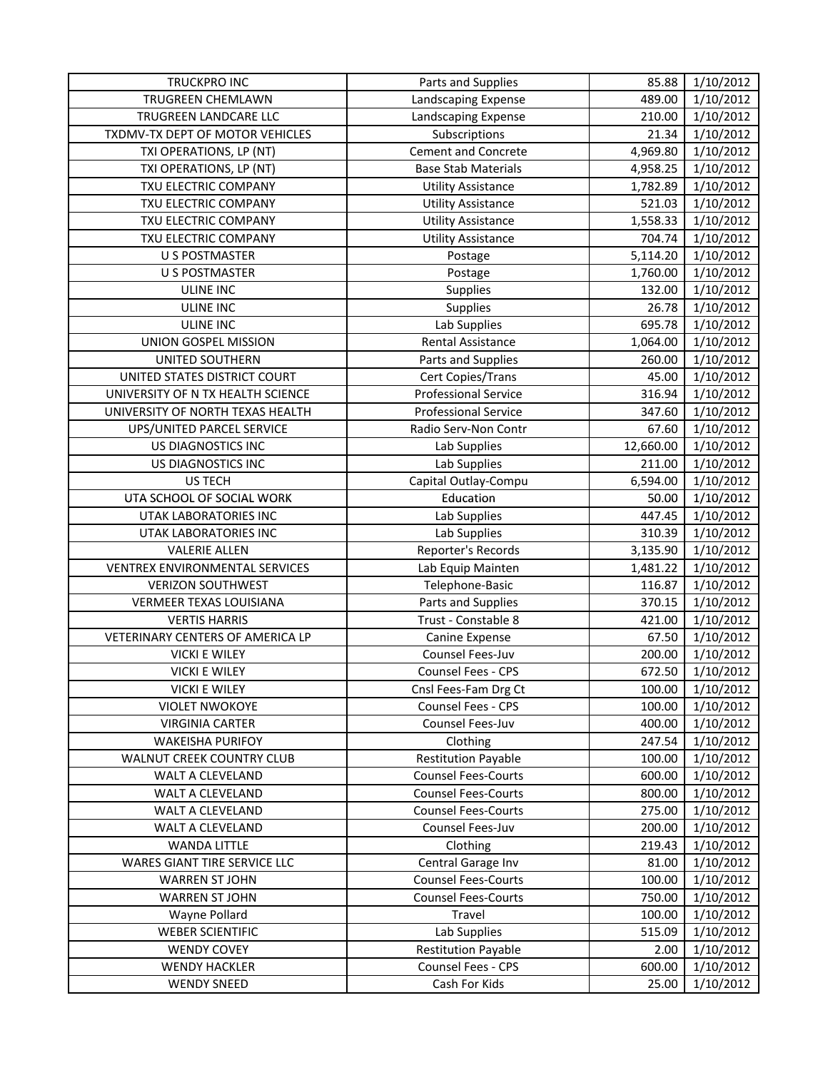| TRUCKPRO INC                      | Parts and Supplies          | 85.88     | 1/10/2012 |
|-----------------------------------|-----------------------------|-----------|-----------|
| TRUGREEN CHEMLAWN                 | Landscaping Expense         | 489.00    | 1/10/2012 |
| TRUGREEN LANDCARE LLC             | Landscaping Expense         | 210.00    | 1/10/2012 |
| TXDMV-TX DEPT OF MOTOR VEHICLES   | Subscriptions               | 21.34     | 1/10/2012 |
| TXI OPERATIONS, LP (NT)           | <b>Cement and Concrete</b>  | 4,969.80  | 1/10/2012 |
| TXI OPERATIONS, LP (NT)           | <b>Base Stab Materials</b>  | 4,958.25  | 1/10/2012 |
| TXU ELECTRIC COMPANY              | <b>Utility Assistance</b>   | 1,782.89  | 1/10/2012 |
| TXU ELECTRIC COMPANY              | <b>Utility Assistance</b>   | 521.03    | 1/10/2012 |
| TXU ELECTRIC COMPANY              | <b>Utility Assistance</b>   | 1,558.33  | 1/10/2012 |
| TXU ELECTRIC COMPANY              | <b>Utility Assistance</b>   | 704.74    | 1/10/2012 |
| <b>U S POSTMASTER</b>             | Postage                     | 5,114.20  | 1/10/2012 |
| <b>U S POSTMASTER</b>             | Postage                     | 1,760.00  | 1/10/2012 |
| <b>ULINE INC</b>                  | Supplies                    | 132.00    | 1/10/2012 |
| ULINE INC                         | <b>Supplies</b>             | 26.78     | 1/10/2012 |
| <b>ULINE INC</b>                  | Lab Supplies                | 695.78    | 1/10/2012 |
| UNION GOSPEL MISSION              | <b>Rental Assistance</b>    | 1,064.00  | 1/10/2012 |
| <b>UNITED SOUTHERN</b>            | Parts and Supplies          | 260.00    | 1/10/2012 |
| UNITED STATES DISTRICT COURT      | Cert Copies/Trans           | 45.00     | 1/10/2012 |
| UNIVERSITY OF N TX HEALTH SCIENCE | <b>Professional Service</b> | 316.94    | 1/10/2012 |
| UNIVERSITY OF NORTH TEXAS HEALTH  | <b>Professional Service</b> | 347.60    | 1/10/2012 |
| UPS/UNITED PARCEL SERVICE         | Radio Serv-Non Contr        | 67.60     | 1/10/2012 |
| US DIAGNOSTICS INC                | Lab Supplies                | 12,660.00 | 1/10/2012 |
| US DIAGNOSTICS INC                | Lab Supplies                | 211.00    | 1/10/2012 |
| <b>US TECH</b>                    | Capital Outlay-Compu        | 6,594.00  | 1/10/2012 |
| UTA SCHOOL OF SOCIAL WORK         | Education                   | 50.00     | 1/10/2012 |
| UTAK LABORATORIES INC             | Lab Supplies                | 447.45    | 1/10/2012 |
| UTAK LABORATORIES INC             | Lab Supplies                | 310.39    | 1/10/2012 |
| <b>VALERIE ALLEN</b>              | Reporter's Records          | 3,135.90  | 1/10/2012 |
| VENTREX ENVIRONMENTAL SERVICES    | Lab Equip Mainten           | 1,481.22  | 1/10/2012 |
| <b>VERIZON SOUTHWEST</b>          | Telephone-Basic             | 116.87    | 1/10/2012 |
| VERMEER TEXAS LOUISIANA           | Parts and Supplies          | 370.15    | 1/10/2012 |
| <b>VERTIS HARRIS</b>              | Trust - Constable 8         | 421.00    | 1/10/2012 |
| VETERINARY CENTERS OF AMERICA LP  | Canine Expense              | 67.50     | 1/10/2012 |
| <b>VICKI E WILEY</b>              | Counsel Fees-Juv            | 200.00    | 1/10/2012 |
| <b>VICKI E WILEY</b>              | Counsel Fees - CPS          | 672.50    | 1/10/2012 |
| <b>VICKI E WILEY</b>              | Cnsl Fees-Fam Drg Ct        | 100.00    | 1/10/2012 |
| <b>VIOLET NWOKOYE</b>             | Counsel Fees - CPS          | 100.00    | 1/10/2012 |
| <b>VIRGINIA CARTER</b>            | Counsel Fees-Juv            | 400.00    | 1/10/2012 |
| <b>WAKEISHA PURIFOY</b>           | Clothing                    | 247.54    | 1/10/2012 |
| WALNUT CREEK COUNTRY CLUB         | <b>Restitution Payable</b>  | 100.00    | 1/10/2012 |
| WALT A CLEVELAND                  | <b>Counsel Fees-Courts</b>  | 600.00    | 1/10/2012 |
| WALT A CLEVELAND                  | <b>Counsel Fees-Courts</b>  | 800.00    | 1/10/2012 |
| <b>WALT A CLEVELAND</b>           | <b>Counsel Fees-Courts</b>  | 275.00    | 1/10/2012 |
| <b>WALT A CLEVELAND</b>           | Counsel Fees-Juv            | 200.00    | 1/10/2012 |
| <b>WANDA LITTLE</b>               | Clothing                    | 219.43    | 1/10/2012 |
| WARES GIANT TIRE SERVICE LLC      | Central Garage Inv          | 81.00     | 1/10/2012 |
| <b>WARREN ST JOHN</b>             | <b>Counsel Fees-Courts</b>  | 100.00    | 1/10/2012 |
| <b>WARREN ST JOHN</b>             | <b>Counsel Fees-Courts</b>  | 750.00    | 1/10/2012 |
| Wayne Pollard                     | Travel                      | 100.00    | 1/10/2012 |
| <b>WEBER SCIENTIFIC</b>           | Lab Supplies                | 515.09    | 1/10/2012 |
| <b>WENDY COVEY</b>                | <b>Restitution Payable</b>  | 2.00      | 1/10/2012 |
| <b>WENDY HACKLER</b>              | Counsel Fees - CPS          | 600.00    | 1/10/2012 |
| <b>WENDY SNEED</b>                | Cash For Kids               | 25.00     | 1/10/2012 |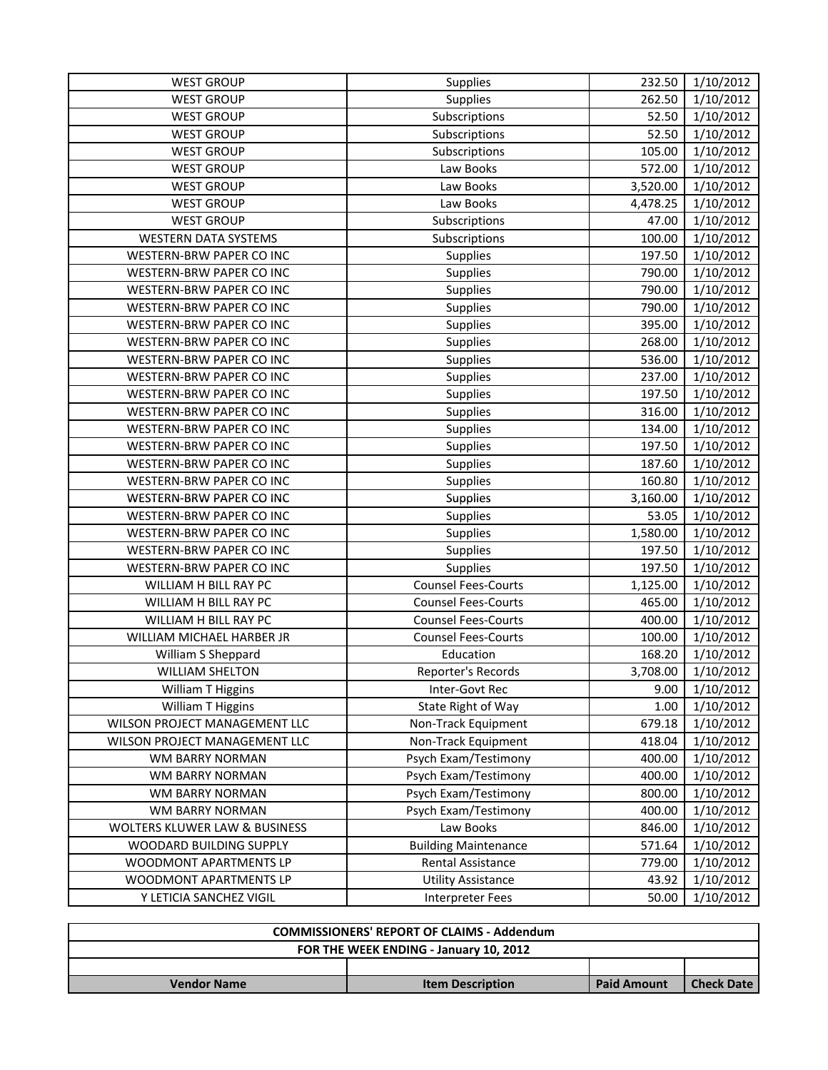| <b>WEST GROUP</b>               | Supplies                    | 232.50   | 1/10/2012 |
|---------------------------------|-----------------------------|----------|-----------|
| <b>WEST GROUP</b>               | <b>Supplies</b>             | 262.50   | 1/10/2012 |
| <b>WEST GROUP</b>               | Subscriptions               | 52.50    | 1/10/2012 |
| <b>WEST GROUP</b>               | Subscriptions               | 52.50    | 1/10/2012 |
| <b>WEST GROUP</b>               | Subscriptions               | 105.00   | 1/10/2012 |
| <b>WEST GROUP</b>               | Law Books                   | 572.00   | 1/10/2012 |
| <b>WEST GROUP</b>               | Law Books                   | 3,520.00 | 1/10/2012 |
| <b>WEST GROUP</b>               | Law Books                   | 4,478.25 | 1/10/2012 |
| <b>WEST GROUP</b>               | Subscriptions               | 47.00    | 1/10/2012 |
| <b>WESTERN DATA SYSTEMS</b>     | Subscriptions               | 100.00   | 1/10/2012 |
| WESTERN-BRW PAPER CO INC        | <b>Supplies</b>             | 197.50   | 1/10/2012 |
| WESTERN-BRW PAPER CO INC        | Supplies                    | 790.00   | 1/10/2012 |
| WESTERN-BRW PAPER CO INC        | Supplies                    | 790.00   | 1/10/2012 |
| WESTERN-BRW PAPER CO INC        | <b>Supplies</b>             | 790.00   | 1/10/2012 |
| WESTERN-BRW PAPER CO INC        | Supplies                    | 395.00   | 1/10/2012 |
| WESTERN-BRW PAPER CO INC        | Supplies                    | 268.00   | 1/10/2012 |
| WESTERN-BRW PAPER CO INC        | Supplies                    | 536.00   | 1/10/2012 |
| <b>WESTERN-BRW PAPER CO INC</b> | Supplies                    | 237.00   | 1/10/2012 |
| WESTERN-BRW PAPER CO INC        | Supplies                    | 197.50   | 1/10/2012 |
| WESTERN-BRW PAPER CO INC        | Supplies                    | 316.00   | 1/10/2012 |
| WESTERN-BRW PAPER CO INC        | Supplies                    | 134.00   | 1/10/2012 |
| WESTERN-BRW PAPER CO INC        | Supplies                    | 197.50   | 1/10/2012 |
| WESTERN-BRW PAPER CO INC        | Supplies                    | 187.60   | 1/10/2012 |
| WESTERN-BRW PAPER CO INC        | Supplies                    | 160.80   | 1/10/2012 |
| WESTERN-BRW PAPER CO INC        | <b>Supplies</b>             | 3,160.00 | 1/10/2012 |
| WESTERN-BRW PAPER CO INC        | Supplies                    | 53.05    | 1/10/2012 |
| WESTERN-BRW PAPER CO INC        | Supplies                    | 1,580.00 | 1/10/2012 |
| WESTERN-BRW PAPER CO INC        | Supplies                    | 197.50   | 1/10/2012 |
| WESTERN-BRW PAPER CO INC        | Supplies                    | 197.50   | 1/10/2012 |
| WILLIAM H BILL RAY PC           | <b>Counsel Fees-Courts</b>  | 1,125.00 | 1/10/2012 |
| WILLIAM H BILL RAY PC           | <b>Counsel Fees-Courts</b>  | 465.00   | 1/10/2012 |
| WILLIAM H BILL RAY PC           | <b>Counsel Fees-Courts</b>  | 400.00   | 1/10/2012 |
| WILLIAM MICHAEL HARBER JR       | <b>Counsel Fees-Courts</b>  | 100.00   | 1/10/2012 |
| William S Sheppard              | Education                   | 168.20   | 1/10/2012 |
| <b>WILLIAM SHELTON</b>          | Reporter's Records          | 3,708.00 | 1/10/2012 |
| William T Higgins               | Inter-Govt Rec              | 9.00     | 1/10/2012 |
| William T Higgins               | State Right of Way          | 1.00     | 1/10/2012 |
| WILSON PROJECT MANAGEMENT LLC   | Non-Track Equipment         | 679.18   | 1/10/2012 |
| WILSON PROJECT MANAGEMENT LLC   | Non-Track Equipment         | 418.04   | 1/10/2012 |
| WM BARRY NORMAN                 | Psych Exam/Testimony        | 400.00   | 1/10/2012 |
| WM BARRY NORMAN                 | Psych Exam/Testimony        | 400.00   | 1/10/2012 |
| WM BARRY NORMAN                 | Psych Exam/Testimony        | 800.00   | 1/10/2012 |
| WM BARRY NORMAN                 | Psych Exam/Testimony        | 400.00   | 1/10/2012 |
| WOLTERS KLUWER LAW & BUSINESS   | Law Books                   | 846.00   | 1/10/2012 |
| WOODARD BUILDING SUPPLY         | <b>Building Maintenance</b> | 571.64   | 1/10/2012 |
| WOODMONT APARTMENTS LP          | <b>Rental Assistance</b>    | 779.00   | 1/10/2012 |
| WOODMONT APARTMENTS LP          | <b>Utility Assistance</b>   | 43.92    | 1/10/2012 |
| Y LETICIA SANCHEZ VIGIL         | <b>Interpreter Fees</b>     | 50.00    | 1/10/2012 |

| <b>COMMISSIONERS' REPORT OF CLAIMS - Addendum</b> |                         |                    |                   |
|---------------------------------------------------|-------------------------|--------------------|-------------------|
| FOR THE WEEK ENDING - January 10, 2012            |                         |                    |                   |
|                                                   |                         |                    |                   |
| <b>Vendor Name</b>                                | <b>Item Description</b> | <b>Paid Amount</b> | <b>Check Date</b> |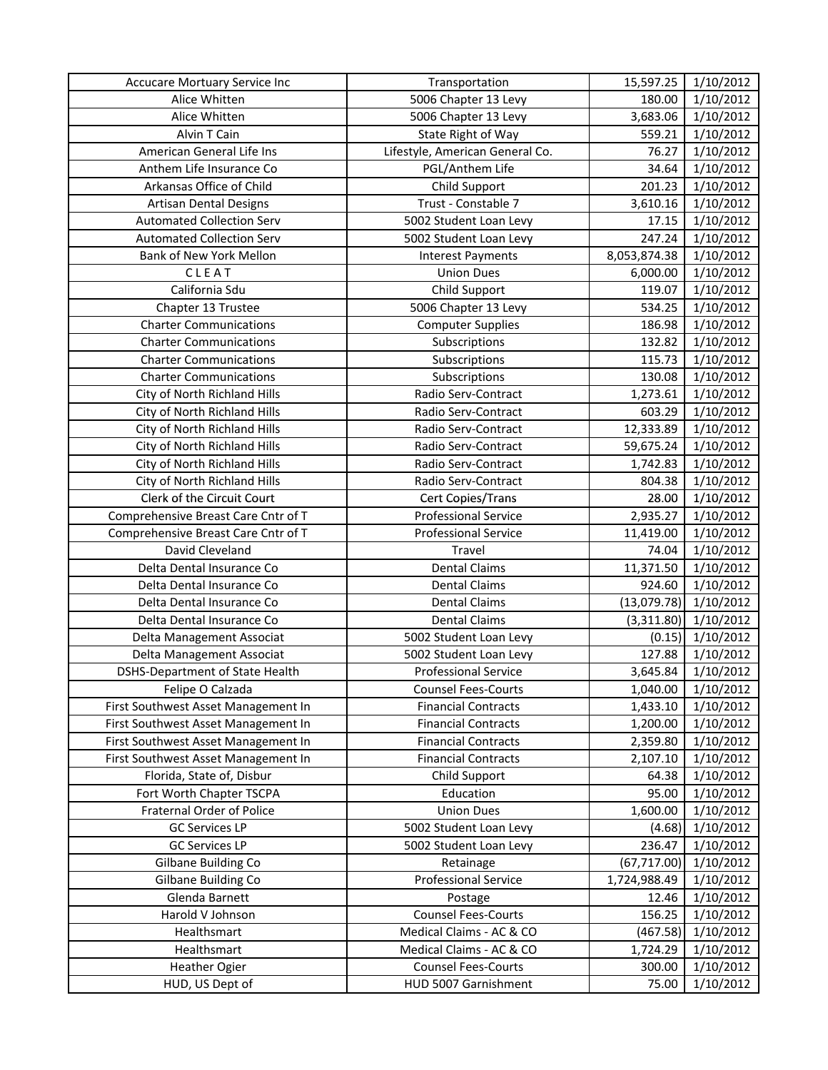| <b>Accucare Mortuary Service Inc</b>   | Transportation                  | 15,597.25    | 1/10/2012 |
|----------------------------------------|---------------------------------|--------------|-----------|
| Alice Whitten                          | 5006 Chapter 13 Levy            | 180.00       | 1/10/2012 |
| Alice Whitten                          | 5006 Chapter 13 Levy            | 3,683.06     | 1/10/2012 |
| Alvin T Cain                           | State Right of Way              | 559.21       | 1/10/2012 |
| American General Life Ins              | Lifestyle, American General Co. | 76.27        | 1/10/2012 |
| Anthem Life Insurance Co               | PGL/Anthem Life                 | 34.64        | 1/10/2012 |
| Arkansas Office of Child               | Child Support                   | 201.23       | 1/10/2012 |
| <b>Artisan Dental Designs</b>          | Trust - Constable 7             | 3,610.16     | 1/10/2012 |
| <b>Automated Collection Serv</b>       | 5002 Student Loan Levy          | 17.15        | 1/10/2012 |
| <b>Automated Collection Serv</b>       | 5002 Student Loan Levy          | 247.24       | 1/10/2012 |
| Bank of New York Mellon                | <b>Interest Payments</b>        | 8,053,874.38 | 1/10/2012 |
| CLEAT                                  | <b>Union Dues</b>               | 6,000.00     | 1/10/2012 |
| California Sdu                         | Child Support                   | 119.07       | 1/10/2012 |
| Chapter 13 Trustee                     | 5006 Chapter 13 Levy            | 534.25       | 1/10/2012 |
| <b>Charter Communications</b>          | <b>Computer Supplies</b>        | 186.98       | 1/10/2012 |
| <b>Charter Communications</b>          | Subscriptions                   | 132.82       | 1/10/2012 |
| <b>Charter Communications</b>          | Subscriptions                   | 115.73       | 1/10/2012 |
| <b>Charter Communications</b>          | Subscriptions                   | 130.08       | 1/10/2012 |
| City of North Richland Hills           | Radio Serv-Contract             | 1,273.61     | 1/10/2012 |
| City of North Richland Hills           | Radio Serv-Contract             | 603.29       | 1/10/2012 |
| City of North Richland Hills           | Radio Serv-Contract             | 12,333.89    | 1/10/2012 |
| City of North Richland Hills           | Radio Serv-Contract             | 59,675.24    | 1/10/2012 |
| City of North Richland Hills           | Radio Serv-Contract             | 1,742.83     | 1/10/2012 |
| City of North Richland Hills           | Radio Serv-Contract             | 804.38       | 1/10/2012 |
| Clerk of the Circuit Court             | Cert Copies/Trans               | 28.00        | 1/10/2012 |
| Comprehensive Breast Care Cntr of T    | <b>Professional Service</b>     | 2,935.27     | 1/10/2012 |
| Comprehensive Breast Care Cntr of T    | <b>Professional Service</b>     | 11,419.00    | 1/10/2012 |
| David Cleveland                        | Travel                          | 74.04        | 1/10/2012 |
| Delta Dental Insurance Co              | <b>Dental Claims</b>            | 11,371.50    | 1/10/2012 |
| Delta Dental Insurance Co              | <b>Dental Claims</b>            | 924.60       | 1/10/2012 |
| Delta Dental Insurance Co              | <b>Dental Claims</b>            | (13,079.78)  | 1/10/2012 |
| Delta Dental Insurance Co              | <b>Dental Claims</b>            | (3,311.80)   | 1/10/2012 |
| Delta Management Associat              | 5002 Student Loan Levy          | (0.15)       | 1/10/2012 |
| Delta Management Associat              | 5002 Student Loan Levy          | 127.88       | 1/10/2012 |
| <b>DSHS-Department of State Health</b> | <b>Professional Service</b>     | 3,645.84     | 1/10/2012 |
| Felipe O Calzada                       | <b>Counsel Fees-Courts</b>      | 1,040.00     | 1/10/2012 |
| First Southwest Asset Management In    | <b>Financial Contracts</b>      | 1,433.10     | 1/10/2012 |
| First Southwest Asset Management In    | <b>Financial Contracts</b>      | 1,200.00     | 1/10/2012 |
| First Southwest Asset Management In    | <b>Financial Contracts</b>      | 2,359.80     | 1/10/2012 |
| First Southwest Asset Management In    | <b>Financial Contracts</b>      | 2,107.10     | 1/10/2012 |
| Florida, State of, Disbur              | Child Support                   | 64.38        | 1/10/2012 |
| Fort Worth Chapter TSCPA               | Education                       | 95.00        | 1/10/2012 |
| <b>Fraternal Order of Police</b>       | <b>Union Dues</b>               | 1,600.00     | 1/10/2012 |
| <b>GC Services LP</b>                  | 5002 Student Loan Levy          | (4.68)       | 1/10/2012 |
| <b>GC Services LP</b>                  | 5002 Student Loan Levy          | 236.47       | 1/10/2012 |
| Gilbane Building Co                    | Retainage                       | (67, 717.00) | 1/10/2012 |
| Gilbane Building Co                    | <b>Professional Service</b>     | 1,724,988.49 | 1/10/2012 |
| Glenda Barnett                         | Postage                         | 12.46        | 1/10/2012 |
| Harold V Johnson                       | <b>Counsel Fees-Courts</b>      | 156.25       | 1/10/2012 |
| Healthsmart                            | Medical Claims - AC & CO        | (467.58)     | 1/10/2012 |
| Healthsmart                            | Medical Claims - AC & CO        | 1,724.29     | 1/10/2012 |
| <b>Heather Ogier</b>                   | <b>Counsel Fees-Courts</b>      | 300.00       | 1/10/2012 |
| HUD, US Dept of                        | HUD 5007 Garnishment            | 75.00        | 1/10/2012 |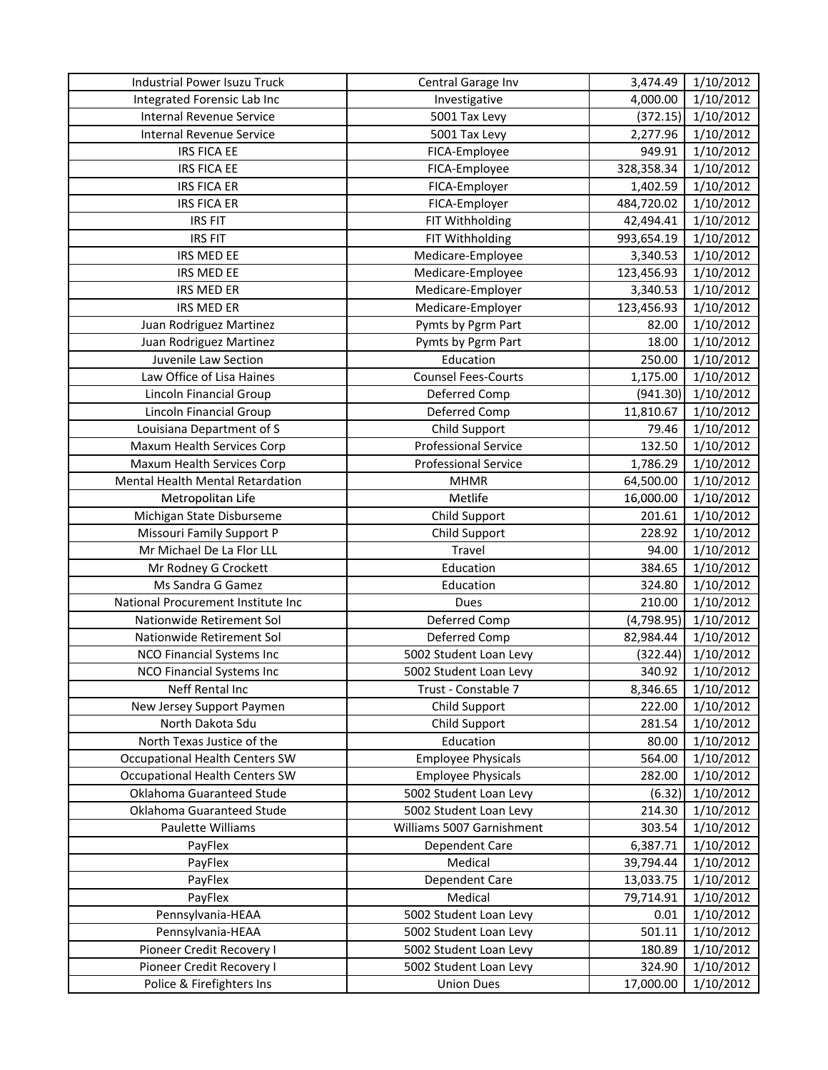| Industrial Power Isuzu Truck          | Central Garage Inv          | 3,474.49   | 1/10/2012 |
|---------------------------------------|-----------------------------|------------|-----------|
| Integrated Forensic Lab Inc           | Investigative               | 4,000.00   | 1/10/2012 |
| <b>Internal Revenue Service</b>       | 5001 Tax Levy               | (372.15)   | 1/10/2012 |
| <b>Internal Revenue Service</b>       | 5001 Tax Levy               | 2,277.96   | 1/10/2012 |
| <b>IRS FICA EE</b>                    | FICA-Employee               | 949.91     | 1/10/2012 |
| <b>IRS FICA EE</b>                    | FICA-Employee               | 328,358.34 | 1/10/2012 |
| <b>IRS FICA ER</b>                    | FICA-Employer               | 1,402.59   | 1/10/2012 |
| <b>IRS FICA ER</b>                    | FICA-Employer               | 484,720.02 | 1/10/2012 |
| <b>IRS FIT</b>                        | FIT Withholding             | 42,494.41  | 1/10/2012 |
| <b>IRS FIT</b>                        | FIT Withholding             | 993,654.19 | 1/10/2012 |
| IRS MED EE                            | Medicare-Employee           | 3,340.53   | 1/10/2012 |
| IRS MED EE                            | Medicare-Employee           | 123,456.93 | 1/10/2012 |
| <b>IRS MED ER</b>                     | Medicare-Employer           | 3,340.53   | 1/10/2012 |
| <b>IRS MED ER</b>                     | Medicare-Employer           | 123,456.93 | 1/10/2012 |
| Juan Rodriguez Martinez               | Pymts by Pgrm Part          | 82.00      | 1/10/2012 |
| Juan Rodriguez Martinez               | Pymts by Pgrm Part          | 18.00      | 1/10/2012 |
| Juvenile Law Section                  | Education                   | 250.00     | 1/10/2012 |
| Law Office of Lisa Haines             | <b>Counsel Fees-Courts</b>  | 1,175.00   | 1/10/2012 |
| Lincoln Financial Group               | Deferred Comp               | (941.30)   | 1/10/2012 |
| Lincoln Financial Group               | Deferred Comp               | 11,810.67  | 1/10/2012 |
| Louisiana Department of S             | Child Support               | 79.46      | 1/10/2012 |
| Maxum Health Services Corp            | <b>Professional Service</b> | 132.50     | 1/10/2012 |
| Maxum Health Services Corp            | <b>Professional Service</b> | 1,786.29   | 1/10/2012 |
| Mental Health Mental Retardation      | <b>MHMR</b>                 | 64,500.00  | 1/10/2012 |
| Metropolitan Life                     | Metlife                     | 16,000.00  | 1/10/2012 |
| Michigan State Disburseme             | Child Support               | 201.61     | 1/10/2012 |
| Missouri Family Support P             | Child Support               | 228.92     | 1/10/2012 |
| Mr Michael De La Flor LLL             | Travel                      | 94.00      | 1/10/2012 |
| Mr Rodney G Crockett                  | Education                   | 384.65     | 1/10/2012 |
| Ms Sandra G Gamez                     | Education                   | 324.80     | 1/10/2012 |
| National Procurement Institute Inc    | Dues                        | 210.00     | 1/10/2012 |
| Nationwide Retirement Sol             | Deferred Comp               | (4,798.95) | 1/10/2012 |
| Nationwide Retirement Sol             | Deferred Comp               | 82,984.44  | 1/10/2012 |
| <b>NCO Financial Systems Inc</b>      | 5002 Student Loan Levy      | (322.44)   | 1/10/2012 |
| <b>NCO Financial Systems Inc</b>      | 5002 Student Loan Levy      | 340.92     | 1/10/2012 |
| Neff Rental Inc                       | Trust - Constable 7         | 8,346.65   | 1/10/2012 |
| New Jersey Support Paymen             | Child Support               | 222.00     | 1/10/2012 |
| North Dakota Sdu                      | Child Support               | 281.54     | 1/10/2012 |
| North Texas Justice of the            | Education                   | 80.00      | 1/10/2012 |
| <b>Occupational Health Centers SW</b> | <b>Employee Physicals</b>   | 564.00     | 1/10/2012 |
| <b>Occupational Health Centers SW</b> | <b>Employee Physicals</b>   | 282.00     | 1/10/2012 |
| Oklahoma Guaranteed Stude             | 5002 Student Loan Levy      | (6.32)     | 1/10/2012 |
| Oklahoma Guaranteed Stude             | 5002 Student Loan Levy      | 214.30     | 1/10/2012 |
| Paulette Williams                     | Williams 5007 Garnishment   | 303.54     | 1/10/2012 |
| PayFlex                               | Dependent Care              | 6,387.71   | 1/10/2012 |
| PayFlex                               | Medical                     | 39,794.44  | 1/10/2012 |
| PayFlex                               | Dependent Care              | 13,033.75  | 1/10/2012 |
| PayFlex                               | Medical                     | 79,714.91  | 1/10/2012 |
| Pennsylvania-HEAA                     | 5002 Student Loan Levy      | 0.01       | 1/10/2012 |
| Pennsylvania-HEAA                     | 5002 Student Loan Levy      | 501.11     | 1/10/2012 |
| Pioneer Credit Recovery I             | 5002 Student Loan Levy      | 180.89     | 1/10/2012 |
| Pioneer Credit Recovery I             | 5002 Student Loan Levy      | 324.90     | 1/10/2012 |
| Police & Firefighters Ins             | <b>Union Dues</b>           | 17,000.00  | 1/10/2012 |